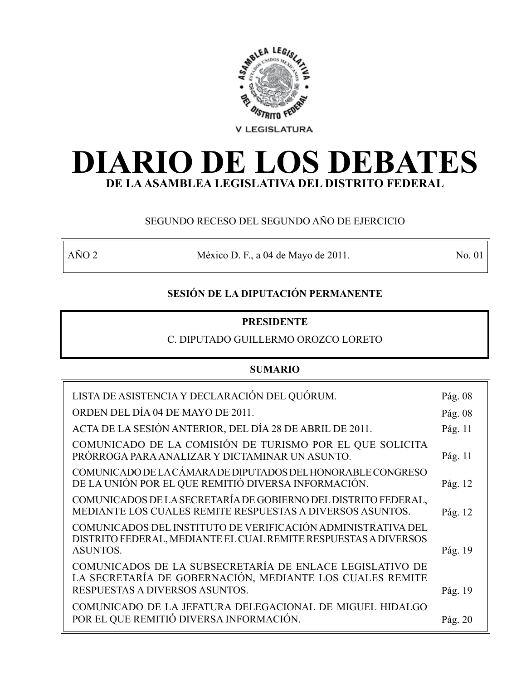

# **DIARIO DE LOS DEBATES DE LA ASAMBLEA LEGISLATIVA DEL DISTRITO FEDERAL**

# SEGUNDO RECESO DEL SEGUNDO AÑO DE EJERCICIO

AÑO 2 México D. F., a 04 de Mayo de 2011. No. 01

# **SESIÓN DE LA DIPUTACIÓN PERMANENTE**

# **PRESIDENTE**

# C. DIPUTADO GUILLERMO OROZCO LORETO

# **SUMARIO**

| LISTA DE ASISTENCIA Y DECLARACIÓN DEL QUÓRUM.                                                                                                          | Pág. 08 |
|--------------------------------------------------------------------------------------------------------------------------------------------------------|---------|
| ORDEN DEL DÍA 04 DE MAYO DE 2011.                                                                                                                      | Pág. 08 |
| ACTA DE LA SESIÓN ANTERIOR, DEL DÍA 28 DE ABRIL DE 2011.                                                                                               | Pág. 11 |
| COMUNICADO DE LA COMISIÓN DE TURISMO POR EL QUE SOLICITA<br>PRÓRROGA PARA ANALIZAR Y DICTAMINAR UN ASUNTO.                                             | Pág. 11 |
| COMUNICADO DE LA CÁMARA DE DIPUTADOS DEL HONORABLE CONGRESO<br>DE LA UNIÓN POR EL QUE REMITIÓ DIVERSA INFORMACIÓN.                                     | Pág. 12 |
| COMUNICADOS DE LA SECRETARÍA DE GOBIERNO DEL DISTRITO FEDERAL,<br>MEDIANTE LOS CUALES REMITE RESPUESTAS A DIVERSOS ASUNTOS.                            | Pág. 12 |
| COMUNICADOS DEL INSTITUTO DE VERIFICACIÓN ADMINISTRATIVA DEL<br>DISTRITO FEDERAL, MEDIANTE EL CUAL REMITE RESPUESTAS A DIVERSOS<br><b>ASUNTOS.</b>     | Pág. 19 |
| COMUNICADOS DE LA SUBSECRETARÍA DE ENLACE LEGISLATIVO DE<br>LA SECRETARÍA DE GOBERNACIÓN, MEDIANTE LOS CUALES REMITE<br>RESPUESTAS A DIVERSOS ASUNTOS. | Pág. 19 |
| COMUNICADO DE LA JEFATURA DELEGACIONAL DE MIGUEL HIDALGO<br>POR EL QUE REMITIÓ DIVERSA INFORMACIÓN.                                                    | Pág. 20 |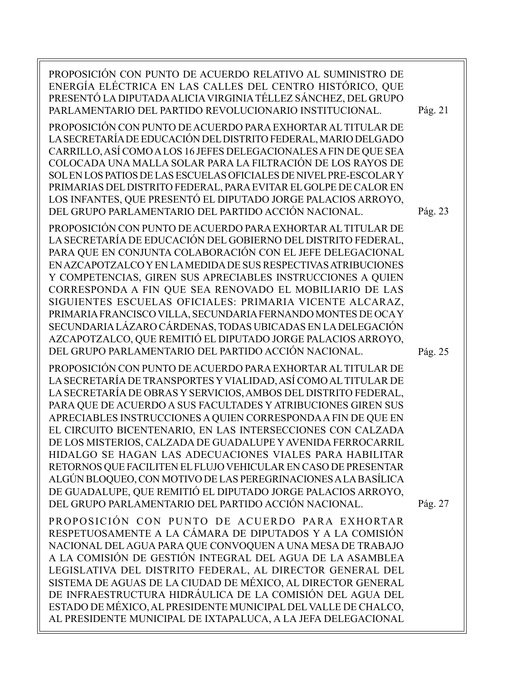| PROPOSICIÓN CON PUNTO DE ACUERDO RELATIVO AL SUMINISTRO DE<br>ENERGÍA ELÉCTRICA EN LAS CALLES DEL CENTRO HISTÓRICO, QUE<br>PRESENTÓ LA DIPUTADA ALICIA VIRGINIA TÉLLEZ SÁNCHEZ, DEL GRUPO<br>PARLAMENTARIO DEL PARTIDO REVOLUCIONARIO INSTITUCIONAL.<br>PROPOSICIÓN CON PUNTO DE ACUERDO PARA EXHORTAR AL TITULAR DE<br>LA SECRETARÍA DE EDUCACIÓN DEL DISTRITO FEDERAL, MARIO DELGADO<br>CARRILLO, ASÍ COMO A LOS 16 JEFES DELEGACIONALES A FIN DE QUE SEA<br>COLOCADA UNA MALLA SOLAR PARA LA FILTRACIÓN DE LOS RAYOS DE<br>SOL EN LOS PATIOS DE LAS ESCUELAS OFICIALES DE NIVEL PRE-ESCOLAR Y<br>PRIMARIAS DEL DISTRITO FEDERAL, PARA EVITAR EL GOLPE DE CALOR EN<br>LOS INFANTES, QUE PRESENTÓ EL DIPUTADO JORGE PALACIOS ARROYO,<br>DEL GRUPO PARLAMENTARIO DEL PARTIDO ACCIÓN NACIONAL. | Pág. 21<br>Pág. 23 |
|-----------------------------------------------------------------------------------------------------------------------------------------------------------------------------------------------------------------------------------------------------------------------------------------------------------------------------------------------------------------------------------------------------------------------------------------------------------------------------------------------------------------------------------------------------------------------------------------------------------------------------------------------------------------------------------------------------------------------------------------------------------------------------------------------|--------------------|
| PROPOSICIÓN CON PUNTO DE ACUERDO PARA EXHORTAR AL TITULAR DE<br>LA SECRETARÍA DE EDUCACIÓN DEL GOBIERNO DEL DISTRITO FEDERAL,<br>PARA QUE EN CONJUNTA COLABORACIÓN CON EL JEFE DELEGACIONAL<br>EN AZCAPOTZALCO Y EN LA MEDIDA DE SUS RESPECTIVAS ATRIBUCIONES<br>Y COMPETENCIAS, GIREN SUS APRECIABLES INSTRUCCIONES A QUIEN<br>CORRESPONDA A FIN QUE SEA RENOVADO EL MOBILIARIO DE LAS<br>SIGUIENTES ESCUELAS OFICIALES: PRIMARIA VICENTE ALCARAZ,<br>PRIMARIA FRANCISCO VILLA, SECUNDARIA FERNANDO MONTES DE OCA Y<br>SECUNDARIA LÁZARO CÁRDENAS, TODAS UBICADAS EN LA DELEGACIÓN<br>AZCAPOTZALCO, QUE REMITIÓ EL DIPUTADO JORGE PALACIOS ARROYO,<br>DEL GRUPO PARLAMENTARIO DEL PARTIDO ACCIÓN NACIONAL.                                                                                   | Pág. 25            |
| PROPOSICIÓN CON PUNTO DE ACUERDO PARA EXHORTAR AL TITULAR DE<br>LA SECRETARÍA DE TRANSPORTES Y VIALIDAD, ASÍ COMO AL TITULAR DE<br>LA SECRETARÍA DE OBRAS Y SERVICIOS, AMBOS DEL DISTRITO FEDERAL,<br>PARA QUE DE ACUERDO A SUS FACULTADES Y ATRIBUCIONES GIREN SUS<br>APRECIABLES INSTRUCCIONES A QUIEN CORRESPONDA A FIN DE QUE EN<br>EL CIRCUITO BICENTENARIO, EN LAS INTERSECCIONES CON CALZADA<br>DE LOS MISTERIOS, CALZADA DE GUADALUPE Y AVENIDA FERROCARRIL<br>HIDALGO SE HAGAN LAS ADECUACIONES VIALES PARA HABILITAR<br>RETORNOS QUE FACILITEN EL FLUJO VEHICULAR EN CASO DE PRESENTAR<br>ALGÚN BLOQUEO, CON MOTIVO DE LAS PEREGRINACIONES A LA BASÍLICA<br>DE GUADALUPE, QUE REMITIÓ EL DIPUTADO JORGE PALACIOS ARROYO,<br>DEL GRUPO PARLAMENTARIO DEL PARTIDO ACCIÓN NACIONAL.    | Pág. 27            |
| PROPOSICIÓN CON PUNTO DE ACUERDO PARA EXHORTAR<br>RESPETUOSAMENTE A LA CÁMARA DE DIPUTADOS Y A LA COMISIÓN<br>NACIONAL DEL AGUA PARA QUE CONVOQUEN A UNA MESA DE TRABAJO<br>A LA COMISIÓN DE GESTIÓN INTEGRAL DEL AGUA DE LA ASAMBLEA<br>LEGISLATIVA DEL DISTRITO FEDERAL, AL DIRECTOR GENERAL DEL<br>SISTEMA DE AGUAS DE LA CIUDAD DE MÉXICO, AL DIRECTOR GENERAL<br>DE INFRAESTRUCTURA HIDRÁULICA DE LA COMISIÓN DEL AGUA DEL<br>ESTADO DE MÉXICO, AL PRESIDENTE MUNICIPAL DEL VALLE DE CHALCO,<br>AL PRESIDENTE MUNICIPAL DE IXTAPALUCA, A LA JEFA DELEGACIONAL                                                                                                                                                                                                                            |                    |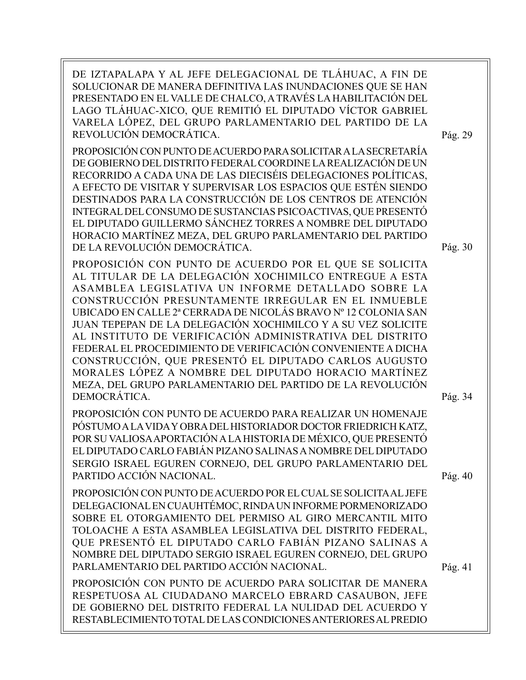DE IZTAPALAPA Y AL JEFE DELEGACIONAL DE TLÁHUAC, A FIN DE SOLUCIONAR DE MANERA DEFINITIVA LAS INUNDACIONES QUE SE HAN PRESENTADO EN EL VALLE DE CHALCO, A TRAVÉS LA HABILITACIÓN DEL LAGO TLÁHUAC-XICO, QUE REMITIÓ EL DIPUTADO VÍCTOR GABRIEL VARELA LÓPEZ, DEL GRUPO PARLAMENTARIO DEL PARTIDO DE LA REVOLUCIÓN DEMOCRÁTICA.

Pág. 29

Pág. 30

PROPOSICIÓN CON PUNTO DE ACUERDO PARA SOLICITAR A LA SECRETARÍA DE GOBIERNO DEL DISTRITO FEDERAL COORDINE LA REALIZACIÓN DE UN RECORRIDO A CADA UNA DE LAS DIECISÉIS DELEGACIONES POLÍTICAS, A EFECTO DE VISITAR Y SUPERVISAR LOS ESPACIOS QUE ESTÉN SIENDO DESTINADOS PARA LA CONSTRUCCIÓN DE LOS CENTROS DE ATENCIÓN INTEGRAL DEL CONSUMO DE SUSTANCIAS PSICOACTIVAS, QUE PRESENTÓ EL DIPUTADO GUILLERMO SÁNCHEZ TORRES A NOMBRE DEL DIPUTADO HORACIO MARTÍNEZ MEZA, DEL GRUPO PARLAMENTARIO DEL PARTIDO DE LA REVOLUCIÓN DEMOCRÁTICA.

PROPOSICIÓN CON PUNTO DE ACUERDO POR EL QUE SE SOLICITA AL TITULAR DE LA DELEGACIÓN XOCHIMILCO ENTREGUE A ESTA ASAMBLEA LEGISLATIVA UN INFORME DETALLADO SOBRE LA CONSTRUCCIÓN PRESUNTAMENTE IRREGULAR EN EL INMUEBLE UBICADO EN CALLE 2ª CERRADA DE NICOLÁS BRAVO Nº 12 COLONIA SAN JUAN TEPEPAN DE LA DELEGACIÓN XOCHIMILCO Y A SU VEZ SOLICITE AL INSTITUTO DE VERIFICACIÓN ADMINISTRATIVA DEL DISTRITO FEDERAL EL PROCEDIMIENTO DE VERIFICACIÓN CONVENIENTE A DICHA CONSTRUCCIÓN, QUE PRESENTÓ EL DIPUTADO CARLOS AUGUSTO MORALES LÓPEZ A NOMBRE DEL DIPUTADO HORACIO MARTÍNEZ MEZA, DEL GRUPO PARLAMENTARIO DEL PARTIDO DE LA REVOLUCIÓN DEMOCRÁTICA.

PROPOSICIÓN CON PUNTO DE ACUERDO PARA REALIZAR UN HOMENAJE PÓSTUMO A LA VIDA Y OBRA DEL HISTORIADOR DOCTOR FRIEDRICH KATZ, POR SU VALIOSA APORTACIÓN A LA HISTORIA DE MÉXICO, QUE PRESENTÓ EL DIPUTADO CARLO FABIÁN PIZANO SALINAS A NOMBRE DEL DIPUTADO SERGIO ISRAEL EGUREN CORNEJO, DEL GRUPO PARLAMENTARIO DEL PARTIDO ACCIÓN NACIONAL.

PROPOSICIÓN CON PUNTO DE ACUERDO POR EL CUAL SE SOLICITA AL JEFE DELEGACIONAL EN CUAUHTÉMOC, RINDA UN INFORME PORMENORIZADO SOBRE EL OTORGAMIENTO DEL PERMISO AL GIRO MERCANTIL MITO TOLOACHE A ESTA ASAMBLEA LEGISLATIVA DEL DISTRITO FEDERAL, QUE PRESENTÓ EL DIPUTADO CARLO FABIÁN PIZANO SALINAS A NOMBRE DEL DIPUTADO SERGIO ISRAEL EGUREN CORNEJO, DEL GRUPO PARLAMENTARIO DEL PARTIDO ACCIÓN NACIONAL.

PROPOSICIÓN CON PUNTO DE ACUERDO PARA SOLICITAR DE MANERA RESPETUOSA AL CIUDADANO MARCELO EBRARD CASAUBON, JEFE DE GOBIERNO DEL DISTRITO FEDERAL LA NULIDAD DEL ACUERDO Y RESTABLECIMIENTO TOTAL DE LAS CONDICIONES ANTERIORES AL PREDIO

Pág. 34

Pág. 40

Pág. 41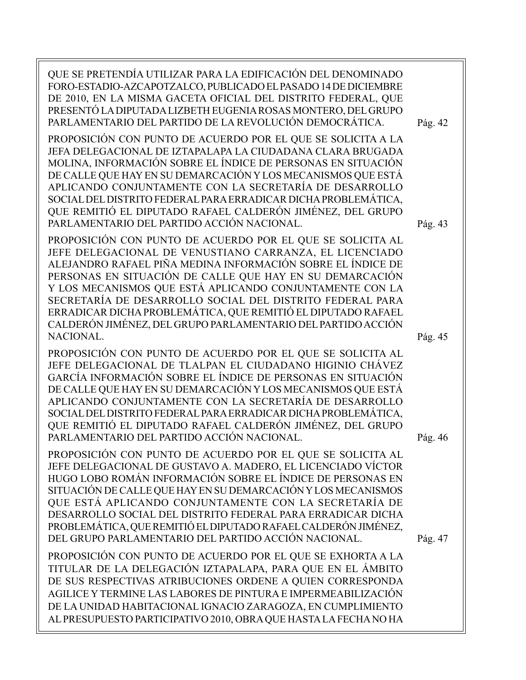| QUE SE PRETENDÍA UTILIZAR PARA LA EDIFICACIÓN DEL DENOMINADO<br>FORO-ESTADIO-AZCAPOTZALCO, PUBLICADO EL PASADO 14 DE DICIEMBRE<br>DE 2010, EN LA MISMA GACETA OFICIAL DEL DISTRITO FEDERAL, QUE<br>PRESENTÓ LA DIPUTADA LIZBETH EUGENIA ROSAS MONTERO, DEL GRUPO<br>PARLAMENTARIO DEL PARTIDO DE LA REVOLUCIÓN DEMOCRÁTICA.                                                                                                                                                                                            | Pág. 42 |
|------------------------------------------------------------------------------------------------------------------------------------------------------------------------------------------------------------------------------------------------------------------------------------------------------------------------------------------------------------------------------------------------------------------------------------------------------------------------------------------------------------------------|---------|
| PROPOSICIÓN CON PUNTO DE ACUERDO POR EL QUE SE SOLICITA A LA<br>JEFA DELEGACIONAL DE IZTAPALAPA LA CIUDADANA CLARA BRUGADA<br>MOLINA, INFORMACIÓN SOBRE EL ÍNDICE DE PERSONAS EN SITUACIÓN<br>DE CALLE QUE HAY EN SU DEMARCACIÓN Y LOS MECANISMOS QUE ESTÁ<br>APLICANDO CONJUNTAMENTE CON LA SECRETARÍA DE DESARROLLO<br>SOCIAL DEL DISTRITO FEDERAL PARA ERRADICAR DICHA PROBLEMÁTICA,<br>QUE REMITIÓ EL DIPUTADO RAFAEL CALDERÓN JIMÉNEZ, DEL GRUPO<br>PARLAMENTARIO DEL PARTIDO ACCIÓN NACIONAL.                    | Pág. 43 |
| PROPOSICIÓN CON PUNTO DE ACUERDO POR EL QUE SE SOLICITA AL<br>JEFE DELEGACIONAL DE VENUSTIANO CARRANZA, EL LICENCIADO<br>ALEJANDRO RAFAEL PIÑA MEDINA INFORMACIÓN SOBRE EL ÍNDICE DE<br>PERSONAS EN SITUACIÓN DE CALLE QUE HAY EN SU DEMARCACIÓN<br>Y LOS MECANISMOS QUE ESTÁ APLICANDO CONJUNTAMENTE CON LA<br>SECRETARÍA DE DESARROLLO SOCIAL DEL DISTRITO FEDERAL PARA<br>ERRADICAR DICHA PROBLEMÁTICA, QUE REMITIÓ EL DIPUTADO RAFAEL<br>CALDERÓN JIMÉNEZ, DEL GRUPO PARLAMENTARIO DEL PARTIDO ACCIÓN<br>NACIONAL. | Pág. 45 |
| PROPOSICIÓN CON PUNTO DE ACUERDO POR EL QUE SE SOLICITA AL<br>JEFE DELEGACIONAL DE TLALPAN EL CIUDADANO HIGINIO CHÁVEZ<br>GARCÍA INFORMACIÓN SOBRE EL ÍNDICE DE PERSONAS EN SITUACIÓN<br>DE CALLE QUE HAY EN SU DEMARCACIÓN Y LOS MECANISMOS QUE ESTÁ<br>APLICANDO CONJUNTAMENTE CON LA SECRETARÍA DE DESARROLLO<br>SOCIAL DEL DISTRITO FEDERAL PARA ERRADICAR DICHA PROBLEMÁTICA,<br>QUE REMITIÓ EL DIPUTADO RAFAEL CALDERÓN JIMÉNEZ, DEL GRUPO<br>PARLAMENTARIO DEL PARTIDO ACCIÓN NACIONAL.                         | Pág. 46 |
| PROPOSICIÓN CON PUNTO DE ACUERDO POR EL QUE SE SOLICITA AL<br>JEFE DELEGACIONAL DE GUSTAVO A. MADERO, EL LICENCIADO VÍCTOR<br>HUGO LOBO ROMÁN INFORMACIÓN SOBRE EL ÍNDICE DE PERSONAS EN<br>SITUACIÓN DE CALLE QUE HAY EN SU DEMARCACIÓN Y LOS MECANISMOS<br>QUE ESTÁ APLICANDO CONJUNTAMENTE CON LA SECRETARÍA DE<br>DESARROLLO SOCIAL DEL DISTRITO FEDERAL PARA ERRADICAR DICHA<br>PROBLEMÁTICA, QUE REMITIÓ EL DIPUTADO RAFAEL CALDERÓN JIMÉNEZ,<br>DEL GRUPO PARLAMENTARIO DEL PARTIDO ACCIÓN NACIONAL.            | Pág. 47 |
| PROPOSICIÓN CON PUNTO DE ACUERDO POR EL QUE SE EXHORTA A LA<br>TITULAR DE LA DELEGACIÓN IZTAPALAPA, PARA QUE EN EL ÁMBITO<br>DE SUS RESPECTIVAS ATRIBUCIONES ORDENE A QUIEN CORRESPONDA<br>AGILICE Y TERMINE LAS LABORES DE PINTURA E IMPERMEABILIZACIÓN<br>DE LA UNIDAD HABITACIONAL IGNACIO ZARAGOZA, EN CUMPLIMIENTO<br>AL PRESUPUESTO PARTICIPATIVO 2010, OBRA QUE HASTA LA FECHA NO HA                                                                                                                            |         |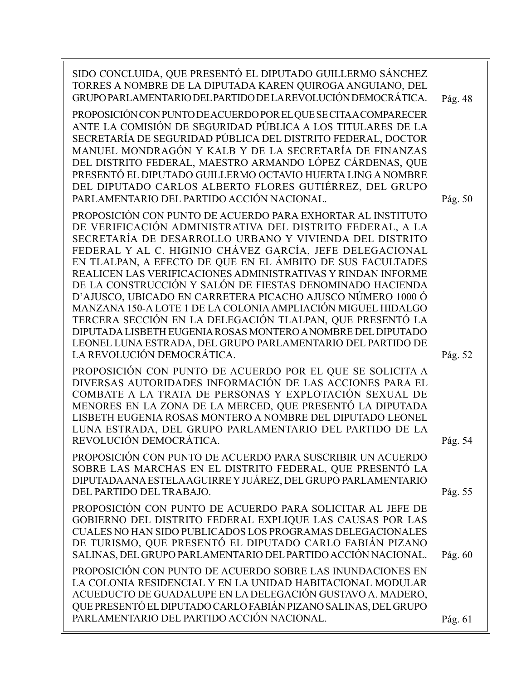| SIDO CONCLUIDA, QUE PRESENTÓ EL DIPUTADO GUILLERMO SÁNCHEZ<br>TORRES A NOMBRE DE LA DIPUTADA KAREN QUIROGA ANGUIANO, DEL<br>GRUPO PARLAMENTARIO DEL PARTIDO DE LA REVOLUCIÓN DEMOCRÁTICA.<br>PROPOSICIÓN CON PUNTO DE ACUERDO POR EL QUE SE CITA A COMPARECER<br>ANTE LA COMISIÓN DE SEGURIDAD PÚBLICA A LOS TITULARES DE LA<br>SECRETARÍA DE SEGURIDAD PÚBLICA DEL DISTRITO FEDERAL, DOCTOR<br>MANUEL MONDRAGÓN Y KALB Y DE LA SECRETARÍA DE FINANZAS<br>DEL DISTRITO FEDERAL, MAESTRO ARMANDO LÓPEZ CÁRDENAS, QUE<br>PRESENTÓ EL DIPUTADO GUILLERMO OCTAVIO HUERTA LING A NOMBRE<br>DEL DIPUTADO CARLOS ALBERTO FLORES GUTIÉRREZ, DEL GRUPO<br>PARLAMENTARIO DEL PARTIDO ACCIÓN NACIONAL.                                                                                                         | Pág. 48<br>Pág. 50 |
|-----------------------------------------------------------------------------------------------------------------------------------------------------------------------------------------------------------------------------------------------------------------------------------------------------------------------------------------------------------------------------------------------------------------------------------------------------------------------------------------------------------------------------------------------------------------------------------------------------------------------------------------------------------------------------------------------------------------------------------------------------------------------------------------------------|--------------------|
| PROPOSICIÓN CON PUNTO DE ACUERDO PARA EXHORTAR AL INSTITUTO<br>DE VERIFICACIÓN ADMINISTRATIVA DEL DISTRITO FEDERAL, A LA<br>SECRETARÍA DE DESARROLLO URBANO Y VIVIENDA DEL DISTRITO<br>FEDERAL Y AL C. HIGINIO CHÁVEZ GARCÍA, JEFE DELEGACIONAL<br>EN TLALPAN, A EFECTO DE QUE EN EL ÁMBITO DE SUS FACULTADES<br>REALICEN LAS VERIFICACIONES ADMINISTRATIVAS Y RINDAN INFORME<br>DE LA CONSTRUCCIÓN Y SALÓN DE FIESTAS DENOMINADO HACIENDA<br>D'AJUSCO, UBICADO EN CARRETERA PICACHO AJUSCO NÚMERO 1000 Ó<br>MANZANA 150-A LOTE 1 DE LA COLONIA AMPLIACIÓN MIGUEL HIDALGO<br>TERCERA SECCIÓN EN LA DELEGACIÓN TLALPAN, QUE PRESENTÓ LA<br>DIPUTADA LISBETH EUGENIA ROSAS MONTERO A NOMBRE DEL DIPUTADO<br>LEONEL LUNA ESTRADA, DEL GRUPO PARLAMENTARIO DEL PARTIDO DE<br>LA REVOLUCIÓN DEMOCRÁTICA. | Pág. 52            |
| PROPOSICIÓN CON PUNTO DE ACUERDO POR EL QUE SE SOLICITA A<br>DIVERSAS AUTORIDADES INFORMACIÓN DE LAS ACCIONES PARA EL<br>COMBATE A LA TRATA DE PERSONAS Y EXPLOTACIÓN SEXUAL DE<br>MENORES EN LA ZONA DE LA MERCED, QUE PRESENTÓ LA DIPUTADA<br>LISBETH EUGENIA ROSAS MONTERO A NOMBRE DEL DIPUTADO LEONEL<br>LUNA ESTRADA, DEL GRUPO PARLAMENTARIO DEL PARTIDO DE LA<br>REVOLUCIÓN DEMOCRÁTICA.                                                                                                                                                                                                                                                                                                                                                                                                    | Pág. 54            |
| PROPOSICIÓN CON PUNTO DE ACUERDO PARA SUSCRIBIR UN ACUERDO<br>SOBRE LAS MARCHAS EN EL DISTRITO FEDERAL, QUE PRESENTÓ LA<br>DIPUTADA ANA ESTELA AGUIRRE Y JUÁREZ, DEL GRUPO PARLAMENTARIO<br>DEL PARTIDO DEL TRABAJO.                                                                                                                                                                                                                                                                                                                                                                                                                                                                                                                                                                                | Pág. 55            |
| PROPOSICIÓN CON PUNTO DE ACUERDO PARA SOLICITAR AL JEFE DE<br>GOBIERNO DEL DISTRITO FEDERAL EXPLIQUE LAS CAUSAS POR LAS<br>CUALES NO HAN SIDO PUBLICADOS LOS PROGRAMAS DELEGACIONALES<br>DE TURISMO, QUE PRESENTÓ EL DIPUTADO CARLO FABIÁN PIZANO<br>SALINAS, DEL GRUPO PARLAMENTARIO DEL PARTIDO ACCIÓN NACIONAL.                                                                                                                                                                                                                                                                                                                                                                                                                                                                                  | Pág. 60            |
| PROPOSICIÓN CON PUNTO DE ACUERDO SOBRE LAS INUNDACIONES EN<br>LA COLONIA RESIDENCIAL Y EN LA UNIDAD HABITACIONAL MODULAR<br>ACUEDUCTO DE GUADALUPE EN LA DELEGACIÓN GUSTAVO A. MADERO,<br>QUE PRESENTÓ EL DIPUTADO CARLO FABIÁN PIZANO SALINAS, DEL GRUPO<br>PARLAMENTARIO DEL PARTIDO ACCIÓN NACIONAL.                                                                                                                                                                                                                                                                                                                                                                                                                                                                                             | Pág. 61            |
|                                                                                                                                                                                                                                                                                                                                                                                                                                                                                                                                                                                                                                                                                                                                                                                                     |                    |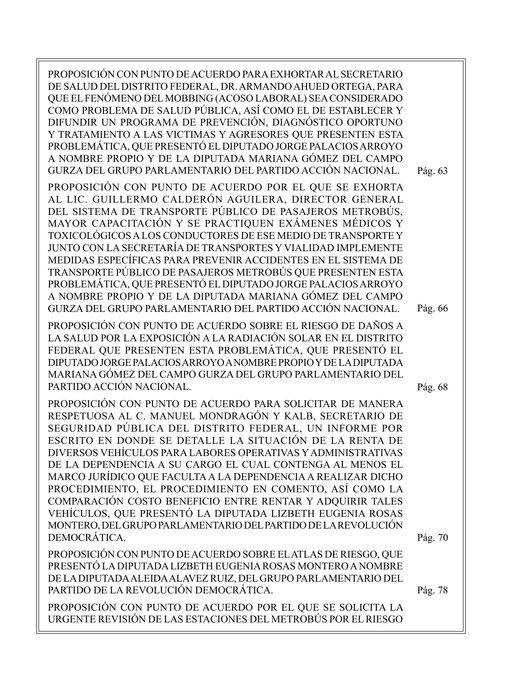| PROPOSICIÓN CON PUNTO DE ACUERDO PARA EXHORTAR AL SECRETARIO<br>DE SALUD DEL DISTRITO FEDERAL, DR. ARMANDO AHUED ORTEGA, PARA<br>QUE EL FENÓMENO DEL MOBBING (ACOSO LABORAL) SEA CONSIDERADO<br>COMO PROBLEMA DE SALUD PÚBLICA, ASÍ COMO EL DE ESTABLECER Y<br>DIFUNDIR UN PROGRAMA DE PREVENCIÓN, DIAGNÓSTICO OPORTUNO<br>Y TRATAMIENTO A LAS VICTIMAS Y AGRESORES QUE PRESENTEN ESTA<br>PROBLEMÁTICA, QUE PRESENTÓ EL DIPUTADO JORGE PALACIOS ARROYO<br>A NOMBRE PROPIO Y DE LA DIPUTADA MARIANA GÓMEZ DEL CAMPO<br>GURZA DEL GRUPO PARLAMENTARIO DEL PARTIDO ACCIÓN NACIONAL.                                                                                                                             | Pág. 63 |
|--------------------------------------------------------------------------------------------------------------------------------------------------------------------------------------------------------------------------------------------------------------------------------------------------------------------------------------------------------------------------------------------------------------------------------------------------------------------------------------------------------------------------------------------------------------------------------------------------------------------------------------------------------------------------------------------------------------|---------|
| PROPOSICIÓN CON PUNTO DE ACUERDO POR EL QUE SE EXHORTA<br>AL LIC. GUILLERMO CALDERÓN AGUILERA, DIRECTOR GENERAL<br>DEL SISTEMA DE TRANSPORTE PÚBLICO DE PASAJEROS METROBÚS,<br>MAYOR CAPACITACIÓN Y SE PRACTIQUEN EXÁMENES MÉDICOS Y<br>TOXICOLÓGICOS A LOS CONDUCTORES DE ESE MEDIO DE TRANSPORTE Y<br>JUNTO CON LA SECRETARÍA DE TRANSPORTES Y VIALIDAD IMPLEMENTE<br>MEDIDAS ESPECÍFICAS PARA PREVENIR ACCIDENTES EN EL SISTEMA DE<br>TRANSPORTE PÚBLICO DE PASAJEROS METROBÚS QUE PRESENTEN ESTA<br>PROBLEMÁTICA, QUE PRESENTÓ EL DIPUTADO JORGE PALACIOS ARROYO<br>A NOMBRE PROPIO Y DE LA DIPUTADA MARIANA GÓMEZ DEL CAMPO<br>GURZA DEL GRUPO PARLAMENTARIO DEL PARTIDO ACCIÓN NACIONAL.               | Pág. 66 |
| PROPOSICIÓN CON PUNTO DE ACUERDO SOBRE EL RIESGO DE DAÑOS A<br>LA SALUD POR LA EXPOSICIÓN A LA RADIACIÓN SOLAR EN EL DISTRITO<br>FEDERAL QUE PRESENTEN ESTA PROBLEMÁTICA, QUE PRESENTÓ EL<br>DIPUTADO JORGE PALACIOS ARROYO A NOMBRE PROPIO Y DE LA DIPUTADA<br>MARIANA GÓMEZ DEL CAMPO GURZA DEL GRUPO PARLAMENTARIO DEL<br>PARTIDO ACCIÓN NACIONAL.                                                                                                                                                                                                                                                                                                                                                        | Pág. 68 |
| PROPOSICIÓN CON PUNTO DE ACUERDO PARA SOLICITAR DE MANERA<br>RESPETUOSA AL C. MANUEL MONDRAGÓN Y KALB, SECRETARIO DE<br>SEGURIDAD PÚBLICA DEL DISTRITO FEDERAL, UN INFORME POR<br>ESCRITO EN DONDE SE DETALLE LA SITUACIÓN DE LA RENTA DE<br>DIVERSOS VEHÍCULOS PARA LABORES OPERATIVAS Y ADMINISTRATIVAS<br>DE LA DEPENDENCIA A SU CARGO EL CUAL CONTENGA AL MENOS EL<br>MARCO JURÍDICO QUE FACULTA A LA DEPENDENCIA A REALIZAR DICHO<br>PROCEDIMIENTO, EL PROCEDIMIENTO EN COMENTO, ASÍ COMO LA<br>COMPARACIÓN COSTO BENEFICIO ENTRE RENTAR Y ADQUIRIR TALES<br>VEHÍCULOS, QUE PRESENTÓ LA DIPUTADA LIZBETH EUGENIA ROSAS<br>MONTERO, DEL GRUPO PARLAMENTARIO DEL PARTIDO DE LA REVOLUCIÓN<br>DEMOCRÁTICA. | Pág. 70 |
| PROPOSICIÓN CON PUNTO DE ACUERDO SOBRE EL ATLAS DE RIESGO, QUE<br>PRESENTÓ LA DIPUTADA LIZBETH EUGENIA ROSAS MONTERO A NOMBRE<br>DE LA DIPUTADA ALEIDA ALAVEZ RUIZ, DEL GRUPO PARLAMENTARIO DEL<br>PARTIDO DE LA REVOLUCIÓN DEMOCRÁTICA.                                                                                                                                                                                                                                                                                                                                                                                                                                                                     | Pág. 78 |
| PROPOSICIÓN CON PUNTO DE ACUERDO POR EL QUE SE SOLICITA LA<br>URGENTE REVISIÓN DE LAS ESTACIONES DEL METROBÚS POR EL RIESGO                                                                                                                                                                                                                                                                                                                                                                                                                                                                                                                                                                                  |         |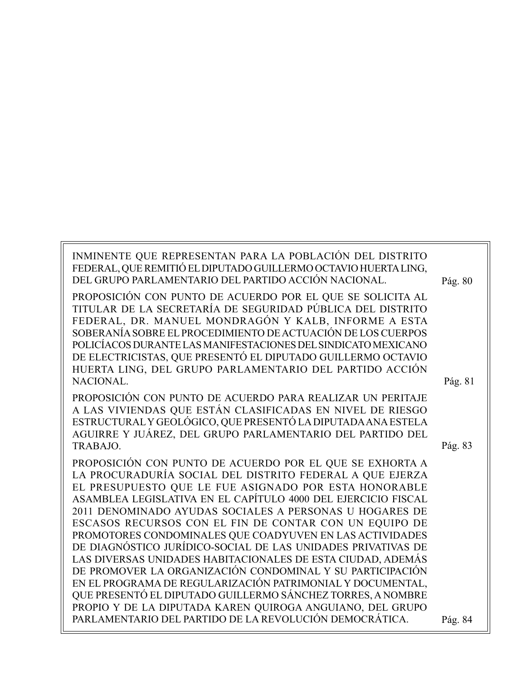| INMINENTE QUE REPRESENTAN PARA LA POBLACIÓN DEL DISTRITO<br>FEDERAL, QUE REMITIÓ EL DIPUTADO GUILLERMO OCTAVIO HUERTA LING,<br>DEL GRUPO PARLAMENTARIO DEL PARTIDO ACCIÓN NACIONAL. |         |
|-------------------------------------------------------------------------------------------------------------------------------------------------------------------------------------|---------|
|                                                                                                                                                                                     | Pág. 80 |
| PROPOSICIÓN CON PUNTO DE ACUERDO POR EL QUE SE SOLICITA AL                                                                                                                          |         |
| TITULAR DE LA SECRETARÍA DE SEGURIDAD PÚBLICA DEL DISTRITO                                                                                                                          |         |
| FEDERAL, DR. MANUEL MONDRAGÓN Y KALB, INFORME A ESTA                                                                                                                                |         |
| SOBERANÍA SOBRE EL PROCEDIMIENTO DE ACTUACIÓN DE LOS CUERPOS                                                                                                                        |         |
| POLICÍACOS DURANTE LAS MANIFESTACIONES DEL SINDICATO MEXICANO                                                                                                                       |         |
| DE ELECTRICISTAS, QUE PRESENTÓ EL DIPUTADO GUILLERMO OCTAVIO                                                                                                                        |         |
| HUERTA LING, DEL GRUPO PARLAMENTARIO DEL PARTIDO ACCIÓN                                                                                                                             |         |
| NACIONAL.                                                                                                                                                                           | Pág. 81 |
| PROPOSICIÓN CON PUNTO DE ACUERDO PARA REALIZAR UN PERITAJE                                                                                                                          |         |
| A LAS VIVIENDAS QUE ESTÁN CLASIFICADAS EN NIVEL DE RIESGO                                                                                                                           |         |
| ESTRUCTURAL Y GEOLÓGICO, QUE PRESENTÓ LA DIPUTADA ANA ESTELA                                                                                                                        |         |
| AGUIRRE Y JUÁREZ, DEL GRUPO PARLAMENTARIO DEL PARTIDO DEL                                                                                                                           |         |
| TRABAJO.                                                                                                                                                                            | Pág. 83 |
| PROPOSICIÓN CON PUNTO DE ACUERDO POR EL QUE SE EXHORTA A                                                                                                                            |         |
| LA PROCURADURÍA SOCIAL DEL DISTRITO FEDERAL A QUE EJERZA                                                                                                                            |         |
| EL PRESUPUESTO QUE LE FUE ASIGNADO POR ESTA HONORABLE                                                                                                                               |         |
| ASAMBLEA LEGISLATIVA EN EL CAPÍTULO 4000 DEL EJERCICIO FISCAL                                                                                                                       |         |
| 2011 DENOMINADO AYUDAS SOCIALES A PERSONAS U HOGARES DE                                                                                                                             |         |
| ESCASOS RECURSOS CON EL FIN DE CONTAR CON UN EQUIPO DE                                                                                                                              |         |
| PROMOTORES CONDOMINALES QUE COADYUVEN EN LAS ACTIVIDADES                                                                                                                            |         |
| DE DIAGNÓSTICO JURÍDICO-SOCIAL DE LAS UNIDADES PRIVATIVAS DE                                                                                                                        |         |
| LAS DIVERSAS UNIDADES HABITACIONALES DE ESTA CIUDAD, ADEMÁS                                                                                                                         |         |
| DE PROMOVER LA ORGANIZACIÓN CONDOMINAL Y SU PARTICIPACIÓN                                                                                                                           |         |
| EN EL PROGRAMA DE REGULARIZACIÓN PATRIMONIAL Y DOCUMENTAL,                                                                                                                          |         |
| QUE PRESENTÓ EL DIPUTADO GUILLERMO SÁNCHEZ TORRES, A NOMBRE                                                                                                                         |         |
| PROPIO Y DE LA DIPUTADA KAREN QUIROGA ANGUIANO, DEL GRUPO                                                                                                                           |         |
| PARLAMENTARIO DEL PARTIDO DE LA REVOLUCIÓN DEMOCRÁTICA.                                                                                                                             | Pág. 84 |
|                                                                                                                                                                                     |         |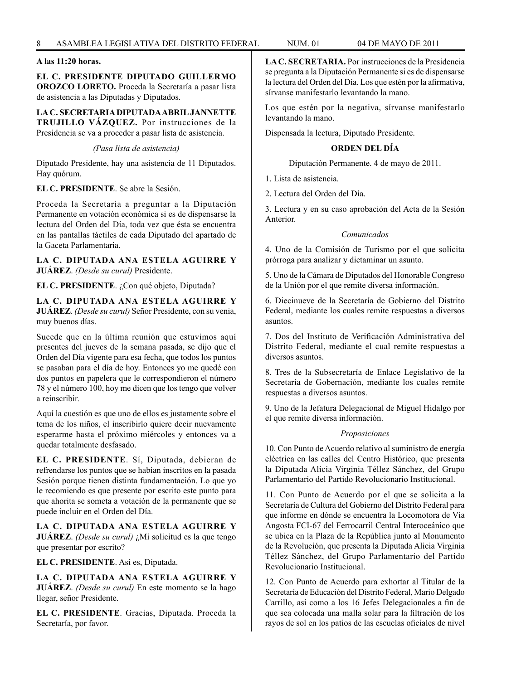# **A las 11:20 horas.**

**EL C. PRESIDENTE DIPUTADO GUILLERMO OROZCO LORETO.** Proceda la Secretaría a pasar lista de asistencia a las Diputadas y Diputados.

**LA C. SECRETARIA DIPUTADA ABRIL JANNETTE TRUJILLO VÁZQUEZ.** Por instrucciones de la Presidencia se va a proceder a pasar lista de asistencia.

*(Pasa lista de asistencia)*

Diputado Presidente, hay una asistencia de 11 Diputados. Hay quórum.

# **EL C. PRESIDENTE**. Se abre la Sesión.

Proceda la Secretaría a preguntar a la Diputación Permanente en votación económica si es de dispensarse la lectura del Orden del Día, toda vez que ésta se encuentra en las pantallas táctiles de cada Diputado del apartado de la Gaceta Parlamentaria.

**LA C. DIPUTADA ANA ESTELA AGUIRRE Y JUÁREZ**. *(Desde su curul)* Presidente.

**EL C. PRESIDENTE**. ¿Con qué objeto, Diputada?

**LA C. DIPUTADA ANA ESTELA AGUIRRE Y JUÁREZ**. *(Desde su curul)* Señor Presidente, con su venia, muy buenos días.

Sucede que en la última reunión que estuvimos aquí presentes del jueves de la semana pasada, se dijo que el Orden del Día vigente para esa fecha, que todos los puntos se pasaban para el día de hoy. Entonces yo me quedé con dos puntos en papelera que le correspondieron el número 78 y el número 100, hoy me dicen que los tengo que volver a reinscribir.

Aquí la cuestión es que uno de ellos es justamente sobre el tema de los niños, el inscribirlo quiere decir nuevamente esperarme hasta el próximo miércoles y entonces va a quedar totalmente desfasado.

**EL C. PRESIDENTE**. Sí, Diputada, debieran de refrendarse los puntos que se habían inscritos en la pasada Sesión porque tienen distinta fundamentación. Lo que yo le recomiendo es que presente por escrito este punto para que ahorita se someta a votación de la permanente que se puede incluir en el Orden del Día.

**LA C. DIPUTADA ANA ESTELA AGUIRRE Y JUÁREZ**. *(Desde su curul)* ¿Mi solicitud es la que tengo que presentar por escrito?

**EL C. PRESIDENTE**. Así es, Diputada.

**LA C. DIPUTADA ANA ESTELA AGUIRRE Y JUÁREZ**. *(Desde su curul)* En este momento se la hago llegar, señor Presidente.

**EL C. PRESIDENTE**. Gracias, Diputada. Proceda la Secretaría, por favor.

**LA C. SECRETARIA.** Por instrucciones de la Presidencia se pregunta a la Diputación Permanente si es de dispensarse la lectura del Orden del Día. Los que estén por la afirmativa, sírvanse manifestarlo levantando la mano.

Los que estén por la negativa, sírvanse manifestarlo levantando la mano.

Dispensada la lectura, Diputado Presidente.

# **ORDEN DEL DÍA**

Diputación Permanente. 4 de mayo de 2011.

- 1. Lista de asistencia.
- 2. Lectura del Orden del Día.

3. Lectura y en su caso aprobación del Acta de la Sesión Anterior.

# *Comunicados*

4. Uno de la Comisión de Turismo por el que solicita prórroga para analizar y dictaminar un asunto.

5. Uno de la Cámara de Diputados del Honorable Congreso de la Unión por el que remite diversa información.

6. Diecinueve de la Secretaría de Gobierno del Distrito Federal, mediante los cuales remite respuestas a diversos asuntos.

7. Dos del Instituto de Verificación Administrativa del Distrito Federal, mediante el cual remite respuestas a diversos asuntos.

8. Tres de la Subsecretaría de Enlace Legislativo de la Secretaría de Gobernación, mediante los cuales remite respuestas a diversos asuntos.

9. Uno de la Jefatura Delegacional de Miguel Hidalgo por el que remite diversa información.

# *Proposiciones*

10. Con Punto de Acuerdo relativo al suministro de energía eléctrica en las calles del Centro Histórico, que presenta la Diputada Alicia Virginia Téllez Sánchez, del Grupo Parlamentario del Partido Revolucionario Institucional.

11. Con Punto de Acuerdo por el que se solicita a la Secretaría de Cultura del Gobierno del Distrito Federal para que informe en dónde se encuentra la Locomotora de Vía Angosta FCI-67 del Ferrocarril Central Interoceánico que se ubica en la Plaza de la República junto al Monumento de la Revolución, que presenta la Diputada Alicia Virginia Téllez Sánchez, del Grupo Parlamentario del Partido Revolucionario Institucional.

12. Con Punto de Acuerdo para exhortar al Titular de la Secretaría de Educación del Distrito Federal, Mario Delgado Carrillo, así como a los 16 Jefes Delegacionales a fin de que sea colocada una malla solar para la filtración de los rayos de sol en los patios de las escuelas oficiales de nivel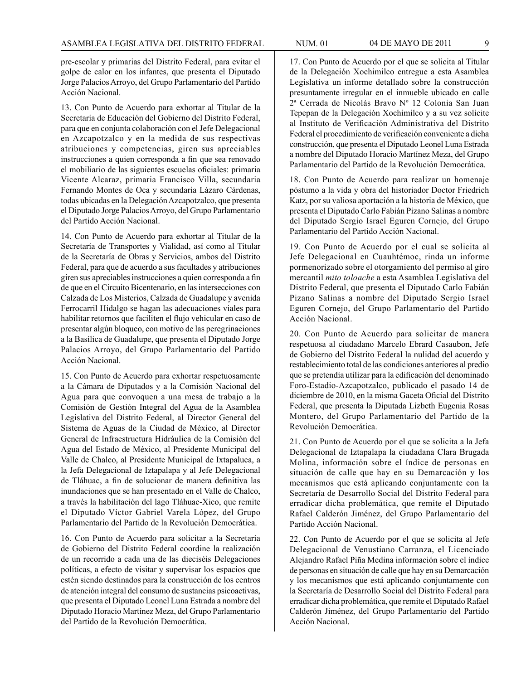pre-escolar y primarias del Distrito Federal, para evitar el golpe de calor en los infantes, que presenta el Diputado Jorge Palacios Arroyo, del Grupo Parlamentario del Partido Acción Nacional.

13. Con Punto de Acuerdo para exhortar al Titular de la Secretaría de Educación del Gobierno del Distrito Federal, para que en conjunta colaboración con el Jefe Delegacional en Azcapotzalco y en la medida de sus respectivas atribuciones y competencias, giren sus apreciables instrucciones a quien corresponda a fin que sea renovado el mobiliario de las siguientes escuelas oficiales: primaria Vicente Alcaraz, primaria Francisco Villa, secundaria Fernando Montes de Oca y secundaria Lázaro Cárdenas, todas ubicadas en la Delegación Azcapotzalco, que presenta el Diputado Jorge Palacios Arroyo, del Grupo Parlamentario del Partido Acción Nacional.

14. Con Punto de Acuerdo para exhortar al Titular de la Secretaría de Transportes y Vialidad, así como al Titular de la Secretaría de Obras y Servicios, ambos del Distrito Federal, para que de acuerdo a sus facultades y atribuciones giren sus apreciables instrucciones a quien corresponda a fin de que en el Circuito Bicentenario, en las intersecciones con Calzada de Los Misterios, Calzada de Guadalupe y avenida Ferrocarril Hidalgo se hagan las adecuaciones viales para habilitar retornos que faciliten el flujo vehicular en caso de presentar algún bloqueo, con motivo de las peregrinaciones a la Basílica de Guadalupe, que presenta el Diputado Jorge Palacios Arroyo, del Grupo Parlamentario del Partido Acción Nacional.

15. Con Punto de Acuerdo para exhortar respetuosamente a la Cámara de Diputados y a la Comisión Nacional del Agua para que convoquen a una mesa de trabajo a la Comisión de Gestión Integral del Agua de la Asamblea Legislativa del Distrito Federal, al Director General del Sistema de Aguas de la Ciudad de México, al Director General de Infraestructura Hidráulica de la Comisión del Agua del Estado de México, al Presidente Municipal del Valle de Chalco, al Presidente Municipal de Ixtapaluca, a la Jefa Delegacional de Iztapalapa y al Jefe Delegacional de Tláhuac, a fin de solucionar de manera definitiva las inundaciones que se han presentado en el Valle de Chalco, a través la habilitación del lago Tláhuac-Xico, que remite el Diputado Víctor Gabriel Varela López, del Grupo Parlamentario del Partido de la Revolución Democrática.

16. Con Punto de Acuerdo para solicitar a la Secretaría de Gobierno del Distrito Federal coordine la realización de un recorrido a cada una de las dieciséis Delegaciones políticas, a efecto de visitar y supervisar los espacios que estén siendo destinados para la construcción de los centros de atención integral del consumo de sustancias psicoactivas, que presenta el Diputado Leonel Luna Estrada a nombre del Diputado Horacio Martínez Meza, del Grupo Parlamentario del Partido de la Revolución Democrática.

17. Con Punto de Acuerdo por el que se solicita al Titular de la Delegación Xochimilco entregue a esta Asamblea Legislativa un informe detallado sobre la construcción presuntamente irregular en el inmueble ubicado en calle 2ª Cerrada de Nicolás Bravo Nº 12 Colonia San Juan Tepepan de la Delegación Xochimilco y a su vez solicite al Instituto de Verificación Administrativa del Distrito Federal el procedimiento de verificación conveniente a dicha construcción, que presenta el Diputado Leonel Luna Estrada a nombre del Diputado Horacio Martínez Meza, del Grupo Parlamentario del Partido de la Revolución Democrática.

18. Con Punto de Acuerdo para realizar un homenaje póstumo a la vida y obra del historiador Doctor Friedrich Katz, por su valiosa aportación a la historia de México, que presenta el Diputado Carlo Fabián Pizano Salinas a nombre del Diputado Sergio Israel Eguren Cornejo, del Grupo Parlamentario del Partido Acción Nacional.

19. Con Punto de Acuerdo por el cual se solicita al Jefe Delegacional en Cuauhtémoc, rinda un informe pormenorizado sobre el otorgamiento del permiso al giro mercantil *mito toloache* a esta Asamblea Legislativa del Distrito Federal, que presenta el Diputado Carlo Fabián Pizano Salinas a nombre del Diputado Sergio Israel Eguren Cornejo, del Grupo Parlamentario del Partido Acción Nacional.

20. Con Punto de Acuerdo para solicitar de manera respetuosa al ciudadano Marcelo Ebrard Casaubon, Jefe de Gobierno del Distrito Federal la nulidad del acuerdo y restablecimiento total de las condiciones anteriores al predio que se pretendía utilizar para la edificación del denominado Foro-Estadio-Azcapotzalco, publicado el pasado 14 de diciembre de 2010, en la misma Gaceta Oficial del Distrito Federal, que presenta la Diputada Lizbeth Eugenia Rosas Montero, del Grupo Parlamentario del Partido de la Revolución Democrática.

21. Con Punto de Acuerdo por el que se solicita a la Jefa Delegacional de Iztapalapa la ciudadana Clara Brugada Molina, información sobre el índice de personas en situación de calle que hay en su Demarcación y los mecanismos que está aplicando conjuntamente con la Secretaría de Desarrollo Social del Distrito Federal para erradicar dicha problemática, que remite el Diputado Rafael Calderón Jiménez, del Grupo Parlamentario del Partido Acción Nacional.

22. Con Punto de Acuerdo por el que se solicita al Jefe Delegacional de Venustiano Carranza, el Licenciado Alejandro Rafael Piña Medina información sobre el índice de personas en situación de calle que hay en su Demarcación y los mecanismos que está aplicando conjuntamente con la Secretaría de Desarrollo Social del Distrito Federal para erradicar dicha problemática, que remite el Diputado Rafael Calderón Jiménez, del Grupo Parlamentario del Partido Acción Nacional.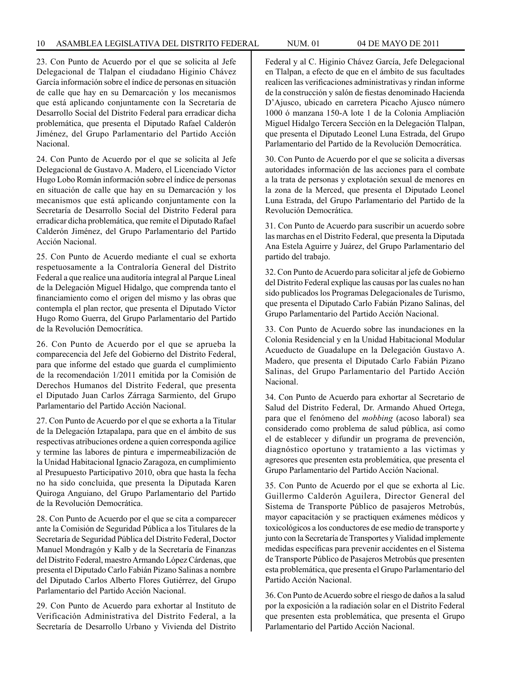23. Con Punto de Acuerdo por el que se solicita al Jefe Delegacional de Tlalpan el ciudadano Higinio Chávez García información sobre el índice de personas en situación de calle que hay en su Demarcación y los mecanismos que está aplicando conjuntamente con la Secretaría de Desarrollo Social del Distrito Federal para erradicar dicha problemática, que presenta el Diputado Rafael Calderón Jiménez, del Grupo Parlamentario del Partido Acción Nacional.

24. Con Punto de Acuerdo por el que se solicita al Jefe Delegacional de Gustavo A. Madero, el Licenciado Víctor Hugo Lobo Román información sobre el índice de personas en situación de calle que hay en su Demarcación y los mecanismos que está aplicando conjuntamente con la Secretaría de Desarrollo Social del Distrito Federal para erradicar dicha problemática, que remite el Diputado Rafael Calderón Jiménez, del Grupo Parlamentario del Partido Acción Nacional.

25. Con Punto de Acuerdo mediante el cual se exhorta respetuosamente a la Contraloría General del Distrito Federal a que realice una auditoría integral al Parque Lineal de la Delegación Miguel Hidalgo, que comprenda tanto el financiamiento como el origen del mismo y las obras que contempla el plan rector, que presenta el Diputado Víctor Hugo Romo Guerra, del Grupo Parlamentario del Partido de la Revolución Democrática.

26. Con Punto de Acuerdo por el que se aprueba la comparecencia del Jefe del Gobierno del Distrito Federal, para que informe del estado que guarda el cumplimiento de la recomendación 1/2011 emitida por la Comisión de Derechos Humanos del Distrito Federal, que presenta el Diputado Juan Carlos Zárraga Sarmiento, del Grupo Parlamentario del Partido Acción Nacional.

27. Con Punto de Acuerdo por el que se exhorta a la Titular de la Delegación Iztapalapa, para que en el ámbito de sus respectivas atribuciones ordene a quien corresponda agilice y termine las labores de pintura e impermeabilización de la Unidad Habitacional Ignacio Zaragoza, en cumplimiento al Presupuesto Participativo 2010, obra que hasta la fecha no ha sido concluida, que presenta la Diputada Karen Quiroga Anguiano, del Grupo Parlamentario del Partido de la Revolución Democrática.

28. Con Punto de Acuerdo por el que se cita a comparecer ante la Comisión de Seguridad Pública a los Titulares de la Secretaría de Seguridad Pública del Distrito Federal, Doctor Manuel Mondragón y Kalb y de la Secretaría de Finanzas del Distrito Federal, maestro Armando López Cárdenas, que presenta el Diputado Carlo Fabián Pizano Salinas a nombre del Diputado Carlos Alberto Flores Gutiérrez, del Grupo Parlamentario del Partido Acción Nacional.

29. Con Punto de Acuerdo para exhortar al Instituto de Verificación Administrativa del Distrito Federal, a la Secretaría de Desarrollo Urbano y Vivienda del Distrito

Federal y al C. Higinio Chávez García, Jefe Delegacional en Tlalpan, a efecto de que en el ámbito de sus facultades realicen las verificaciones administrativas y rindan informe de la construcción y salón de fiestas denominado Hacienda D'Ajusco, ubicado en carretera Picacho Ajusco número 1000 ó manzana 150-A lote 1 de la Colonia Ampliación Miguel Hidalgo Tercera Sección en la Delegación Tlalpan, que presenta el Diputado Leonel Luna Estrada, del Grupo Parlamentario del Partido de la Revolución Democrática.

30. Con Punto de Acuerdo por el que se solicita a diversas autoridades información de las acciones para el combate a la trata de personas y explotación sexual de menores en la zona de la Merced, que presenta el Diputado Leonel Luna Estrada, del Grupo Parlamentario del Partido de la Revolución Democrática.

31. Con Punto de Acuerdo para suscribir un acuerdo sobre las marchas en el Distrito Federal, que presenta la Diputada Ana Estela Aguirre y Juárez, del Grupo Parlamentario del partido del trabajo.

32. Con Punto de Acuerdo para solicitar al jefe de Gobierno del Distrito Federal explique las causas por las cuales no han sido publicados los Programas Delegacionales de Turismo, que presenta el Diputado Carlo Fabián Pizano Salinas, del Grupo Parlamentario del Partido Acción Nacional.

33. Con Punto de Acuerdo sobre las inundaciones en la Colonia Residencial y en la Unidad Habitacional Modular Acueducto de Guadalupe en la Delegación Gustavo A. Madero, que presenta el Diputado Carlo Fabián Pizano Salinas, del Grupo Parlamentario del Partido Acción Nacional.

34. Con Punto de Acuerdo para exhortar al Secretario de Salud del Distrito Federal, Dr. Armando Ahued Ortega, para que el fenómeno del *mobbing* (acoso laboral) sea considerado como problema de salud pública, así como el de establecer y difundir un programa de prevención, diagnóstico oportuno y tratamiento a las victimas y agresores que presenten esta problemática, que presenta el Grupo Parlamentario del Partido Acción Nacional.

35. Con Punto de Acuerdo por el que se exhorta al Lic. Guillermo Calderón Aguilera, Director General del Sistema de Transporte Público de pasajeros Metrobús, mayor capacitación y se practiquen exámenes médicos y toxicológicos a los conductores de ese medio de transporte y junto con la Secretaría de Transportes y Vialidad implemente medidas específicas para prevenir accidentes en el Sistema de Transporte Público de Pasajeros Metrobús que presenten esta problemática, que presenta el Grupo Parlamentario del Partido Acción Nacional.

36. Con Punto de Acuerdo sobre el riesgo de daños a la salud por la exposición a la radiación solar en el Distrito Federal que presenten esta problemática, que presenta el Grupo Parlamentario del Partido Acción Nacional.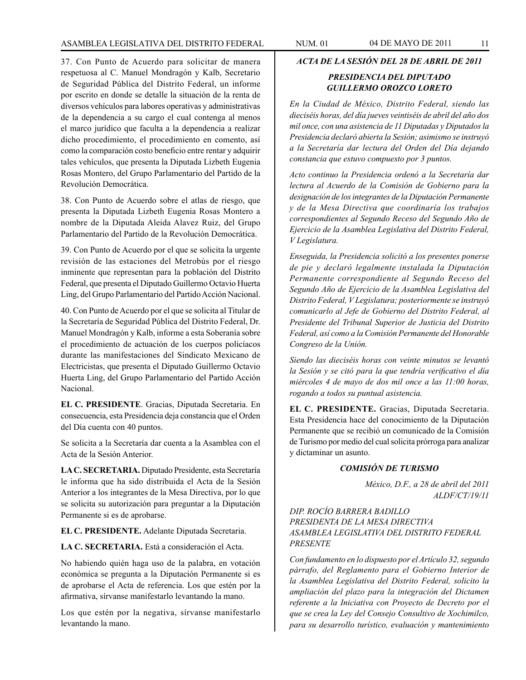37. Con Punto de Acuerdo para solicitar de manera respetuosa al C. Manuel Mondragón y Kalb, Secretario de Seguridad Pública del Distrito Federal, un informe por escrito en donde se detalle la situación de la renta de diversos vehículos para labores operativas y administrativas de la dependencia a su cargo el cual contenga al menos el marco jurídico que faculta a la dependencia a realizar dicho procedimiento, el procedimiento en comento, así como la comparación costo beneficio entre rentar y adquirir tales vehículos, que presenta la Diputada Lizbeth Eugenia Rosas Montero, del Grupo Parlamentario del Partido de la Revolución Democrática.

38. Con Punto de Acuerdo sobre el atlas de riesgo, que presenta la Diputada Lizbeth Eugenia Rosas Montero a nombre de la Diputada Aleida Alavez Ruiz, del Grupo Parlamentario del Partido de la Revolución Democrática.

39. Con Punto de Acuerdo por el que se solicita la urgente revisión de las estaciones del Metrobús por el riesgo inminente que representan para la población del Distrito Federal, que presenta el Diputado Guillermo Octavio Huerta Ling, del Grupo Parlamentario del Partido Acción Nacional.

40. Con Punto de Acuerdo por el que se solicita al Titular de la Secretaría de Seguridad Pública del Distrito Federal, Dr. Manuel Mondragón y Kalb, informe a esta Soberanía sobre el procedimiento de actuación de los cuerpos policíacos durante las manifestaciones del Sindicato Mexicano de Electricistas, que presenta el Diputado Guillermo Octavio Huerta Ling, del Grupo Parlamentario del Partido Acción Nacional.

**EL C. PRESIDENTE**. Gracias, Diputada Secretaria. En consecuencia, esta Presidencia deja constancia que el Orden del Día cuenta con 40 puntos.

Se solicita a la Secretaría dar cuenta a la Asamblea con el Acta de la Sesión Anterior.

**LA C. SECRETARIA.** Diputado Presidente, esta Secretaría le informa que ha sido distribuida el Acta de la Sesión Anterior a los integrantes de la Mesa Directiva, por lo que se solicita su autorización para preguntar a la Diputación Permanente si es de aprobarse.

**EL C. PRESIDENTE.** Adelante Diputada Secretaria.

**LA C. SECRETARIA.** Está a consideración el Acta.

No habiendo quién haga uso de la palabra, en votación económica se pregunta a la Diputación Permanente si es de aprobarse el Acta de referencia. Los que estén por la afirmativa, sírvanse manifestarlo levantando la mano.

Los que estén por la negativa, sírvanse manifestarlo levantando la mano.

# *ACTA DE LA SESIÓN DEL 28 DE ABRIL DE 2011*

# *PRESIDENCIA DEL DIPUTADO GUILLERMO OROZCO LORETO*

*En la Ciudad de México, Distrito Federal, siendo las dieciséis horas, del día jueves veintiséis de abril del año dos mil once, con una asistencia de 11 Diputadas y Diputados la Presidencia declaró abierta la Sesión; asimismo se instruyó a la Secretaría dar lectura del Orden del Día dejando constancia que estuvo compuesto por 3 puntos.*

*Acto continuo la Presidencia ordenó a la Secretaría dar lectura al Acuerdo de la Comisión de Gobierno para la designación de los integrantes de la Diputación Permanente y de la Mesa Directiva que coordinaría los trabajos correspondientes al Segundo Receso del Segundo Año de Ejercicio de la Asamblea Legislativa del Distrito Federal, V Legislatura.*

*Enseguida, la Presidencia solicitó a los presentes ponerse de pie y declaró legalmente instalada la Diputación Permanente correspondiente al Segundo Receso del Segundo Año de Ejercicio de la Asamblea Legislativa del Distrito Federal, V Legislatura; posteriormente se instruyó comunicarlo al Jefe de Gobierno del Distrito Federal, al Presidente del Tribunal Superior de Justicia del Distrito Federal, así como a la Comisión Permanente del Honorable Congreso de la Unión.*

*Siendo las dieciséis horas con veinte minutos se levantó la Sesión y se citó para la que tendría verificativo el día miércoles 4 de mayo de dos mil once a las 11:00 horas, rogando a todos su puntual asistencia.*

**EL C. PRESIDENTE.** Gracias, Diputada Secretaria. Esta Presidencia hace del conocimiento de la Diputación Permanente que se recibió un comunicado de la Comisión de Turismo por medio del cual solicita prórroga para analizar y dictaminar un asunto.

# *COMISIÓN DE TURISMO*

*México, D.F., a 28 de abril del 2011 ALDF/CT/19/11*

# *DIP. ROCÍO BARRERA BADILLO PRESIDENTA DE LA MESA DIRECTIVA ASAMBLEA LEGISLATIVA DEL DISTRITO FEDERAL PRESENTE*

*Con fundamento en lo dispuesto por el Artículo 32, segundo párrafo, del Reglamento para el Gobierno Interior de la Asamblea Legislativa del Distrito Federal, solicito la ampliación del plazo para la integración del Dictamen referente a la Iniciativa con Proyecto de Decreto por el que se crea la Ley del Consejo Consultivo de Xochimilco, para su desarrollo turístico, evaluación y mantenimiento*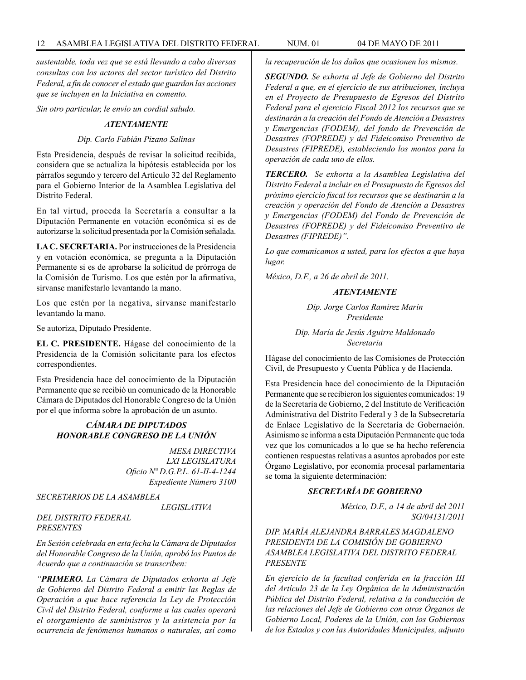*sustentable, toda vez que se está llevando a cabo diversas consultas con los actores del sector turístico del Distrito Federal, a fin de conocer el estado que guardan las acciones que se incluyen en la Iniciativa en comento.*

*Sin otro particular, le envío un cordial saludo.*

#### *ATENTAMENTE*

#### *Dip. Carlo Fabián Pizano Salinas*

Esta Presidencia, después de revisar la solicitud recibida, considera que se actualiza la hipótesis establecida por los párrafos segundo y tercero del Artículo 32 del Reglamento para el Gobierno Interior de la Asamblea Legislativa del Distrito Federal.

En tal virtud, proceda la Secretaría a consultar a la Diputación Permanente en votación económica si es de autorizarse la solicitud presentada por la Comisión señalada.

**LA C. SECRETARIA.** Por instrucciones de la Presidencia y en votación económica, se pregunta a la Diputación Permanente si es de aprobarse la solicitud de prórroga de la Comisión de Turismo. Los que estén por la afirmativa, sírvanse manifestarlo levantando la mano.

Los que estén por la negativa, sírvanse manifestarlo levantando la mano.

Se autoriza, Diputado Presidente.

**EL C. PRESIDENTE.** Hágase del conocimiento de la Presidencia de la Comisión solicitante para los efectos correspondientes.

Esta Presidencia hace del conocimiento de la Diputación Permanente que se recibió un comunicado de la Honorable Cámara de Diputados del Honorable Congreso de la Unión por el que informa sobre la aprobación de un asunto.

# *CÁMARA DE DIPUTADOS HONORABLE CONGRESO DE LA UNIÓN*

*MESA DIRECTIVA LXI LEGISLATURA Oficio Nº D.G.P.L. 61-II-4-1244 Expediente Número 3100*

*SECRETARIOS DE LA ASAMBLEA* 

 *LEGISLATIVA* 

#### *DEL DISTRITO FEDERAL PRESENTES*

*En Sesión celebrada en esta fecha la Cámara de Diputados del Honorable Congreso de la Unión, aprobó los Puntos de Acuerdo que a continuación se transcriben:*

*"PRIMERO. La Cámara de Diputados exhorta al Jefe de Gobierno del Distrito Federal a emitir las Reglas de Operación a que hace referencia la Ley de Protección Civil del Distrito Federal, conforme a las cuales operará el otorgamiento de suministros y la asistencia por la ocurrencia de fenómenos humanos o naturales, así como* 

*la recuperación de los daños que ocasionen los mismos.*

*SEGUNDO. Se exhorta al Jefe de Gobierno del Distrito Federal a que, en el ejercicio de sus atribuciones, incluya en el Proyecto de Presupuesto de Egresos del Distrito Federal para el ejercicio Fiscal 2012 los recursos que se destinarán a la creación del Fondo de Atención a Desastres y Emergencias (FODEM), del fondo de Prevención de Desastres (FOPREDE) y del Fideicomiso Preventivo de Desastres (FIPREDE), estableciendo los montos para la operación de cada uno de ellos.* 

*TERCERO. Se exhorta a la Asamblea Legislativa del Distrito Federal a incluir en el Presupuesto de Egresos del próximo ejercicio fiscal los recursos que se destinarán a la creación y operación del Fondo de Atención a Desastres y Emergencias (FODEM) del Fondo de Prevención de Desastres (FOPREDE) y del Fideicomiso Preventivo de Desastres (FIPREDE)".*

*Lo que comunicamos a usted, para los efectos a que haya lugar.*

*México, D.F., a 26 de abril de 2011.*

#### *ATENTAMENTE*

*Dip. Jorge Carlos Ramírez Marín Presidente*

*Dip. María de Jesús Aguirre Maldonado Secretaria*

Hágase del conocimiento de las Comisiones de Protección Civil, de Presupuesto y Cuenta Pública y de Hacienda.

Esta Presidencia hace del conocimiento de la Diputación Permanente que se recibieron los siguientes comunicados: 19 de la Secretaría de Gobierno, 2 del Instituto de Verificación Administrativa del Distrito Federal y 3 de la Subsecretaría de Enlace Legislativo de la Secretaría de Gobernación. Asimismo se informa a esta Diputación Permanente que toda vez que los comunicados a lo que se ha hecho referencia contienen respuestas relativas a asuntos aprobados por este Órgano Legislativo, por economía procesal parlamentaria se toma la siguiente determinación:

# *SECRETARÍA DE GOBIERNO*

*México, D.F., a 14 de abril del 2011 SG/04131/2011*

*DIP. MARÍA ALEJANDRA BARRALES MAGDALENO PRESIDENTA DE LA COMISIÓN DE GOBIERNO ASAMBLEA LEGISLATIVA DEL DISTRITO FEDERAL PRESENTE*

*En ejercicio de la facultad conferida en la fracción III del Artículo 23 de la Ley Orgánica de la Administración Pública del Distrito Federal, relativa a la conducción de las relaciones del Jefe de Gobierno con otros Órganos de Gobierno Local, Poderes de la Unión, con los Gobiernos de los Estados y con las Autoridades Municipales, adjunto*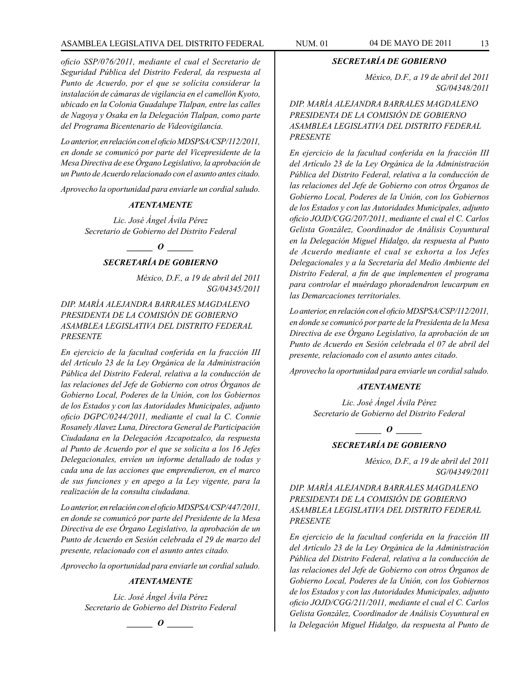# ASAMBLEA LEGISLATIVA DEL DISTRITO FEDERAL NUM. 01 04 DE MAYO DE 2011 13

*oficio SSP/076/2011, mediante el cual el Secretario de Seguridad Pública del Distrito Federal, da respuesta al Punto de Acuerdo, por el que se solícita considerar la instalación de cámaras de vigilancia en el camellón Kyoto, ubicado en la Colonia Guadalupe Tlalpan, entre las calles de Nagoya y Osaka en la Delegación Tlalpan, como parte del Programa Bicentenario de Videovigilancia.*

*Lo anterior, en relación con el oficio MDSPSA/CSP/112/2011, en donde se comunicó por parte del Vicepresidente de la Mesa Directiva de ese Órgano Legislativo, la aprobación de un Punto de Acuerdo relacionado con el asunto antes citado.*

*Aprovecho la oportunidad para enviarle un cordial saludo.*

#### *ATENTAMENTE*

*Lic. José Ángel Ávila Pérez Secretario de Gobierno del Distrito Federal*

*o*  $\theta$ 

# *SECRETARÍA DE GOBIERNO*

*México, D.F., a 19 de abril del 2011 SG/04345/2011*

*DIP. MARÍA ALEJANDRA BARRALES MAGDALENO PRESIDENTA DE LA COMISIÓN DE GOBIERNO ASAMBLEA LEGISLATIVA DEL DISTRITO FEDERAL PRESENTE*

*En ejercicio de la facultad conferida en la fracción III del Artículo 23 de la Ley Orgánica de la Administración Pública del Distrito Federal, relativa a la conducción de las relaciones del Jefe de Gobierno con otros Órganos de Gobierno Local, Poderes de la Unión, con los Gobiernos de los Estados y con las Autoridades Municipales, adjunto oficio DGPC/0244/2011, mediante el cual la C. Connie Rosanely Alavez Luna, Directora General de Participación Ciudadana en la Delegación Azcapotzalco, da respuesta al Punto de Acuerdo por el que se solicita a los 16 Jefes Delegacionales, envíen un informe detallado de todas y cada una de las acciones que emprendieron, en el marco de sus funciones y en apego a la Ley vigente, para la realización de la consulta ciudadana.*

*Lo anterior, en relación con el oficio MDSPSA/CSP/447/2011, en donde se comunicó por parte del Presidente de la Mesa Directiva de ese Órgano Legislativo, la aprobación de un Punto de Acuerdo en Sesión celebrada el 29 de marzo del presente, relacionado con el asunto antes citado.*

*Aprovecho la oportunidad para enviarle un cordial saludo.*

#### *ATENTAMENTE*

*Lic. José Ángel Ávila Pérez Secretario de Gobierno del Distrito Federal*

*\_\_\_\_\_\_ O \_\_\_\_\_\_*

#### *SECRETARÍA DE GOBIERNO*

*México, D.F., a 19 de abril del 2011 SG/04348/2011*

*DIP. MARÍA ALEJANDRA BARRALES MAGDALENO PRESIDENTA DE LA COMISIÓN DE GOBIERNO ASAMBLEA LEGISLATIVA DEL DISTRITO FEDERAL PRESENTE*

*En ejercicio de la facultad conferida en la fracción III del Artículo 23 de la Ley Orgánica de la Administración Pública del Distrito Federal, relativa a la conducción de las relaciones del Jefe de Gobierno con otros Órganos de Gobierno Local, Poderes de la Unión, con los Gobiernos de los Estados y con las Autoridades Municipales, adjunto oficio JOJD/CGG/207/2011, mediante el cual el C. Carlos Gelista González, Coordinador de Análisis Coyuntural en la Delegación Miguel Hidalgo, da respuesta al Punto de Acuerdo mediante el cual se exhorta a los Jefes Delegacionales y a la Secretaría del Medio Ambiente del Distrito Federal, a fin de que implementen el programa para controlar el muérdago phoradendron leucarpum en las Demarcaciones territoriales.*

*Lo anterior, en relación con el oficio MDSPSA/CSP/112/2011, en donde se comunicó por parte de la Presidenta de la Mesa Directiva de ese Órgano Legislativo, la aprobación de un Punto de Acuerdo en Sesión celebrada el 07 de abril del presente, relacionado con el asunto antes citado.*

*Aprovecho la oportunidad para enviarle un cordial saludo.*

#### *ATENTAMENTE*

*Lic. José Ángel Ávila Pérez Secretario de Gobierno del Distrito Federal*



# *SECRETARÍA DE GOBIERNO*

*México, D.F., a 19 de abril del 2011 SG/04349/2011*

*DIP. MARÍA ALEJANDRA BARRALES MAGDALENO PRESIDENTA DE LA COMISIÓN DE GOBIERNO ASAMBLEA LEGISLATIVA DEL DISTRITO FEDERAL PRESENTE*

*En ejercicio de la facultad conferida en la fracción III del Artículo 23 de la Ley Orgánica de la Administración Pública del Distrito Federal, relativa a la conducción de las relaciones del Jefe de Gobierno con otros Órganos de Gobierno Local, Poderes de la Unión, con los Gobiernos de los Estados y con las Autoridades Municipales, adjunto oficio JOJD/CGG/211/2011, mediante el cual el C. Carlos Gelista González, Coordinador de Análisis Coyuntural en la Delegación Miguel Hidalgo, da respuesta al Punto de*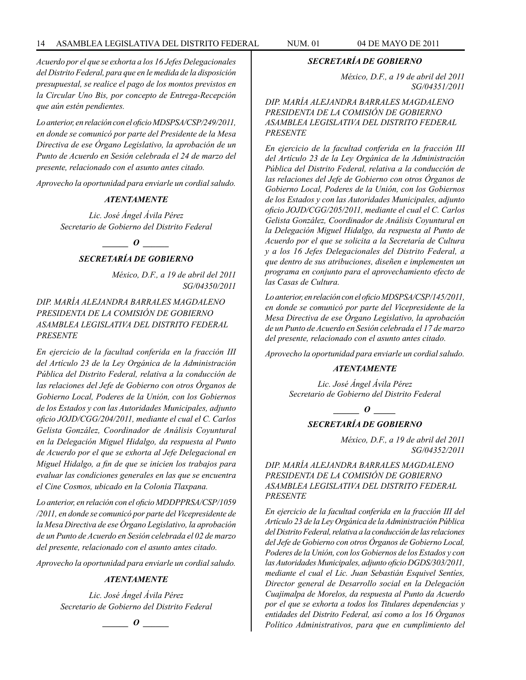*Acuerdo por el que se exhorta a los 16 Jefes Delegacionales del Distrito Federal, para que en le medida de la disposición presupuestal, se realice el pago de los montos previstos en la Circular Uno Bis, por concepto de Entrega-Recepción que aún estén pendientes.*

*Lo anterior, en relación con el oficio MDSPSA/CSP/249/2011, en donde se comunicó por parte del Presidente de la Mesa Directiva de ese Órgano Legislativo, la aprobación de un Punto de Acuerdo en Sesión celebrada el 24 de marzo del presente, relacionado con el asunto antes citado.*

*Aprovecho la oportunidad para enviarle un cordial saludo.*

#### *ATENTAMENTE*

*Lic. José Ángel Ávila Pérez Secretario de Gobierno del Distrito Federal*

 $\bm{o}$ 

# *SECRETARÍA DE GOBIERNO*

*México, D.F., a 19 de abril del 2011 SG/04350/2011*

*DIP. MARÍA ALEJANDRA BARRALES MAGDALENO PRESIDENTA DE LA COMISIÓN DE GOBIERNO ASAMBLEA LEGISLATIVA DEL DISTRITO FEDERAL PRESENTE*

*En ejercicio de la facultad conferida en la fracción III del Artículo 23 de la Ley Orgánica de la Administración Pública del Distrito Federal, relativa a la conducción de las relaciones del Jefe de Gobierno con otros Órganos de Gobierno Local, Poderes de la Unión, con los Gobiernos de los Estados y con las Autoridades Municipales, adjunto oficio JOJD/CGG/204/2011, mediante el cual el C. Carlos Gelista González, Coordinador de Análisis Coyuntural en la Delegación Miguel Hidalgo, da respuesta al Punto de Acuerdo por el que se exhorta al Jefe Delegacional en Miguel Hidalgo, a fin de que se inicien los trabajos para evaluar las condiciones generales en las que se encuentra el Cine Cosmos, ubicado en la Colonia Tlaxpana.*

*Lo anterior, en relación con el oficio MDDPPRSA/CSP/1059 /2011, en donde se comunicó por parte del Vicepresidente de la Mesa Directiva de ese Órgano Legislativo, la aprobación de un Punto de Acuerdo en Sesión celebrada el 02 de marzo del presente, relacionado con el asunto antes citado.*

*Aprovecho la oportunidad para enviarle un cordial saludo.*

# *ATENTAMENTE*

*Lic. José Ángel Ávila Pérez Secretario de Gobierno del Distrito Federal*

$$
\_\_0
$$

# *SECRETARÍA DE GOBIERNO*

*México, D.F., a 19 de abril del 2011 SG/04351/2011*

*DIP. MARÍA ALEJANDRA BARRALES MAGDALENO PRESIDENTA DE LA COMISIÓN DE GOBIERNO ASAMBLEA LEGISLATIVA DEL DISTRITO FEDERAL PRESENTE*

*En ejercicio de la facultad conferida en la fracción III del Artículo 23 de la Ley Orgánica de la Administración Pública del Distrito Federal, relativa a la conducción de las relaciones del Jefe de Gobierno con otros Órganos de Gobierno Local, Poderes de la Unión, con los Gobiernos de los Estados y con las Autoridades Municipales, adjunto oficio JOJD/CGG/205/2011, mediante el cual el C. Carlos Gelista González, Coordinador de Análisis Coyuntural en la Delegación Miguel Hidalgo, da respuesta al Punto de Acuerdo por el que se solicita a la Secretaría de Cultura y a los 16 Jefes Delegacionales del Distrito Federal, a que dentro de sus atribuciones, diseñen e implementen un programa en conjunto para el aprovechamiento efecto de las Casas de Cultura.*

*Lo anterior, en relación con el oficio MDSPSA/CSP/145/2011, en donde se comunicó por parte del Vicepresidente de la Mesa Directiva de ese Órgano Legislativo, la aprobación de un Punto de Acuerdo en Sesión celebrada el 17 de marzo del presente, relacionado con el asunto antes citado.*

*Aprovecho la oportunidad para enviarle un cordial saludo.*

#### *ATENTAMENTE*

*Lic. José Ángel Ávila Pérez Secretario de Gobierno del Distrito Federal*

*o \_\_\_\_\_\_* 

*SECRETARÍA DE GOBIERNO*

*México, D.F., a 19 de abril del 2011 SG/04352/2011*

*DIP. MARÍA ALEJANDRA BARRALES MAGDALENO PRESIDENTA DE LA COMISIÓN DE GOBIERNO ASAMBLEA LEGISLATIVA DEL DISTRITO FEDERAL PRESENTE*

*En ejercicio de la facultad conferida en la fracción III del Artículo 23 de la Ley Orgánica de la Administración Pública del Distrito Federal, relativa a la conducción de las relaciones del Jefe de Gobierno con otros Órganos de Gobierno Local, Poderes de la Unión, con los Gobiernos de los Estados y con las Autoridades Municipales, adjunto oficio DGDS/303/2011, mediante el cual el Lic. Juan Sebastián Esquivel Sentíes, Director general de Desarrollo social en la Delegación Cuajimalpa de Morelos, da respuesta al Punto da Acuerdo por el que se exhorta a todos los Titulares dependencias y entidades del Distrito Federal, así como a los 16 Órganos Político Administrativos, para que en cumplimiento del*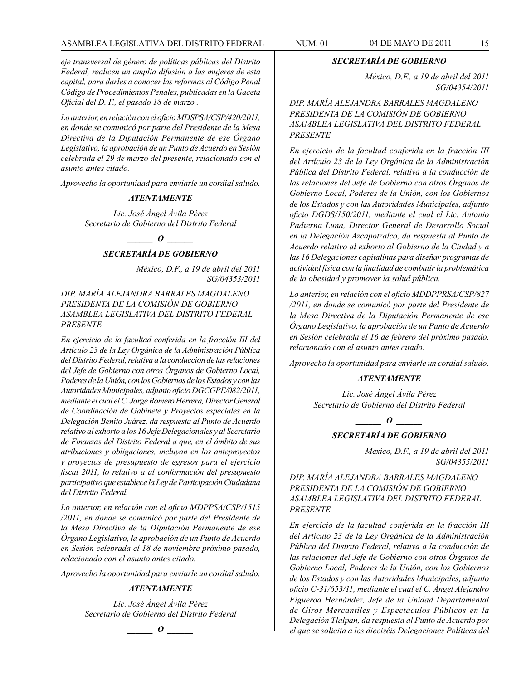# ASAMBLEA LEGISLATIVA DEL DISTRITO FEDERAL NUM. 01 04 DE MAYO DE 2011 15

*eje transversal de género de políticas públicas del Distrito Federal, realicen un amplia difusión a las mujeres de esta capital, para darles a conocer las reformas al Código Penal Código de Procedimientos Penales, publicadas en la Gaceta Oficial del D. F., el pasado 18 de marzo .*

*Lo anterior, en relación con el oficio MDSPSA/CSP/420/2011, en donde se comunicó por parte del Presidente de la Mesa Directiva de la Diputación Permanente de ese Órgano Legislativo, la aprobación de un Punto de Acuerdo en Sesión celebrada el 29 de marzo del presente, relacionado con el asunto antes citado.*

*Aprovecho la oportunidad para enviarle un cordial saludo.*

#### *ATENTAMENTE*

*Lic. José Ángel Ávila Pérez Secretario de Gobierno del Distrito Federal*

*\_\_\_\_\_\_ O \_\_\_\_\_\_*

# *SECRETARÍA DE GOBIERNO*

*México, D.F., a 19 de abril del 2011 SG/04353/2011*

*DIP. MARÍA ALEJANDRA BARRALES MAGDALENO PRESIDENTA DE LA COMISIÓN DE GOBIERNO ASAMBLEA LEGISLATIVA DEL DISTRITO FEDERAL PRESENTE*

*En ejercicio de la facultad conferida en la fracción III del Artículo 23 de la Ley Orgánica de la Administración Pública del Distrito Federal, relativa a la conducción de las relaciones del Jefe de Gobierno con otros Órganos de Gobierno Local, Poderes de la Unión, con los Gobiernos de los Estados y con las Autoridades Municipales, adjunto oficio DGCGPE/082/2011, mediante el cual el C. Jorge Romero Herrera, Director General de Coordinación de Gabinete y Proyectos especiales en la Delegación Benito Juárez, da respuesta al Punto de Acuerdo relativo al exhorto a los 16 Jefe Delegacionales y al Secretario de Finanzas del Distrito Federal a que, en el ámbito de sus atribuciones y obligaciones, incluyan en los anteproyectos y proyectos de presupuesto de egresos para el ejercicio fiscal 2011, lo relativo a al conformación del presupuesto participativo que establece la Ley de Participación Ciudadana del Distrito Federal.*

*Lo anterior, en relación con el oficio MDPPSA/CSP/1515 /2011, en donde se comunicó por parte del Presidente de la Mesa Directiva de la Diputación Permanente de ese Órgano Legislativo, la aprobación de un Punto de Acuerdo en Sesión celebrada el 18 de noviembre próximo pasado, relacionado con el asunto antes citado.*

*Aprovecho la oportunidad para enviarle un cordial saludo.*

#### *ATENTAMENTE*

*Lic. José Ángel Ávila Pérez Secretario de Gobierno del Distrito Federal*

*\_\_\_\_\_\_ O \_\_\_\_\_\_*

#### *SECRETARÍA DE GOBIERNO*

*México, D.F., a 19 de abril del 2011 SG/04354/2011*

*DIP. MARÍA ALEJANDRA BARRALES MAGDALENO PRESIDENTA DE LA COMISIÓN DE GOBIERNO ASAMBLEA LEGISLATIVA DEL DISTRITO FEDERAL PRESENTE*

*En ejercicio de la facultad conferida en la fracción III del Artículo 23 de la Ley Orgánica de la Administración Pública del Distrito Federal, relativa a la conducción de las relaciones del Jefe de Gobierno con otros Órganos de Gobierno Local, Poderes de la Unión, con los Gobiernos de los Estados y con las Autoridades Municipales, adjunto oficio DGDS/150/2011, mediante el cual el Lic. Antonio Padierna Luna, Director General de Desarrollo Social en la Delegación Azcapotzalco, da respuesta al Punto de Acuerdo relativo al exhorto al Gobierno de la Ciudad y a las 16 Delegaciones capitalinas para diseñar programas de actividad física con la finalidad de combatir la problemática de la obesidad y promover la salud pública.*

*Lo anterior, en relación con el oficio MDDPPRSA/CSP/827 /2011, en donde se comunicó por parte del Presidente de la Mesa Directiva de la Diputación Permanente de ese Órgano Legislativo, la aprobación de un Punto de Acuerdo en Sesión celebrada el 16 de febrero del próximo pasado, relacionado con el asunto antes citado.*

*Aprovecho la oportunidad para enviarle un cordial saludo.*

#### *ATENTAMENTE*

*Lic. José Ángel Ávila Pérez Secretario de Gobierno del Distrito Federal*

*o*  $\theta$ 

# *SECRETARÍA DE GOBIERNO*

*México, D.F., a 19 de abril del 2011 SG/04355/2011*

*DIP. MARÍA ALEJANDRA BARRALES MAGDALENO PRESIDENTA DE LA COMISIÓN DE GOBIERNO ASAMBLEA LEGISLATIVA DEL DISTRITO FEDERAL PRESENTE*

*En ejercicio de la facultad conferida en la fracción III del Artículo 23 de la Ley Orgánica de la Administración Pública del Distrito Federal, relativa a la conducción de las relaciones del Jefe de Gobierno con otros Órganos de Gobierno Local, Poderes de la Unión, con los Gobiernos de los Estados y con las Autoridades Municipales, adjunto oficio C-31/653/11, mediante el cual el C. Ángel Alejandro Figueroa Hernández, Jefe de la Unidad Departamental de Giros Mercantiles y Espectáculos Públicos en la Delegación Tlalpan, da respuesta al Punto de Acuerdo por el que se solicita a los dieciséis Delegaciones Políticas del*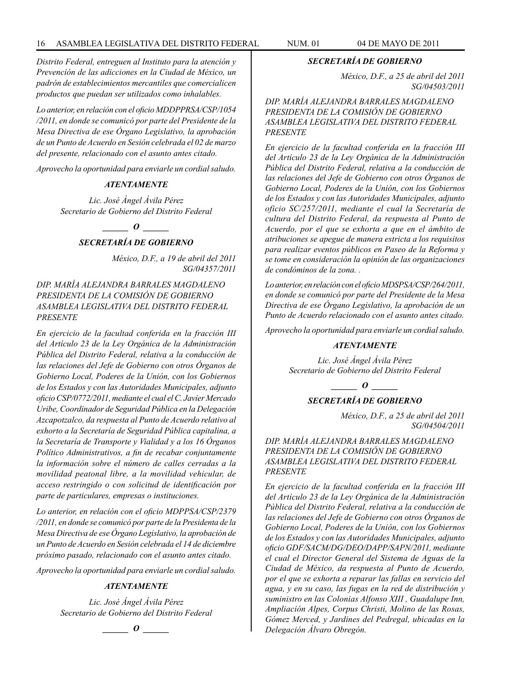*Distrito Federal, entreguen al Instituto para la atención y Prevención de las adicciones en la Ciudad de México, un padrón de establecimientos mercantiles que comercialicen productos que puedan ser utilizados como inhalables.*

*Lo anterior, en relación con el oficio MDDPPRSA/CSP/1054 /2011, en donde se comunicó por parte del Presidente de la Mesa Directiva de ese Órgano Legislativo, la aprobación de un Punto de Acuerdo en Sesión celebrada el 02 de marzo del presente, relacionado con el asunto antes citado.*

*Aprovecho la oportunidad para enviarle un cordial saludo.*

## *ATENTAMENTE*

*Lic. José Ángel Ávila Pérez Secretario de Gobierno del Distrito Federal*

# *\_\_\_\_\_\_ O \_\_\_\_\_\_ SECRETARÍA DE GOBIERNO*

*México, D.F., a 19 de abril del 2011 SG/04357/2011*

*DIP. MARÍA ALEJANDRA BARRALES MAGDALENO PRESIDENTA DE LA COMISIÓN DE GOBIERNO ASAMBLEA LEGISLATIVA DEL DISTRITO FEDERAL PRESENTE*

*En ejercicio de la facultad conferida en la fracción III del Artículo 23 de la Ley Orgánica de la Administración Pública del Distrito Federal, relativa a la conducción de las relaciones del Jefe de Gobierno con otros Órganos de Gobierno Local, Poderes de la Unión, con los Gobiernos de los Estados y con las Autoridades Municipales, adjunto oficio CSP/0772/2011, mediante el cual el C. Javier Mercado Uribe, Coordinador de Seguridad Pública en la Delegación Azcapotzalco, da respuesta al Punto de Acuerdo relativo al exhorto a la Secretaría de Seguridad Pública capitalina, a la Secretaría de Transporte y Vialidad y a los 16 Órganos Político Administrativos, a fin de recabar conjuntamente la información sobre el número de calles cerradas a la movilidad peatonal libre, a la movilidad vehicular, de acceso restringido o con solicitud de identificación por parte de particulares, empresas o instituciones.*

*Lo anterior, en relación con el oficio MDPPSA/CSP/2379 /2011, en donde se comunicó por parte de la Presidenta de la Mesa Directiva de ese Órgano Legislativo, la aprobación de un Punto de Acuerdo en Sesión celebrada el 14 de diciembre próximo pasado, relacionado con el asunto antes citado.*

*Aprovecho la oportunidad para enviarle un cordial saludo.*

#### *ATENTAMENTE*

*Lic. José Ángel Ávila Pérez Secretario de Gobierno del Distrito Federal*

*\_\_\_\_\_\_ O \_\_\_\_\_\_*

# *SECRETARÍA DE GOBIERNO*

*México, D.F., a 25 de abril del 2011 SG/04503/2011*

*DIP. MARÍA ALEJANDRA BARRALES MAGDALENO PRESIDENTA DE LA COMISIÓN DE GOBIERNO ASAMBLEA LEGISLATIVA DEL DISTRITO FEDERAL PRESENTE*

*En ejercicio de la facultad conferida en la fracción III del Artículo 23 de la Ley Orgánica de la Administración Pública del Distrito Federal, relativa a la conducción de las relaciones del Jefe de Gobierno con otros Órganos de Gobierno Local, Poderes de la Unión, con los Gobiernos de los Estados y con las Autoridades Municipales, adjunto oficio SC/257/2011, mediante el cual la Secretaría de cultura del Distrito Federal, da respuesta al Punto de Acuerdo, por el que se exhorta a que en el ámbito de atribuciones se apegue de manera estricta a los requisitos para realizar eventos públicos en Paseo de la Reforma y se tome en consideración la opinión de las organizaciones de condóminos de la zona. .*

*Lo anterior, en relación con el oficio MDSPSA/CSP/264/2011, en donde se comunicó por parte del Presidente de la Mesa Directiva de ese Órgano Legislativo, la aprobación de un Punto de Acuerdo relacionado con el asunto antes citado.*

*Aprovecho la oportunidad para enviarle un cordial saludo.*

# *ATENTAMENTE*

*Lic. José Ángel Ávila Pérez Secretario de Gobierno del Distrito Federal*

*\_\_\_\_\_\_ O \_\_\_\_\_\_*

#### *SECRETARÍA DE GOBIERNO*

*México, D.F., a 25 de abril del 2011 SG/04504/2011*

*DIP. MARÍA ALEJANDRA BARRALES MAGDALENO PRESIDENTA DE LA COMISIÓN DE GOBIERNO ASAMBLEA LEGISLATIVA DEL DISTRITO FEDERAL PRESENTE*

*En ejercicio de la facultad conferida en la fracción III del Artículo 23 de la Ley Orgánica de la Administración Pública del Distrito Federal, relativa a la conducción de las relaciones del Jefe de Gobierno con otros Órganos de Gobierno Local, Poderes de la Unión, con los Gobiernos de los Estados y con las Autoridades Municipales, adjunto oficio GDF/SACM/DG/DEO/DAPP/SAPN/2011, mediante el cual el Director General del Sistema de Aguas de la Ciudad de México, da respuesta al Punto de Acuerdo, por el que se exhorta a reparar las fallas en servicio del agua, y en su caso, las fugas en la red de distribución y suministro en las Colonias Alfonso XIII , Guadalupe Inn, Ampliación Alpes, Corpus Christi, Molino de las Rosas, Gómez Merced, y Jardines del Pedregal, ubicadas en la Delegación Álvaro Obregón.*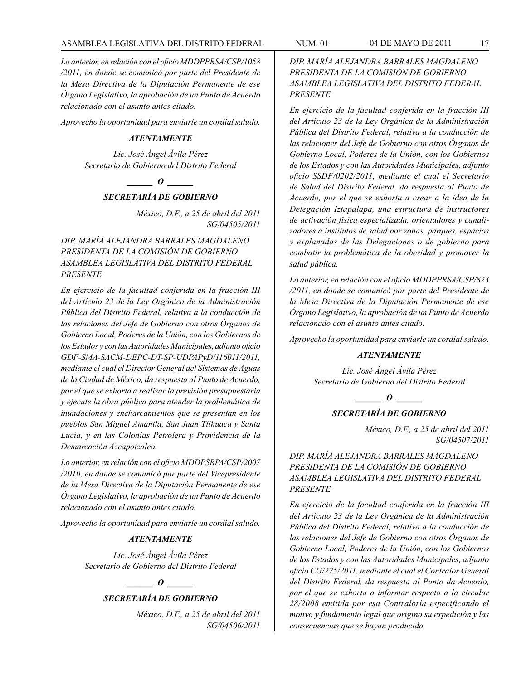# ASAMBLEA LEGISLATIVA DEL DISTRITO FEDERAL NUM. 01 04 DE MAYO DE 2011 17

*Lo anterior, en relación con el oficio MDDPPRSA/CSP/1058 /2011, en donde se comunicó por parte del Presidente de la Mesa Directiva de la Diputación Permanente de ese Órgano Legislativo, la aprobación de un Punto de Acuerdo relacionado con el asunto antes citado.*

*Aprovecho la oportunidad para enviarle un cordial saludo.*

# *ATENTAMENTE*

*Lic. José Ángel Ávila Pérez Secretario de Gobierno del Distrito Federal*

*\_\_\_\_\_\_ O \_\_\_\_\_\_*

#### *SECRETARÍA DE GOBIERNO*

*México, D.F., a 25 de abril del 2011 SG/04505/2011*

*DIP. MARÍA ALEJANDRA BARRALES MAGDALENO PRESIDENTA DE LA COMISIÓN DE GOBIERNO ASAMBLEA LEGISLATIVA DEL DISTRITO FEDERAL PRESENTE*

*En ejercicio de la facultad conferida en la fracción III del Artículo 23 de la Ley Orgánica de la Administración Pública del Distrito Federal, relativa a la conducción de las relaciones del Jefe de Gobierno con otros Órganos de Gobierno Local, Poderes de la Unión, con los Gobiernos de los Estados y con las Autoridades Municipales, adjunto oficio GDF-SMA-SACM-DEPC-DT-SP-UDPAPyD/116011/2011, mediante el cual el Director General del Sistemas de Aguas de la Ciudad de México, da respuesta al Punto de Acuerdo, por el que se exhorta a realizar la previsión presupuestaria y ejecute la obra pública para atender la problemática de inundaciones y encharcamientos que se presentan en los pueblos San Miguel Amantla, San Juan Tlihuaca y Santa Lucía, y en las Colonias Petrolera y Providencia de la Demarcación Azcapotzalco.*

*Lo anterior, en relación con el oficio MDDPSRPA/CSP/2007 /2010, en donde se comunicó por parte del Vicepresidente de la Mesa Directiva de la Diputación Permanente de ese Órgano Legislativo, la aprobación de un Punto de Acuerdo relacionado con el asunto antes citado.*

*Aprovecho la oportunidad para enviarle un cordial saludo.*

#### *ATENTAMENTE*

*Lic. José Ángel Ávila Pérez Secretario de Gobierno del Distrito Federal*

## *o*  $\theta$

#### *SECRETARÍA DE GOBIERNO*

*México, D.F., a 25 de abril del 2011 SG/04506/2011* *DIP. MARÍA ALEJANDRA BARRALES MAGDALENO PRESIDENTA DE LA COMISIÓN DE GOBIERNO ASAMBLEA LEGISLATIVA DEL DISTRITO FEDERAL PRESENTE*

*En ejercicio de la facultad conferida en la fracción III del Artículo 23 de la Ley Orgánica de la Administración Pública del Distrito Federal, relativa a la conducción de las relaciones del Jefe de Gobierno con otros Órganos de Gobierno Local, Poderes de la Unión, con los Gobiernos de los Estados y con las Autoridades Municipales, adjunto oficio SSDF/0202/2011, mediante el cual el Secretario de Salud del Distrito Federal, da respuesta al Punto de Acuerdo, por el que se exhorta a crear a la idea de la Delegación Iztapalapa, una estructura de instructores de activación física especializada, orientadores y canalizadores a institutos de salud por zonas, parques, espacios y explanadas de las Delegaciones o de gobierno para combatir la problemática de la obesidad y promover la salud pública.*

*Lo anterior, en relación con el oficio MDDPPRSA/CSP/823 /2011, en donde se comunicó por parte del Presidente de la Mesa Directiva de la Diputación Permanente de ese Órgano Legislativo, la aprobación de un Punto de Acuerdo relacionado con el asunto antes citado.*

*Aprovecho la oportunidad para enviarle un cordial saludo.*

#### *ATENTAMENTE*

*Lic. José Ángel Ávila Pérez Secretario de Gobierno del Distrito Federal*

*d*  $\theta$ 

## *SECRETARÍA DE GOBIERNO*

*México, D.F., a 25 de abril del 2011 SG/04507/2011*

*DIP. MARÍA ALEJANDRA BARRALES MAGDALENO PRESIDENTA DE LA COMISIÓN DE GOBIERNO ASAMBLEA LEGISLATIVA DEL DISTRITO FEDERAL PRESENTE*

*En ejercicio de la facultad conferida en la fracción III del Artículo 23 de la Ley Orgánica de la Administración Pública del Distrito Federal, relativa a la conducción de las relaciones del Jefe de Gobierno con otros Órganos de Gobierno Local, Poderes de la Unión, con los Gobiernos de los Estados y con las Autoridades Municipales, adjunto oficio CG/225/2011, mediante el cual el Contralor General del Distrito Federal, da respuesta al Punto da Acuerdo, por el que se exhorta a informar respecto a la circular 28/2008 emitida por esa Contraloría especificando el motivo y fundamento legal que origino su expedición y las consecuencias que se hayan producido.*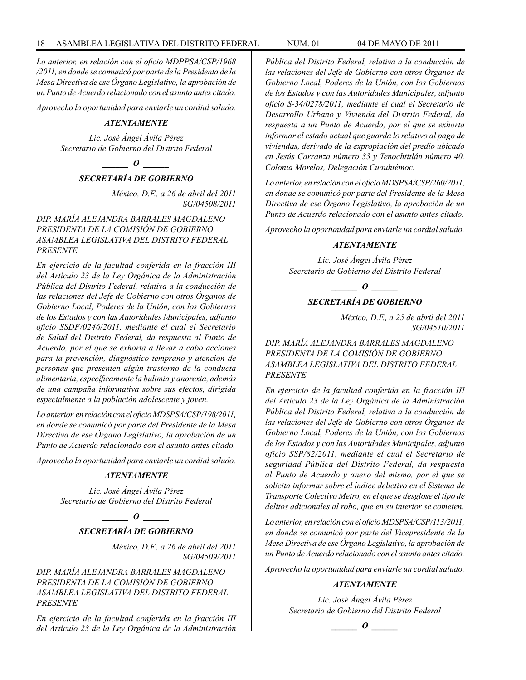*Lo anterior, en relación con el oficio MDPPSA/CSP/1968 /2011, en donde se comunicó por parte de la Presidenta de la Mesa Directiva de ese Órgano Legislativo, la aprobación de un Punto de Acuerdo relacionado con el asunto antes citado.*

*Aprovecho la oportunidad para enviarle un cordial saludo.*

#### *ATENTAMENTE*

*Lic. José Ángel Ávila Pérez Secretario de Gobierno del Distrito Federal*

*\_\_\_\_\_\_ O \_\_\_\_\_\_*

# *SECRETARÍA DE GOBIERNO*

*México, D.F., a 26 de abril del 2011 SG/04508/2011*

# *DIP. MARÍA ALEJANDRA BARRALES MAGDALENO PRESIDENTA DE LA COMISIÓN DE GOBIERNO ASAMBLEA LEGISLATIVA DEL DISTRITO FEDERAL PRESENTE*

*En ejercicio de la facultad conferida en la fracción III del Artículo 23 de la Ley Orgánica de la Administración Pública del Distrito Federal, relativa a la conducción de las relaciones del Jefe de Gobierno con otros Órganos de Gobierno Local, Poderes de la Unión, con los Gobiernos de los Estados y con las Autoridades Municipales, adjunto oficio SSDF/0246/2011, mediante el cual el Secretario de Salud del Distrito Federal, da respuesta al Punto de Acuerdo, por el que se exhorta a llevar a cabo acciones para la prevención, diagnóstico temprano y atención de personas que presenten algún trastorno de la conducta alimentaria, específicamente la bulimia y anorexia, además de una campaña informativa sobre sus efectos, dirigida especialmente a la población adolescente y joven.*

*Lo anterior, en relación con el oficio MDSPSA/CSP/198/2011, en donde se comunicó por parte del Presidente de la Mesa Directiva de ese Órgano Legislativo, la aprobación de un Punto de Acuerdo relacionado con el asunto antes citado.*

*Aprovecho la oportunidad para enviarle un cordial saludo.*

#### *ATENTAMENTE*

*Lic. José Ángel Ávila Pérez Secretario de Gobierno del Distrito Federal*

*\_\_\_\_\_\_ O \_\_\_\_\_\_*

# *SECRETARÍA DE GOBIERNO*

*México, D.F., a 26 de abril del 2011 SG/04509/2011*

# *DIP. MARÍA ALEJANDRA BARRALES MAGDALENO PRESIDENTA DE LA COMISIÓN DE GOBIERNO ASAMBLEA LEGISLATIVA DEL DISTRITO FEDERAL PRESENTE*

*En ejercicio de la facultad conferida en la fracción III del Artículo 23 de la Ley Orgánica de la Administración*  *Pública del Distrito Federal, relativa a la conducción de las relaciones del Jefe de Gobierno con otros Órganos de Gobierno Local, Poderes de la Unión, con los Gobiernos de los Estados y con las Autoridades Municipales, adjunto oficio S-34/0278/2011, mediante el cual el Secretario de Desarrollo Urbano y Vivienda del Distrito Federal, da respuesta a un Punto de Acuerdo, por el que se exhorta informar el estado actual que guarda lo relativo al pago de viviendas, derivado de la expropiación del predio ubicado en Jesús Carranza número 33 y Tenochtitlán número 40. Colonia Morelos, Delegación Cuauhtémoc.*

*Lo anterior, en relación con el oficio MDSPSA/CSP/260/2011, en donde se comunicó por parte del Presidente de la Mesa Directiva de ese Órgano Legislativo, la aprobación de un Punto de Acuerdo relacionado con el asunto antes citado.*

*Aprovecho la oportunidad para enviarle un cordial saludo.*

#### *ATENTAMENTE*

*Lic. José Ángel Ávila Pérez Secretario de Gobierno del Distrito Federal*

*\_\_\_\_\_\_ O \_\_\_\_\_\_*

## *SECRETARÍA DE GOBIERNO*

*México, D.F., a 25 de abril del 2011 SG/04510/2011*

*DIP. MARÍA ALEJANDRA BARRALES MAGDALENO PRESIDENTA DE LA COMISIÓN DE GOBIERNO ASAMBLEA LEGISLATIVA DEL DISTRITO FEDERAL PRESENTE*

*En ejercicio de la facultad conferida en la fracción III del Artículo 23 de la Ley Orgánica de la Administración Pública del Distrito Federal, relativa a la conducción de las relaciones del Jefe de Gobierno con otros Órganos de Gobierno Local, Poderes de la Unión, con los Gobiernos de los Estados y con las Autoridades Municipales, adjunto oficio SSP/82/2011, mediante el cual el Secretario de seguridad Pública del Distrito Federal, da respuesta al Punto de Acuerdo y anexo del mismo, por el que se solicita informar sobre el índice delictivo en el Sistema de Transporte Colectivo Metro, en el que se desglose el tipo de delitos adicionales al robo, que en su interior se cometen.*

*Lo anterior, en relación con el oficio MDSPSA/CSP/113/2011, en donde se comunicó por parte del Vicepresidente de la Mesa Directiva de ese Órgano Legislativo, la aprobación de un Punto de Acuerdo relacionado con el asunto antes citado.*

*Aprovecho la oportunidad para enviarle un cordial saludo.*

#### *ATENTAMENTE*

*Lic. José Ángel Ávila Pérez Secretario de Gobierno del Distrito Federal*

*\_\_\_\_\_\_ O \_\_\_\_\_\_*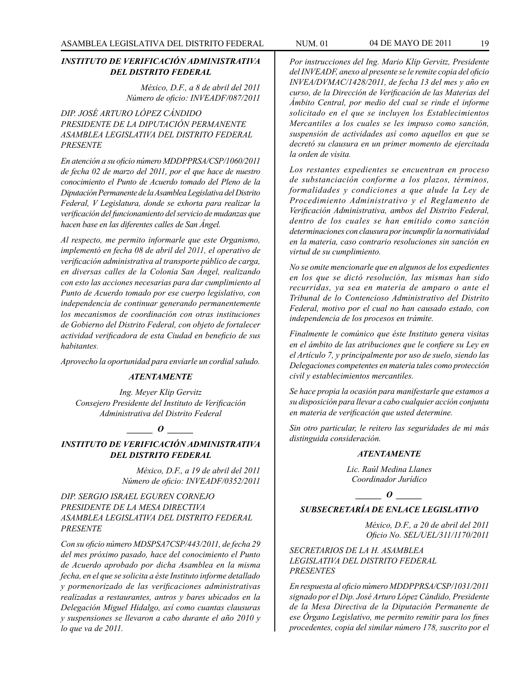## *INSTITUTO DE VERIFICACIÓN ADMINISTRATIVA DEL DISTRITO FEDERAL*

*México, D.F., a 8 de abril del 2011 Número de oficio: INVEADF/087/2011*

*DIP. JOSÉ ARTURO LÓPEZ CÁNDIDO PRESIDENTE DE LA DIPUTACIÓN PERMANENTE ASAMBLEA LEGISLATIVA DEL DISTRITO FEDERAL PRESENTE*

*En atención a su oficio número MDDPPRSA/CSP/1060/2011 de fecha 02 de marzo del 2011, por el que hace de nuestro conocimiento el Punto de Acuerdo tomado del Pleno de la Diputación Permanente de la Asamblea Legislativa del Distrito Federal, V Legislatura, donde se exhorta para realizar la verificación del funcionamiento del servicio de mudanzas que hacen base en las diferentes calles de San Ángel.*

*Al respecto, me permito informarle que este Organismo, implementó en fecha 08 de abril del 2011, el operativo de verificación administrativa al transporte público de carga, en diversas calles de la Colonia San Ángel, realizando con esto las acciones necesarias para dar cumplimiento al Punto de Acuerdo tomado por ese cuerpo legislativo, con independencia de continuar generando permanentemente los mecanismos de coordinación con otras instituciones de Gobierno del Distrito Federal, con objeto de fortalecer actividad verificadora de esta Ciudad en beneficio de sus habitantes.*

*Aprovecho la oportunidad para enviarle un cordial saludo.*

#### *ATENTAMENTE*

*Ing. Meyer Klip Gervitz Consejero Presidente del Instituto de Verificación Administrativa del Distrito Federal*

# $\bm{o}$

*INSTITUTO DE VERIFICACIÓN ADMINISTRATIVA DEL DISTRITO FEDERAL*

> *México, D.F., a 19 de abril del 2011 Número de oficio: INVEADF/0352/2011*

*DIP. SERGIO ISRAEL EGUREN CORNEJO PRESIDENTE DE LA MESA DIRECTIVA ASAMBLEA LEGISLATIVA DEL DISTRITO FEDERAL PRESENTE*

*Con su oficio número MDSPSA7CSP/443/2011, de fecha 29 del mes próximo pasado, hace del conocimiento el Punto de Acuerdo aprobado por dicha Asamblea en la misma fecha, en el que se solicita a éste Instituto informe detallado y pormenorizado de las verificaciones administrativas realizadas a restaurantes, antros y bares ubicados en la Delegación Miguel Hidalgo, así como cuantas clausuras y suspensiones se llevaron a cabo durante el año 2010 y lo que va de 2011.*

*Por instrucciones del Ing. Mario Klip Gervitz, Presidente del INVEADF, anexo al presente se le remite copia del oficio INVEA/DVMAC/1428/2011, de fecha 13 del mes y año en curso, de la Dirección de Verificación de las Materias del Ámbito Central, por medio del cual se rinde el informe solicitado en el que se incluyen los Establecimientos Mercantiles a los cuales se les impuso como sanción, suspensión de actividades así como aquellos en que se decretó su clausura en un primer momento de ejercitada la orden de visita.*

*Los restantes expedientes se encuentran en proceso de substanciación conforme a los plazos, términos, formalidades y condiciones a que alude la Ley de Procedimiento Administrativo y el Reglamento de Verificación Administrativa, ambos del Distrito Federal, dentro de los cuales se han emitido como sanción determinaciones con clausura por incumplir la normatividad en la materia, caso contrario resoluciones sin sanción en virtud de su cumplimiento.*

*No se omite mencionarle que en algunos de los expedientes en los que se dictó resolución, las mismas han sido recurridas, ya sea en materia de amparo o ante el Tribunal de lo Contencioso Administrativo del Distrito Federal, motivo por el cual no han causado estado, con independencia de los procesos en trámite.*

*Finalmente le comúnico que éste Instituto genera visitas en el ámbito de las atribuciones que le confiere su Ley en el Artículo 7, y principalmente por uso de suelo, siendo las Delegaciones competentes en materia tales como protección civil y establecimientos mercantiles.*

*Se hace propia la ocasión para manifestarle que estamos a su disposición para llevar a cabo cualquier acción conjunta en materia de verificación que usted determine.*

*Sin otro particular, le reitero las seguridades de mi más distinguida consideración.* 

#### *ATENTAMENTE*

*Lic. Raúl Medina Llanes Coordinador Jurídico*

*\_\_\_\_\_\_ O \_\_\_\_\_\_*

# *SUBSECRETARÍA DE ENLACE LEGISLATIVO*

*México, D.F., a 20 de abril del 2011 Oficio No. SEL/UEL/311/1170/2011*

*SECRETARIOS DE LA H. ASAMBLEA LEGISLATIVA DEL DISTRITO FEDERAL PRESENTES*

*En respuesta al oficio número MDDPPRSA/CSP/1031/2011 signado por el Dip. José Arturo López Cándido, Presidente de la Mesa Directiva de la Diputación Permanente de ese Órgano Legislativo, me permito remitir para los fines procedentes, copia del similar número 178, suscrito por el*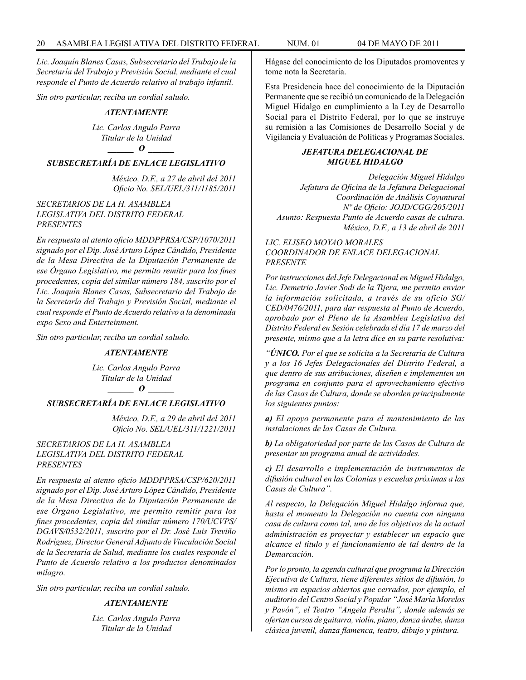*Lic. Joaquín Blanes Casas, Subsecretario del Trabajo de la Secretaría del Trabajo y Previsión Social, mediante el cual responde el Punto de Acuerdo relativo al trabajo infantil.*

*Sin otro particular, reciba un cordial saludo.*

## *ATENTAMENTE*

*Lic. Carlos Angulo Parra Titular de la Unidad \_\_\_\_\_\_ O \_\_\_\_\_\_*

# *SUBSECRETARÍA DE ENLACE LEGISLATIVO*

*México, D.F., a 27 de abril del 2011 Oficio No. SEL/UEL/311/1185/2011*

#### *SECRETARIOS DE LA H. ASAMBLEA LEGISLATIVA DEL DISTRITO FEDERAL PRESENTES*

*En respuesta al atento oficio MDDPPRSA/CSP/1070/2011 signado por el Dip. José Arturo López Cándido, Presidente de la Mesa Directiva de la Diputación Permanente de ese Órgano Legislativo, me permito remitir para los fines procedentes, copia del similar número 184, suscrito por el Lic. Joaquín Blanes Casas, Subsecretario del Trabajo de la Secretaría del Trabajo y Previsión Social, mediante el cual responde el Punto de Acuerdo relativo a la denominada expo Sexo and Enterteinment.*

*Sin otro particular, reciba un cordial saludo.*

#### *ATENTAMENTE*

*Lic. Carlos Angulo Parra Titular de la Unidad \_\_\_\_\_\_ O \_\_\_\_\_\_*

# *SUBSECRETARÍA DE ENLACE LEGISLATIVO*

*México, D.F., a 29 de abril del 2011 Oficio No. SEL/UEL/311/1221/2011*

*SECRETARIOS DE LA H. ASAMBLEA LEGISLATIVA DEL DISTRITO FEDERAL PRESENTES*

*En respuesta al atento oficio MDDPPRSA/CSP/620/2011 signado por el Dip. José Arturo López Cándido, Presidente de la Mesa Directiva de la Diputación Permanente de ese Órgano Legislativo, me permito remitir para los fines procedentes, copia del similar número 170/UCVPS/ DGAVS/0532/2011, suscrito por el Dr. José Luis Treviño Rodríguez, Director General Adjunto de Vinculación Social de la Secretaría de Salud, mediante los cuales responde el Punto de Acuerdo relativo a los productos denominados milagro.*

*Sin otro particular, reciba un cordial saludo.*

## *ATENTAMENTE*

*Lic. Carlos Angulo Parra Titular de la Unidad*

Hágase del conocimiento de los Diputados promoventes y tome nota la Secretaría.

Esta Presidencia hace del conocimiento de la Diputación Permanente que se recibió un comunicado de la Delegación Miguel Hidalgo en cumplimiento a la Ley de Desarrollo Social para el Distrito Federal, por lo que se instruye su remisión a las Comisiones de Desarrollo Social y de Vigilancia y Evaluación de Políticas y Programas Sociales.

# *JEFATURA DELEGACIONAL DE MIGUEL HIDALGO*

*Delegación Miguel Hidalgo Jefatura de Oficina de la Jefatura Delegacional Coordinación de Análisis Coyuntural Nº de Oficio: JOJD/CGG/205/2011 Asunto: Respuesta Punto de Acuerdo casas de cultura. México, D.F., a 13 de abril de 2011*

*LIC. ELISEO MOYAO MORALES COORDINADOR DE ENLACE DELEGACIONAL PRESENTE*

*Por instrucciones del Jefe Delegacional en Miguel Hidalgo, Lic. Demetrio Javier Sodi de la Tijera, me permito enviar la información solicitada, a través de su oficio SG/ CED/0476/2011, para dar respuesta al Punto de Acuerdo, aprobado por el Pleno de la Asamblea Legislativa del Distrito Federal en Sesión celebrada el día 17 de marzo del presente, mismo que a la letra dice en su parte resolutiva:*

*"ÚNICO. Por el que se solicita a la Secretaría de Cultura y a los 16 Jefes Delegacionales del Distrito Federal, a que dentro de sus atribuciones, diseñen e implementen un programa en conjunto para el aprovechamiento efectivo de las Casas de Cultura, donde se aborden principalmente los siguientes puntos:*

*a) El apoyo permanente para el mantenimiento de las instalaciones de las Casas de Cultura.*

*b) La obligatoriedad por parte de las Casas de Cultura de presentar un programa anual de actividades.*

*c) El desarrollo e implementación de instrumentos de difusión cultural en las Colonias y escuelas próximas a las Casas de Cultura".*

*Al respecto, la Delegación Miguel Hidalgo informa que, hasta el momento la Delegación no cuenta con ninguna casa de cultura como tal, uno de los objetivos de la actual administración es proyectar y establecer un espacio que alcance el título y el funcionamiento de tal dentro de la Demarcación.*

*Por lo pronto, la agenda cultural que programa la Dirección Ejecutiva de Cultura, tiene diferentes sitios de difusión, lo mismo en espacios abiertos que cerrados, por ejemplo, el auditorio del Centro Social y Popular "José María Morelos y Pavón", el Teatro "Angela Peralta", donde además se ofertan cursos de guitarra, violín, piano, danza árabe, danza clásica juvenil, danza flamenca, teatro, dibujo y pintura.*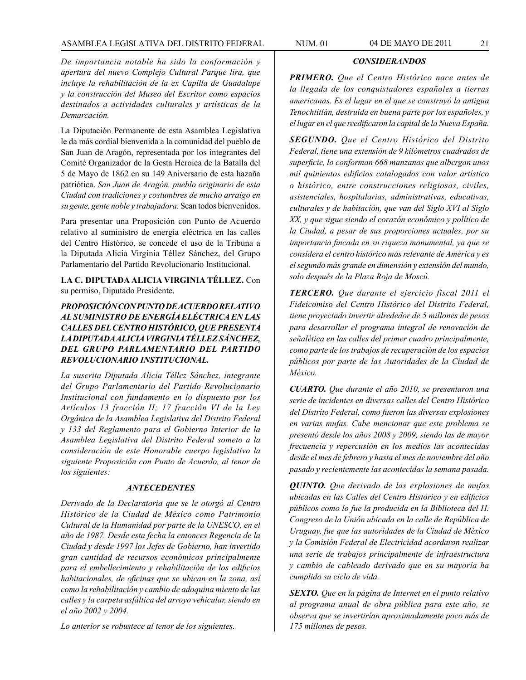# ASAMBLEA LEGISLATIVA DEL DISTRITO FEDERAL NUM. 01 04 de MAYO de 2011 21

*De importancia notable ha sido la conformación y apertura del nuevo Complejo Cultural Parque lira, que incluye la rehabilitación de la ex Capilla de Guadalupe y la construcción del Museo del Escritor como espacios destinados a actividades culturales y artísticas de la Demarcación.*

La Diputación Permanente de esta Asamblea Legislativa le da más cordial bienvenida a la comunidad del pueblo de San Juan de Aragón, representada por los integrantes del Comité Organizador de la Gesta Heroica de la Batalla del 5 de Mayo de 1862 en su 149 Aniversario de esta hazaña patriótica. *San Juan de Aragón, pueblo originario de esta Ciudad con tradiciones y costumbres de mucho arraigo en su gente, gente noble y trabajadora*. Sean todos bienvenidos.

Para presentar una Proposición con Punto de Acuerdo relativo al suministro de energía eléctrica en las calles del Centro Histórico, se concede el uso de la Tribuna a la Diputada Alicia Virginia Téllez Sánchez, del Grupo Parlamentario del Partido Revolucionario Institucional.

**LA C. DIPUTADA ALICIA VIRGINIA TÉLLEZ.** Con su permiso, Diputado Presidente.

# *PROPOSICIÓN CON PUNTO DE ACUERDO RELATIVO AL SUMINISTRO DE ENERGÍA ELÉCTRICA EN LAS CALLES DEL CENTRO HISTÓRICO, QUE PRESENTA LA DIPUTADA ALICIA VIRGINIA TÉLLEZ SÁNCHEZ, DEL GRUPO PARLAMENTARIO DEL PARTIDO REVOLUCIONARIO INSTITUCIONAL.*

*La suscrita Diputada Alicia Téllez Sánchez, integrante del Grupo Parlamentario del Partido Revolucionario Institucional con fundamento en lo dispuesto por los Artículos 13 fracción II; 17 fracción VI de la Ley Orgánica de la Asamblea Legislativa del Distrito Federal y 133 del Reglamento para el Gobierno Interior de la Asamblea Legislativa del Distrito Federal someto a la consideración de este Honorable cuerpo legislativo la siguiente Proposición con Punto de Acuerdo, al tenor de los siguientes:*

#### *ANTECEDENTES*

*Derivado de la Declaratoria que se le otorgó al Centro Histórico de la Ciudad de México como Patrimonio Cultural de la Humanidad por parte de la UNESCO, en el año de 1987. Desde esta fecha la entonces Regencia de la Ciudad y desde 1997 los Jefes de Gobierno, han invertido gran cantidad de recursos económicos principalmente para el embellecimiento y rehabilitación de los edificios habitacionales, de oficinas que se ubican en la zona, así como la rehabilitación y cambio de adoquina miento de las calles y la carpeta asfáltica del arroyo vehicular, siendo en el año 2002 y 2004.*

*Lo anterior se robustece al tenor de los siguientes.*

#### *CONSIDERANDOS*

*PRIMERO. Que el Centro Histórico nace antes de la llegada de los conquistadores españoles a tierras americanas. Es el lugar en el que se construyó la antigua Tenochtitlán, destruida en buena parte por los españoles, y el lugar en el que reedificaron la capital de la Nueva España.*

*SEGUNDO. Que el Centro Histórico del Distrito Federal, tiene una extensión de 9 kilómetros cuadrados de superficie, lo conforman 668 manzanas que albergan unos mil quinientos edificios catalogados con valor artístico o histórico, entre construcciones religiosas, civiles, asistenciales, hospitalarias, administrativas, educativas, culturales y de habitación, que van del Siglo XVI al Siglo XX, y que sigue siendo el corazón económico y político de la Ciudad, a pesar de sus proporciones actuales, por su importancia fincada en su riqueza monumental, ya que se considera el centro histórico más relevante de América y es el segundo más grande en dimensión y extensión del mundo, solo después de la Plaza Roja de Moscú.*

*TERCERO. Que durante el ejercicio fiscal 2011 el Fideicomiso del Centro Histórico del Distrito Federal, tiene proyectado invertir alrededor de 5 millones de pesos para desarrollar el programa integral de renovación de señalética en las calles del primer cuadro principalmente, como parte de los trabajos de recuperación de los espacios públicos por parte de las Autoridades de la Ciudad de México.*

*CUARTO. Que durante el año 2010, se presentaron una serie de incidentes en diversas calles del Centro Histórico del Distrito Federal, como fueron las diversas explosiones en varias mufas. Cabe mencionar que este problema se presentó desde los años 2008 y 2009, siendo las de mayor frecuencia y repercusión en los medios las acontecidas desde el mes de febrero y hasta el mes de noviembre del año pasado y recientemente las acontecidas la semana pasada.*

*QUINTO. Que derivado de las explosiones de mufas ubicadas en las Calles del Centro Histórico y en edificios públicos como lo fue la producida en la Biblioteca del H. Congreso de la Unión ubicada en la calle de República de Uruguay, fue que las autoridades de la Ciudad de México y la Comisión Federal de Electricidad acordaron realizar una serie de trabajos principalmente de infraestructura y cambio de cableado derivado que en su mayoría ha cumplido su ciclo de vida.*

*SEXTO. Que en la página de Internet en el punto relativo al programa anual de obra pública para este año, se observa que se invertirían aproximadamente poco más de 175 millones de pesos.*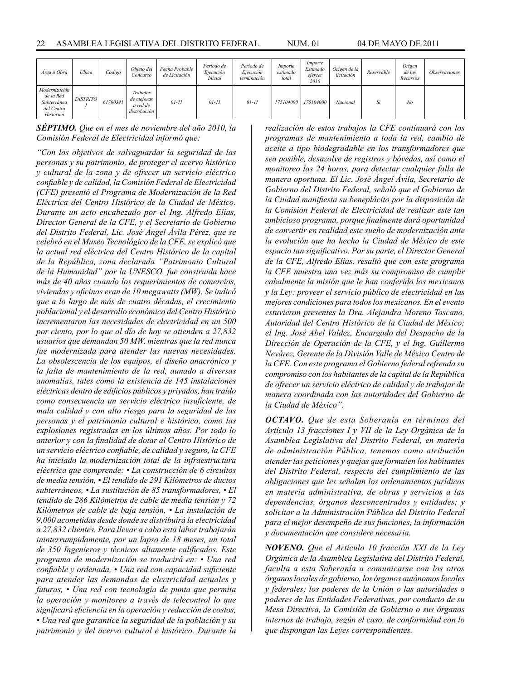| Área u Obra                                                          | Ubica           | Código   | Objeto del<br>Concurso                             | Fecha Probable<br>de Licitación | Período de<br>Ejecución<br><b>Inicial</b> | Período de<br>Ejecución<br>terminación | Importe<br>estimado<br>total | Importe<br>Estimado<br>ejercer<br>2010 | Origen de la<br>licitación | Reservable | Origen<br>de los<br>Recursos | Observaciones |
|----------------------------------------------------------------------|-----------------|----------|----------------------------------------------------|---------------------------------|-------------------------------------------|----------------------------------------|------------------------------|----------------------------------------|----------------------------|------------|------------------------------|---------------|
| Modernización<br>de la Red<br>Subterránea<br>del Centro<br>Histórico | <i>DISTRITO</i> | 61700341 | Trabajos<br>de mejoras<br>a red de<br>distribución | $01 - 11$                       | $01 - 11$                                 | $01 - 11$                              | 175104000                    | 175104000                              | Nacional                   | Si         | No                           |               |

*SÉPTIMO. Que en el mes de noviembre del año 2010, la Comisión Federal de Electricidad informó que:*

*"Con los objetivos de salvaguardar la seguridad de las personas y su patrimonio, de proteger el acervo histórico y cultural de la zona y de ofrecer un servicio eléctrico confiable y de calidad, la Comisión Federal de Electricidad (CFE) presentó el Programa de Modernización de la Red Eléctrica del Centro Histórico de la Ciudad de México. Durante un acto encabezado por el Ing. Alfredo Elías, Director General de la CFE, y el Secretario de Gobierno del Distrito Federal, Lic. José Ángel Ávila Pérez, que se celebró en el Museo Tecnológico de la CFE, se explicó que la actual red eléctrica del Centro Histórico de la capital de la República, zona declarada "Patrimonio Cultural de la Humanidad" por la UNESCO, fue construida hace más de 40 años cuando los requerimientos de comercios, viviendas y oficinas eran de 10 megawatts (MW). Se indicó que a lo largo de más de cuatro décadas, el crecimiento poblacional y el desarrollo económico del Centro Histórico incrementaron las necesidades de electricidad en un 500 por ciento, por lo que al día de hoy se atienden a 27,832 usuarios que demandan 50 MW, mientras que la red nunca fue modernizada para atender las nuevas necesidades. La obsolescencia de los equipos, el diseño anacrónico y la falta de mantenimiento de la red, aunado a diversas anomalías, tales como la existencia de 145 instalaciones eléctricas dentro de edificios públicos y privados, han traído como consecuencia un servicio eléctrico insuficiente, de mala calidad y con alto riesgo para la seguridad de las personas y el patrimonio cultural e histórico, como las explosiones registradas en los últimos años. Por todo lo anterior y con la finalidad de dotar al Centro Histórico de un servicio eléctrico confiable, de calidad y seguro, la CFE ha iniciado la modernización total de la infraestructura eléctrica que comprende: • La construcción de 6 circuitos de media tensión, • El tendido de 291 Kilómetros de ductos subterráneos, • La sustitución de 85 transformadores, • El tendido de 286 Kilómetros de cable de media tensión y 72 Kilómetros de cable de baja tensión, • La instalación de 9,000 acometidas desde donde se distribuirá la electricidad a 27,832 clientes. Para llevar a cabo esta labor trabajarán ininterrumpidamente, por un lapso de 18 meses, un total de 350 Ingenieros y técnicos altamente calificados. Este programa de modernización se traducirá en: • Una red confiable y ordenada, • Una red con capacidad suficiente para atender las demandas de electricidad actuales y futuras, • Una red con tecnología de punta que permita la operación y monitoreo a través de telecontrol lo que significará eficiencia en la operación y reducción de costos, • Una red que garantice la seguridad de la población y su patrimonio y del acervo cultural e histórico. Durante la* 

*realización de estos trabajos la CFE continuará con los programas de mantenimiento a toda la red, cambio de aceite a tipo biodegradable en los transformadores que sea posible, desazolve de registros y bóvedas, así como el monitoreo las 24 horas, para detectar cualquier falla de manera oportuna. El Lic. José Ángel Ávila, Secretario de Gobierno del Distrito Federal, señaló que el Gobierno de la Ciudad manifiesta su beneplácito por la disposición de la Comisión Federal de Electricidad de realizar este tan ambicioso programa, porque finalmente dará oportunidad de convertir en realidad este sueño de modernización ante la evolución que ha hecho la Ciudad de México de este espacio tan significativo. Por su parte, el Director General de la CFE, Alfredo Elías, resaltó que con este programa la CFE muestra una vez más su compromiso de cumplir cabalmente la misión que le han conferido los mexicanos y la Ley: proveer el servicio público de electricidad en las mejores condiciones para todos los mexicanos. En el evento estuvieron presentes la Dra. Alejandra Moreno Toscano, Autoridad del Centro Histórico de la Ciudad de México; el Ing. José Abel Valdez, Encargado del Despacho de la Dirección de Operación de la CFE, y el Ing. Guillermo Nevárez, Gerente de la División Valle de México Centro de la CFE. Con este programa el Gobierno federal refrenda su compromiso con los habitantes de la capital de la República de ofrecer un servicio eléctrico de calidad y de trabajar de manera coordinada con las autoridades del Gobierno de la Ciudad de México".*

*OCTAVO. Que de esta Soberanía en términos del Artículo 13 fracciones I y VII de la Ley Orgánica de la Asamblea Legislativa del Distrito Federal, en materia de administración Pública, tenemos como atribución atender las peticiones y quejas que formulen los habitantes del Distrito Federal, respecto del cumplimiento de las obligaciones que les señalan los ordenamientos jurídicos en materia administrativa, de obras y servicios a las dependencias, órganos desconcentrados y entidades; y solicitar a la Administración Pública del Distrito Federal para el mejor desempeño de sus funciones, la información y documentación que considere necesaria.*

*NOVENO. Que el Artículo 10 fracción XXI de la Ley Orgánica de la Asamblea Legislativa del Distrito Federal, faculta a esta Soberanía a comunicarse con los otros órganos locales de gobierno, los órganos autónomos locales y federales; los poderes de la Unión o las autoridades o poderes de las Entidades Federativas, por conducto de su Mesa Directiva, la Comisión de Gobierno o sus órganos internos de trabajo, según el caso, de conformidad con lo que dispongan las Leyes correspondientes.*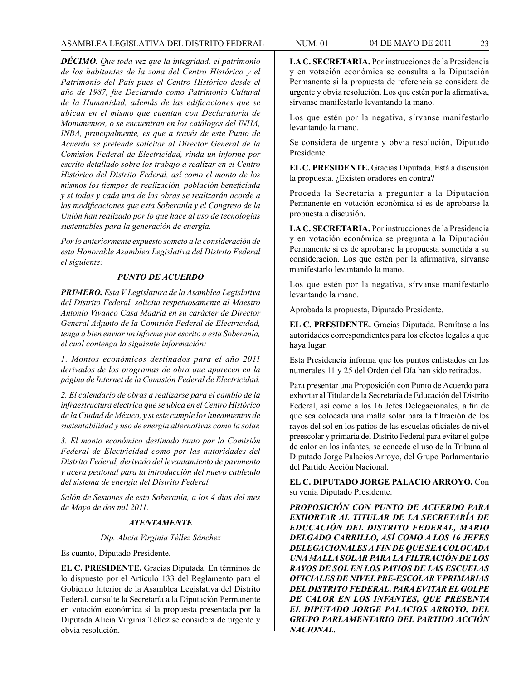*DÉCIMO. Que toda vez que la integridad, el patrimonio de los habitantes de la zona del Centro Histórico y el Patrimonio del País pues el Centro Histórico desde el año de 1987, fue Declarado como Patrimonio Cultural de la Humanidad, además de las edificaciones que se ubican en el mismo que cuentan con Declaratoria de Monumentos, o se encuentran en los catálogos del INHA, INBA, principalmente, es que a través de este Punto de Acuerdo se pretende solicitar al Director General de la Comisión Federal de Electricidad, rinda un informe por escrito detallado sobre los trabajo a realizar en el Centro Histórico del Distrito Federal, así como el monto de los mismos los tiempos de realización, población beneficiada y si todas y cada una de las obras se realizarán acorde a las modificaciones que esta Soberanía y el Congreso de la Unión han realizado por lo que hace al uso de tecnologías sustentables para la generación de energía.*

*Por lo anteriormente expuesto someto a la consideración de esta Honorable Asamblea Legislativa del Distrito Federal el siguiente:*

# *PUNTO DE ACUERDO*

*PRIMERO. Esta V Legislatura de la Asamblea Legislativa del Distrito Federal, solicita respetuosamente al Maestro Antonio Vivanco Casa Madrid en su carácter de Director General Adjunto de la Comisión Federal de Electricidad, tenga a bien enviar un informe por escrito a esta Soberanía, el cual contenga la siguiente información:*

*1. Montos económicos destinados para el año 2011 derivados de los programas de obra que aparecen en la página de Internet de la Comisión Federal de Electricidad.*

*2. El calendario de obras a realizarse para el cambio de la infraestructura eléctrica que se ubica en el Centro Histórico de la Ciudad de México, y si este cumple los lineamientos de sustentabilidad y uso de energía alternativas como la solar.*

*3. El monto económico destinado tanto por la Comisión Federal de Electricidad como por las autoridades del Distrito Federal, derivado del levantamiento de pavimento y acera peatonal para la introducción del nuevo cableado del sistema de energía del Distrito Federal.*

*Salón de Sesiones de esta Soberanía, a los 4 días del mes de Mayo de dos mil 2011.*

# *ATENTAMENTE*

#### *Dip. Alicia Virginia Téllez Sánchez*

Es cuanto, Diputado Presidente.

**EL C. PRESIDENTE.** Gracias Diputada. En términos de lo dispuesto por el Artículo 133 del Reglamento para el Gobierno Interior de la Asamblea Legislativa del Distrito Federal, consulte la Secretaría a la Diputación Permanente en votación económica si la propuesta presentada por la Diputada Alicia Virginia Téllez se considera de urgente y obvia resolución.

**LA C. SECRETARIA.** Por instrucciones de la Presidencia y en votación económica se consulta a la Diputación Permanente si la propuesta de referencia se considera de urgente y obvia resolución. Los que estén por la afirmativa, sírvanse manifestarlo levantando la mano.

Los que estén por la negativa, sírvanse manifestarlo levantando la mano.

Se considera de urgente y obvia resolución, Diputado Presidente.

**EL C. PRESIDENTE.** Gracias Diputada. Está a discusión la propuesta. ¿Existen oradores en contra?

Proceda la Secretaría a preguntar a la Diputación Permanente en votación económica si es de aprobarse la propuesta a discusión.

**LA C. SECRETARIA.** Por instrucciones de la Presidencia y en votación económica se pregunta a la Diputación Permanente si es de aprobarse la propuesta sometida a su consideración. Los que estén por la afirmativa, sírvanse manifestarlo levantando la mano.

Los que estén por la negativa, sírvanse manifestarlo levantando la mano.

Aprobada la propuesta, Diputado Presidente.

**EL C. PRESIDENTE.** Gracias Diputada. Remítase a las autoridades correspondientes para los efectos legales a que haya lugar.

Esta Presidencia informa que los puntos enlistados en los numerales 11 y 25 del Orden del Día han sido retirados.

Para presentar una Proposición con Punto de Acuerdo para exhortar al Titular de la Secretaría de Educación del Distrito Federal, así como a los 16 Jefes Delegacionales, a fin de que sea colocada una malla solar para la filtración de los rayos del sol en los patios de las escuelas oficiales de nivel preescolar y primaria del Distrito Federal para evitar el golpe de calor en los infantes, se concede el uso de la Tribuna al Diputado Jorge Palacios Arroyo, del Grupo Parlamentario del Partido Acción Nacional.

**EL C. DIPUTADO JORGE PALACIO ARROYO.** Con su venia Diputado Presidente.

*PROPOSICIÓN CON PUNTO DE ACUERDO PARA EXHORTAR AL TITULAR DE LA SECRETARÍA DE EDUCACIÓN DEL DISTRITO FEDERAL, MARIO DELGADO CARRILLO, ASÍ COMO A LOS 16 JEFES DELEGACIONALES A FIN DE QUE SEA COLOCADA UNA MALLA SOLAR PARA LA FILTRACIÓN DE LOS RAYOS DE SOL EN LOS PATIOS DE LAS ESCUELAS OFICIALES DE NIVEL PRE-ESCOLAR Y PRIMARIAS DEL DISTRITO FEDERAL, PARA EVITAR EL GOLPE DE CALOR EN LOS INFANTES, QUE PRESENTA EL DIPUTADO JORGE PALACIOS ARROYO, DEL GRUPO PARLAMENTARIO DEL PARTIDO ACCIÓN NACIONAL.*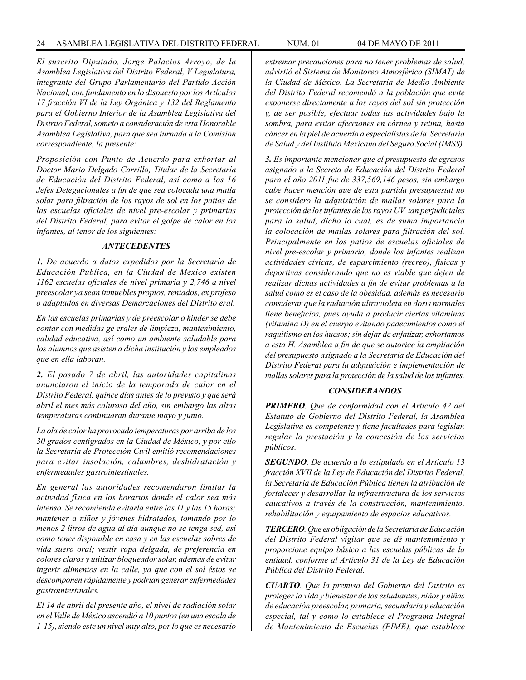*El suscrito Diputado, Jorge Palacios Arroyo, de la Asamblea Legislativa del Distrito Federal, V Legislatura, integrante del Grupo Parlamentario del Partido Acción Nacional, con fundamento en lo dispuesto por los Artículos 17 fracción VI de la Ley Orgánica y 132 del Reglamento para el Gobierno Interior de la Asamblea Legislativa del Distrito Federal, someto a consideración de esta Honorable Asamblea Legislativa, para que sea turnada a la Comisión correspondiente, la presente:*

*Proposición con Punto de Acuerdo para exhortar al Doctor Mario Delgado Carrillo, Titular de la Secretaría de Educación del Distrito Federal, así como a los 16 Jefes Delegacionales a fin de que sea colocada una malla solar para filtración de los rayos de sol en los patios de las escuelas oficiales de nivel pre-escolar y primarias del Distrito Federal, para evitar el golpe de calor en los infantes, al tenor de los siguientes:*

#### *ANTECEDENTES*

*1. De acuerdo a datos expedidos por la Secretaría de Educación Pública, en la Ciudad de México existen 1162 escuelas oficiales de nivel primaria y 2,746 a nivel preescolar ya sean inmuebles propios, rentados, ex profeso o adaptados en diversas Demarcaciones del Distrito eral.*

*En las escuelas primarias y de preescolar o kinder se debe contar con medidas ge erales de limpieza, mantenimiento, calidad educativa, así como un ambiente saludable para los alumnos que asisten a dicha institución y los empleados que en ella laboran.*

*2. El pasado 7 de abril, las autoridades capitalinas anunciaron el inicio de la temporada de calor en el Distrito Federal, quince días antes de lo previsto y que será abril el mes más caluroso del año, sin embargo las altas temperaturas continuaran durante mayo y junio.*

*La ola de calor ha provocado temperaturas por arriba de los 30 grados centígrados en la Ciudad de México, y por ello la Secretaría de Protección Civil emitió recomendaciones para evitar insolación, calambres, deshidratación y enfermedades gastrointestinales.*

*En general las autoridades recomendaron limitar la actividad física en los horarios donde el calor sea más intenso. Se recomienda evitarla entre las 11 y las 15 horas; mantener a niños y jóvenes hidratados, tomando por lo menos 2 litros de agua al día aunque no se tenga sed, así como tener disponible en casa y en las escuelas sobres de vida suero oral; vestir ropa delgada, de preferencia en colores claros y utilizar bloqueador solar, además de evitar ingerir alimentos en la calle, ya que con el sol éstos se descomponen rápidamente y podrían generar enfermedades gastrointestinales.*

*El 14 de abril del presente año, el nivel de radiación solar en el Valle de México ascendió a 10 puntos (en una escala de 1-15), siendo este un nivel muy alto, por lo que es necesario* 

*extremar precauciones para no tener problemas de salud, advirtió el Sistema de Monitoreo Atmosférico (SIMAT) de la Ciudad de México. La Secretaría de Medio Ambiente del Distrito Federal recomendó a la población que evite exponerse directamente a los rayos del sol sin protección y, de ser posible, efectuar todas las actividades bajo la sombra, para evitar afecciones en córnea y retina, hasta cáncer en la piel de acuerdo a especialistas de la Secretaría de Salud y del Instituto Mexicano del Seguro Social (IMSS).*

*3. Es importante mencionar que el presupuesto de egresos asignado a la Secreta de Educación del Distrito Federal para el año 2011 fue de 337,569,146 pesos, sin embargo cabe hacer mención que de esta partida presupuestal no se considero la adquisición de mallas solares para la protección de los infantes de los rayos UV tan perjudiciales para la salud, dicho lo cual, es de suma importancia la colocación de mallas solares para filtración del sol. Principalmente en los patios de escuelas oficiales de nivel pre-escolar y primaria, donde los infantes realizan actividades cívicas, de esparcimiento (recreo), físicas y deportivas considerando que no es viable que dejen de realizar dichas actividades a fin de evitar problemas a la salud como es el caso de la obesidad, además es necesario considerar que la radiación ultravioleta en dosis normales tiene beneficios, pues ayuda a producir ciertas vitaminas (vitamina D) en el cuerpo evitando padecimientos como el raquitismo en los huesos; sin dejar de enfatizar, exhortamos a esta H. Asamblea a fin de que se autorice la ampliación del presupuesto asignado a la Secretaría de Educación del Distrito Federal para la adquisición e implementación de mallas solares para la protección de la salud de los infantes.*

#### *CONSIDERANDOS*

*PRIMERO. Que de conformidad con el Artículo 42 del Estatuto de Gobierno del Distrito Federal, la Asamblea Legislativa es competente y tiene facultades para legislar, regular la prestación y la concesión de los servicios públicos.*

*SEGUNDO. De acuerdo a lo estipulado en el Artículo 13 fracción XVII de la Ley de Educación del Distrito Federal, la Secretaría de Educación Pública tienen la atribución de fortalecer y desarrollar la infraestructura de los servicios educativos a través de la construcción, mantenimiento, rehabilitación y equipamiento de espacios educativos.*

*TERCERO. Que es obligación de la Secretaría de Educación del Distrito Federal vigilar que se dé mantenimiento y proporcione equipo básico a las escuelas públicas de la entidad, conforme al Artículo 31 de la Ley de Educación Pública del Distrito Federal.*

*CUARTO. Que la premisa del Gobierno del Distrito es proteger la vida y bienestar de los estudiantes, niños y niñas de educación preescolar, primaria, secundaria y educación especial, tal y como lo establece el Programa Integral de Mantenimiento de Escuelas (PIME), que establece*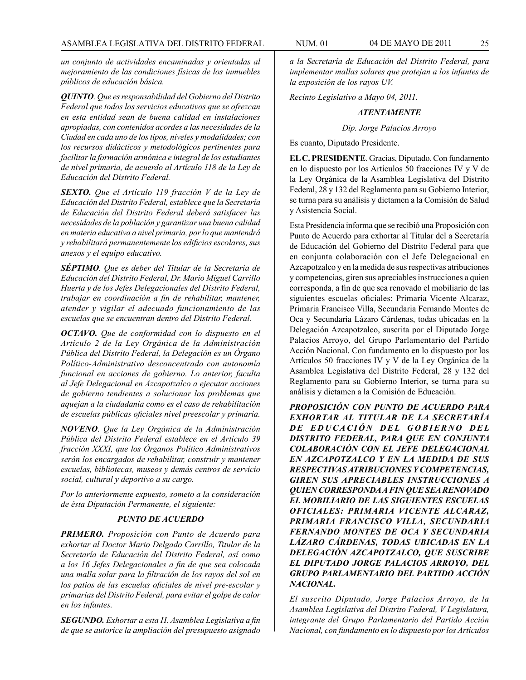*un conjunto de actividades encaminadas y orientadas al mejoramiento de las condiciones físicas de los inmuebles públicos de educación básica.*

*QUINTO. Que es responsabilidad del Gobierno del Distrito Federal que todos los servicios educativos que se ofrezcan en esta entidad sean de buena calidad en instalaciones apropiadas, con contenidos acordes a las necesidades de la Ciudad en cada uno de los tipos, niveles y modalidades; con los recursos didácticos y metodológicos pertinentes para facilitar la formación armónica e integral de los estudiantes de nivel primaria, de acuerdo al Artículo 118 de la Ley de Educación del Distrito Federal.*

*SEXTO. Que el Artículo 119 fracción V de la Ley de Educación del Distrito Federal, establece que la Secretaría de Educación del Distrito Federal deberá satisfacer las necesidades de la población y garantizar una buena calidad en materia educativa a nivel primaria, por lo que mantendrá y rehabilitará permanentemente los edificios escolares, sus anexos y el equipo educativo.*

*SÉPTIMO. Que es deber del Titular de la Secretaría de Educación del Distrito Federal, Dr. Mario Miguel Carrillo Huerta y de los Jefes Delegacionales del Distrito Federal, trabajar en coordinación a fin de rehabilitar, mantener, atender y vigilar el adecuado funcionamiento de las escuelas que se encuentran dentro del Distrito Federal.*

*OCTAVO. Que de conformidad con lo dispuesto en el Artículo 2 de la Ley Orgánica de la Administración Pública del Distrito Federal, la Delegación es un Órgano Político-Administrativo desconcentrado con autonomía funcional en acciones de gobierno. Lo anterior, faculta al Jefe Delegacional en Azcapotzalco a ejecutar acciones de gobierno tendientes a solucionar los problemas que aquejan a la ciudadanía como es el caso de rehabilitación de escuelas públicas oficiales nivel preescolar y primaria.*

*NOVENO. Que la Ley Orgánica de la Administración Pública del Distrito Federal establece en el Artículo 39 fracción XXXI, que los Órganos Político Administrativos serán los encargados de rehabilitar, construir y mantener escuelas, bibliotecas, museos y demás centros de servicio social, cultural y deportivo a su cargo.*

*Por lo anteriormente expuesto, someto a la consideración de ésta Diputación Permanente, el siguiente:*

# *PUNTO DE ACUERDO*

*PRIMERO. Proposición con Punto de Acuerdo para exhortar al Doctor Mario Delgado Carrillo, Titular de la Secretaría de Educación del Distrito Federal, así como a los 16 Jefes Delegacionales a fin de que sea colocada una malla solar para la filtración de los rayos del sol en los patios de las escuelas oficiales de nivel pre-escolar y primarias del Distrito Federal, para evitar el golpe de calor en los infantes.*

*SEGUNDO. Exhortar a esta H. Asamblea Legislativa a fin de que se autorice la ampliación del presupuesto asignado*  *a la Secretaría de Educación del Distrito Federal, para implementar mallas solares que protejan a los infantes de la exposición de los rayos UV.*

*Recinto Legislativo a Mayo 04, 2011.*

## *ATENTAMENTE*

#### *Dip. Jorge Palacios Arroyo*

Es cuanto, Diputado Presidente.

**EL C. PRESIDENTE**. Gracias, Diputado. Con fundamento en lo dispuesto por los Artículos 50 fracciones IV y V de la Ley Orgánica de la Asamblea Legislativa del Distrito Federal, 28 y 132 del Reglamento para su Gobierno Interior, se turna para su análisis y dictamen a la Comisión de Salud y Asistencia Social.

Esta Presidencia informa que se recibió una Proposición con Punto de Acuerdo para exhortar al Titular del a Secretaría de Educación del Gobierno del Distrito Federal para que en conjunta colaboración con el Jefe Delegacional en Azcapotzalco y en la medida de sus respectivas atribuciones y competencias, giren sus apreciables instrucciones a quien corresponda, a fin de que sea renovado el mobiliario de las siguientes escuelas oficiales: Primaria Vicente Alcaraz, Primaria Francisco Villa, Secundaria Fernando Montes de Oca y Secundaria Lázaro Cárdenas, todas ubicadas en la Delegación Azcapotzalco, suscrita por el Diputado Jorge Palacios Arroyo, del Grupo Parlamentario del Partido Acción Nacional. Con fundamento en lo dispuesto por los Artículos 50 fracciones IV y V de la Ley Orgánica de la Asamblea Legislativa del Distrito Federal, 28 y 132 del Reglamento para su Gobierno Interior, se turna para su análisis y dictamen a la Comisión de Educación.

*PROPOSICIÓN CON PUNTO DE ACUERDO PARA EXHORTAR AL TITULAR DE LA SECRETARÍA DE EDUCACIÓN DEL GOBIERNO DEL DISTRITO FEDERAL, PARA QUE EN CONJUNTA COLABORACIÓN CON EL JEFE DELEGACIONAL EN AZCAPOTZALCO Y EN LA MEDIDA DE SUS RESPECTIVAS ATRIBUCIONES Y COMPETENCIAS, GIREN SUS APRECIABLES INSTRUCCIONES A QUIEN CORRESPONDA A FIN QUE SEA RENOVADO EL MOBILIARIO DE LAS SIGUIENTES ESCUELAS OFICIALES: PRIMARIA VICENTE ALCARAZ, PRIMARIA FRANCISCO VILLA, SECUNDARIA FERNANDO MONTES DE OCA Y SECUNDARIA LÁZARO CÁRDENAS, TODAS UBICADAS EN LA DELEGACIÓN AZCAPOTZALCO, QUE SUSCRIBE EL DIPUTADO JORGE PALACIOS ARROYO, DEL GRUPO PARLAMENTARIO DEL PARTIDO ACCIÓN NACIONAL.*

*El suscrito Diputado, Jorge Palacios Arroyo, de la Asamblea Legislativa del Distrito Federal, V Legislatura, integrante del Grupo Parlamentario del Partido Acción Nacional, con fundamento en lo dispuesto por los Artículos*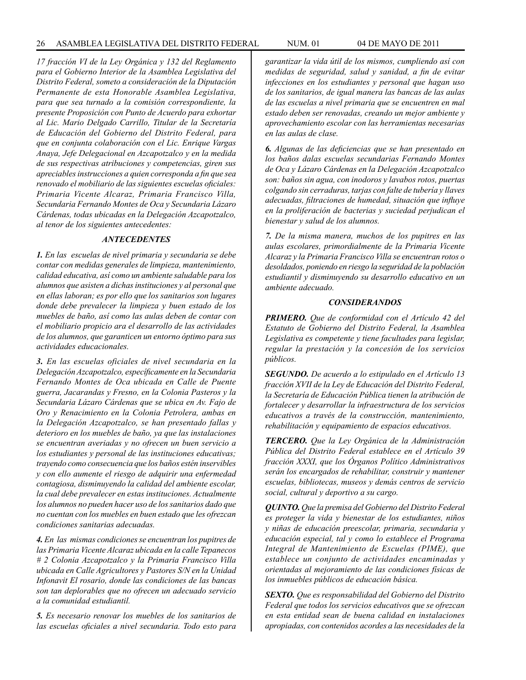*17 fracción VI de la Ley Orgánica y 132 del Reglamento para el Gobierno Interior de la Asamblea Legislativa del Distrito Federal, someto a consideración de la Diputación Permanente de esta Honorable Asamblea Legislativa, para que sea turnado a la comisión correspondiente, la presente Proposición con Punto de Acuerdo para exhortar al Lic. Mario Delgado Carrillo, Titular de la Secretaría de Educación del Gobierno del Distrito Federal, para que en conjunta colaboración con el Lic. Enrique Vargas Anaya, Jefe Delegacional en Azcapotzalco y en la medida de sus respectivas atribuciones y competencias, giren sus apreciables instrucciones a quien corresponda a fin que sea renovado el mobiliario de las siguientes escuelas oficiales: Primaria Vicente Alcaraz, Primaria Francisco Villa, Secundaria Fernando Montes de Oca y Secundaria Lázaro Cárdenas, todas ubicadas en la Delegación Azcapotzalco, al tenor de los siguientes antecedentes:*

#### *ANTECEDENTES*

*1. En las escuelas de nivel primaria y secundaria se debe contar con medidas generales de limpieza, mantenimiento, calidad educativa, así como un ambiente saludable para los alumnos que asisten a dichas instituciones y al personal que en ellas laboran; es por ello que los sanitarios son lugares donde debe prevalecer la limpieza y buen estado de los muebles de baño, así como las aulas deben de contar con el mobiliario propicio ara el desarrollo de las actividades de los alumnos, que garanticen un entorno óptimo para sus actividades educacionales.*

*3. En las escuelas oficiales de nivel secundaria en la Delegación Azcapotzalco, específicamente en la Secundaria Fernando Montes de Oca ubicada en Calle de Puente guerra, Jacarandas y Fresno, en la Colonia Pasteros y la Secundaria Lázaro Cárdenas que se ubica en Av. Fajo de Oro y Renacimiento en la Colonia Petrolera, ambas en la Delegación Azcapotzalco, se han presentado fallas y deterioro en los muebles de baño, ya que las instalaciones se encuentran averiadas y no ofrecen un buen servicio a los estudiantes y personal de las instituciones educativas; trayendo como consecuencia que los baños estén inservibles y con ello aumente el riesgo de adquirir una enfermedad contagiosa, disminuyendo la calidad del ambiente escolar, la cual debe prevalecer en estas instituciones. Actualmente los alumnos no pueden hacer uso de los sanitarios dado que no cuentan con los muebles en buen estado que les ofrezcan condiciones sanitarias adecuadas.* 

*4. En las mismas condiciones se encuentran los pupitres de las Primaria Vicente Alcaraz ubicada en la calle Tepanecos # 2 Colonia Azcapotzalco y la Primaria Francisco Villa ubicada en Calle Agricultores y Pastores S/N en la Unidad Infonavit El rosario, donde las condiciones de las bancas son tan deplorables que no ofrecen un adecuado servicio a la comunidad estudiantil.*

*5. Es necesario renovar los muebles de los sanitarios de las escuelas oficiales a nivel secundaria. Todo esto para*  *garantizar la vida útil de los mismos, cumpliendo así con medidas de seguridad, salud y sanidad, a fin de evitar infecciones en los estudiantes y personal que hagan uso de los sanitarios, de igual manera las bancas de las aulas de las escuelas a nivel primaria que se encuentren en mal estado deben ser renovadas, creando un mejor ambiente y aprovechamiento escolar con las herramientas necesarias en las aulas de clase.*

*6. Algunas de las deficiencias que se han presentado en los baños dalas escuelas secundarias Fernando Montes de Oca y Lázaro Cárdenas en la Delegación Azcapotzalco son: baños sin agua, con inodoros y lavabos rotos, puertas colgando sin cerraduras, tarjas con falte de tubería y llaves adecuadas, filtraciones de humedad, situación que influye en la proliferación de bacterias y suciedad perjudican el bienestar y salud de los alumnos.*

*7. De la misma manera, muchos de los pupitres en las aulas escolares, primordialmente de la Primaria Vicente Alcaraz y la Primaria Francisco Villa se encuentran rotos o desoldados, poniendo en riesgo la seguridad de la población estudiantil y disminuyendo su desarrollo educativo en un ambiente adecuado.*

#### *CONSIDERANDOS*

*PRIMERO. Que de conformidad con el Artículo 42 del Estatuto de Gobierno del Distrito Federal, la Asamblea Legislativa es competente y tiene facultades para legislar, regular la prestación y la concesión de los servicios públicos.*

*SEGUNDO. De acuerdo a lo estipulado en el Artículo 13 fracción XVII de la Ley de Educación del Distrito Federal, la Secretaría de Educación Pública tienen la atribución de fortalecer y desarrollar la infraestructura de los servicios educativos a través de la construcción, mantenimiento, rehabilitación y equipamiento de espacios educativos.*

*TERCERO. Que la Ley Orgánica de la Administración Pública del Distrito Federal establece en el Artículo 39 fracción XXXI, que los Órganos Político Administrativos serán los encargados de rehabilitar, construir y mantener escuelas, bibliotecas, museos y demás centros de servicio social, cultural y deportivo a su cargo.*

*QUINTO. Que la premisa del Gobierno del Distrito Federal es proteger la vida y bienestar de los estudiantes, niños y niñas de educación preescolar, primaria, secundaria y educación especial, tal y como lo establece el Programa Integral de Mantenimiento de Escuelas (PIME), que establece un conjunto de actividades encaminadas y orientadas al mejoramiento de las condiciones físicas de los inmuebles públicos de educación básica.*

*SEXTO. Que es responsabilidad del Gobierno del Distrito Federal que todos los servicios educativos que se ofrezcan en esta entidad sean de buena calidad en instalaciones apropiadas, con contenidos acordes a las necesidades de la*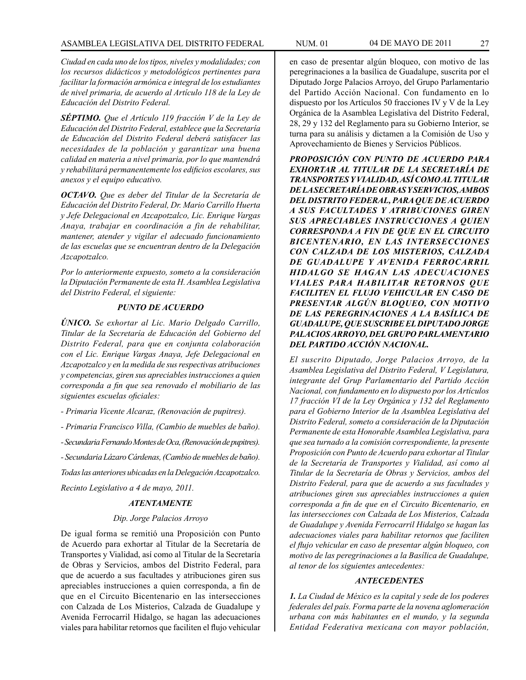*Ciudad en cada uno de los tipos, niveles y modalidades; con los recursos didácticos y metodológicos pertinentes para facilitar la formación armónica e integral de los estudiantes de nivel primaria, de acuerdo al Artículo 118 de la Ley de Educación del Distrito Federal.*

*SÉPTIMO. Que el Artículo 119 fracción V de la Ley de Educación del Distrito Federal, establece que la Secretaría de Educación del Distrito Federal deberá satisfacer las necesidades de la población y garantizar una buena calidad en materia a nivel primaria, por lo que mantendrá y rehabilitará permanentemente los edificios escolares, sus anexos y el equipo educativo.*

*OCTAVO. Que es deber del Titular de la Secretaría de Educación del Distrito Federal, Dr. Mario Carrillo Huerta y Jefe Delegacional en Azcapotzalco, Lic. Enrique Vargas Anaya, trabajar en coordinación a fin de rehabilitar, mantener, atender y vigilar el adecuado funcionamiento de las escuelas que se encuentran dentro de la Delegación Azcapotzalco.*

*Por lo anteriormente expuesto, someto a la consideración la Diputación Permanente de esta H. Asamblea Legislativa del Distrito Federal, el siguiente:*

#### *PUNTO DE ACUERDO*

*ÚNICO. Se exhortar al Lic. Mario Delgado Carrillo, Titular de la Secretaría de Educación del Gobierno del Distrito Federal, para que en conjunta colaboración con el Lic. Enrique Vargas Anaya, Jefe Delegacional en Azcapotzalco y en la medida de sus respectivas atribuciones y competencias, giren sus apreciables instrucciones a quien corresponda a fin que sea renovado el mobiliario de las siguientes escuelas oficiales:* 

*- Primaria Vicente Alcaraz, (Renovación de pupitres).*

*- Primaria Francisco Villa, (Cambio de muebles de baño).*

*- Secundaria Fernando Montes de Oca, (Renovación de pupitres).*

*- Secundaria Lázaro Cárdenas, (Cambio de muebles de baño).*

*Todas las anteriores ubicadas en la Delegación Azcapotzalco. Recinto Legislativo a 4 de mayo, 2011.*

#### *ATENTAMENTE*

#### *Dip. Jorge Palacios Arroyo*

De igual forma se remitió una Proposición con Punto de Acuerdo para exhortar al Titular de la Secretaría de Transportes y Vialidad, así como al Titular de la Secretaría de Obras y Servicios, ambos del Distrito Federal, para que de acuerdo a sus facultades y atribuciones giren sus apreciables instrucciones a quien corresponda, a fin de que en el Circuito Bicentenario en las intersecciones con Calzada de Los Misterios, Calzada de Guadalupe y Avenida Ferrocarril Hidalgo, se hagan las adecuaciones viales para habilitar retornos que faciliten el flujo vehicular

en caso de presentar algún bloqueo, con motivo de las peregrinaciones a la basílica de Guadalupe, suscrita por el Diputado Jorge Palacios Arroyo, del Grupo Parlamentario del Partido Acción Nacional. Con fundamento en lo dispuesto por los Artículos 50 fracciones IV y V de la Ley Orgánica de la Asamblea Legislativa del Distrito Federal, 28, 29 y 132 del Reglamento para su Gobierno Interior, se turna para su análisis y dictamen a la Comisión de Uso y Aprovechamiento de Bienes y Servicios Públicos.

*PROPOSICIÓN CON PUNTO DE ACUERDO PARA EXHORTAR AL TITULAR DE LA SECRETARÍA DE TRANSPORTES Y VIALIDAD, ASÍ COMO AL TITULAR DE LA SECRETARÍA DE OBRAS Y SERVICIOS, AMBOS DEL DISTRITO FEDERAL, PARA QUE DE ACUERDO A SUS FACULTADES Y ATRIBUCIONES GIREN SUS APRECIABLES INSTRUCCIONES A QUIEN CORRESPONDA A FIN DE QUE EN EL CIRCUITO BICENTENARIO, EN LAS INTERSECCIONES CON CALZADA DE LOS MISTERIOS, CALZADA DE GUADALUPE Y AVENIDA FERROCARRIL HIDALGO SE HAGAN LAS ADECUACIONES VIALES PARA HABILITAR RETORNOS QUE FACILITEN EL FLUJO VEHICULAR EN CASO DE PRESENTAR ALGÚN BLOQUEO, CON MOTIVO DE LAS PEREGRINACIONES A LA BASÍLICA DE GUADALUPE, QUE SUSCRIBE EL DIPUTADO JORGE PALACIOS ARROYO, DEL GRUPO PARLAMENTARIO DEL PARTIDO ACCIÓN NACIONAL.*

*El suscrito Diputado, Jorge Palacios Arroyo, de la Asamblea Legislativa del Distrito Federal, V Legislatura, integrante del Grup Parlamentario del Partido Acción Nacional, con fundamento en lo dispuesto por los Artículos 17 fracción VI de la Ley Orgánica y 132 del Reglamento para el Gobierno Interior de la Asamblea Legislativa del Distrito Federal, someto a consideración de la Diputación Permanente de esta Honorable Asamblea Legislativa, para que sea turnado a la comisión correspondiente, la presente Proposición con Punto de Acuerdo para exhortar al Titular de la Secretaría de Transportes y Vialidad, así como al Titular de la Secretaría de Obras y Servicios, ambos del Distrito Federal, para que de acuerdo a sus facultades y atribuciones giren sus apreciables instrucciones a quien corresponda a fin de que en el Circuito Bicentenario, en las intersecciones con Calzada de Los Misterios, Calzada de Guadalupe y Avenida Ferrocarril Hidalgo se hagan las adecuaciones viales para habilitar retornos que faciliten el flujo vehicular en caso de presentar algún bloqueo, con motivo de las peregrinaciones a la Basílica de Guadalupe, al tenor de los siguientes antecedentes:*

# *ANTECEDENTES*

*1. La Ciudad de México es la capital y sede de los poderes federales del país. Forma parte de la novena aglomeración urbana con más habitantes en el mundo, y la segunda Entidad Federativa mexicana con mayor población,*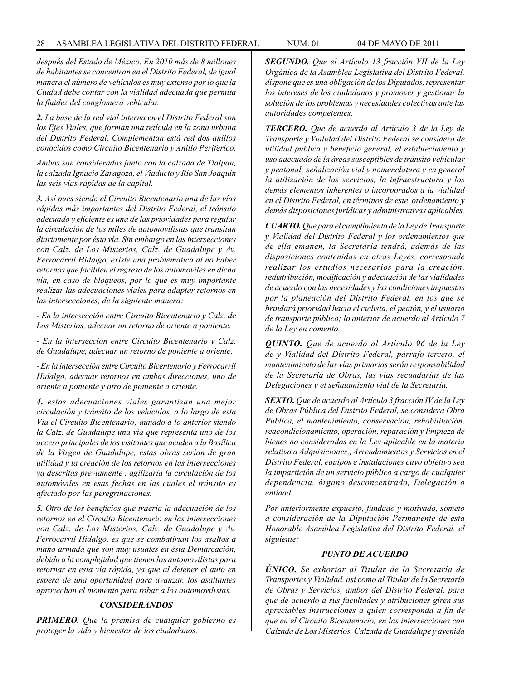*después del Estado de México. En 2010 más de 8 millones de habitantes se concentran en el Distrito Federal, de igual manera el número de vehículos es muy extenso por lo que la Ciudad debe contar con la vialidad adecuada que permita la fluidez del conglomera vehicular.*

*2. La base de la red vial interna en el Distrito Federal son los Ejes Viales, que forman una retícula en la zona urbana del Distrito Federal. Complementan está red dos anillos conocidos como Circuito Bicentenario y Anillo Periférico.*

*Ambos son considerados junto con la calzada de Tlalpan, la calzada Ignacio Zaragoza, el Viaducto y Río San Joaquín las seis vías rápidas de la capital.* 

*3. Así pues siendo el Circuito Bicentenario una de las vías rápidas más importantes del Distrito Federal, el tránsito adecuado y eficiente es una de las prioridades para regular la circulación de los miles de automovilistas que transitan diariamente por ésta vía. Sin embargo en las intersecciones con Calz. de Los Misterios, Calz. de Guadalupe y Av. Ferrocarril Hidalgo, existe una problemática al no haber retornos que faciliten el regreso de los automóviles en dicha vía, en caso de bloqueos, por lo que es muy importante realizar las adecuaciones viales para adaptar retornos en las intersecciones, de la siguiente manera:*

*- En la intersección entre Circuito Bicentenario y Calz. de Los Misterios, adecuar un retorno de oriente a poniente.*

*- En la intersección entre Circuito Bicentenario y Calz. de Guadalupe, adecuar un retorno de poniente a oriente.*

*- En la intersección entre Circuito Bicentenario y Ferrocarril Hidalgo, adecuar retornos en ambas direcciones, uno de oriente a poniente y otro de poniente a oriente.*

*4. estas adecuaciones viales garantizan una mejor circulación y tránsito de los vehículos, a lo largo de esta Vía el Circuito Bicentenario; aunado a lo anterior siendo la Calz. de Guadalupe una vía que representa uno de los acceso principales de los visitantes que acuden a la Basílica de la Virgen de Guadalupe, estas obras serían de gran utilidad y la creación de los retornos en las intersecciones ya descritas previamente , agilizaría la circulación de los automóviles en esas fechas en las cuales el tránsito es afectado por las peregrinaciones.*

*5. Otro de los beneficios que traería la adecuación de los retornos en el Circuito Bicentenario en las intersecciones con Calz. de Los Misterios, Calz. de Guadalupe y Av. Ferrocarril Hidalgo, es que se combatirían los asaltos a mano armada que son muy usuales en ésta Demarcación, debido a la complejidad que tienen los automovilistas para retornar en esta vía rápida, ya que al detener el auto en espera de una oportunidad para avanzar, los asaltantes aprovechan el momento para robar a los automovilistas.* 

# *CONSIDERANDOS*

*PRIMERO. Que la premisa de cualquier gobierno es proteger la vida y bienestar de los ciudadanos.*

*SEGUNDO. Que el Artículo 13 fracción VII de la Ley Orgánica de la Asamblea Legislativa del Distrito Federal, dispone que es una obligación de los Diputados, representar los intereses de los ciudadanos y promover y gestionar la solución de los problemas y necesidades colectivas ante las autoridades competentes.*

*TERCERO. Que de acuerdo al Artículo 3 de la Ley de Transporte y Vialidad del Distrito Federal se considera de utilidad pública y beneficio general, el establecimiento y uso adecuado de la áreas susceptibles de tránsito vehicular y peatonal; señalización vial y nomenclatura y en general la utilización de los servicios, la infraestructura y los demás elementos inherentes o incorporados a la vialidad en el Distrito Federal, en términos de este ordenamiento y demás disposiciones jurídicas y administrativas aplicables.*

*CUARTO. Que para el cumplimiento de la Ley de Transporte y Vialidad del Distrito Federal y los ordenamientos que de ella emanen, la Secretaría tendrá, además de las disposiciones contenidas en otras Leyes, corresponde realizar los estudios necesarios para la creación, redistribución, modificación y adecuación de las vialidades de acuerdo con las necesidades y las condiciones impuestas por la planeación del Distrito Federal, en los que se brindará prioridad hacia el ciclista, el peatón, y el usuario de transporte público; lo anterior de acuerdo al Artículo 7 de la Ley en comento.*

*QUINTO. Que de acuerdo al Artículo 96 de la Ley de y Vialidad del Distrito Federal, párrafo tercero, el mantenimiento de las vías primarias serán responsabilidad de la Secretaría de Obras, las vías secundarias de las Delegaciones y el señalamiento vial de la Secretaría.*

*SEXTO. Que de acuerdo al Artículo 3 fracción IV de la Ley de Obras Pública del Distrito Federal, se considera Obra Pública, el mantenimiento, conservación, rehabilitación, reacondicionamiento, operación, reparación y limpieza de bienes no considerados en la Ley aplicable en la materia relativa a Adquisiciones,, Arrendamientos y Servicios en el Distrito Federal, equipos e instalaciones cuyo objetivo sea la impartición de un servicio público a cargo de cualquier dependencia, órgano desconcentrado, Delegación o entidad.* 

*Por anteriormente expuesto, fundado y motivado, someto a consideración de la Diputación Permanente de esta Honorable Asamblea Legislativa del Distrito Federal, el siguiente:*

#### *PUNTO DE ACUERDO*

*ÚNICO. Se exhortar al Titular de la Secretaría de Transportes y Vialidad, así como al Titular de la Secretaría de Obras y Servicios, ambos del Distrito Federal, para que de acuerdo a sus facultades y atribuciones giren sus apreciables instrucciones a quien corresponda a fin de que en el Circuito Bicentenario, en las intersecciones con Calzada de Los Misterios, Calzada de Guadalupe y avenida*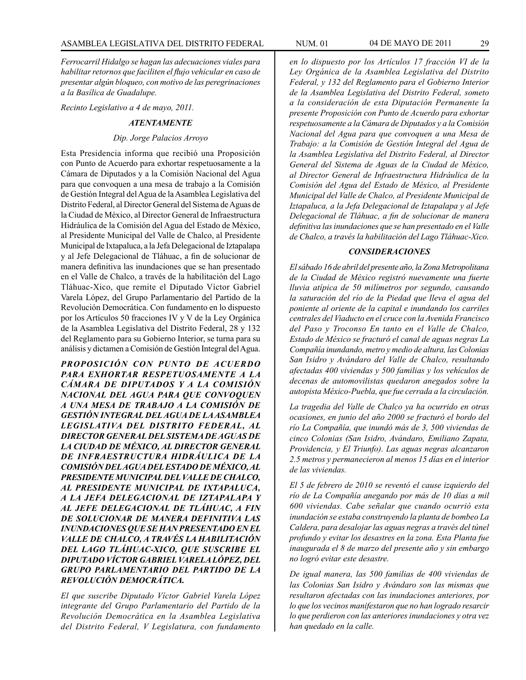*Ferrocarril Hidalgo se hagan las adecuaciones viales para habilitar retornos que faciliten el flujo vehicular en caso de presentar algún bloqueo, con motivo de las peregrinaciones a la Basílica de Guadalupe.*

*Recinto Legislativo a 4 de mayo, 2011.*

## *ATENTAMENTE*

#### *Dip. Jorge Palacios Arroyo*

Esta Presidencia informa que recibió una Proposición con Punto de Acuerdo para exhortar respetuosamente a la Cámara de Diputados y a la Comisión Nacional del Agua para que convoquen a una mesa de trabajo a la Comisión de Gestión Integral del Agua de la Asamblea Legislativa del Distrito Federal, al Director General del Sistema de Aguas de la Ciudad de México, al Director General de Infraestructura Hidráulica de la Comisión del Agua del Estado de México, al Presidente Municipal del Valle de Chalco, al Presidente Municipal de Ixtapaluca, a la Jefa Delegacional de Iztapalapa y al Jefe Delegacional de Tláhuac, a fin de solucionar de manera definitiva las inundaciones que se han presentado en el Valle de Chalco, a través de la habilitación del Lago Tláhuac-Xico, que remite el Diputado Víctor Gabriel Varela López, del Grupo Parlamentario del Partido de la Revolución Democrática. Con fundamento en lo dispuesto por los Artículos 50 fracciones IV y V de la Ley Orgánica de la Asamblea Legislativa del Distrito Federal, 28 y 132 del Reglamento para su Gobierno Interior, se turna para su análisis y dictamen a Comisión de Gestión Integral del Agua.

*PROPOSICIÓN CON PUNTO DE ACUERDO PARA EXHORTAR RESPETUOSAMENTE A LA CÁMARA DE DIPUTADOS Y A LA COMISIÓN NACIONAL DEL AGUA PARA QUE CONVOQUEN A UNA MESA DE TRABAJO A LA COMISIÓN DE GESTIÓN INTEGRAL DEL AGUA DE LA ASAMBLEA LEGISLATIVA DEL DISTRITO FEDERAL, AL DIRECTOR GENERAL DEL SISTEMA DE AGUAS DE LA CIUDAD DE MÉXICO, AL DIRECTOR GENERAL DE INFRAESTRUCTURA HIDRÁULICA DE LA COMISIÓN DEL AGUA DEL ESTADO DE MÉXICO, AL PRESIDENTE MUNICIPAL DEL VALLE DE CHALCO, AL PRESIDENTE MUNICIPAL DE IXTAPALUCA, A LA JEFA DELEGACIONAL DE IZTAPALAPA Y AL JEFE DELEGACIONAL DE TLÁHUAC, A FIN DE SOLUCIONAR DE MANERA DEFINITIVA LAS INUNDACIONES QUE SE HAN PRESENTADO EN EL VALLE DE CHALCO, A TRAVÉS LA HABILITACIÓN DEL LAGO TLÁHUAC-XICO, QUE SUSCRIBE EL DIPUTADO VÍCTOR GABRIEL VARELA LÓPEZ, DEL GRUPO PARLAMENTARIO DEL PARTIDO DE LA REVOLUCIÓN DEMOCRÁTICA.*

*El que suscribe Diputado Víctor Gabriel Varela López integrante del Grupo Parlamentario del Partido de la Revolución Democrática en la Asamblea Legislativa del Distrito Federal, V Legislatura, con fundamento*  *en lo dispuesto por los Artículos 17 fracción VI de la Ley Orgánica de la Asamblea Legislativa del Distrito Federal, y 132 del Reglamento para el Gobierno Interior de la Asamblea Legislativa del Distrito Federal, someto a la consideración de esta Diputación Permanente la presente Proposición con Punto de Acuerdo para exhortar respetuosamente a la Cámara de Diputados y a la Comisión Nacional del Agua para que convoquen a una Mesa de Trabajo: a la Comisión de Gestión Integral del Agua de la Asamblea Legislativa del Distrito Federal, al Director General del Sistema de Aguas de la Ciudad de México, al Director General de Infraestructura Hidráulica de la Comisión del Agua del Estado de México, al Presidente Municipal del Valle de Chalco, al Presidente Municipal de Iztapaluca, a la Jefa Delegacional de Iztapalapa y al Jefe Delegacional de Tláhuac, a fin de solucionar de manera definitiva las inundaciones que se han presentado en el Valle de Chalco, a través la habilitación del Lago Tláhuac-Xico.* 

#### *CONSIDERACIONES*

*El sábado 16 de abril del presente año, la Zona Metropolitana de la Ciudad de México registró nuevamente una fuerte lluvia atípica de 50 milímetros por segundo, causando la saturación del río de la Piedad que lleva el agua del poniente al oriente de la capital e inundando los carriles centrales del Viaducto en el cruce con la Avenida Francisco del Paso y Troconso En tanto en el Valle de Chalco, Estado de México se fracturó el canal de aguas negras La Compañía inundando, metro y medio de altura, las Colonias San Isidro y Avándaro del Valle de Chalco, resultando afectadas 400 viviendas y 500 familias y los vehículos de decenas de automovilistas quedaron anegados sobre la autopista México-Puebla, que fue cerrada a la circulación.*

*La tragedia del Valle de Chalco ya ha ocurrido en otras ocasiones, en junio del año 2000 se fracturó el bordo del río La Compañía, que inundó más de 3, 500 viviendas de cinco Colonias (San Isidro, Avándaro, Emiliano Zapata, Providencia, y El Triunfo). Las aguas negras alcanzaron 2.5 metros y permanecieron al menos 15 días en el interior de las viviendas.* 

*El 5 de febrero de 2010 se reventó el cause izquierdo del río de La Compañía anegando por más de 10 días a mil 600 viviendas. Cabe señalar que cuando ocurrió esta inundación se estaba construyendo la planta de bombeo La Caldera, para desalojar las aguas negras a través del túnel profundo y evitar los desastres en la zona. Esta Planta fue inaugurada el 8 de marzo del presente año y sin embargo no logró evitar este desastre.* 

*De igual manera, las 500 familias de 400 viviendas de las Colonias San Isidro y Avándaro son las mismas que resultaron afectadas con las inundaciones anteriores, por lo que los vecinos manifestaron que no han logrado resarcir lo que perdieron con las anteriores inundaciones y otra vez han quedado en la calle.*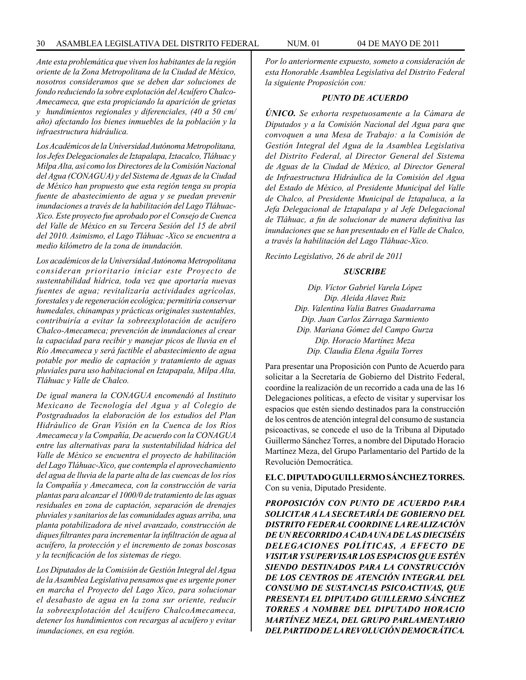*Ante esta problemática que viven los habitantes de la región oriente de la Zona Metropolitana de la Ciudad de México, nosotros consideramos que se deben dar soluciones de fondo reduciendo la sobre explotación del Acuífero Chalco-Amecameca, que esta propiciando la aparición de grietas y hundimientos regionales y diferenciales, (40 a 50 cm/ año) afectando los bienes inmuebles de la población y la infraestructura hidráulica.*

*Los Académicos de la Universidad Autónoma Metropolitana, los Jefes Delegacionales de Iztapalapa, Iztacalco, Tláhuac y Milpa Alta, así como los Directores de la Comisión Nacional del Agua (CONAGUA) y del Sistema de Aguas de la Ciudad de México han propuesto que esta región tenga su propia fuente de abastecimiento de agua y se puedan prevenir inundaciones a través de la habilitación del Lago Tláhuac-Xico. Este proyecto fue aprobado por el Consejo de Cuenca del Valle de México en su Tercera Sesión del 15 de abril del 2010. Asimismo, el Lago Tláhuac -Xico se encuentra a medio kilómetro de la zona de inundación.* 

*Los académicos de la Universidad Autónoma Metropolitana consideran prioritario iniciar este Proyecto de sustentabilidad hídrica, toda vez que aportaría nuevas fuentes de agua; revitalizaría actividades agrícolas, forestales y de regeneración ecológica; permitiría conservar humedales, chinampas y prácticas originales sustentables, contribuiría a evitar la sobreexplotación de acuífero Chalco-Amecameca; prevención de inundaciones al crear la capacidad para recibir y manejar picos de lluvia en el Río Amecameca y será factible el abastecimiento de agua potable por medio de captación y tratamiento de aguas pluviales para uso habitacional en Iztapapala, Milpa Alta, Tláhuac y Valle de Chalco.*

*De igual manera la CONAGUA encomendó al Instituto Mexicano de Tecnología del Agua y al Colegio de Postgraduados la elaboración de los estudios del Plan Hidráulico de Gran Visión en la Cuenca de los Ríos Amecameca y la Compañía, De acuerdo con la CONAGUA entre las alternativas para la sustentabilidad hídrica del Valle de México se encuentra el proyecto de habilitación del Lago Tláhuac-Xico, que contempla el aprovechamiento del agua de lluvia de la parte alta de las cuencas de los ríos la Compañía y Amecameca, con la construcción de varia plantas para alcanzar el 1000/0 de tratamiento de las aguas residuales en zona de captación, separación de drenajes pluviales y sanitarios de las comunidades aguas arriba, una planta potabilizadora de nivel avanzado, construcción de diques filtrantes para incrementar la infiltración de agua al acuífero, la protección y el incremento de zonas boscosas y la tecnificación de los sistemas de riego.*

*Los Diputados de la Comisión de Gestión Integral del Agua de la Asamblea Legislativa pensamos que es urgente poner en marcha el Proyecto del Lago Xico, para solucionar el desabasto de agua en la zona sur oriente, reducir la sobreexplotación del Acuífero ChalcoAmecameca, detener los hundimientos con recargas al acuífero y evitar inundaciones, en esa región.*

*Por lo anteriormente expuesto, someto a consideración de esta Honorable Asamblea Legislativa del Distrito Federal la siguiente Proposición con:*

#### *PUNTO DE ACUERDO*

*ÚNICO. Se exhorta respetuosamente a la Cámara de Diputados y a la Comisión Nacional del Agua para que convoquen a una Mesa de Trabajo: a la Comisión de Gestión Integral del Agua de la Asamblea Legislativa del Distrito Federal, al Director General del Sistema de Aguas de la Ciudad de México, al Director General de Infraestructura Hidráulica de la Comisión del Agua del Estado de México, al Presidente Municipal del Valle de Chalco, al Presidente Municipal de Iztapaluca, a la Jefa Delegacional de Iztapalapa y al Jefe Delegacional de Tláhuac, a fin de solucionar de manera definitiva las inundaciones que se han presentado en el Valle de Chalco, a través la habilitación del Lago Tláhuac-Xico.* 

*Recinto Legislativo, 26 de abril de 2011*

#### *SUSCRIBE*

*Dip. Víctor Gabriel Varela López Dip. Aleida Alavez Ruiz Dip. Valentina Valia Batres Guadarrama Dip. Juan Carlos Zárraga Sarmiento Dip. Mariana Gómez del Campo Gurza Dip. Horacio Martínez Meza Dip. Claudia Elena Águila Torres* 

Para presentar una Proposición con Punto de Acuerdo para solicitar a la Secretaría de Gobierno del Distrito Federal, coordine la realización de un recorrido a cada una de las 16 Delegaciones políticas, a efecto de visitar y supervisar los espacios que estén siendo destinados para la construcción de los centros de atención integral del consumo de sustancia psicoactivas, se concede el uso de la Tribuna al Diputado Guillermo Sánchez Torres, a nombre del Diputado Horacio Martínez Meza, del Grupo Parlamentario del Partido de la Revolución Democrática.

**EL C. DIPUTADO GUILLERMO SÁNCHEZ TORRES.**  Con su venia, Diputado Presidente.

*PROPOSICIÓN CON PUNTO DE ACUERDO PARA SOLICITAR A LA SECRETARÍA DE GOBIERNO DEL DISTRITO FEDERAL COORDINE LA REALIZACIÓN DE UN RECORRIDO A CADA UNA DE LAS DIECISÉIS DELEGACIONES POLÍTICAS, A EFECTO DE VISITAR Y SUPERVISAR LOS ESPACIOS QUE ESTÉN SIENDO DESTINADOS PARA LA CONSTRUCCIÓN DE LOS CENTROS DE ATENCIÓN INTEGRAL DEL CONSUMO DE SUSTANCIAS PSICOACTIVAS, QUE PRESENTA EL DIPUTADO GUILLERMO SÁNCHEZ TORRES A NOMBRE DEL DIPUTADO HORACIO MARTÍNEZ MEZA, DEL GRUPO PARLAMENTARIO DEL PARTIDO DE LA REVOLUCIÓN DEMOCRÁTICA.*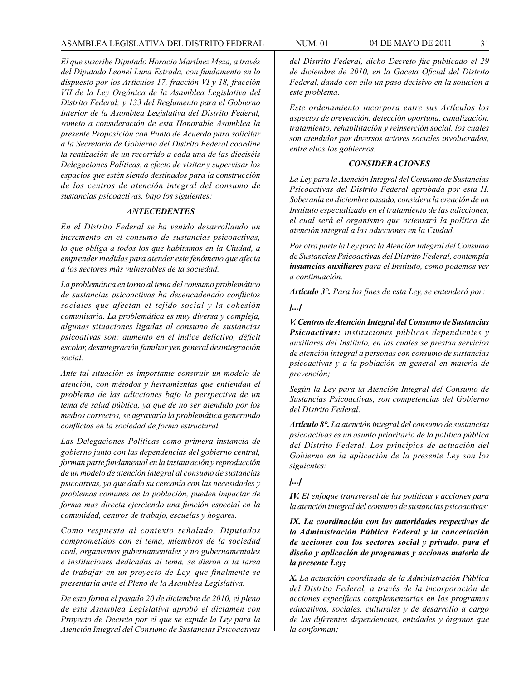*El que suscribe Diputado Horacio Martínez Meza, a través del Diputado Leonel Luna Estrada, con fundamento en lo dispuesto por los Artículos 17, fracción VI y 18, fracción VII de la Ley Orgánica de la Asamblea Legislativa del Distrito Federal; y 133 del Reglamento para el Gobierno Interior de la Asamblea Legislativa del Distrito Federal, someto a consideración de esta Honorable Asamblea la presente Proposición con Punto de Acuerdo para solicitar a la Secretaría de Gobierno del Distrito Federal coordine la realización de un recorrido a cada una de las dieciséis Delegaciones Políticas, a efecto de visitar y supervisar los espacios que estén siendo destinados para la construcción de los centros de atención integral del consumo de sustancias psicoactivas, bajo los siguientes:*

#### *ANTECEDENTES*

*En el Distrito Federal se ha venido desarrollando un incremento en el consumo de sustancias psicoactivas, lo que obliga a todos los que habitamos en la Ciudad, a emprender medidas para atender este fenómeno que afecta a los sectores más vulnerables de la sociedad.*

*La problemática en torno al tema del consumo problemático de sustancias psicoactivas ha desencadenado conflictos sociales que afectan el tejido social y la cohesión comunitaria. La problemática es muy diversa y compleja, algunas situaciones ligadas al consumo de sustancias psicoativas son: aumento en el índice delictivo, déficit escolar, desintegración familiar yen general desintegración social.*

*Ante tal situación es importante construir un modelo de atención, con métodos y herramientas que entiendan el problema de las adicciones bajo la perspectiva de un tema de salud pública, ya que de no ser atendido por los medios correctos, se agravaría la problemática generando conflictos en la sociedad de forma estructural.* 

*Las Delegaciones Políticas como primera instancia de gobierno junto con las dependencias del gobierno central, forman parte fundamental en la instauración y reproducción de un modelo de atención integral al consumo de sustancias psicoativas, ya que dada su cercanía con las necesidades y problemas comunes de la población, pueden impactar de forma mas directa ejerciendo una función especial en la comunidad, centros de trabajo, escuelas y hogares.* 

*Como respuesta al contexto señalado, Diputados comprometidos con el tema, miembros de la sociedad civil, organismos gubernamentales y no gubernamentales e instituciones dedicadas al tema, se dieron a la tarea de trabajar en un proyecto de Ley, que finalmente se presentaría ante el Pleno de la Asamblea Legislativa.*

*De esta forma el pasado 20 de diciembre de 2010, el pleno de esta Asamblea Legislativa aprobó el dictamen con Proyecto de Decreto por el que se expide la Ley para la Atención Integral del Consumo de Sustancias Psicoactivas* 

*del Distrito Federal, dicho Decreto fue publicado el 29 de diciembre de 2010, en la Gaceta Oficial del Distrito Federal, dando con ello un paso decisivo en la solución a este problema.*

*Este ordenamiento incorpora entre sus Artículos los aspectos de prevención, detección oportuna, canalización, tratamiento, rehabilitación y reinserción social, los cuales son atendidos por diversos actores sociales involucrados, entre ellos los gobiernos.*

#### *CONSIDERACIONES*

*La Ley para la Atención Integral del Consumo de Sustancias Psicoactivas del Distrito Federal aprobada por esta H. Soberanía en diciembre pasado, considera la creación de un Instituto especializado en el tratamiento de las adicciones, el cual será el organismo que orientará la política de atención integral a las adicciones en la Ciudad.* 

*Por otra parte la Ley para la Atención Integral del Consumo de Sustancias Psicoactivas del Distrito Federal, contempla instancias auxiliares para el Instituto, como podemos ver a continuación.*

*Artículo 3°. Para los fines de esta Ley, se entenderá por:*

#### *[...]*

*V.Centros de Atención Integral del Consumo de Sustancias Psicoactivas: instituciones públicas dependientes y auxiliares del Instituto, en las cuales se prestan servicios de atención integral a personas con consumo de sustancias psicoactivas y a la población en general en materia de prevención;*

*Según la Ley para la Atención Integral del Consumo de Sustancias Psicoactivas, son competencias del Gobierno del Distrito Federal:*

*Artículo 8°. La atención integral del consumo de sustancias psicoactivas es un asunto prioritario de la política pública del Distrito Federal. Los principios de actuación del Gobierno en la aplicación de la presente Ley son los siguientes:* 

# *[...]*

*IV. El enfoque transversal de las políticas y acciones para la atención integral del consumo de sustancias psicoactivas;*

*IX. La coordinación con las autoridades respectivas de la Administración Pública Federal y la concertación de acciones con los sectores social y privado, para el diseño y aplicación de programas y acciones materia de la presente Ley;*

*X. La actuación coordinada de la Administración Pública del Distrito Federal, a través de la incorporación de acciones específicas complementarias en los programas educativos, sociales, culturales y de desarrollo a cargo de las diferentes dependencias, entidades y órganos que la conforman;*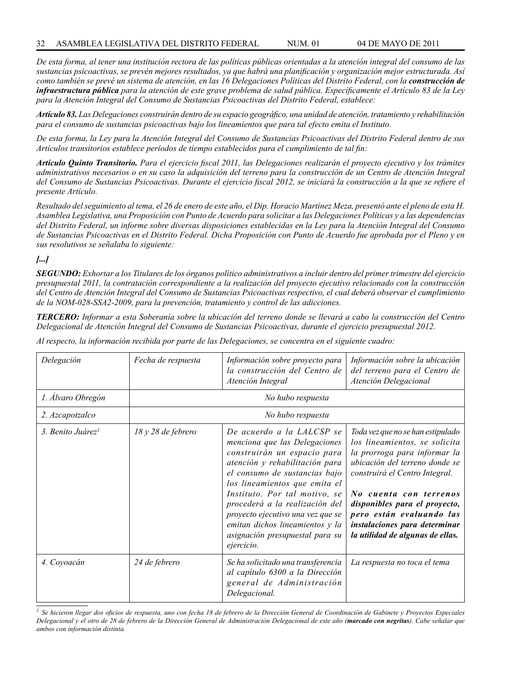*De esta forma, al tener una institución rectora de las políticas públicas orientadas a la atención integral del consumo de las sustancias psicoactivas, se prevén mejores resultados, ya que habrá una planificación y organización mejor estructurada. Así como también se prevé un sistema de atención, en las 16 Delegaciones Políticas del Distrito Federal, con la construcción de infraestructura pública para la atención de este grave problema de salud pública. Específicamente el Artículo 83 de la Ley para la Atención Integral del Consumo de Sustancias Psicoactivas del Distrito Federal, establece:*

*Artículo 83. Las Delegaciones construirán dentro de su espacio geográfico, una unidad de atención, tratamiento y rehabilitación para el consumo de sustancias psicoactivas bajo los lineamientos que para tal efecto emita el Instituto.* 

*De esta forma, la Ley para la Atención Integral del Consumo de Sustancias Psicoactivas del Distrito Federal dentro de sus Artículos transitorios establece períodos de tiempo establecidos para el cumplimiento de tal fin:*

*Artículo Quinto Transitorio. Para el ejercicio fiscal 2011, las Delegaciones realizarán el proyecto ejecutivo y los trámites administrativos necesarios o en su caso la adquisición del terreno para la construcción de un Centro de Atención Integral del Consumo de Sustancias Psicoactivas. Durante el ejercicio fiscal 2012, se iniciará la construcción a la que se refiere el presente Artículo.*

*Resultado del seguimiento al tema, el 26 de enero de este año, el Dip. Horacio Martínez Meza, presentó ante el pleno de esta H. Asamblea Legislativa, una Proposición con Punto de Acuerdo para solicitar a las Delegaciones Políticas y a las dependencias del Distrito Federal, un informe sobre diversas disposiciones establecidas en la Ley para la Atención Integral del Consumo de Sustancias Psicoactivas en el Distrito Federal. Dicha Proposición con Punto de Acuerdo fue aprobada por el Pleno y en sus resolutivos se señalaba lo siguiente:* 

# *[...]*

*SEGUNDO: Exhortar a los Titulares de los órganos político administrativos a incluir dentro del primer trimestre del ejercicio presupuestal 2011, la contratación correspondiente a la realización del proyecto ejecutivo relacionado con la construcción del Centro de Atención Integral del Consumo de Sustancias Psicoactivas respectivo, el cual deberá observar el cumplimiento de la NOM-028-SSA2-2009, para la prevención, tratamiento y control de las adicciones.* 

*TERCERO: Informar a esta Soberanía sobre la ubicación del terreno donde se llevará a cabo la construcción del Centro Delegacional de Atención Integral del Consumo de Sustancias Psicoactivas, durante el ejercicio presupuestal 2012.*

*Al respecto, la información recibida por parte de las Delegaciones, se concentra en el siguiente cuadro:*

| Delegación                    | Fecha de respuesta | Información sobre proyecto para<br>la construcción del Centro de<br>Atención Integral                                                                                                                                                                                                                                                                                                     | Información sobre la ubicación<br>del terreno para el Centro de<br>Atención Delegacional                                                                                                                                                                                                                                           |  |  |  |  |
|-------------------------------|--------------------|-------------------------------------------------------------------------------------------------------------------------------------------------------------------------------------------------------------------------------------------------------------------------------------------------------------------------------------------------------------------------------------------|------------------------------------------------------------------------------------------------------------------------------------------------------------------------------------------------------------------------------------------------------------------------------------------------------------------------------------|--|--|--|--|
| 1. Álvaro Obregón             | No hubo respuesta  |                                                                                                                                                                                                                                                                                                                                                                                           |                                                                                                                                                                                                                                                                                                                                    |  |  |  |  |
| 2. Azcapotzalco               |                    | No hubo respuesta                                                                                                                                                                                                                                                                                                                                                                         |                                                                                                                                                                                                                                                                                                                                    |  |  |  |  |
| 3. Benito Juárez <sup>1</sup> | 18 y 28 de febrero | De acuerdo a la LALCSP se<br>menciona que las Delegaciones<br>construirán un espacio para<br>atención y rehabilitación para<br>el consumo de sustancias bajo<br>los lineamientos que emita el<br>Instituto. Por tal motivo, se<br>procederá a la realización del<br>proyecto ejecutivo una vez que se<br>emitan dichos lineamientos y la<br>asignación presupuestal para su<br>ejercicio. | Toda vez que no se han estipulado<br>los lineamientos, se solicita<br>la prorroga para informar la<br>ubicación del terreno donde se<br>construirá el Centro Integral.<br>No cuenta con terrenos<br>disponibles para el proyecto,<br>pero están evaluando las<br>instalaciones para determinar<br>la utilidad de algunas de ellas. |  |  |  |  |
| 4. Coyoacán                   | 24 de febrero      | Se ha solicitado una transferencia<br>al capítulo 6300 a la Dirección<br>general de Administración<br>Delegacional.                                                                                                                                                                                                                                                                       | La respuesta no toca el tema                                                                                                                                                                                                                                                                                                       |  |  |  |  |

*<sup>1</sup> Se hicieron llegar dos oficios de respuesta, uno con fecha 18 de febrero de la Dirección General de Coordinación de Gabinete y Proyectos Especiales Delegacional y el otro de 28 de febrero de la Dirección General de Administración Delegacional de este año (marcado con negritas). Cabe señalar que ambos con información distinta.*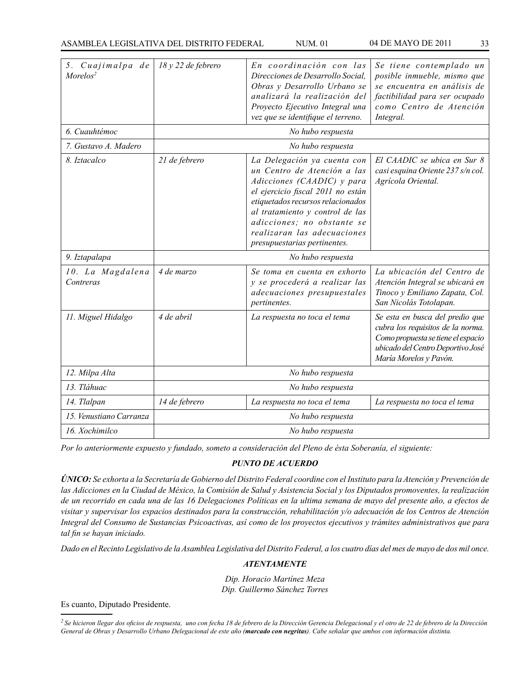| 5. Cuajimalpa de<br>Morelos <sup>2</sup> | 18 y 22 de febrero | En coordinación con las<br>Direcciones de Desarrollo Social,<br>Obras y Desarrollo Urbano se<br>analizará la realización del<br>Proyecto Ejecutivo Integral una<br>vez que se identifique el terreno.                                                                                              | Se tiene contemplado un<br>posible inmueble, mismo que<br>se encuentra en análisis de<br>factibilidad para ser ocupado<br>como Centro de Atención<br>Integral.            |  |
|------------------------------------------|--------------------|----------------------------------------------------------------------------------------------------------------------------------------------------------------------------------------------------------------------------------------------------------------------------------------------------|---------------------------------------------------------------------------------------------------------------------------------------------------------------------------|--|
| 6. Cuauhtémoc                            |                    | No hubo respuesta                                                                                                                                                                                                                                                                                  |                                                                                                                                                                           |  |
| 7. Gustavo A. Madero                     |                    | No hubo respuesta                                                                                                                                                                                                                                                                                  |                                                                                                                                                                           |  |
| 8. Iztacalco                             | 21 de febrero      | La Delegación ya cuenta con<br>un Centro de Atención a las<br>Adicciones (CAADIC) y para<br>el ejercicio fiscal 2011 no están<br>etiquetados recursos relacionados<br>al tratamiento y control de las<br>adicciones; no obstante se<br>realizaran las adecuaciones<br>presupuestarias pertinentes. | El CAADIC se ubica en Sur 8<br>casi esquina Oriente 237 s/n col.<br>Agrícola Oriental.                                                                                    |  |
| 9. Iztapalapa                            | No hubo respuesta  |                                                                                                                                                                                                                                                                                                    |                                                                                                                                                                           |  |
| 10. La Magdalena<br>Contreras            | 4 de marzo         | Se toma en cuenta en exhorto<br>y se procederá a realizar las<br>adecuaciones presupuestales<br>pertinentes.                                                                                                                                                                                       | La ubicación del Centro de<br>Atención Integral se ubicará en<br>Tinoco y Emiliano Zapata, Col.<br>San Nicolás Totolapan.                                                 |  |
| 11. Miguel Hidalgo                       | 4 de abril         | La respuesta no toca el tema                                                                                                                                                                                                                                                                       | Se esta en busca del predio que<br>cubra los requisitos de la norma.<br>Como propuesta se tiene el espacio<br>ubicado del Centro Deportivo José<br>María Morelos y Pavón. |  |
| 12. Milpa Alta                           | No hubo respuesta  |                                                                                                                                                                                                                                                                                                    |                                                                                                                                                                           |  |
| 13. Tláhuac                              | No hubo respuesta  |                                                                                                                                                                                                                                                                                                    |                                                                                                                                                                           |  |
| 14. Tlalpan                              | 14 de febrero      | La respuesta no toca el tema                                                                                                                                                                                                                                                                       | La respuesta no toca el tema                                                                                                                                              |  |
| 15. Venustiano Carranza                  | No hubo respuesta  |                                                                                                                                                                                                                                                                                                    |                                                                                                                                                                           |  |
| 16. Xochimilco                           | No hubo respuesta  |                                                                                                                                                                                                                                                                                                    |                                                                                                                                                                           |  |

*Por lo anteriormente expuesto y fundado, someto a consideración del Pleno de ésta Soberanía, el siguiente:*

# *PUNTO DE ACUERDO*

*ÚNICO: Se exhorta a la Secretaría de Gobierno del Distrito Federal coordine con el Instituto para la Atención y Prevención de las Adicciones en la Ciudad de México, la Comisión de Salud y Asistencia Social y los Diputados promoventes, la realización de un recorrido en cada una de las 16 Delegaciones Políticas en la ultima semana de mayo del presente año, a efectos de visitar y supervisar los espacios destinados para la construcción, rehabilitación y/o adecuación de los Centros de Atención Integral del Consumo de Sustancias Psicoactivas, así como de los proyectos ejecutivos y trámites administrativos que para tal fin se hayan iniciado.* 

*Dado en el Recinto Legislativo de la Asamblea Legislativa del Distrito Federal, a los cuatro días del mes de mayo de dos mil once.*

# *ATENTAMENTE*

*Dip. Horacio Martínez Meza Dip. Guillermo Sánchez Torres*

Es cuanto, Diputado Presidente.

*<sup>2</sup> Se hicieron llegar dos oficios de respuesta, uno con fecha 18 de febrero de la Dirección Gerencia Delegacional y el otro de 22 de febrero de la Dirección General de Obras y Desarrollo Urbano Delegacional de este año (marcado con negritas). Cabe señalar que ambos con información distinta.*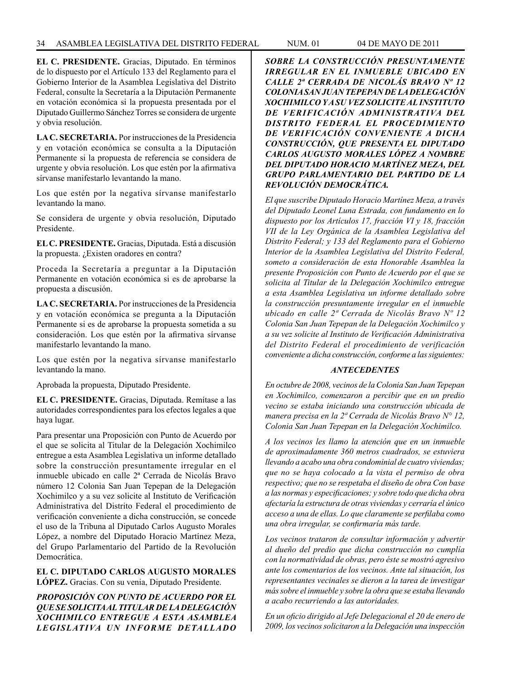**EL C. PRESIDENTE.** Gracias, Diputado. En términos de lo dispuesto por el Artículo 133 del Reglamento para el Gobierno Interior de la Asamblea Legislativa del Distrito Federal, consulte la Secretaría a la Diputación Permanente en votación económica si la propuesta presentada por el Diputado Guillermo Sánchez Torres se considera de urgente y obvia resolución.

**LA C. SECRETARIA.** Por instrucciones de la Presidencia y en votación económica se consulta a la Diputación Permanente si la propuesta de referencia se considera de urgente y obvia resolución. Los que estén por la afirmativa sírvanse manifestarlo levantando la mano.

Los que estén por la negativa sírvanse manifestarlo levantando la mano.

Se considera de urgente y obvia resolución, Diputado Presidente.

**EL C. PRESIDENTE.** Gracias, Diputada. Está a discusión la propuesta. ¿Existen oradores en contra?

Proceda la Secretaría a preguntar a la Diputación Permanente en votación económica si es de aprobarse la propuesta a discusión.

**LA C. SECRETARIA.** Por instrucciones de la Presidencia y en votación económica se pregunta a la Diputación Permanente si es de aprobarse la propuesta sometida a su consideración. Los que estén por la afirmativa sírvanse manifestarlo levantando la mano.

Los que estén por la negativa sírvanse manifestarlo levantando la mano.

Aprobada la propuesta, Diputado Presidente.

**EL C. PRESIDENTE.** Gracias, Diputada. Remítase a las autoridades correspondientes para los efectos legales a que haya lugar.

Para presentar una Proposición con Punto de Acuerdo por el que se solicita al Titular de la Delegación Xochimilco entregue a esta Asamblea Legislativa un informe detallado sobre la construcción presuntamente irregular en el inmueble ubicado en calle 2ª Cerrada de Nicolás Bravo número 12 Colonia San Juan Tepepan de la Delegación Xochimilco y a su vez solicite al Instituto de Verificación Administrativa del Distrito Federal el procedimiento de verificación conveniente a dicha construcción, se concede el uso de la Tribuna al Diputado Carlos Augusto Morales López, a nombre del Diputado Horacio Martínez Meza, del Grupo Parlamentario del Partido de la Revolución Democrática.

**EL C. DIPUTADO CARLOS AUGUSTO MORALES LÓPEZ.** Gracias. Con su venia, Diputado Presidente.

*PROPOSICIÓN CON PUNTO DE ACUERDO POR EL QUE SE SOLICITA AL TITULAR DE LA DELEGACIÓN XOCHIMILCO ENTREGUE A ESTA ASAMBLEA LEGISLATIVA UN INFORME DETALLADO*  *SOBRE LA CONSTRUCCIÓN PRESUNTAMENTE IRREGULAR EN EL INMUEBLE UBICADO EN CALLE 2ª CERRADA DE NICOLÁS BRAVO Nº 12 COLONIA SAN JUAN TEPEPAN DE LA DELEGACIÓN XOCHIMILCO Y A SU VEZ SOLICITE AL INSTITUTO DE VERIFICACIÓN ADMINISTRATIVA DEL DISTRITO FEDERAL EL PROCEDIMIENTO DE VERIFICACIÓN CONVENIENTE A DICHA CONSTRUCCIÓN, QUE PRESENTA EL DIPUTADO CARLOS AUGUSTO MORALES LÓPEZ A NOMBRE DEL DIPUTADO HORACIO MARTÍNEZ MEZA, DEL GRUPO PARLAMENTARIO DEL PARTIDO DE LA REVOLUCIÓN DEMOCRÁTICA.*

*El que suscribe Diputado Horacio Martínez Meza, a través del Diputado Leonel Luna Estrada, con fundamento en lo dispuesto por los Artículos 17, fracción VI y 18, fracción VII de la Ley Orgánica de la Asamblea Legislativa del Distrito Federal; y 133 del Reglamento para el Gobierno Interior de la Asamblea Legislativa del Distrito Federal, someto a consideración de esta Honorable Asamblea la presente Proposición con Punto de Acuerdo por el que se solicita al Titular de la Delegación Xochimilco entregue a esta Asamblea Legislativa un informe detallado sobre la construcción presuntamente irregular en el inmueble ubicado en calle 2ª Cerrada de Nicolás Bravo Nº 12 Colonia San Juan Tepepan de la Delegación Xochimilco y a su vez solicite al Instituto de Verificación Administrativa del Distrito Federal el procedimiento de verificación conveniente a dicha construcción, conforme a las siguientes:*

# *ANTECEDENTES*

*En octubre de 2008, vecinos de la Colonia San Juan Tepepan en Xochimilco, comenzaron a percibir que en un predio vecino se estaba iniciando una construcción ubicada de manera precisa en la 2ª Cerrada de Nicolás Bravo N° 12, Colonia San Juan Tepepan en la Delegación Xochimilco.* 

*A los vecinos les llamo la atención que en un inmueble de aproximadamente 360 metros cuadrados, se estuviera llevando a acabo una obra condominial de cuatro viviendas; que no se haya colocado a la vista el permiso de obra respectivo; que no se respetaba el diseño de obra Con base a las normas y especificaciones; y sobre todo que dicha obra afectaría la estructura de otras viviendas y cerraría el único acceso a una de ellas. Lo que claramente se perfilaba como una obra irregular, se confirmaría más tarde.* 

*Los vecinos trataron de consultar información y advertir al dueño del predio que dicha construcción no cumplía con la normatividad de obras, pero éste se mostró agresivo ante los comentarios de los vecinos. Ante tal situación, los representantes vecinales se dieron a la tarea de investigar más sobre el inmueble y sobre la obra que se estaba llevando a acabo recurriendo a las autoridades.*

*En un oficio dirigido al Jefe Delegacional el 20 de enero de 2009, los vecinos solicitaron a la Delegación una inspección*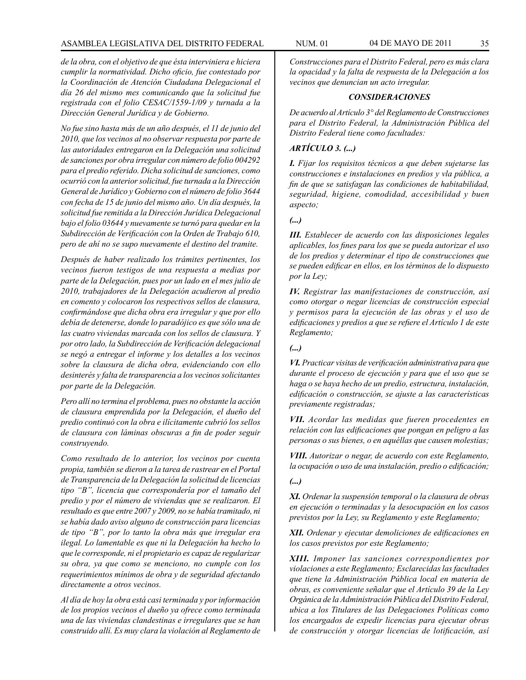# ASAMBLEA LEGISLATIVA DEL DISTRITO FEDERAL NUM. 01 04 DE MAYO DE 2011 35

*de la obra, con el objetivo de que ésta interviniera e hiciera cumplir la normatividad. Dicho oficio, fue contestado por la Coordinación de Atención Ciudadana Delegacional el día 26 del mismo mes comunicando que la solicitud fue registrada con el folio CESAC/1559-1/09 y turnada a la Dirección General Jurídica y de Gobierno.* 

*No fue sino hasta más de un año después, el 11 de junio del 2010, que los vecinos al no observar respuesta por parte de las autoridades entregaron en la Delegación una solicitud de sanciones por obra irregular con número de folio 004292 para el predio referido. Dicha solicitud de sanciones, como ocurrió con la anterior solicitud, fue turnada a la Dirección General de Jurídico y Gobierno con el número de folio 3644 con fecha de 15 de junio del mismo año. Un día después, la solicitud fue remitida a la Dirección Jurídica Delegacional bajo el folio 03644 y nuevamente se turnó para quedar en la Subdirección de Verificación con la Orden de Trabajo 610, pero de ahí no se supo nuevamente el destino del tramite.*

*Después de haber realizado los trámites pertinentes, los vecinos fueron testigos de una respuesta a medias por parte de la Delegación, pues por un lado en el mes julio de 2010, trabajadores de la Delegación acudieron al predio en comento y colocaron los respectivos sellos de clausura, confirmándose que dicha obra era irregular y que por ello debía de detenerse, donde lo paradójico es que sólo una de las cuatro viviendas marcada con los sellos de clausura. Y por otro lado, la Subdirección de Verificación delegacional se negó a entregar el informe y los detalles a los vecinos sobre la clausura de dicha obra, evidenciando con ello desinterés y falta de transparencia a los vecinos solicitantes por parte de la Delegación.*

*Pero allí no termina el problema, pues no obstante la acción de clausura emprendida por la Delegación, el dueño del predio continuó con la obra e ilícitamente cubrió los sellos de clausura con láminas obscuras a fin de poder seguir construyendo.*

*Como resultado de lo anterior, los vecinos por cuenta propia, también se dieron a la tarea de rastrear en el Portal de Transparencia de la Delegación la solicitud de licencias tipo "B", licencia que correspondería por el tamaño del predio y por el número de viviendas que se realizaron. El resultado es que entre 2007 y 2009, no se había tramitado, ni se había dado aviso alguno de construcción para licencias de tipo "B", por lo tanto la obra más que irregular era ilegal. Lo lamentable es que ni la Delegación ha hecho lo que le corresponde, ni el propietario es capaz de regularizar su obra, ya que como se menciono, no cumple con los requerimientos mínimos de obra y de seguridad afectando directamente a otros vecinos.*

*Al día de hoy la obra está casi terminada y por información de los propios vecinos el dueño ya ofrece como terminada una de las viviendas clandestinas e irregulares que se han construido allí. Es muy clara la violación al Reglamento de*  *Construcciones para el Distrito Federal, pero es más clara la opacidad y la falta de respuesta de la Delegación a los vecinos que denuncian un acto irregular.* 

#### *CONSIDERACIONES*

*De acuerdo al Artículo 3° del Reglamento de Construcciones para el Distrito Federal, la Administración Pública del Distrito Federal tiene como facultades:* 

# *ARTÍCULO 3. (...)*

*I. Fijar los requisitos técnicos a que deben sujetarse las construcciones e instalaciones en predios y vla pública, a fin de que se satisfagan las condiciones de habitabilidad, seguridad, higiene, comodidad, accesibilidad y buen aspecto;*

#### *(...)*

*III. Establecer de acuerdo con las disposiciones legales aplicables, los fines para los que se pueda autorizar el uso de los predios y determinar el tipo de construcciones que se pueden edificar en ellos, en los términos de lo dispuesto por la Ley;*

*IV. Registrar las manifestaciones de construcción, así como otorgar o negar licencias de construcción especial y permisos para la ejecución de las obras y el uso de edificaciones y predios a que se refiere el Artículo 1 de este Reglamento;*

*(...)*

*VI. Practicar visitas de verificación administrativa para que durante el proceso de ejecución y para que el uso que se haga o se haya hecho de un predio, estructura, instalación, edificación o construcción, se ajuste a las características previamente registradas;*

*VII. Acordar las medidas que fueren procedentes en relación con las edificaciones que pongan en peligro a las personas o sus bienes, o en aquéllas que causen molestias;*

*VIII. Autorizar o negar, de acuerdo con este Reglamento, la ocupación o uso de una instalación, predio o edificación;*

# *(...)*

*XI. Ordenar la suspensión temporal o la clausura de obras en ejecución o terminadas y la desocupación en los casos previstos por la Ley, su Reglamento y este Reglamento;*

*XII. Ordenar y ejecutar demoliciones de edificaciones en los casos previstos por este Reglamento;*

*XIII. Imponer las sanciones correspondientes por violaciones a este Reglamento; Esclarecidas las facultades que tiene la Administración Pública local en materia de obras, es conveniente señalar que el Artículo 39 de la Ley Orgánica de la Administración Pública del Distrito Federal, ubica a los Titulares de las Delegaciones Políticas como los encargados de expedir licencias para ejecutar obras de construcción y otorgar licencias de lotificación, así*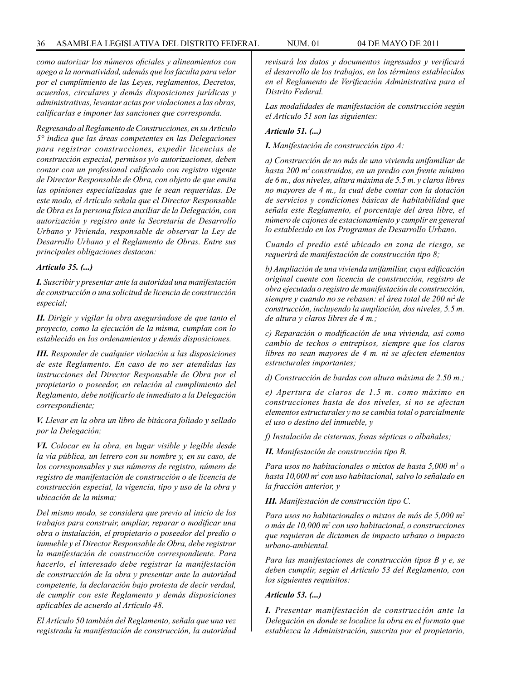*como autorizar los números oficiales y alineamientos con apego a la normatividad, además que los faculta para velar por el cumplimiento de las Leyes, reglamentos, Decretos, acuerdos, circulares y demás disposiciones jurídicas y administrativas, levantar actas por violaciones a las obras, calificarlas e imponer las sanciones que corresponda.*

*Regresando al Reglamento de Construcciones, en su Artículo 5° indica que las áreas competentes en las Delegaciones para registrar construcciones, expedir licencias de construcción especial, permisos y/o autorizaciones, deben contar con un profesional calificado con registro vigente de Director Responsable de Obra, con objeto de que emita las opiniones especializadas que le sean requeridas. De este modo, el Artículo señala que el Director Responsable de Obra es la persona física auxiliar de la Delegación, con autorización y registro ante la Secretaría de Desarrollo Urbano y Vivienda, responsable de observar la Ley de Desarrollo Urbano y el Reglamento de Obras. Entre sus principales obligaciones destacan:*

#### *Artículo 35. (...)*

*I. Suscribir y presentar ante la autoridad una manifestación de construcción o una solicitud de licencia de construcción especial;*

*II. Dirigir y vigilar la obra asegurándose de que tanto el proyecto, como la ejecución de la misma, cumplan con lo establecido en los ordenamientos y demás disposiciones.*

*III. Responder de cualquier violación a las disposiciones de este Reglamento. En caso de no ser atendidas las instrucciones del Director Responsable de Obra por el propietario o poseedor, en relación al cumplimiento del Reglamento, debe notificarlo de inmediato a la Delegación correspondiente;*

*V. Llevar en la obra un libro de bitácora foliado y sellado por la Delegación;* 

*VI. Colocar en la obra, en lugar visible y legible desde la vía pública, un letrero con su nombre y, en su caso, de los corresponsables y sus números de registro, número de registro de manifestación de construcción o de licencia de construcción especial, la vigencia, tipo y uso de la obra y ubicación de la misma;* 

*Del mismo modo, se considera que previo al inicio de los trabajos para construir, ampliar, reparar o modificar una obra o instalación, el propietario o poseedor del predio o inmueble y el Director Responsable de Obra, debe registrar la manifestación de construcción correspondiente. Para hacerlo, el interesado debe registrar la manifestación de construcción de la obra y presentar ante la autoridad competente, la declaración bajo protesta de decir verdad, de cumplir con este Reglamento y demás disposiciones aplicables de acuerdo al Artículo 48.*

*El Artículo 50 también del Reglamento, señala que una vez registrada la manifestación de construcción, la autoridad*  *revisará los datos y documentos ingresados y verificará el desarrollo de los trabajos, en los términos establecidos en el Reglamento de Verificación Administrativa para el Distrito Federal.*

*Las modalidades de manifestación de construcción según el Artículo 51 son las siguientes:* 

#### *Artículo 51. (...)*

*I. Manifestación de construcción tipo A:*

*a) Construcción de no más de una vivienda unifamiliar de hasta 200 m2 construidos, en un predio con frente mínimo de 6 m., dos niveles, altura máxima de 5.5 m. y claros libres no mayores de 4 m., la cual debe contar con la dotación de servicios y condiciones básicas de habitabilidad que señala este Reglamento, el porcentaje del área libre, el número de cajones de estacionamiento y cumplir en general lo establecido en los Programas de Desarrollo Urbano.*

*Cuando el predio esté ubicado en zona de riesgo, se requerirá de manifestación de construcción tipo 8;* 

*b) Ampliación de una vivienda unifamiliar, cuya edificación original cuente con licencia de construcción, registro de obra ejecutada o registro de manifestación de construcción, siempre y cuando no se rebasen: el área total de 200 m2 de construcción, incluyendo la ampliación, dos niveles, 5.5 m. de altura y claros libres de 4 m.;*

*c) Reparación o modificación de una vivienda, así como cambio de techos o entrepisos, siempre que los claros libres no sean mayores de 4 m. ni se afecten elementos estructurales importantes;*

*d) Construcción de bardas con altura máxima de 2.50 m.;*

*e) Apertura de claros de 1.5 m. como máximo en construcciones hasta de dos niveles, si no se afectan elementos estructurales y no se cambia total o parcialmente el uso o destino del inmueble, y*

*f) Instalación de cisternas, fosas sépticas o albañales;*

*II. Manifestación de construcción tipo B.*

*Para usos no habitacionales o mixtos de hasta 5,000 m2 o hasta 10,000 m2 con uso habitacional, salvo lo señalado en la fracción anterior, y*

*III. Manifestación de construcción tipo C.*

*Para usos no habitacionales o mixtos de más de 5,000 m2 o más de 10,000 m2 con uso habitacional, o construcciones que requieran de dictamen de impacto urbano o impacto urbano-ambiental.*

*Para las manifestaciones de construcción tipos B y e, se deben cumplir, según el Artículo 53 del Reglamento, con los siguientes requisitos:*

#### *Artículo 53. (...)*

*I. Presentar manifestación de construcción ante la Delegación en donde se localice la obra en el formato que establezca la Administración, suscrita por el propietario,*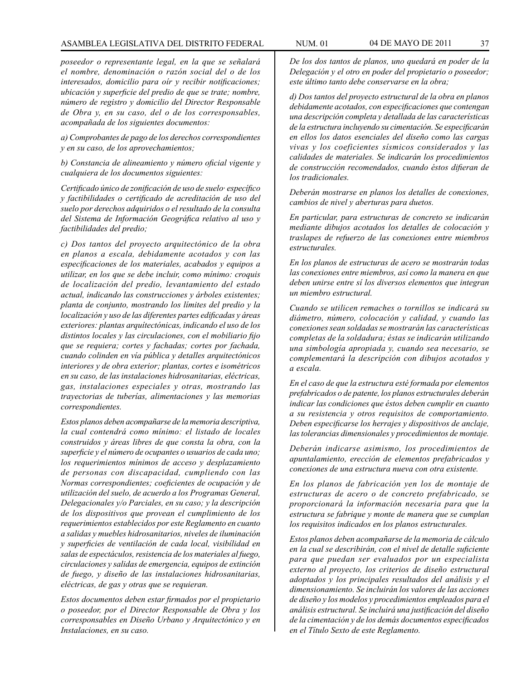### ASAMBLEA LEGISLATIVA DEL DISTRITO FEDERAL NUM. 01 04 DE MAYO DE 2011 37

*poseedor o representante legal, en la que se señalará el nombre, denominación o razón social del o de los interesados, domicilio para oír y recibir notificaciones; ubicación y superficie del predio de que se trate; nombre, número de registro y domicilio del Director Responsable de Obra y, en su caso, del o de los corresponsables, acompañada de los siguientes documentos:*

*a) Comprobantes de pago de los derechos correspondientes y en su caso, de los aprovechamientos;*

*b) Constancia de alineamiento y número oficial vigente y cualquiera de los documentos siguientes:*

*Certificado único de zonificación de uso de suelo· específico y factibilidades o certificado de acreditación de uso del suelo por derechos adquiridos o el resultado de la consulta del Sistema de Información Geográfica relativo al uso y factibilidades del predio;* 

*c) Dos tantos del proyecto arquitectónico de la obra en planos a escala, debidamente acotados y con las especificaciones de los materiales, acabados y equipos a utilizar, en los que se debe incluir, como mínimo: croquis de localización del predio, levantamiento del estado actual, indicando las construcciones y árboles existentes; planta de conjunto, mostrando los límites del predio y la localización y uso de las diferentes partes edificadas y áreas exteriores: plantas arquítectónicas, indicando el uso de los distintos locales y las circulaciones, con el mobiliario fijo que se requiera; cortes y fachadas; cortes por fachada, cuando colinden en vía pública y detalles arquitectónicos interiores y de obra exterior; plantas, cortes e isométricos en su caso, de las instalaciones hidrosanitarias, eléctricas, gas, instalaciones especiales y otras, mostrando las trayectorias de tuberías, alimentaciones y las memorias correspondientes.*

*Estos planos deben acompañarse de la memoria descriptiva, la cual contendrá como mínimo: el listado de locales construidos y áreas libres de que consta la obra, con la superficie y el número de ocupantes o usuarios de cada uno; los requerimientos mínimos de acceso y desplazamiento de personas con discapacidad, cumpliendo con las Normas correspondientes; coeficientes de ocupación y de utilización del suelo, de acuerdo a los Programas General, Delegacionales y/o Parciales, en su caso; y la descripción de los dispositivos que provean el cumplimiento de los requerimientos establecidos por este Reglamento en cuanto a salidas y muebles hidrosanitarios, niveles de iluminación y superficies de ventilación de cada local, visibílidad en salas de espectáculos, resistencia de los materiales al fuego, circulaciones y salidas de emergencia, equipos de extinción de fuego, y diseño de las instalaciones hidrosanitarias, eléctricas, de gas y otras que se requieran.* 

*Estos documentos deben estar firmados por el propietario o poseedor, por el Director Responsable de Obra y los corresponsables en Diseño Urbano y Arquitectónico y en Instalaciones, en su caso.*

*De los dos tantos de planos, uno quedará en poder de la Delegación y el otro en poder del propietario o poseedor; este último tanto debe conservarse en la obra;*

*d) Dos tantos del proyecto estructural de la obra en planos debidamente acotados, con especificaciones que contengan una descripción completa y detallada de las características de la estructura incluyendo su cimentación. Se especificarán en ellos los datos esenciales del diseño como las cargas vivas y los coeficientes sísmicos considerados y las calidades de materiales. Se indicarán los procedimientos de construcción recomendados, cuando éstos difieran de los tradicionales.* 

*Deberán mostrarse en planos los detalles de conexiones, cambios de nivel y aberturas para duetos.* 

*En particular, para estructuras de concreto se indicarán mediante dibujos acotados los detalles de colocación y traslapes de refuerzo de las conexiones entre miembros estructurales.*

*En los planos de estructuras de acero se mostrarán todas las conexiones entre miembros, así como la manera en que deben unirse entre sí los diversos elementos que integran un miembro estructural.*

*Cuando se utilicen remaches o tornillos se indicará su diámetro, número, colocación y calidad, y cuando las conexiones sean soldadas se mostrarán las características completas de la soldadura; éstas se indicarán utilizando una simbología apropiada y, cuando sea necesario, se complementará la descripción con dibujos acotados y a escala.*

*En el caso de que la estructura esté formada por elementos prefabricados o de patente, los planos estructurales deberán indicar las condiciones que éstos deben cumplir en cuanto a su resistencia y otros requisitos de comportamiento. Deben especificarse los herrajes y dispositivos de anclaje, las tolerancias dimensionales y procedimientos de montaje.*

*Deberán indicarse asimismo, los procedimientos de apuntalamiento, erección de elementos prefabricados y conexiones de una estructura nueva con otra existente.*

*En los planos de fabricación yen los de montaje de estructuras de acero o de concreto prefabricado, se proporcionará la información necesaria para que la estructura se fabrique y monte de manera que se cumplan los requisitos indicados en los planos estructurales.*

*Estos planos deben acompañarse de la memoria de cálculo en la cual se describirán, con el nivel de detalle suficiente para que puedan ser evaluados por un especialista externo al proyecto, los criterios de diseño estructural adoptados y los principales resultados del análisis y el dimensionamiento. Se incluirán los valores de las acciones de diseño y los modelos y procedimientos empleados para el análisis estructural. Se incluirá una justificación del diseño de la cimentación y de los demás documentos especificados en el Título Sexto de este Reglamento.*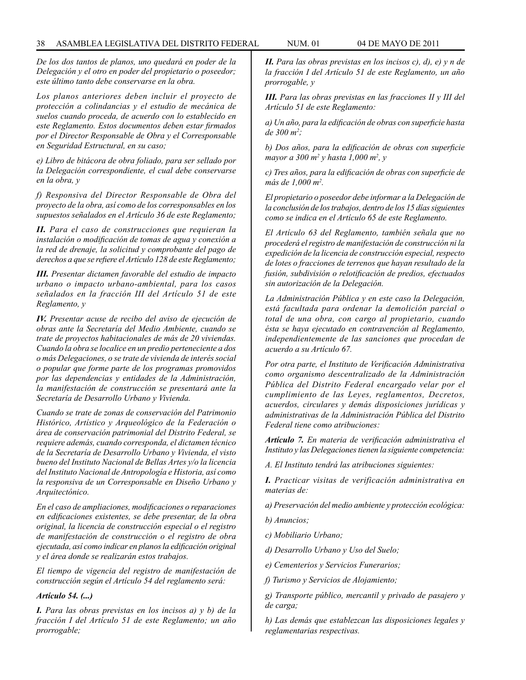*De los dos tantos de planos, uno quedará en poder de la Delegación y el otro en poder del propietario o poseedor; este último tanto debe conservarse en la obra.*

*Los planos anteriores deben incluir el proyecto de protección a colindancias y el estudio de mecánica de suelos cuando proceda, de acuerdo con lo establecido en este Reglamento. Estos documentos deben estar firmados por el Director Responsable de Obra y el Corresponsable en Seguridad Estructural, en su caso;*

*e) Libro de bitácora de obra foliado, para ser sellado por la Delegación correspondiente, el cual debe conservarse en la obra, y*

*f) Responsiva del Director Responsable de Obra del proyecto de la obra, así como de los corresponsables en los supuestos señalados en el Artículo 36 de este Reglamento;*

*II. Para el caso de construcciones que requieran la instalación o modificación de tomas de agua y conexión a la red de drenaje, la solicitud y comprobante del pago de derechos a que se refiere el Artículo 128 de este Reglamento;*

*III. Presentar dictamen favorable del estudio de impacto urbano o impacto urbano-ambiental, para los casos señalados en la fracción III del Artículo 51 de este Reglamento, y*

*IV. Presentar acuse de recibo del aviso de ejecución de obras ante la Secretaría del Medio Ambiente, cuando se trate de proyectos habitacionales de más de 20 viviendas. Cuando la obra se localice en un predio perteneciente a dos o más Delegaciones, o se trate de vivienda de interés social o popular que forme parte de los programas promovidos por las dependencias y entidades de la Administración, la manifestación de construcción se presentará ante la Secretaría de Desarrollo Urbano y Vivienda.*

*Cuando se trate de zonas de conservación del Patrimonio Histórico, Artístico y Arqueológico de la Federación o área de conservación patrimonial del Distrito Federal, se requiere además, cuando corresponda, el dictamen técnico de la Secretaría de Desarrollo Urbano y Vivienda, el visto bueno del Instituto Nacional de Bellas Artes y/o la licencia del Instituto Nacional de Antropología e Historia, así como la responsiva de un Corresponsable en Diseño Urbano y Arquitectónico.*

*En el caso de ampliaciones, modificaciones o reparaciones en edificaciones existentes, se debe presentar, de la obra original, la licencia de construcción especial o el registro de manifestación de construcción o el registro de obra ejecutada, así como indicar en planos la edificación original y el área donde se realizarán estos trabajos.*

*El tiempo de vigencia del registro de manifestación de construcción según el Artículo 54 del reglamento será:* 

### *Artículo 54. (...)*

*I. Para las obras previstas en los incisos a) y b) de la fracción I del Artículo 51 de este Reglamento; un año prorrogable;*

*II. Para las obras previstas en los incisos c), d), e) y n de la fracción I del Artículo 51 de este Reglamento, un año prorrogable, y*

*III. Para las obras previstas en las fracciones II y III del Artículo 51 de este Reglamento:* 

*a) Un año, para la edificación de obras con superficie hasta de 300 m2 ;*

*b) Dos años, para la edificación de obras con superficie mayor a 300 m2 y hasta 1,000 m2 , y*

*c) Tres años, para la edificación de obras con superficie de más de 1,000 m2 .*

*El propietario o poseedor debe informar a la Delegación de la conclusión de los trabajos, dentro de los 15 días siguientes como se indica en el Artículo 65 de este Reglamento.*

*El Artículo 63 del Reglamento, también señala que no procederá el registro de manifestación de construcción ni la expedición de la licencia de construcción especial, respecto de lotes o fracciones de terrenos que hayan resultado de la fusión, subdivisión o relotificación de predios, efectuados sin autorización de la Delegación.*

*La Administración Pública y en este caso la Delegación, está facultada para ordenar la demolición parcial o total de una obra, con cargo al propietario, cuando ésta se haya ejecutado en contravención al Reglamento, independientemente de las sanciones que procedan de acuerdo a su Artículo 67.*

*Por otra parte, el Instituto de Verificación Administrativa como organismo descentralizado de la Administración Pública del Distrito Federal encargado velar por el cumplimiento de las Leyes, reglamentos, Decretos, acuerdos, circulares y demás disposiciones jurídicas y administrativas de la Administración Pública del Distrito Federal tiene como atribuciones:*

*Artículo 7. En materia de verificación administrativa el Instituto y las Delegaciones tienen la siguiente competencia:*

*A. El Instituto tendrá las atribuciones siguientes:*

*I. Practicar visitas de verificación administrativa en materias de:*

- *a) Preservación del medio ambiente y protección ecológica:*
- *b) Anuncios;*
- *c) Mobiliario Urbano;*
- *d) Desarrollo Urbano y Uso del Suelo;*
- *e) Cementerios y Servicios Funerarios;*
- *f) Turismo y Servicios de Alojamiento;*

*g) Transporte público, mercantil y privado de pasajero y de carga;*

*h) Las demás que establezcan las disposiciones legales y reglamentarias respectivas.*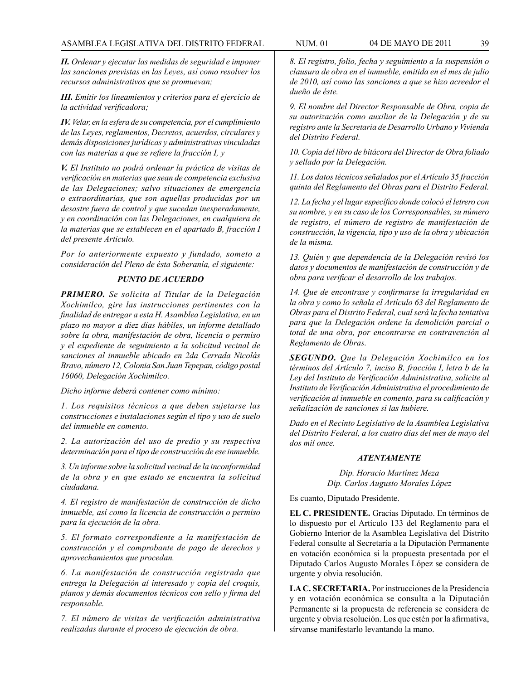*II. Ordenar y ejecutar las medidas de seguridad e imponer las sanciones previstas en las Leyes, así como resolver los recursos administrativos que se promuevan;* 

*III. Emitir los lineamientos y criterios para el ejercicio de la actividad verificadora;*

*IV. Velar, en la esfera de su competencia, por el cumplimiento de las Leyes, reglamentos, Decretos, acuerdos, circulares y demás disposiciones jurídicas y administrativas vinculadas con las materias a que se refiere la fracción I, y* 

*V. El Instituto no podrá ordenar la práctica de visitas de verificación en materias que sean de competencia exclusiva de las Delegaciones; salvo situaciones de emergencia o extraordinarias, que son aquellas producidas por un desastre fuera de control y que sucedan inesperadamente, y en coordinación con las Delegaciones, en cualquiera de la materias que se establecen en el apartado B, fracción I del presente Artículo.* 

*Por lo anteriormente expuesto y fundado, someto a consideración del Pleno de ésta Soberanía, el siguiente:*

# *PUNTO DE ACUERDO*

*PRIMERO. Se solicita al Titular de la Delegación Xochimilco, gire las instrucciones pertinentes con la finalidad de entregar a esta H. Asamblea Legislativa, en un plazo no mayor a diez días hábiles, un informe detallado sobre la obra, manifestación de obra, licencia o permiso y el expediente de seguimiento a la solicitud vecinal de sanciones al inmueble ubicado en 2da Cerrada Nicolás Bravo, número 12, Colonia San Juan Tepepan, código postal 16060, Delegación Xochimilco.*

*Dicho informe deberá contener como mínimo:*

*1. Los requisitos técnicos a que deben sujetarse las construcciones e instalaciones según el tipo y uso de suelo del inmueble en comento.*

*2. La autorización del uso de predio y su respectiva determinación para el tipo de construcción de ese inmueble.*

*3. Un informe sobre la solicitud vecinal de la inconformidad de la obra y en que estado se encuentra la solicitud ciudadana.*

*4. El registro de manifestación de construcción de dicho inmueble, así como la licencia de construcción o permiso para la ejecución de la obra.*

*5. El formato correspondiente a la manifestación de construcción y el comprobante de pago de derechos y aprovechamientos que procedan.*

*6. La manifestación de construcción registrada que entrega la Delegación al interesado y copia del croquis, planos y demás documentos técnicos con sello y firma del responsable.*

*7. El número de visitas de verificación administrativa realizadas durante el proceso de ejecución de obra.*

*8. El registro, folio, fecha y seguimiento a la suspensión o clausura de obra en el inmueble, emitida en el mes de julio de 2010, así como las sanciones a que se hizo acreedor el dueño de éste.*

*9. El nombre del Director Responsable de Obra, copia de su autorización como auxiliar de la Delegación y de su registro ante la Secretaría de Desarrollo Urbano y Vivienda del Distrito Federal.*

*10. Copia del libro de bitácora del Director de Obra foliado y sellado por la Delegación.* 

*11. Los datos técnicos señalados por el Artículo 35 fracción quinta del Reglamento del Obras para el Distrito Federal.*

*12. La fecha y el lugar específico donde colocó el letrero con su nombre, y en su caso de los Corresponsables, su número de registro, el número de registro de manifestación de construcción, la vigencia, tipo y uso de la obra y ubicación de la misma.* 

*13. Quién y que dependencia de la Delegación revisó los datos y documentos de manifestación de construcción y de obra para verificar el desarrollo de los trabajos.*

*14. Que de encontrase y confirmarse la irregularidad en la obra y como lo señala el Artículo 63 del Reglamento de Obras para el Distrito Federal, cual será la fecha tentativa para que la Delegación ordene la demolición parcial o total de una obra, por encontrarse en contravención al Reglamento de Obras.*

*SEGUNDO. Que la Delegación Xochimilco en los términos del Artículo 7, inciso B, fracción I, letra b de la Ley del Instituto de Verificación Administrativa, solicite al Instituto de Verificación Administrativa el procedimiento de verificación al inmueble en comento, para su calificación y señalización de sanciones si las hubiere.*

*Dado en el Recinto Legislativo de la Asamblea Legislativa del Distrito Federal, a los cuatro días del mes de mayo del dos mil once.*

#### *ATENTAMENTE*

*Dip. Horacio Martínez Meza Dip. Carlos Augusto Morales López*

Es cuanto, Diputado Presidente.

**EL C. PRESIDENTE.** Gracias Diputado. En términos de lo dispuesto por el Artículo 133 del Reglamento para el Gobierno Interior de la Asamblea Legislativa del Distrito Federal consulte al Secretaría a la Diputación Permanente en votación económica si la propuesta presentada por el Diputado Carlos Augusto Morales López se considera de urgente y obvia resolución.

**LA C. SECRETARIA.** Por instrucciones de la Presidencia y en votación económica se consulta a la Diputación Permanente si la propuesta de referencia se considera de urgente y obvia resolución. Los que estén por la afirmativa, sírvanse manifestarlo levantando la mano.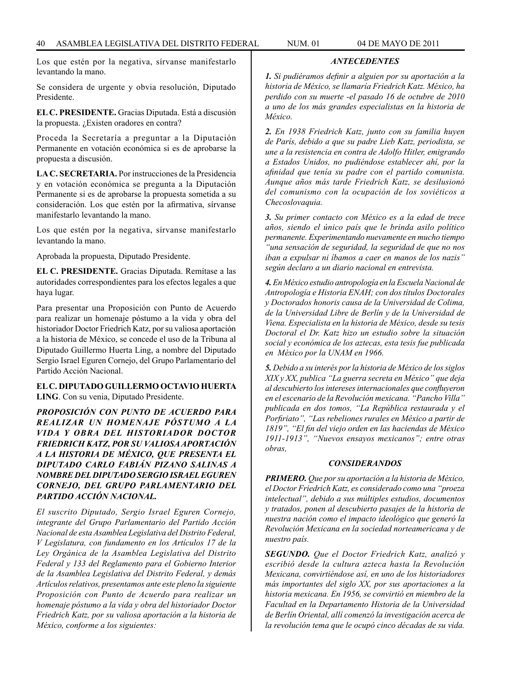Los que estén por la negativa, sírvanse manifestarlo levantando la mano.

Se considera de urgente y obvia resolución, Diputado Presidente.

**EL C. PRESIDENTE.** Gracias Diputada. Está a discusión la propuesta. ¿Existen oradores en contra?

Proceda la Secretaría a preguntar a la Diputación Permanente en votación económica si es de aprobarse la propuesta a discusión.

**LA C. SECRETARIA.** Por instrucciones de la Presidencia y en votación económica se pregunta a la Diputación Permanente si es de aprobarse la propuesta sometida a su consideración. Los que estén por la afirmativa, sírvanse manifestarlo levantando la mano.

Los que estén por la negativa, sírvanse manifestarlo levantando la mano.

Aprobada la propuesta, Diputado Presidente.

**EL C. PRESIDENTE.** Gracias Diputada. Remítase a las autoridades correspondientes para los efectos legales a que haya lugar.

Para presentar una Proposición con Punto de Acuerdo para realizar un homenaje póstumo a la vida y obra del historiador Doctor Friedrich Katz, por su valiosa aportación a la historia de México, se concede el uso de la Tribuna al Diputado Guillermo Huerta Ling, a nombre del Diputado Sergio Israel Eguren Cornejo, del Grupo Parlamentario del Partido Acción Nacional.

**EL C. DIPUTADO GUILLERMO OCTAVIO HUERTA LING**. Con su venia, Diputado Presidente.

*PROPOSICIÓN CON PUNTO DE ACUERDO PARA REALIZAR UN HOMENAJE PÓSTUMO A LA VIDA Y OBRA DEL HISTORIADOR DOCTOR FRIEDRICH KATZ, POR SU VALIOSA APORTACIÓN A LA HISTORIA DE MÉXICO, QUE PRESENTA EL DIPUTADO CARLO FABIÁN PIZANO SALINAS A NOMBRE DEL DIPUTADO SERGIO ISRAEL EGUREN CORNEJO, DEL GRUPO PARLAMENTARIO DEL PARTIDO ACCIÓN NACIONAL.* 

*El suscrito Diputado, Sergio Israel Eguren Cornejo, integrante del Grupo Parlamentario del Partido Acción Nacional de esta Asamblea Legislativa del Distrito Federal, V Legislatura, con fundamento en los Artículos 17 de la Ley Orgánica de la Asamblea Legislativa del Distrito Federal y 133 del Reglamento para el Gobierno Interior de la Asamblea Legislativa del Distrito Federal, y demás Artículos relativos, presentamos ante este pleno la siguiente Proposición con Punto de Acuerdo para realizar un homenaje póstumo a la vida y obra del historiador Doctor Friedrich Katz, por su valiosa aportación a la historia de México, conforme a los siguientes:*

*1. Si pudiéramos definir a alguien por su aportación a la historia de México, se llamaría Friedrich Katz. México, ha perdido con su muerte -el pasado 16 de octubre de 2010 a uno de los más grandes especialistas en la historia de México.*

*ANTECEDENTES*

*2. En 1938 Friedrich Katz, junto con su familia huyen de París, debido a que su padre Lieb Katz, periodista, se une a la resistencia en contra de Adolfo Hitler, emigrando a Estados Unidos, no pudiéndose establecer ahí, por la afinidad que tenía su padre con el partido comunista. Aunque años más tarde Friedrich Katz, se desilusionó del comunismo con la ocupación de los soviéticos a Checoslovaquia.*

*3. Su primer contacto con México es a la edad de trece años, siendo el único país que le brinda asilo político permanente. Experimentando nuevamente en mucho tiempo "una sensación de seguridad, la seguridad de que no nos iban a expulsar ni íbamos a caer en manos de los nazis" según declaro a un diario nacional en entrevista.*

*4. En México estudio antropología en la Escuela Nacional de Antropología e Historia ENAH; con dos títulos Doctorales y Doctorados honoris causa de la Universidad de Colima, de la Universidad Libre de Berlín y de la Universidad de Viena. Especialista en la historia de México, desde su tesis Doctoral el Dr. Katz hizo un estudio sobre la situación social y económica de los aztecas, esta tesis fue publicada en México por la UNAM en 1966.*

*5. Debido a su interés por la historia de México de los siglos XIX y XX, publica "La guerra secreta en México" que deja al descubierto los intereses internacionales que confluyeron en el escenario de la Revolución mexicana. "Pancho Villa" publicada en dos tomos, "La República restaurada y el Porfiriato", "Las rebeliones rurales en México a partir de 1819", "El fin del viejo orden en las haciendas de México 1911-1913", "Nuevos ensayos mexicanos"; entre otras obras,*

### *CONSIDERANDOS*

*PRIMERO. Que por su aportación a la historia de México, el Doctor Friedrich Katz, es considerado como una "proeza intelectual", debido a sus múltiples estudios, documentos y tratados, ponen al descubierto pasajes de la historia de nuestra nación como el impacto ideológico que generó la Revolución Mexicana en la sociedad norteamericana y de nuestro país.*

*SEGUNDO. Que el Doctor Friedrich Katz, analizó y escribió desde la cultura azteca hasta la Revolución Mexicana, convirtiéndose así, en uno de los historiadores más importantes del siglo XX, por sus aportaciones a la historia mexicana. En 1956, se convirtió en miembro de la Facultad en la Departamento Historia de la Universidad de Berlín Oriental, allí comenzó la investigación acerca de la revolución tema que le ocupó cinco décadas de su vida.*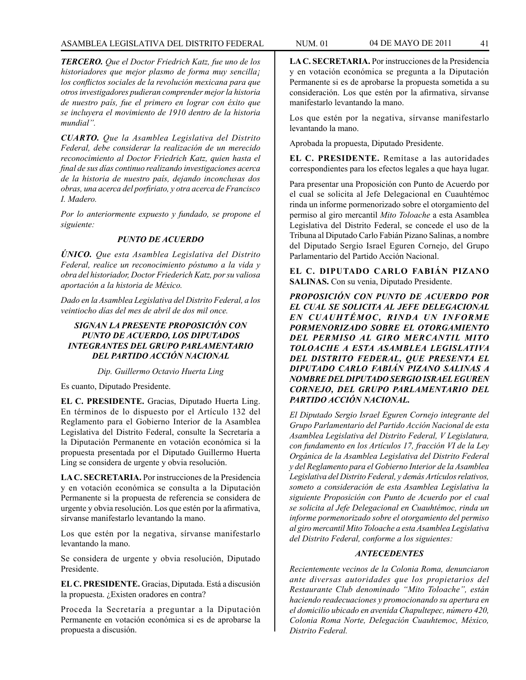*TERCERO. Que el Doctor Friedrich Katz, fue uno de los historiadores que mejor plasmo de forma muy sencilla¡ los conflictos sociales de la revolución mexicana para que otros investigadores pudieran comprender mejor la historia de nuestro país, fue el primero en lograr con éxito que se incluyera el movimiento de 1910 dentro de la historia mundial".*

*CUARTO. Que la Asamblea Legislativa del Distrito Federal, debe considerar la realización de un merecido reconocimiento al Doctor Friedrich Katz, quien hasta el final de sus días continuo realizando investigaciones acerca de la historia de nuestro país, dejando inconclusas dos obras, una acerca del porfiriato, y otra acerca de Francisco I. Madero.*

*Por lo anteriormente expuesto y fundado, se propone el siguiente:*

## *PUNTO DE ACUERDO*

*ÚNICO. Que esta Asamblea Legislativa del Distrito Federal, realice un reconocimiento póstumo a la vida y obra del historiador, Doctor Friederich Katz, por su valiosa aportación a la historia de México.*

*Dado en la Asamblea Legislativa del Distrito Federal, a los veintiocho días del mes de abril de dos mil once.*

# *SIGNAN LA PRESENTE PROPOSICIÓN CON PUNTO DE ACUERDO, LOS DIPUTADOS INTEGRANTES DEL GRUPO PARLAMENTARIO DEL PARTIDO ACCIÓN NACIONAL*

#### *Dip. Guillermo Octavio Huerta Ling*

Es cuanto, Diputado Presidente.

**EL C. PRESIDENTE.** Gracias, Diputado Huerta Ling. En términos de lo dispuesto por el Artículo 132 del Reglamento para el Gobierno Interior de la Asamblea Legislativa del Distrito Federal, consulte la Secretaría a la Diputación Permanente en votación económica si la propuesta presentada por el Diputado Guillermo Huerta Ling se considera de urgente y obvia resolución.

**LA C. SECRETARIA.** Por instrucciones de la Presidencia y en votación económica se consulta a la Diputación Permanente si la propuesta de referencia se considera de urgente y obvia resolución. Los que estén por la afirmativa, sírvanse manifestarlo levantando la mano.

Los que estén por la negativa, sírvanse manifestarlo levantando la mano.

Se considera de urgente y obvia resolución, Diputado Presidente.

**EL C. PRESIDENTE.** Gracias, Diputada. Está a discusión la propuesta. ¿Existen oradores en contra?

Proceda la Secretaría a preguntar a la Diputación Permanente en votación económica si es de aprobarse la propuesta a discusión.

**LA C. SECRETARIA.** Por instrucciones de la Presidencia y en votación económica se pregunta a la Diputación Permanente si es de aprobarse la propuesta sometida a su consideración. Los que estén por la afirmativa, sírvanse manifestarlo levantando la mano.

Los que estén por la negativa, sírvanse manifestarlo levantando la mano.

Aprobada la propuesta, Diputado Presidente.

**EL C. PRESIDENTE.** Remítase a las autoridades correspondientes para los efectos legales a que haya lugar.

Para presentar una Proposición con Punto de Acuerdo por el cual se solicita al Jefe Delegacional en Cuauhtémoc rinda un informe pormenorizado sobre el otorgamiento del permiso al giro mercantil *Mito Toloache* a esta Asamblea Legislativa del Distrito Federal, se concede el uso de la Tribuna al Diputado Carlo Fabián Pizano Salinas, a nombre del Diputado Sergio Israel Eguren Cornejo, del Grupo Parlamentario del Partido Acción Nacional.

### **EL C. DIPUTADO CARLO FABIÁN PIZANO SALINAS.** Con su venia, Diputado Presidente.

*PROPOSICIÓN CON PUNTO DE ACUERDO POR EL CUAL SE SOLICITA AL JEFE DELEGACIONAL EN CUAUHTÉMOC, RINDA UN INFORME PORMENORIZADO SOBRE EL OTORGAMIENTO DEL PERMISO AL GIRO MERCANTIL MITO TOLOACHE A ESTA ASAMBLEA LEGISLATIVA DEL DISTRITO FEDERAL, QUE PRESENTA EL DIPUTADO CARLO FABIÁN PIZANO SALINAS A NOMBRE DEL DIPUTADO SERGIO ISRAEL EGUREN CORNEJO, DEL GRUPO PARLAMENTARIO DEL PARTIDO ACCIÓN NACIONAL.*

*El Diputado Sergio Israel Eguren Cornejo integrante del Grupo Parlamentario del Partido Acción Nacional de esta Asamblea Legislativa del Distrito Federal, V Legislatura, con fundamento en los Artículos 17, fracción VI de la Ley Orgánica de la Asamblea Legislativa del Distrito Federal y del Reglamento para el Gobierno Interior de la Asamblea Legislativa del Distrito Federal, y demás Artículos relativos, someto a consideración de esta Asamblea Legislativa la siguiente Proposición con Punto de Acuerdo por el cual se solicita al Jefe Delegacional en Cuauhtémoc, rinda un informe pormenorizado sobre el otorgamiento del permiso al giro mercantil Mito Toloache a esta Asamblea Legislativa del Distrito Federal, conforme a los siguientes:*

#### *ANTECEDENTES*

*Recientemente vecinos de la Colonia Roma, denunciaron ante diversas autoridades que los propietarios del Restaurante Club denominado "Mito Toloache", están haciendo readecuaciones y promocionando su apertura en el domicilio ubicado en avenida Chapultepec, número 420, Colonia Roma Norte, Delegación Cuauhtemoc, México, Distrito Federal.*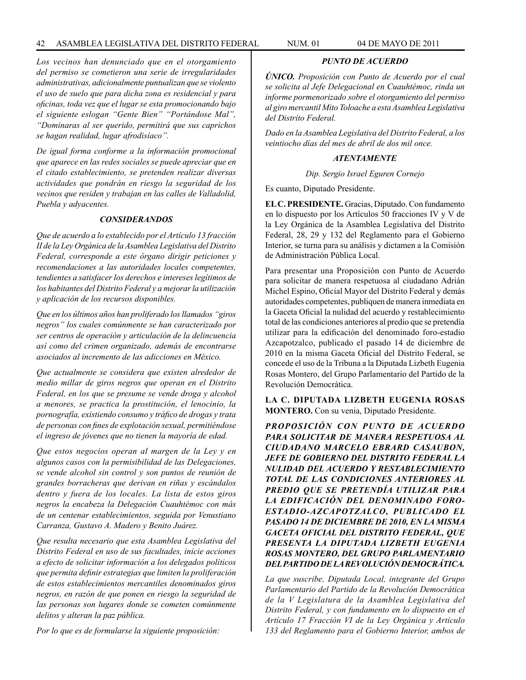### 42 ASAMBLEA LEGISLATIVA DEL DISTRITO FEDERAL NUM. 01 04 de MAYO de 2011

*Los vecinos han denunciado que en el otorgamiento del permiso se cometieron una serie de irregularidades administrativas, adicionalmente puntualizan que se violento el uso de suelo que para dicha zona es residencial y para oficinas, toda vez que el lugar se esta promocionando bajo el siguiente eslogan "Gente Bien" "Portándose Mal", "Dominaras al ser querido, permitirá que sus caprichos se hagan realidad, lugar afrodisíaco".* 

*De igual forma conforme a la información promocional que aparece en las redes sociales se puede apreciar que en el citado establecimiento, se pretenden realizar diversas actividades que pondrán en riesgo la seguridad de los vecinos que residen y trabajan en las calles de Valladolid, Puebla y adyacentes.*

#### *CONSIDERANDOS*

*Que de acuerdo a lo establecido por el Artículo 13 fracción II de la Ley Orgánica de la Asamblea Legislativa del Distrito Federal, corresponde a este órgano dirigir peticiones y recomendaciones a las autoridades locales competentes, tendientes a satisfacer los derechos e intereses legítimos de los habitantes del Distrito Federal y a mejorar la utilización y aplicación de los recursos disponibles.*

*Que en los últimos años han proliferado los llamados "giros negros" los cuales comúnmente se han caracterizado por ser centros de operación y articulación de la delincuencia así como del crimen organizado, además de encontrarse asociados al incremento de las adicciones en México.*

*Que actualmente se considera que existen alrededor de medio millar de giros negros que operan en el Distrito Federal, en los que se presume se vende droga y alcohol a menores, se practica la prostitución, el lenocinio, la pornografía, existiendo consumo y tráfico de drogas y trata de personas con fines de explotación sexual, permitiéndose el ingreso de jóvenes que no tienen la mayoría de edad.*

*Que estos negocios operan al margen de la Ley y en algunos casos con la permisibilidad de las Delegaciones, se vende alcohol sin control y son puntos de reunión de grandes borracheras que derivan en riñas y escándalos dentro y fuera de los locales. La lista de estos giros negros la encabeza la Delegación Cuauhtémoc con más de un centenar establecimientos, seguida por Venustiano Carranza, Gustavo A. Madero y Benito Juárez.* 

*Que resulta necesario que esta Asamblea Legislativa del Distrito Federal en uso de sus facultades, inicie acciones a efecto de solicitar información a los delegados políticos que permita definir estrategias que limiten la proliferación de estos establecimientos mercantiles denominados giros negros, en razón de que ponen en riesgo la seguridad de las personas son lugares donde se cometen comúnmente delitos y alteran la paz pública.*

*Por lo que es de formularse la siguiente proposición:*

*ÚNICO. Proposición con Punto de Acuerdo por el cual se solicita al Jefe Delegacional en Cuauhtémoc, rinda un informe pormenorizado sobre el otorgamiento del permiso al giro mercantil Mito Toloache a esta Asamblea Legislativa del Distrito Federal.*

*PUNTO DE ACUERDO*

*Dado en la Asamblea Legislativa del Distrito Federal, a los veintiocho días del mes de abril de dos mil once.*

### *ATENTAMENTE*

*Dip. Sergio Israel Eguren Cornejo*

Es cuanto, Diputado Presidente.

**EL C. PRESIDENTE.** Gracias, Diputado. Con fundamento en lo dispuesto por los Artículos 50 fracciones IV y V de la Ley Orgánica de la Asamblea Legislativa del Distrito Federal, 28, 29 y 132 del Reglamento para el Gobierno Interior, se turna para su análisis y dictamen a la Comisión de Administración Pública Local.

Para presentar una Proposición con Punto de Acuerdo para solicitar de manera respetuosa al ciudadano Adrián Michel Espino, Oficial Mayor del Distrito Federal y demás autoridades competentes, publiquen de manera inmediata en la Gaceta Oficial la nulidad del acuerdo y restablecimiento total de las condiciones anteriores al predio que se pretendía utilizar para la edificación del denominado foro-estadio Azcapotzalco, publicado el pasado 14 de diciembre de 2010 en la misma Gaceta Oficial del Distrito Federal, se concede el uso de la Tribuna a la Diputada Lizbeth Eugenia Rosas Montero, del Grupo Parlamentario del Partido de la Revolución Democrática.

**LA C. DIPUTADA LIZBETH EUGENIA ROSAS MONTERO.** Con su venia, Diputado Presidente.

*PROPOSICIÓN CON PUNTO DE ACUERDO PARA SOLICITAR DE MANERA RESPETUOSA AL CIUDADANO MARCELO EBRARD CASAUBON, JEFE DE GOBIERNO DEL DISTRITO FEDERAL LA NULIDAD DEL ACUERDO Y RESTABLECIMIENTO TOTAL DE LAS CONDICIONES ANTERIORES AL PREDIO QUE SE PRETENDÍA UTILIZAR PARA LA EDIFICACIÓN DEL DENOMINADO FORO-ESTADIO-AZCAPOTZALCO, PUBLICADO EL PASADO 14 DE DICIEMBRE DE 2010, EN LA MISMA GACETA OFICIAL DEL DISTRITO FEDERAL, QUE PRESENTA LA DIPUTADA LIZBETH EUGENIA ROSAS MONTERO, DEL GRUPO PARLAMENTARIO DEL PARTIDO DE LA REVOLUCIÓN DEMOCRÁTICA.*

*La que suscribe, Diputada Local, integrante del Grupo Parlamentario del Partido de la Revolución Democrática de la V Legislatura de la Asamblea Legislativa del Distrito Federal, y con fundamento en lo dispuesto en el Artículo 17 Fracción VI de la Ley Orgánica y Artículo 133 del Reglamento para el Gobierno Interior, ambos de*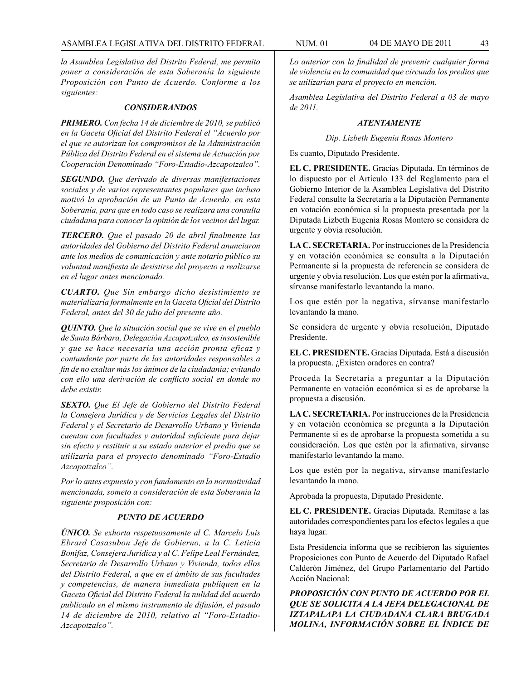*la Asamblea Legislativa del Distrito Federal, me permito poner a consideración de esta Soberanía la siguiente Proposición con Punto de Acuerdo. Conforme a los siguientes:*

### *CONSIDERANDOS*

*PRIMERO. Con fecha 14 de diciembre de 2010, se publicó en la Gaceta Oficial del Distrito Federal el "Acuerdo por el que se autorizan los compromisos de la Administración Pública del Distrito Federal en el sistema de Actuación por Cooperación Denominado "Foro-Estadio-Azcapotzalco".*

*SEGUNDO. Que derivado de diversas manifestaciones sociales y de varios representantes populares que incluso motivó la aprobación de un Punto de Acuerdo, en esta Soberanía, para que en todo caso se realizara una consulta ciudadana para conocer la opinión de los vecinos del lugar.*

*TERCERO. Que el pasado 20 de abril finalmente las autoridades del Gobierno del Distrito Federal anunciaron ante los medios de comunicación y ante notario público su voluntad manifiesta de desistirse del proyecto a realizarse en el lugar antes mencionado.*

*CUARTO. Que Sin embargo dicho desistimiento se materializaría formalmente en la Gaceta Oficial del Distrito Federal, antes del 30 de julio del presente año.* 

*QUINTO. Que la situación social que se vive en el pueblo de Santa Bárbara, Delegación Azcapotzalco, es insostenible y que se hace necesaria una acción pronta eficaz y contundente por parte de las autoridades responsables a fin de no exaltar más los ánimos de la ciudadanía; evitando con ello una derivación de conflicto social en donde no debe existir.*

*SEXTO. Que El Jefe de Gobierno del Distrito Federal la Consejera Jurídica y de Servicios Legales del Distrito Federal y el Secretario de Desarrollo Urbano y Vivienda cuentan con facultades y autoridad suficiente para dejar sin efecto y restituir a su estado anterior el predio que se utilizaría para el proyecto denominado "Foro-Estadio Azcapotzalco".*

*Por lo antes expuesto y con fundamento en la normatividad mencionada, someto a consideración de esta Soberanía la siguiente proposición con:*

## *PUNTO DE ACUERDO*

*ÚNICO. Se exhorta respetuosamente al C. Marcelo Luis Ebrard Casasubon Jefe de Gobierno, a la C. Leticia Bonifaz, Consejera Jurídica y al C. Felipe Leal Fernández, Secretario de Desarrollo Urbano y Vivienda, todos ellos del Distrito Federal, a que en el ámbito de sus facultades y competencias, de manera inmediata publiquen en la Gaceta Oficial del Distrito Federal la nulidad del acuerdo publicado en el mismo instrumento de difusión, el pasado 14 de diciembre de 2010, relativo al "Foro-Estadio-Azcapotzalco".* 

*Lo anterior con la finalidad de prevenir cualquier forma de violencia en la comunidad que circunda los predios que se utilizarían para el proyecto en mención.* 

*Asamblea Legislativa del Distrito Federal a 03 de mayo de 2011.*

## *ATENTAMENTE*

*Dip. Lizbeth Eugenia Rosas Montero*

Es cuanto, Diputado Presidente.

**EL C. PRESIDENTE.** Gracias Diputada. En términos de lo dispuesto por el Artículo 133 del Reglamento para el Gobierno Interior de la Asamblea Legislativa del Distrito Federal consulte la Secretaría a la Diputación Permanente en votación económica si la propuesta presentada por la Diputada Lizbeth Eugenia Rosas Montero se considera de urgente y obvia resolución.

**LA C. SECRETARIA.** Por instrucciones de la Presidencia y en votación económica se consulta a la Diputación Permanente si la propuesta de referencia se considera de urgente y obvia resolución. Los que estén por la afirmativa, sírvanse manifestarlo levantando la mano.

Los que estén por la negativa, sírvanse manifestarlo levantando la mano.

Se considera de urgente y obvia resolución, Diputado Presidente.

**EL C. PRESIDENTE.** Gracias Diputada. Está a discusión la propuesta. ¿Existen oradores en contra?

Proceda la Secretaría a preguntar a la Diputación Permanente en votación económica si es de aprobarse la propuesta a discusión.

**LA C. SECRETARIA.** Por instrucciones de la Presidencia y en votación económica se pregunta a la Diputación Permanente si es de aprobarse la propuesta sometida a su consideración. Los que estén por la afirmativa, sírvanse manifestarlo levantando la mano.

Los que estén por la negativa, sírvanse manifestarlo levantando la mano.

Aprobada la propuesta, Diputado Presidente.

**EL C. PRESIDENTE.** Gracias Diputada. Remítase a las autoridades correspondientes para los efectos legales a que haya lugar.

Esta Presidencia informa que se recibieron las siguientes Proposiciones con Punto de Acuerdo del Diputado Rafael Calderón Jiménez, del Grupo Parlamentario del Partido Acción Nacional:

*PROPOSICIÓN CON PUNTO DE ACUERDO POR EL QUE SE SOLICITA A LA JEFA DELEGACIONAL DE IZTAPALAPA LA CIUDADANA CLARA BRUGADA MOLINA, INFORMACIÓN SOBRE EL ÍNDICE DE*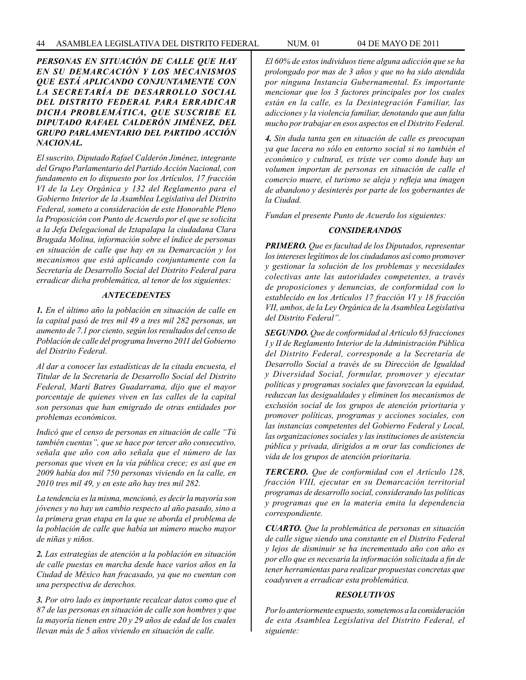*PERSONAS EN SITUACIÓN DE CALLE QUE HAY EN SU DEMARCACIÓN Y LOS MECANISMOS QUE ESTÁ APLICANDO CONJUNTAMENTE CON LA SECRETARÍA DE DESARROLLO SOCIAL DEL DISTRITO FEDERAL PARA ERRADICAR DICHA PROBLEMÁTICA, QUE SUSCRIBE EL DIPUTADO RAFAEL CALDERÓN JIMÉNEZ, DEL GRUPO PARLAMENTARIO DEL PARTIDO ACCIÓN NACIONAL.*

*El suscrito, Diputado Rafael Calderón Jiménez, integrante del Grupo Parlamentario del Partido Acción Nacional, con fundamento en lo dispuesto por los Artículos, 17 fracción VI de la Ley Orgánica y 132 del Reglamento para el Gobierno Interior de la Asamblea Legislativa del Distrito Federal, someto a consideración de este Honorable Pleno la Proposición con Punto de Acuerdo por el que se solicita a la Jefa Delegacional de Iztapalapa la ciudadana Clara Brugada Molina, información sobre el índice de personas en situación de calle que hay en su Demarcación y los mecanismos que está aplicando conjuntamente con la Secretaría de Desarrollo Social del Distrito Federal para erradicar dicha problemática, al tenor de los siguientes:*

#### *ANTECEDENTES*

*1. En el último año la población en situación de calle en la capital pasó de tres mil 49 a tres mil 282 personas, un aumento de 7.1 por ciento, según los resultados del censo de Población de calle del programa Inverno 2011 del Gobierno del Distrito Federal.*

*Al dar a conocer las estadísticas de la citada encuesta, el Titular de la Secretaría de Desarrollo Social del Distrito Federal, Martí Batres Guadarrama, dijo que el mayor porcentaje de quienes viven en las calles de la capital son personas que han emigrado de otras entidades por problemas económicos.*

*Indicó que el censo de personas en situación de calle "Tú también cuentas", que se hace por tercer año consecutivo, señala que año con año señala que el número de las personas que viven en la vía pública crece; es así que en 2009 había dos mil 750 personas viviendo en la calle, en 2010 tres mil 49, y en este año hay tres mil 282.*

*La tendencia es la misma, mencionó, es decir la mayoría son jóvenes y no hay un cambio respecto al año pasado, sino a la primera gran etapa en la que se aborda el problema de la población de calle que había un número mucho mayor de niñas y niños.*

*2. Las estrategias de atención a la población en situación de calle puestas en marcha desde hace varios años en la Ciudad de México han fracasado, ya que no cuentan con una perspectiva de derechos.*

*3. Por otro lado es importante recalcar datos como que el 87 de las personas en situación de calle son hombres y que la mayoría tienen entre 20 y 29 años de edad de los cuales llevan más de 5 años viviendo en situación de calle.* 

*El 60% de estos individuos tiene alguna adicción que se ha prolongado por mas de 3 años y que no ha sido atendida por ninguna Instancia Gubernamental. Es importante mencionar que los 3 factores principales por los cuales están en la calle, es la Desintegración Familiar, las adicciones y la violencia familiar, denotando que aun falta mucho por trabajar en esos aspectos en el Distrito Federal.*

*4. Sin duda tanta gen en situación de calle es preocupan ya que lacera no sólo en entorno social si no también el económico y cultural, es triste ver como donde hay un volumen importan de personas en situación de calle el comercio muere, el turismo se aleja y refleja una imagen de abandono y desinterés por parte de los gobernantes de la Ciudad.*

*Fundan el presente Punto de Acuerdo los siguientes:*

### *CONSIDERANDOS*

*PRIMERO. Que es facultad de los Diputados, representar los intereses legítimos de los ciudadanos así como promover y gestionar la solución de los problemas y necesidades colectivas ante las autoridades competentes, a través de proposiciones y denuncias, de conformidad con lo establecido en los Artículos 17 fracción VI y 18 fracción VII, ambos, de la Ley Orgánica de la Asamblea Legislativa del Distrito Federal".*

*SEGUNDO. Que de conformidad al Artículo 63 fracciones I y II de Reglamento Interior de la Administración Pública del Distrito Federal, corresponde a la Secretaría de Desarrollo Social a través de su Dirección de Igualdad y Diversidad Social, formular, promover y ejecutar políticas y programas sociales que favorezcan la equidad, reduzcan las desigualdades y eliminen los mecanismos de exclusión social de los grupos de atención prioritaria y promover políticas, programas y acciones sociales, con las instancias competentes del Gobierno Federal y Local, las organizaciones sociales y las instituciones de asistencia pública y privada, dirigidos a m orar las condiciones de vida de los grupos de atención prioritaria.* 

*TERCERO. Que de conformidad con el Artículo 128, fracción VIII, ejecutar en su Demarcación territorial programas de desarrollo social, considerando las políticas y programas que en la materia emita la dependencia correspondiente.* 

*CUARTO. Que la problemática de personas en situación de calle sigue siendo una constante en el Distrito Federal y lejos de disminuir se ha incrementado año con año es por ello que es necesaria la información solicitada a fin de tener herramientas para realizar propuestas concretas que coadyuven a erradicar esta problemática.* 

#### *RESOLUTIVOS*

*Por lo anteriormente expuesto, sometemos a la consideración de esta Asamblea Legislativa del Distrito Federal, el siguiente:*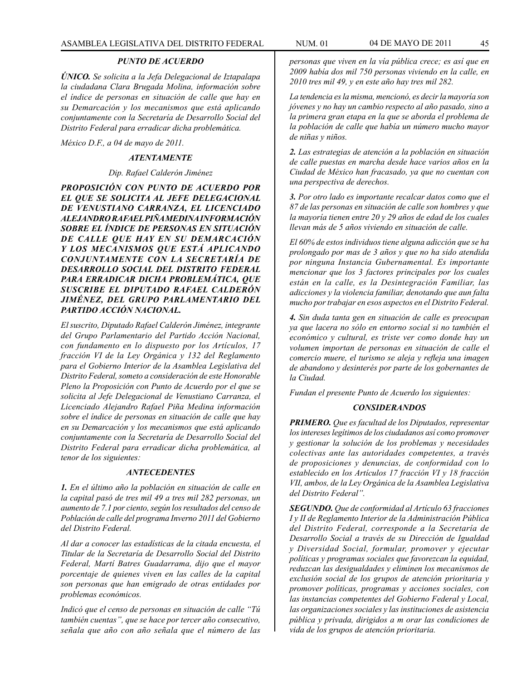### *PUNTO DE ACUERDO*

*ÚNICO. Se solicita a la Jefa Delegacional de Iztapalapa la ciudadana Clara Brugada Molina, información sobre el índice de personas en situación de calle que hay en su Demarcación y los mecanismos que está aplicando conjuntamente con la Secretaría de Desarrollo Social del Distrito Federal para erradicar dicha problemática.*

*México D.F., a 04 de mayo de 2011.*

### *ATENTAMENTE*

#### *Dip. Rafael Calderón Jiménez*

*PROPOSICIÓN CON PUNTO DE ACUERDO POR EL QUE SE SOLICITA AL JEFE DELEGACIONAL DE VENUSTIANO CARRANZA, EL LICENCIADO ALEJANDRO RAFAEL PIÑA MEDINA INFORMACIÓN SOBRE EL ÍNDICE DE PERSONAS EN SITUACIÓN DE CALLE QUE HAY EN SU DEMARCACIÓN Y LOS MECANISMOS QUE ESTÁ APLICANDO CONJUNTAMENTE CON LA SECRETARÍA DE DESARROLLO SOCIAL DEL DISTRITO FEDERAL PARA ERRADICAR DICHA PROBLEMÁTICA, QUE SUSCRIBE EL DIPUTADO RAFAEL CALDERÓN JIMÉNEZ, DEL GRUPO PARLAMENTARIO DEL PARTIDO ACCIÓN NACIONAL.*

*El suscrito, Diputado Rafael Calderón Jiménez, integrante del Grupo Parlamentario del Partido Acción Nacional, con fundamento en lo dispuesto por los Artículos, 17 fracción VI de la Ley Orgánica y 132 del Reglamento para el Gobierno Interior de la Asamblea Legislativa del Distrito Federal, someto a consideración de este Honorable Pleno la Proposición con Punto de Acuerdo por el que se solicita al Jefe Delegacional de Venustiano Carranza, el Licenciado Alejandro Rafael Piña Medina información sobre el índice de personas en situación de calle que hay en su Demarcación y los mecanismos que está aplicando conjuntamente con la Secretaría de Desarrollo Social del Distrito Federal para erradicar dicha problemática, al tenor de los siguientes:*

#### *ANTECEDENTES*

*1. En el último año la población en situación de calle en la capital pasó de tres mil 49 a tres mil 282 personas, un aumento de 7.1 por ciento, según los resultados del censo de Población de calle del programa Inverno 2011 del Gobierno del Distrito Federal.*

*Al dar a conocer las estadísticas de la citada encuesta, el Titular de la Secretaría de Desarrollo Social del Distrito Federal, Martí Batres Guadarrama, dijo que el mayor porcentaje de quienes viven en las calles de la capital son personas que han emigrado de otras entidades por problemas económicos.*

*Indicó que el censo de personas en situación de calle "Tú también cuentas", que se hace por tercer año consecutivo, señala que año con año señala que el número de las* 

*personas que viven en la vía pública crece; es así que en 2009 había dos mil 750 personas viviendo en la calle, en 2010 tres mil 49, y en este año hay tres mil 282.*

*La tendencia es la misma, mencionó, es decir la mayoría son jóvenes y no hay un cambio respecto al año pasado, sino a la primera gran etapa en la que se aborda el problema de la población de calle que había un número mucho mayor de niñas y niños.*

*2. Las estrategias de atención a la población en situación de calle puestas en marcha desde hace varios años en la Ciudad de México han fracasado, ya que no cuentan con una perspectiva de derechos.*

*3. Por otro lado es importante recalcar datos como que el 87 de las personas en situación de calle son hombres y que la mayoría tienen entre 20 y 29 años de edad de los cuales llevan más de 5 años viviendo en situación de calle.* 

*El 60% de estos individuos tiene alguna adicción que se ha prolongado por mas de 3 años y que no ha sido atendida por ninguna Instancia Gubernamental. Es importante mencionar que los 3 factores principales por los cuales están en la calle, es la Desintegración Familiar, las adicciones y la violencia familiar, denotando que aun falta mucho por trabajar en esos aspectos en el Distrito Federal.*

*4. Sin duda tanta gen en situación de calle es preocupan ya que lacera no sólo en entorno social si no también el económico y cultural, es triste ver como donde hay un volumen importan de personas en situación de calle el comercio muere, el turismo se aleja y refleja una imagen de abandono y desinterés por parte de los gobernantes de la Ciudad.*

*Fundan el presente Punto de Acuerdo los siguientes:*

## *CONSIDERANDOS*

*PRIMERO. Que es facultad de los Diputados, representar los intereses legítimos de los ciudadanos así como promover y gestionar la solución de los problemas y necesidades colectivas ante las autoridades competentes, a través de proposiciones y denuncias, de conformidad con lo establecido en los Artículos 17 fracción VI y 18 fracción VII, ambos, de la Ley Orgánica de la Asamblea Legislativa del Distrito Federal".*

*SEGUNDO. Que de conformidad al Artículo 63 fracciones I y II de Reglamento Interior de la Administración Pública del Distrito Federal, corresponde a la Secretaría de Desarrollo Social a través de su Dirección de Igualdad y Diversidad Social, formular, promover y ejecutar políticas y programas sociales que favorezcan la equidad, reduzcan las desigualdades y eliminen los mecanismos de exclusión social de los grupos de atención prioritaria y promover políticas, programas y acciones sociales, con las instancias competentes del Gobierno Federal y Local, las organizaciones sociales y las instituciones de asistencia pública y privada, dirigidos a m orar las condiciones de vida de los grupos de atención prioritaria.*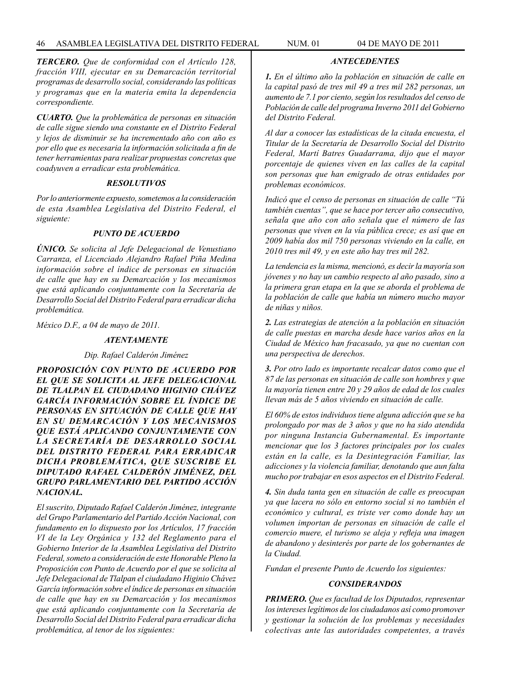*TERCERO. Que de conformidad con el Artículo 128, fracción VIII, ejecutar en su Demarcación territorial programas de desarrollo social, considerando las políticas y programas que en la materia emita la dependencia correspondiente.* 

*CUARTO. Que la problemática de personas en situación de calle sigue siendo una constante en el Distrito Federal y lejos de disminuir se ha incrementado año con año es por ello que es necesaria la información solicitada a fin de tener herramientas para realizar propuestas concretas que coadyuven a erradicar esta problemática.* 

### *RESOLUTIVOS*

*Por lo anteriormente expuesto, sometemos a la consideración de esta Asamblea Legislativa del Distrito Federal, el siguiente:*

## *PUNTO DE ACUERDO*

*ÚNICO. Se solicita al Jefe Delegacional de Venustiano Carranza, el Licenciado Alejandro Rafael Piña Medina información sobre el índice de personas en situación de calle que hay en su Demarcación y los mecanismos que está aplicando conjuntamente con la Secretaría de Desarrollo Social del Distrito Federal para erradicar dicha problemática.*

*México D.F., a 04 de mayo de 2011.*

## *ATENTAMENTE*

*Dip. Rafael Calderón Jiménez*

*PROPOSICIÓN CON PUNTO DE ACUERDO POR EL QUE SE SOLICITA AL JEFE DELEGACIONAL DE TLALPAN EL CIUDADANO HIGINIO CHÁVEZ GARCÍA INFORMACIÓN SOBRE EL ÍNDICE DE PERSONAS EN SITUACIÓN DE CALLE QUE HAY EN SU DEMARCACIÓN Y LOS MECANISMOS QUE ESTÁ APLICANDO CONJUNTAMENTE CON LA SECRETARÍA DE DESARROLLO SOCIAL DEL DISTRITO FEDERAL PARA ERRADICAR DICHA PROBLEMÁTICA, QUE SUSCRIBE EL DIPUTADO RAFAEL CALDERÓN JIMÉNEZ, DEL GRUPO PARLAMENTARIO DEL PARTIDO ACCIÓN NACIONAL.*

*El suscrito, Diputado Rafael Calderón Jiménez, integrante del Grupo Parlamentario del Partido Acción Nacional, con fundamento en lo dispuesto por los Artículos, 17 fracción VI de la Ley Orgánica y 132 del Reglamento para el Gobierno Interior de la Asamblea Legislativa del Distrito Federal, someto a consideración de este Honorable Pleno la Proposición con Punto de Acuerdo por el que se solicita al Jefe Delegacional de Tlalpan el ciudadano Higinio Chávez García información sobre el índice de personas en situación de calle que hay en su Demarcación y los mecanismos que está aplicando conjuntamente con la Secretaría de Desarrollo Social del Distrito Federal para erradicar dicha problemática, al tenor de los siguientes:*

*1. En el último año la población en situación de calle en la capital pasó de tres mil 49 a tres mil 282 personas, un aumento de 7.1 por ciento, según los resultados del censo de Población de calle del programa Inverno 2011 del Gobierno del Distrito Federal.*

*ANTECEDENTES*

*Al dar a conocer las estadísticas de la citada encuesta, el Titular de la Secretaría de Desarrollo Social del Distrito Federal, Martí Batres Guadarrama, dijo que el mayor porcentaje de quienes viven en las calles de la capital son personas que han emigrado de otras entidades por problemas económicos.*

*Indicó que el censo de personas en situación de calle "Tú también cuentas", que se hace por tercer año consecutivo, señala que año con año señala que el número de las personas que viven en la vía pública crece; es así que en 2009 había dos mil 750 personas viviendo en la calle, en 2010 tres mil 49, y en este año hay tres mil 282.*

*La tendencia es la misma, mencionó, es decir la mayoría son jóvenes y no hay un cambio respecto al año pasado, sino a la primera gran etapa en la que se aborda el problema de la población de calle que había un número mucho mayor de niñas y niños.*

*2. Las estrategias de atención a la población en situación de calle puestas en marcha desde hace varios años en la Ciudad de México han fracasado, ya que no cuentan con una perspectiva de derechos.*

*3. Por otro lado es importante recalcar datos como que el 87 de las personas en situación de calle son hombres y que la mayoría tienen entre 20 y 29 años de edad de los cuales llevan más de 5 años viviendo en situación de calle.* 

*El 60% de estos individuos tiene alguna adicción que se ha prolongado por mas de 3 años y que no ha sido atendida por ninguna Instancia Gubernamental. Es importante mencionar que los 3 factores principales por los cuales están en la calle, es la Desintegración Familiar, las adicciones y la violencia familiar, denotando que aun falta mucho por trabajar en esos aspectos en el Distrito Federal.*

*4. Sin duda tanta gen en situación de calle es preocupan ya que lacera no sólo en entorno social si no también el económico y cultural, es triste ver como donde hay un volumen importan de personas en situación de calle el comercio muere, el turismo se aleja y refleja una imagen de abandono y desinterés por parte de los gobernantes de la Ciudad.*

*Fundan el presente Punto de Acuerdo los siguientes:*

## *CONSIDERANDOS*

*PRIMERO. Que es facultad de los Diputados, representar los intereses legítimos de los ciudadanos así como promover y gestionar la solución de los problemas y necesidades colectivas ante las autoridades competentes, a través*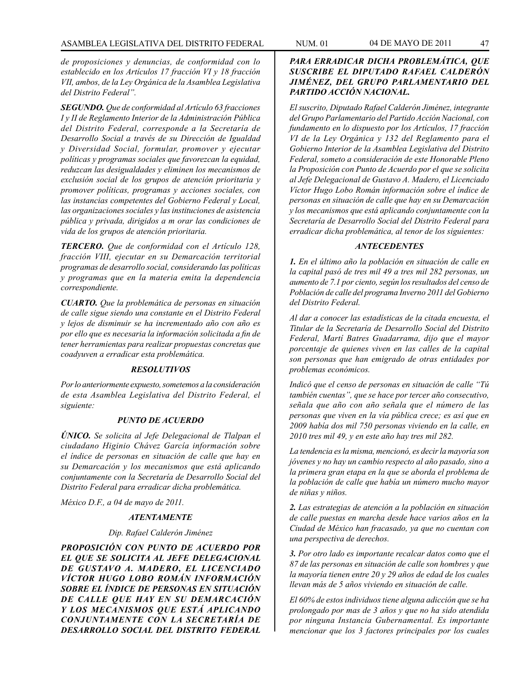*de proposiciones y denuncias, de conformidad con lo establecido en los Artículos 17 fracción VI y 18 fracción VII, ambos, de la Ley Orgánica de la Asamblea Legislativa del Distrito Federal".*

*SEGUNDO. Que de conformidad al Artículo 63 fracciones I y II de Reglamento Interior de la Administración Pública del Distrito Federal, corresponde a la Secretaría de Desarrollo Social a través de su Dirección de Igualdad y Diversidad Social, formular, promover y ejecutar políticas y programas sociales que favorezcan la equidad, reduzcan las desigualdades y eliminen los mecanismos de exclusión social de los grupos de atención prioritaria y promover políticas, programas y acciones sociales, con las instancias competentes del Gobierno Federal y Local, las organizaciones sociales y las instituciones de asistencia pública y privada, dirigidos a m orar las condiciones de vida de los grupos de atención prioritaria.* 

*TERCERO. Que de conformidad con el Artículo 128, fracción VIII, ejecutar en su Demarcación territorial programas de desarrollo social, considerando las políticas y programas que en la materia emita la dependencia correspondiente.* 

*CUARTO. Que la problemática de personas en situación de calle sigue siendo una constante en el Distrito Federal y lejos de disminuir se ha incrementado año con año es por ello que es necesaria la información solicitada a fin de tener herramientas para realizar propuestas concretas que coadyuven a erradicar esta problemática.* 

#### *RESOLUTIVOS*

*Por lo anteriormente expuesto, sometemos a la consideración de esta Asamblea Legislativa del Distrito Federal, el siguiente:*

### *PUNTO DE ACUERDO*

*ÚNICO. Se solicita al Jefe Delegacional de Tlalpan el ciudadano Higinio Chávez García información sobre el índice de personas en situación de calle que hay en su Demarcación y los mecanismos que está aplicando conjuntamente con la Secretaría de Desarrollo Social del Distrito Federal para erradicar dicha problemática.*

*México D.F., a 04 de mayo de 2011.*

#### *ATENTAMENTE*

#### *Dip. Rafael Calderón Jiménez*

*PROPOSICIÓN CON PUNTO DE ACUERDO POR EL QUE SE SOLICITA AL JEFE DELEGACIONAL DE GUSTAVO A. MADERO, EL LICENCIADO VÍCTOR HUGO LOBO ROMÁN INFORMACIÓN SOBRE EL ÍNDICE DE PERSONAS EN SITUACIÓN DE CALLE QUE HAY EN SU DEMARCACIÓN Y LOS MECANISMOS QUE ESTÁ APLICANDO CONJUNTAMENTE CON LA SECRETARÍA DE DESARROLLO SOCIAL DEL DISTRITO FEDERAL* 

## *PARA ERRADICAR DICHA PROBLEMÁTICA, QUE SUSCRIBE EL DIPUTADO RAFAEL CALDERÓN JIMÉNEZ, DEL GRUPO PARLAMENTARIO DEL PARTIDO ACCIÓN NACIONAL.*

*El suscrito, Diputado Rafael Calderón Jiménez, integrante del Grupo Parlamentario del Partido Acción Nacional, con fundamento en lo dispuesto por los Artículos, 17 fracción VI de la Ley Orgánica y 132 del Reglamento para el Gobierno Interior de la Asamblea Legislativa del Distrito Federal, someto a consideración de este Honorable Pleno la Proposición con Punto de Acuerdo por el que se solicita al Jefe Delegacional de Gustavo A. Madero, el Licenciado Víctor Hugo Lobo Román información sobre el índice de personas en situación de calle que hay en su Demarcación y los mecanismos que está aplicando conjuntamente con la Secretaría de Desarrollo Social del Distrito Federal para erradicar dicha problemática, al tenor de los siguientes:*

#### *ANTECEDENTES*

*1. En el último año la población en situación de calle en la capital pasó de tres mil 49 a tres mil 282 personas, un aumento de 7.1 por ciento, según los resultados del censo de Población de calle del programa Inverno 2011 del Gobierno del Distrito Federal.*

*Al dar a conocer las estadísticas de la citada encuesta, el Titular de la Secretaría de Desarrollo Social del Distrito Federal, Martí Batres Guadarrama, dijo que el mayor porcentaje de quienes viven en las calles de la capital son personas que han emigrado de otras entidades por problemas económicos.*

*Indicó que el censo de personas en situación de calle "Tú también cuentas", que se hace por tercer año consecutivo, señala que año con año señala que el número de las personas que viven en la vía pública crece; es así que en 2009 había dos mil 750 personas viviendo en la calle, en 2010 tres mil 49, y en este año hay tres mil 282.*

*La tendencia es la misma, mencionó, es decir la mayoría son jóvenes y no hay un cambio respecto al año pasado, sino a la primera gran etapa en la que se aborda el problema de la población de calle que había un número mucho mayor de niñas y niños.*

*2. Las estrategias de atención a la población en situación de calle puestas en marcha desde hace varios años en la Ciudad de México han fracasado, ya que no cuentan con una perspectiva de derechos.*

*3. Por otro lado es importante recalcar datos como que el 87 de las personas en situación de calle son hombres y que la mayoría tienen entre 20 y 29 años de edad de los cuales llevan más de 5 años viviendo en situación de calle.* 

*El 60% de estos individuos tiene alguna adicción que se ha prolongado por mas de 3 años y que no ha sido atendida por ninguna Instancia Gubernamental. Es importante mencionar que los 3 factores principales por los cuales*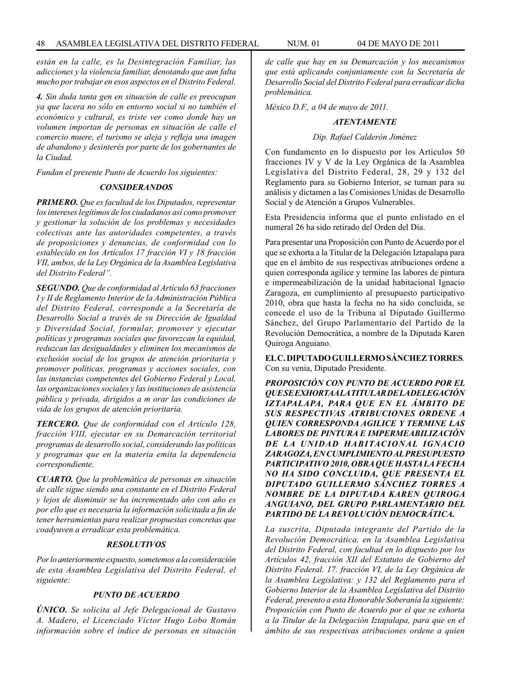*están en la calle, es la Desintegración Familiar, las adicciones y la violencia familiar, denotando que aun falta mucho por trabajar en esos aspectos en el Distrito Federal.*

*4. Sin duda tanta gen en situación de calle es preocupan ya que lacera no sólo en entorno social si no también el económico y cultural, es triste ver como donde hay un volumen importan de personas en situación de calle el comercio muere, el turismo se aleja y refleja una imagen de abandono y desinterés por parte de los gobernantes de la Ciudad.*

*Fundan el presente Punto de Acuerdo los siguientes:*

#### *CONSIDERANDOS*

*PRIMERO. Que es facultad de los Diputados, representar los intereses legítimos de los ciudadanos así como promover y gestionar la solución de los problemas y necesidades colectivas ante las autoridades competentes, a través de proposiciones y denuncias, de conformidad con lo establecido en los Artículos 17 fracción VI y 18 fracción VII, ambos, de la Ley Orgánica de la Asamblea Legislativa del Distrito Federal".*

*SEGUNDO. Que de conformidad al Artículo 63 fracciones I y II de Reglamento Interior de la Administración Pública del Distrito Federal, corresponde a la Secretaría de Desarrollo Social a través de su Dirección de Igualdad y Diversidad Social, formular, promover y ejecutar políticas y programas sociales que favorezcan la equidad, reduzcan las desigualdades y eliminen los mecanismos de exclusión social de los grupos de atención prioritaria y promover políticas, programas y acciones sociales, con las instancias competentes del Gobierno Federal y Local, las organizaciones sociales y las instituciones de asistencia pública y privada, dirigidos a m orar las condiciones de vida de los grupos de atención prioritaria.* 

*TERCERO. Que de conformidad con el Artículo 128, fracción VIII, ejecutar en su Demarcación territorial programas de desarrollo social, considerando las políticas y programas que en la materia emita la dependencia correspondiente.* 

*CUARTO. Que la problemática de personas en situación de calle sigue siendo una constante en el Distrito Federal y lejos de disminuir se ha incrementado año con año es por ello que es necesaria la información solicitada a fin de tener herramientas para realizar propuestas concretas que coadyuven a erradicar esta problemática.* 

#### *RESOLUTIVOS*

*Por lo anteriormente expuesto, sometemos a la consideración de esta Asamblea Legislativa del Distrito Federal, el siguiente:*

### *PUNTO DE ACUERDO*

*ÚNICO. Se solicita al Jefe Delegacional de Gustavo A. Madero, el Licenciado Víctor Hugo Lobo Román información sobre el índice de personas en situación*  *de calle que hay en su Demarcación y los mecanismos que está aplicando conjuntamente con la Secretaría de Desarrollo Social del Distrito Federal para erradicar dicha problemática.*

*México D.F., a 04 de mayo de 2011.*

#### *ATENTAMENTE*

#### *Dip. Rafael Calderón Jiménez*

Con fundamento en lo dispuesto por los Artículos 50 fracciones IV y V de la Ley Orgánica de la Asamblea Legislativa del Distrito Federal, 28, 29 y 132 del Reglamento para su Gobierno Interior, se turnan para su análisis y dictamen a las Comisiones Unidas de Desarrollo Social y de Atención a Grupos Vulnerables.

Esta Presidencia informa que el punto enlistado en el numeral 26 ha sido retirado del Orden del Día.

Para presentar una Proposición con Punto de Acuerdo por el que se exhorta a la Titular de la Delegación Iztapalapa para que en el ámbito de sus respectivas atribuciones ordene a quien corresponda agilice y termine las labores de pintura e impermeabilización de la unidad habitacional Ignacio Zaragoza, en cumplimiento al presupuesto participativo 2010, obra que hasta la fecha no ha sido concluida, se concede el uso de la Tribuna al Diputado Guillermo Sánchez, del Grupo Parlamentario del Partido de la Revolución Democrática, a nombre de la Diputada Karen Quiroga Anguiano.

**EL C. DIPUTADO GUILLERMO SÁNCHEZ TORRES**. Con su venia, Diputado Presidente.

*PROPOSICIÓN CON PUNTO DE ACUERDO POR EL QUE SE EXHORTA A LA TITULAR DE LA DELEGACIÓN IZTAPALAPA, PARA QUE EN EL ÁMBITO DE SUS RESPECTIVAS ATRIBUCIONES ORDENE A QUIEN CORRESPONDA AGILICE Y TERMINE LAS LABORES DE PINTURA E IMPERMEABILIZACIÓN DE LA UNIDAD HABITACIONAL IGNACIO ZARAGOZA, EN CUMPLIMIENTO AL PRESUPUESTO PARTICIPATIVO 2010, OBRA QUE HASTA LA FECHA NO HA SIDO CONCLUIDA, QUE PRESENTA EL DIPUTADO GUILLERMO SÁNCHEZ TORRES A NOMBRE DE LA DIPUTADA KAREN QUIROGA ANGUIANO, DEL GRUPO PARLAMENTARIO DEL PARTIDO DE LA REVOLUCIÓN DEMOCRÁTICA.*

*La suscrita, Diputada integrante del Partido de la Revolución Democrática, en la Asamblea Legislativa del Distrito Federal, con facultad en lo dispuesto por los Artículos 42, fracción XII del Estatuto de Gobierno del Distrito Federal. 17. fracción VI, de la Ley Orgánica de la Asamblea Legislativa: y 132 del Reglamento para el Gobierno Interior de la Asamblea Legislativa del Distrito Federal, presento a esta Honorable Soberanía la siguiente: Proposición con Punto de Acuerdo por el que se exhorta a la Titular de la Delegación Iztapalapa, para que en el ámbito de sus respectivas atribuciones ordene a quien*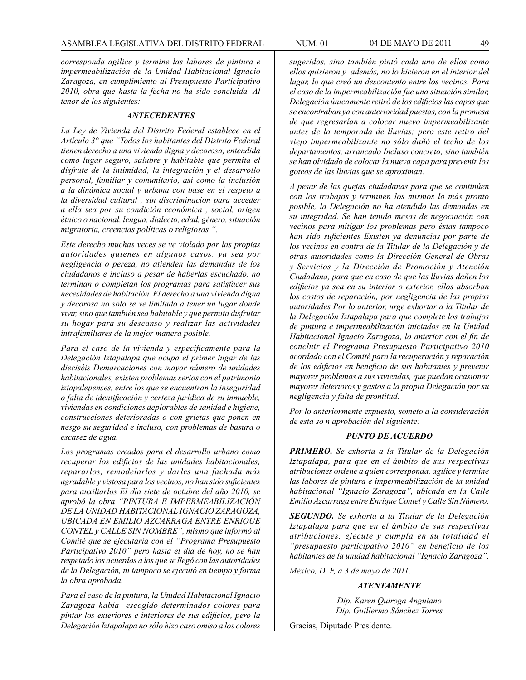*corresponda agilice y termine las labores de pintura e impermeabilización de la Unidad Habitacional Ignacio Zaragoza, en cumplimiento al Presupuesto Participativo 2010, obra que hasta la fecha no ha sido concluida. Al tenor de los siguientes:*

#### *ANTECEDENTES*

*La Ley de Vivienda del Distrito Federal establece en el Artículo 3° que "Todos los habitantes del Distrito Federal tienen derecho a una vivienda digna y decorosa, entendida como lugar seguro, salubre y habitable que permita el disfrute de la intimidad, la integración y el desarrollo personal, familiar y comunitario, así como la inclusión a la dinámica social y urbana con base en el respeto a la diversidad cultural , sin discriminación para acceder a ella sea por su condición económica , social, origen étnico o nacional, lengua, dialecto, edad, género, situación migratoria, creencias políticas o religiosas ".* 

*Este derecho muchas veces se ve violado por las propias autoridades quienes en algunos casos, ya sea por negligencia o pereza, no atienden las demandas de los ciudadanos e incluso a pesar de haberlas escuchado, no terminan o completan los programas para satisfacer sus necesidades de habitación. El derecho a una vivienda digna y decorosa no sólo se ve limitado a tener un lugar donde vivir, sino que también sea habitable y que permita disfrutar su hogar para su descanso y realizar las actividades intrafamiliares de la mejor manera posible.*

*Para el caso de la vivienda y específicamente para la Delegación Iztapalapa que ocupa el primer lugar de las dieciséis Demarcaciones con mayor número de unidades habitacionales, existen problemas serios con el patrimonio iztapalepenses, entre los que se encuentran la inseguridad o falta de identificación y certeza jurídica de su inmueble, viviendas en condiciones deplorables de sanidad e higiene, construcciones deterioradas o con grietas que ponen en nesgo su seguridad e incluso, con problemas de basura o escasez de agua.*

*Los programas creados para el desarrollo urbano como recuperar los edificios de las unidades habitacionales, repararlos, remodelarlos y darles una fachada más agradable y vistosa para los vecinos, no han sido suficientes para auxiliarlos El día siete de octubre del año 2010, se aprobó la obra "PINTURA E IMPERMEABILIZACIÓN DE LA UNIDAD HABITACIONAL IGNACIO ZARAGOZA, UBICADA EN EMILIO AZCARRAGA ENTRE ENRIQUE CONTEL y CALLE SIN NOMBRE", mismo que informó al Comité que se ejecutaría con el "Programa Presupuesto Participativo 2010" pero hasta el día de hoy, no se han respetado los acuerdos a los que se llegó con las autoridades de la Delegación, ni tampoco se ejecutó en tiempo y forma la obra aprobada.*

*Para el caso de la pintura, la Unidad Habitacional Ignacio Zaragoza había escogido determinados colores para pintar los exteriores e interiores de sus edificios, pero la Delegación Iztapalapa no sólo hizo caso omiso a los colores* 

*sugeridos, sino también pintó cada uno de ellos como ellos quisieron y además, no lo hicieron en el interior del lugar, lo que creó un descontento entre los vecinos. Para el caso de la impermeabilización fue una situación similar, Delegación únicamente retiró de los edificios las capas que se encontraban ya con anterioridad puestas, con la promesa de que regresarían a colocar nuevo impermeabilizante antes de la temporada de lluvias; pero este retiro del viejo impermeabilizante no sólo dañó el techo de los departamentos, arrancado Incluso concreto, sino también se han olvidado de colocar la nueva capa para prevenir los goteos de las lluvias que se aproximan.*

*A pesar de las quejas ciudadanas para que se continúen con los trabajos y terminen los mismos lo más pronto posible, la Delegación no ha atendido las demandas en su integridad. Se han tenido mesas de negociación con vecinos para mitigar los problemas pero éstas tampoco han sido suficientes Existen ya denuncias por parte de los vecinos en contra de la Titular de la Delegación y de otras autoridades como la Dirección General de Obras y Servicios y la Dirección de Promoción y Atención Ciudadana, para que en caso de que las lluvias dañen los edificios ya sea en su interior o exterior, ellos absorban los costos de reparación, por negligencia de las propias autoridades Por lo anterior, urge exhortar a la Titular de la Delegación Iztapalapa para que complete los trabajos de pintura e impermeabilización iniciados en la Unidad Habitacional Ignacio Zaragoza, lo anterior con el fin de concluir el Programa Presupuesto Participativo 2010 acordado con el Comité para la recuperación y reparación de los edificios en beneficio de sus habitantes y prevenir mayores problemas a sus viviendas, que puedan ocasionar mayores deterioros y gastos a la propia Delegación por su negligencia y falta de prontitud.*

*Por lo anteriormente expuesto, someto a la consideración de esta so n aprobación del siguiente:*

#### *PUNTO DE ACUERDO*

*PRIMERO. Se exhorta a la Titular de la Delegación Iztapalapa, para que en el ámbito de sus respectivas atribuciones ordene a quien corresponda, agilice y termine las labores de pintura e impermeabilización de la unidad habitacional "Ignacio Zaragoza", ubicada en la Calle Emilio Azcarraga entre Enrique Contel y Calle Sin Número.*

*SEGUNDO. Se exhorta a la Titular de la Delegación Iztapalapa para que en el ámbito de sus respectivas atribuciones, ejecute y cumpla en su totalidad el "presupuesto participativo 2010" en beneficio de los habitantes de la unidad habitacional "Ignacio Zaragoza".*

*México, D. F, a 3 de mayo de 2011.*

### *ATENTAMENTE*

*Dip. Karen Quiroga Anguiano Dip. Guillermo Sánchez Torres*

Gracias, Diputado Presidente.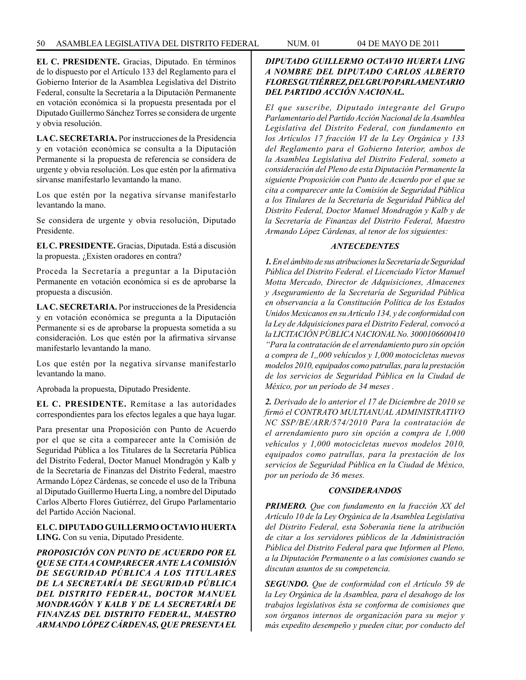**EL C. PRESIDENTE.** Gracias, Diputado. En términos de lo dispuesto por el Artículo 133 del Reglamento para el Gobierno Interior de la Asamblea Legislativa del Distrito Federal, consulte la Secretaría a la Diputación Permanente en votación económica si la propuesta presentada por el Diputado Guillermo Sánchez Torres se considera de urgente y obvia resolución.

**LA C. SECRETARIA.** Por instrucciones de la Presidencia y en votación económica se consulta a la Diputación Permanente si la propuesta de referencia se considera de urgente y obvia resolución. Los que estén por la afirmativa sírvanse manifestarlo levantando la mano.

Los que estén por la negativa sírvanse manifestarlo levantando la mano.

Se considera de urgente y obvia resolución, Diputado Presidente.

**EL C. PRESIDENTE.** Gracias, Diputada. Está a discusión la propuesta. ¿Existen oradores en contra?

Proceda la Secretaría a preguntar a la Diputación Permanente en votación económica si es de aprobarse la propuesta a discusión.

**LA C. SECRETARIA.** Por instrucciones de la Presidencia y en votación económica se pregunta a la Diputación Permanente si es de aprobarse la propuesta sometida a su consideración. Los que estén por la afirmativa sírvanse manifestarlo levantando la mano.

Los que estén por la negativa sírvanse manifestarlo levantando la mano.

Aprobada la propuesta, Diputado Presidente.

**EL C. PRESIDENTE.** Remítase a las autoridades correspondientes para los efectos legales a que haya lugar.

Para presentar una Proposición con Punto de Acuerdo por el que se cita a comparecer ante la Comisión de Seguridad Pública a los Titulares de la Secretaría Pública del Distrito Federal, Doctor Manuel Mondragón y Kalb y de la Secretaría de Finanzas del Distrito Federal, maestro Armando López Cárdenas, se concede el uso de la Tribuna al Diputado Guillermo Huerta Ling, a nombre del Diputado Carlos Alberto Flores Gutiérrez, del Grupo Parlamentario del Partido Acción Nacional.

**EL C. DIPUTADO GUILLERMO OCTAVIO HUERTA LING.** Con su venia, Diputado Presidente.

*PROPOSICIÓN CON PUNTO DE ACUERDO POR EL QUE SE CITA A COMPARECER ANTE LA COMISIÓN DE SEGURIDAD PÚBLICA A LOS TITULARES DE LA SECRETARÍA DE SEGURIDAD PÚBLICA DEL DISTRITO FEDERAL, DOCTOR MANUEL MONDRAGÓN Y KALB Y DE LA SECRETARÍA DE FINANZAS DEL DISTRITO FEDERAL, MAESTRO ARMANDO LÓPEZ CÁRDENAS, QUE PRESENTA EL* 

# *DIPUTADO GUILLERMO OCTAVIO HUERTA LING A NOMBRE DEL DIPUTADO CARLOS ALBERTO FLORES GUTIÉRREZ, DEL GRUPO PARLAMENTARIO DEL PARTIDO ACCIÓN NACIONAL.*

*El que suscribe, Diputado integrante del Grupo Parlamentario del Partido Acción Nacional de la Asamblea Legislativa del Distrito Federal, con fundamento en los Artículos 17 fracción VI de la Ley Orgánica y 133 del Reglamento para el Gobierno Interior, ambos de la Asamblea Legislativa del Distrito Federal, someto a consideración del Pleno de esta Diputación Permanente la siguiente Proposición con Punto de Acuerdo por el que se cita a comparecer ante la Comisión de Seguridad Pública a los Titulares de la Secretaría de Seguridad Pública del Distrito Federal, Doctor Manuel Mondragón y Kalb y de la Secretaría de Finanzas del Distrito Federal, Maestro Armando López Cárdenas, al tenor de los siguientes:*

# *ANTECEDENTES*

*1. En el ámbito de sus atribuciones la Secretaría de Seguridad Pública del Distrito Federal. el Licenciado Víctor Manuel Motta Mercado, Director de Adquisiciones, Almacenes y Aseguramiento de la Secretaría de Seguridad Pública en observancia a la Constitución Política de los Estados Unidos Mexicanos en su Artículo 134, y de conformidad con la Ley de Adquisiciones para el Distrito Federal, convocó a la LICITACIÓN PÚBLICA NACIONAL No. 3000106600410 "Para la contratación de el arrendamiento puro sin opción a compra de 1,,000 vehículos y 1,000 motocicletas nuevos modelos 2010, equipados como patrullas, para la prestación de los servicios de Seguridad Pública en la Ciudad de México, por un período de 34 meses .* 

*2. Derivado de lo anterior el 17 de Diciembre de 2010 se firmó el CONTRATO MULTIANUAL ADMINISTRATIVO NC SSP/BE/ARR/574/2010 Para la contratación de el arrendamiento puro sin opción a compra de 1,000 vehículos y 1,000 motocicletas nuevos modelos 2010, equipados como patrullas, para la prestación de los servicios de Seguridad Pública en la Ciudad de México, por un período de 36 meses.*

#### *CONSIDERANDOS*

*PRIMERO. Que con fundamento en la fracción XX del Artículo 10 de la Ley Orgánica de la Asamblea Legislativa del Distrito Federal, esta Soberanía tiene la atribución de citar a los servidores públicos de la Administración Pública del Distrito Federal para que Informen al Pleno, a la Diputación Permanente o a las comisiones cuando se discutan asuntos de su competencia.*

*SEGUNDO. Que de conformidad con el Artículo 59 de la Ley Orgánica de la Asamblea, para el desahogo de los trabajos legislativos ésta se conforma de comisiones que son órganos internos de organización para su mejor y más expedito desempeño y pueden citar, por conducto del*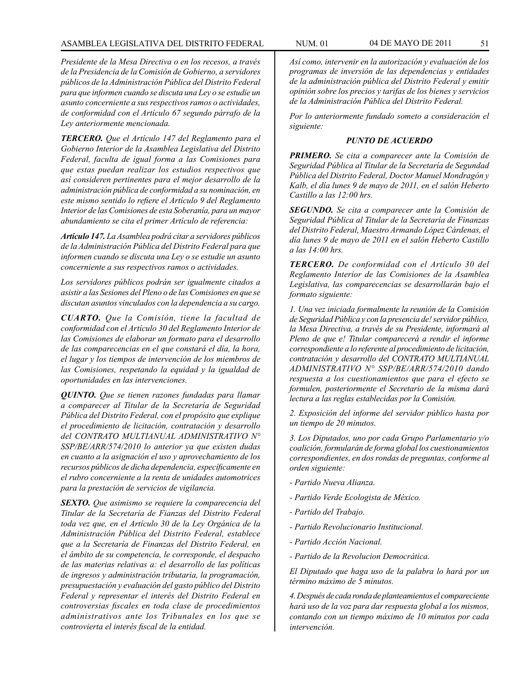*Presidente de la Mesa Directiva o en los recesos, a través de la Presidencia de la Comisión de Gobierno, a servidores públicos de la Administración Pública del Distrito Federal para que informen cuando se discuta una Ley o se estudie un asunto concerniente a sus respectivos ramos o actividades, de conformidad con el Artículo 67 segundo párrafo de la Ley anteriormente mencionada.*

*TERCERO. Que el Artículo 147 del Reglamento para el Gobierno Interior de la Asamblea Legislativa del Distrito Federal, faculta de igual forma a las Comisiones para que estas puedan realizar los estudios respectivos que así consideren pertinentes para el mejor desarrollo de la administración pública de conformidad a su nominación, en este mismo sentido lo refiere el Artículo 9 del Reglamento Interior de las Comisiones de esta Soberanía, para un mayor abundamiento se cita el primer Artículo de referencia:*

*Artículo 147. La Asamblea podrá citar a servidores públicos de la Administración Pública del Distrito Federal para que informen cuando se discuta una Ley o se estudie un asunto concerniente a sus respectivos ramos o actividades.* 

*Los servidores públicos podrán ser igualmente citados a asistir a las Sesiones del Pleno o de las Comisiones en que se discutan asuntos vinculados con la dependencia a su cargo.*

*CUARTO. Que la Comisión, tiene la facultad de conformidad con el Artículo 30 del Reglamento Interior de las Comisiones de elaborar un formato para el desarrollo de las comparecencias en el que constará el día, la hora, el lugar y los tiempos de intervención de los miembros de las Comisiones, respetando la equidad y la igualdad de oportunidades en las intervenciones.*

*QUINTO. Que se tienen razones fundadas para llamar a comparecer al Titular de la Secretaría de Seguridad Pública del Distrito Federal, con el propósito que explique el procedimiento de licitación, contratación y desarrollo del CONTRATO MULTIANUAL ADMINISTRATIVO N° SSP/BE/ARR/574/2010 lo anterior ya que existen dudas en cuanto a la asignación el uso y aprovechamiento de los recursos públicos de dicha dependencia, específicamente en el rubro concerniente a la renta de unidades automotrices para la prestación de servicios de vigilancia.*

*SEXTO. Que asimismo se requiere la comparecencia del Titular de la Secretaría de Fianzas del Distrito Federal toda vez que, en el Artículo 30 de la Ley Orgánica de la Administración Pública del Distrito Federal, establece que a la Secretaría de Finanzas del Distrito Federal, en el ámbito de su competencia, le corresponde, el despacho de las materias relativas a: el desarrollo de las políticas de ingresos y administración tributaria, la programación, presupuestación y evaluación del gasto público del Distrito Federal y representar el interés del Distrito Federal en controversias fiscales en toda clase de procedimientos administrativos ante los Tribunales en los que se controvierta el interés fiscal de la entidad.*

*Así como, intervenir en la autorización y evaluación de los programas de inversión de las dependencias y entidades de la administración pública del Distrito Federal y emitir opinión sobre los precios y tarifas de los bienes y servicios de la Administración Pública del Distrito Federal.*

*Por lo anteriormente fundado someto a consideración el siguiente:*

#### *PUNTO DE ACUERDO*

*PRIMERO. Se cita a comparecer ante la Comisión de Seguridad Pública al Titular de la Secretaría de Segundad Pública del Distrito Federal, Doctor Manuel Mondragón y Kalb, el día lunes 9 de mayo de 2011, en el salón Heberto Castillo a las 12:00 hrs.* 

*SEGUNDO. Se cita a comparecer ante la Comisión de Seguridad Pública al Titular de la Secretaría de Finanzas del Distrito Federal, Maestro Armando López Cárdenas, el día lunes 9 de mayo de 2011 en el salón Heberto Castillo a las 14:00 hrs.* 

*TERCERO. De conformidad con el Artículo 30 del Reglamento Interior de las Comisiones de la Asamblea Legislativa, las comparecencias se desarrollarán bajo el formato siguiente:*

*1. Una vez iniciada formalmente la reunión de la Comisión de Seguridad Pública y con la presencia de! servidor público, la Mesa Directiva, a través de su Presidente, informará al Pleno de que e! Titular comparecerá a rendir el informe correspondiente a lo referente al procedimiento de licitación, contratación y desarrollo del CONTRATO MULTIANUAL ADMINISTRATIVO N° SSP/BE/ARR/574/2010 dando respuesta a los cuestionamientos que para el efecto se formulen, posteriormente el Secretario de la misma dará lectura a las reglas establecidas por la Comisión.* 

*2. Exposición del informe del servidor público hasta por un tiempo de 20 minutos.*

*3. Los Diputados, uno por cada Grupo Parlamentario y/o coalición, formularán de forma global los cuestionamientos correspondientes, en dos rondas de preguntas, conforme al orden siguiente:*

- *Partido Nueva Alianza.*
- *Partido Verde Ecologista de México.*
- *Partido del Trabajo.*
- *Partido Revolucionario Institucional.*
- *Partido Acción Nacional.*
- *Partido de la Revolucion Democrática.*

*El Diputado que haga uso de la palabra lo hará por un término máximo de 5 minutos.*

*4. Después de cada ronda de planteamientos el compareciente hará uso de la voz para dar respuesta global a los mismos, contando con un tiempo máximo de 10 minutos por cada intervención.*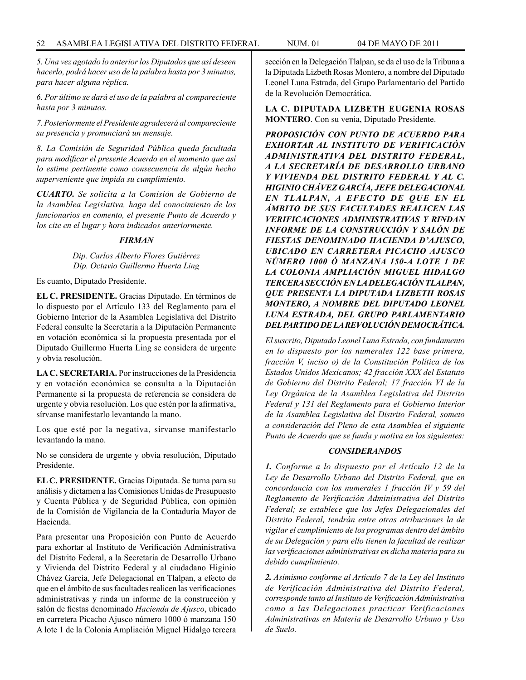*5. Una vez agotado lo anterior los Diputados que así deseen hacerlo, podrá hacer uso de la palabra hasta por 3 minutos, para hacer alguna réplica.*

*6. Por último se dará el uso de la palabra al compareciente hasta por 3 minutos.* 

*7. Posteriormente el Presidente agradecerá al compareciente su presencia y pronunciará un mensaje.*

*8. La Comisión de Seguridad Pública queda facultada para modificar el presente Acuerdo en el momento que así lo estime pertinente como consecuencia de algún hecho superveniente que impida su cumplimiento.*

*CUARTO. Se solicita a la Comisión de Gobierno de la Asamblea Legislativa, haga del conocimiento de los funcionarios en comento, el presente Punto de Acuerdo y los cite en el lugar y hora indicados anteriormente.*

### *FIRMAN*

## *Dip. Carlos Alberto Flores Gutiérrez Dip. Octavio Guillermo Huerta Ling*

Es cuanto, Diputado Presidente.

**EL C. PRESIDENTE.** Gracias Diputado. En términos de lo dispuesto por el Artículo 133 del Reglamento para el Gobierno Interior de la Asamblea Legislativa del Distrito Federal consulte la Secretaría a la Diputación Permanente en votación económica si la propuesta presentada por el Diputado Guillermo Huerta Ling se considera de urgente y obvia resolución.

**LA C. SECRETARIA.** Por instrucciones de la Presidencia y en votación económica se consulta a la Diputación Permanente si la propuesta de referencia se considera de urgente y obvia resolución. Los que estén por la afirmativa, sírvanse manifestarlo levantando la mano.

Los que esté por la negativa, sírvanse manifestarlo levantando la mano.

No se considera de urgente y obvia resolución, Diputado Presidente.

**EL C. PRESIDENTE.** Gracias Diputada. Se turna para su análisis y dictamen a las Comisiones Unidas de Presupuesto y Cuenta Pública y de Seguridad Pública, con opinión de la Comisión de Vigilancia de la Contaduría Mayor de Hacienda.

Para presentar una Proposición con Punto de Acuerdo para exhortar al Instituto de Verificación Administrativa del Distrito Federal, a la Secretaría de Desarrollo Urbano y Vivienda del Distrito Federal y al ciudadano Higinio Chávez García, Jefe Delegacional en Tlalpan, a efecto de que en el ámbito de sus facultades realicen las verificaciones administrativas y rinda un informe de la construcción y salón de fiestas denominado *Hacienda de Ajusco*, ubicado en carretera Picacho Ajusco número 1000 ó manzana 150 A lote 1 de la Colonia Ampliación Miguel Hidalgo tercera sección en la Delegación Tlalpan, se da el uso de la Tribuna a la Diputada Lizbeth Rosas Montero, a nombre del Diputado Leonel Luna Estrada, del Grupo Parlamentario del Partido de la Revolución Democrática.

**LA C. DIPUTADA LIZBETH EUGENIA ROSAS MONTERO**. Con su venia, Diputado Presidente.

*PROPOSICIÓN CON PUNTO DE ACUERDO PARA EXHORTAR AL INSTITUTO DE VERIFICACIÓN ADMINISTRATIVA DEL DISTRITO FEDERAL, A LA SECRETARÍA DE DESARROLLO URBANO Y VIVIENDA DEL DISTRITO FEDERAL Y AL C. HIGINIO CHÁVEZ GARCÍA, JEFE DELEGACIONAL EN TLALPAN, A EFECTO DE QUE EN EL ÁMBITO DE SUS FACULTADES REALICEN LAS VERIFICACIONES ADMINISTRATIVAS Y RINDAN INFORME DE LA CONSTRUCCIÓN Y SALÓN DE FIESTAS DENOMINADO HACIENDA D'AJUSCO, UBICADO EN CARRETERA PICACHO AJUSCO NÚMERO 1000 Ó MANZANA 150-A LOTE 1 DE LA COLONIA AMPLIACIÓN MIGUEL HIDALGO TERCERA SECCIÓN EN LA DELEGACIÓN TLALPAN, QUE PRESENTA LA DIPUTADA LIZBETH ROSAS MONTERO, A NOMBRE DEL DIPUTADO LEONEL LUNA ESTRADA, DEL GRUPO PARLAMENTARIO DEL PARTIDO DE LA REVOLUCIÓN DEMOCRÁTICA.*

*El suscrito, Diputado Leonel Luna Estrada, con fundamento en lo dispuesto por los numerales 122 base primera, fracción V, inciso o) de la Constitución Política de los Estados Unidos Mexicanos; 42 fracción XXX del Estatuto de Gobierno del Distrito Federal; 17 fracción VI de la Ley Orgánica de la Asamblea Legislativa del Distrito Federal y 131 del Reglamento para el Gobierno Interior de la Asamblea Legislativa del Distrito Federal, someto a consideración del Pleno de esta Asamblea el siguiente Punto de Acuerdo que se funda y motiva en los siguientes:*

## *CONSIDERANDOS*

*1. Conforme a lo dispuesto por el Artículo 12 de la Ley de Desarrollo Urbano del Distrito Federal, que en concordancia con los numerales 1 fracción IV y 59 del Reglamento de Verificación Administrativa del Distrito Federal; se establece que los Jefes Delegacionales del Distrito Federal, tendrán entre otras atribuciones la de vigilar el cumplimiento de los programas dentro del ámbito de su Delegación y para ello tienen la facultad de realizar las verificaciones administrativas en dicha materia para su debido cumplimiento.*

*2. Asimismo conforme al Artículo 7 de la Ley del Instituto de Verificación Administrativa del Distrito Federal, corresponde tanto al Instituto de Verificación Administrativa como a las Delegaciones practicar Verificaciones Administrativas en Materia de Desarrollo Urbano y Uso de Suelo.*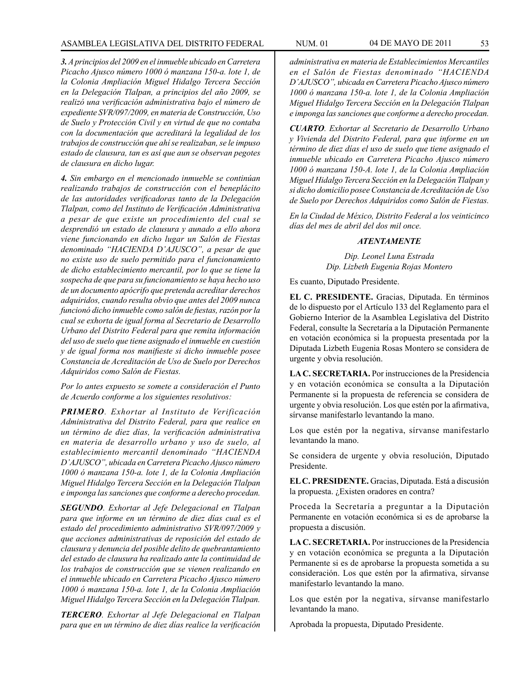*3. A principios del 2009 en el inmueble ubicado en Carretera Picacho Ajusco número 1000 ó manzana 150-a. lote 1, de la Colonia Ampliación Miguel Hidalgo Tercera Sección en la Delegación Tlalpan, a principios del año 2009, se realizó una verificación administrativa bajo el número de expediente SVR/097/2009, en materia de Construcción, Uso de Suelo y Protección Civil y en virtud de que no contaba con la documentación que acreditará la legalidad de los trabajos de construcción que ahí se realizaban, se le impuso estado de clausura, tan es así que aun se observan pegotes de clausura en dicho lugar.*

*4. Sin embargo en el mencionado inmueble se continúan realizando trabajos de construcción con el beneplácito de las autoridades verificadoras tanto de la Delegación Tlalpan, como del Instituto de Verificación Administrativa a pesar de que existe un procedimiento del cual se desprendió un estado de clausura y aunado a ello ahora viene funcionando en dicho lugar un Salón de Fiestas denominado "HACIENDA D'AJUSCO", a pesar de que no existe uso de suelo permitido para el funcionamiento de dicho establecimiento mercantil, por lo que se tiene la sospecha de que para su funcionamiento se haya hecho uso de un documento apócrifo que pretenda acreditar derechos adquiridos, cuando resulta obvio que antes del 2009 nunca funcionó dicho inmueble como salón de fiestas, razón por la cual se exhorta de igual forma al Secretario de Desarrollo Urbano del Distrito Federal para que remita información del uso de suelo que tiene asignado el inmueble en cuestión y de igual forma nos manifieste si dicho inmueble posee Constancia de Acreditación de Uso de Suelo por Derechos Adquiridos como Salón de Fiestas.*

*Por lo antes expuesto se somete a consideración el Punto de Acuerdo conforme a los siguientes resolutivos:*

*PRIMERO. Exhortar al Instituto de Verificación Administrativa del Distrito Federal, para que realice en un término de diez días, la verificación administrativa en materia de desarrollo urbano y uso de suelo, al establecimiento mercantil denominado "HACIENDA D'AJUSCO", ubicada en Carretera Picacho Ajusco número 1000 ó manzana 150-a. lote 1, de la Colonia Ampliación Miguel Hidalgo Tercera Sección en la Delegación Tlalpan e imponga las sanciones que conforme a derecho procedan.*

*SEGUNDO. Exhortar al Jefe Delegacional en Tlalpan para que informe en un término de diez días cual es el estado del procedimiento administrativo SVR/097/2009 y que acciones administrativas de reposición del estado de clausura y denuncia del posible delito de quebrantamiento del estado de clausura ha realizado ante la continuidad de los trabajos de construcción que se vienen realizando en el inmueble ubicado en Carretera Picacho Ajusco número 1000 ó manzana 150-a. lote 1, de la Colonia Ampliación Miguel Hidalgo Tercera Sección en la Delegación Tlalpan.*

*TERCERO. Exhortar al Jefe Delegacional en Tlalpan para que en un término de diez días realice la verificación*  *administrativa en materia de Establecimientos Mercantiles en el Salón de Fiestas denominado "HACIENDA D'AJUSCO", ubicada en Carretera Picacho Ajusco número 1000 ó manzana 150-a. lote 1, de la Colonia Ampliación Miguel Hidalgo Tercera Sección en la Delegación Tlalpan e imponga las sanciones que conforme a derecho procedan.*

*CUARTO. Exhortar al Secretario de Desarrollo Urbano y Vivienda del Distrito Federal, para que informe en un término de diez días el uso de suelo que tiene asignado el inmueble ubicado en Carretera Picacho Ajusco número 1000 ó manzana 150-A. lote 1, de la Colonia Ampliación Miguel Hidalgo Tercera Sección en la Delegación Tlalpan y si dicho domicilio posee Constancia de Acreditación de Uso de Suelo por Derechos Adquiridos como Salón de Fiestas.*

*En la Ciudad de México, Distrito Federal a los veinticinco días del mes de abril del dos mil once.*

### *ATENTAMENTE*

*Dip. Leonel Luna Estrada Dip. Lizbeth Eugenia Rojas Montero*

Es cuanto, Diputado Presidente.

**EL C. PRESIDENTE.** Gracias, Diputada. En términos de lo dispuesto por el Artículo 133 del Reglamento para el Gobierno Interior de la Asamblea Legislativa del Distrito Federal, consulte la Secretaría a la Diputación Permanente en votación económica si la propuesta presentada por la Diputada Lizbeth Eugenia Rosas Montero se considera de urgente y obvia resolución.

**LA C. SECRETARIA.** Por instrucciones de la Presidencia y en votación económica se consulta a la Diputación Permanente si la propuesta de referencia se considera de urgente y obvia resolución. Los que estén por la afirmativa, sírvanse manifestarlo levantando la mano.

Los que estén por la negativa, sírvanse manifestarlo levantando la mano.

Se considera de urgente y obvia resolución, Diputado Presidente.

**EL C. PRESIDENTE.** Gracias, Diputada. Está a discusión la propuesta. ¿Existen oradores en contra?

Proceda la Secretaría a preguntar a la Diputación Permanente en votación económica si es de aprobarse la propuesta a discusión.

**LA C. SECRETARIA.** Por instrucciones de la Presidencia y en votación económica se pregunta a la Diputación Permanente si es de aprobarse la propuesta sometida a su consideración. Los que estén por la afirmativa, sírvanse manifestarlo levantando la mano.

Los que estén por la negativa, sírvanse manifestarlo levantando la mano.

Aprobada la propuesta, Diputado Presidente.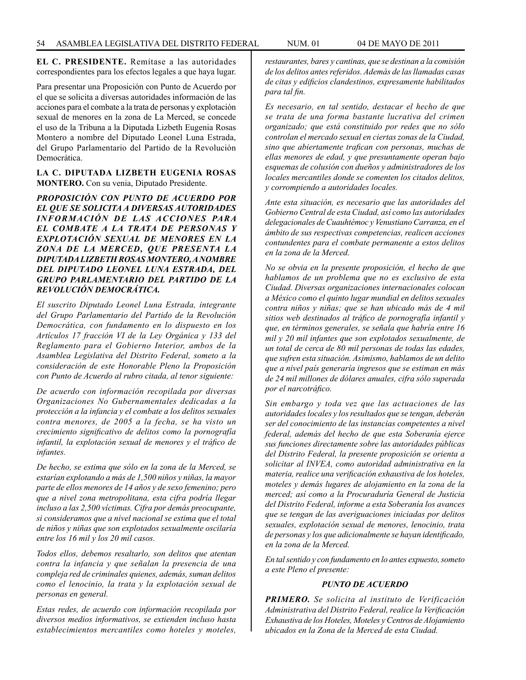**EL C. PRESIDENTE.** Remítase a las autoridades correspondientes para los efectos legales a que haya lugar.

Para presentar una Proposición con Punto de Acuerdo por el que se solicita a diversas autoridades información de las acciones para el combate a la trata de personas y explotación sexual de menores en la zona de La Merced, se concede el uso de la Tribuna a la Diputada Lizbeth Eugenia Rosas Montero a nombre del Diputado Leonel Luna Estrada, del Grupo Parlamentario del Partido de la Revolución Democrática.

### **LA C. DIPUTADA LIZBETH EUGENIA ROSAS MONTERO.** Con su venia, Diputado Presidente.

*PROPOSICIÓN CON PUNTO DE ACUERDO POR EL QUE SE SOLICITA A DIVERSAS AUTORIDADES INFORMACIÓN DE LAS ACCIONES PARA EL COMBATE A LA TRATA DE PERSONAS Y EXPLOTACIÓN SEXUAL DE MENORES EN LA ZONA DE LA MERCED, QUE PRESENTA LA DIPUTADA LIZBETH ROSAS MONTERO, A NOMBRE DEL DIPUTADO LEONEL LUNA ESTRADA, DEL GRUPO PARLAMENTARIO DEL PARTIDO DE LA REVOLUCIÓN DEMOCRÁTICA.*

*El suscrito Diputado Leonel Luna Estrada, integrante del Grupo Parlamentario del Partido de la Revolución Democrática, con fundamento en lo dispuesto en los Artículos 17 fracción VI de la Ley Orgánica y 133 del Reglamento para el Gobierno Interior, ambos de la Asamblea Legislativa del Distrito Federal, someto a la consideración de este Honorable Pleno la Proposición con Punto de Acuerdo al rubro citada, al tenor siguiente:*

*De acuerdo con información recopilada por diversas Organizaciones No Gubernamentales dedicadas a la protección a la infancia y el combate a los delitos sexuales contra menores, de 2005 a la fecha, se ha visto un crecimiento significativo de delitos como la pornografía infantil, la explotación sexual de menores y el tráfico de infantes.*

*De hecho, se estima que sólo en la zona de la Merced, se estarían explotando a más de 1,500 niños y niñas, la mayor parte de ellos menores de 14 años y de sexo femenino; pero que a nivel zona metropolitana, esta cifra podría llegar incluso a las 2,500 víctimas. Cifra por demás preocupante, si consideramos que a nivel nacional se estima que el total de niños y niñas que son explotados sexualmente oscilaría entre los 16 mil y los 20 mil casos.*

*Todos ellos, debemos resaltarlo, son delitos que atentan contra la infancia y que señalan la presencia de una compleja red de criminales quienes, además, suman delitos como el lenocinio, la trata y la explotación sexual de personas en general.*

*Estas redes, de acuerdo con información recopilada por diversos medios informativos, se extienden incluso hasta establecimientos mercantiles como hoteles y moteles,* 

*restaurantes, bares y cantinas, que se destinan a la comisión de los delitos antes referidos. Además de las llamadas casas de citas y edificios clandestinos, expresamente habilitados para tal fin.*

*Es necesario, en tal sentido, destacar el hecho de que se trata de una forma bastante lucrativa del crimen organizado; que está constituido por redes que no sólo controlan el mercado sexual en ciertas zonas de la Ciudad, sino que abiertamente trafican con personas, muchas de ellas menores de edad, y que presuntamente operan bajo esquemas de colusión con dueños y administradores de los locales mercantiles donde se comenten los citados delitos, y corrompiendo a autoridades locales.*

*Ante esta situación, es necesario que las autoridades del Gobierno Central de esta Ciudad, así como las autoridades delegacionales de Cuauhtémoc y Venustiano Carranza, en el ámbito de sus respectivas competencias, realicen acciones contundentes para el combate permanente a estos delitos en la zona de la Merced.*

*No se obvia en la presente proposición, el hecho de que hablamos de un problema que no es exclusivo de esta Ciudad. Diversas organizaciones internacionales colocan a México como el quinto lugar mundial en delitos sexuales contra niños y niñas; que se han ubicado más de 4 mil sitios web destinados al tráfico de pornografía infantil y que, en términos generales, se señala que habría entre 16 mil y 20 mil infantes que son explotados sexualmente, de un total de cerca de 80 mil personas de todas las edades, que sufren esta situación. Asimismo, hablamos de un delito que a nivel país generaría ingresos que se estiman en más de 24 mil millones de dólares anuales, cifra sólo superada por el narcotráfico.*

*Sin embargo y toda vez que las actuaciones de las autoridades locales y los resultados que se tengan, deberán ser del conocimiento de las instancias competentes a nivel federal, además del hecho de que esta Soberanía ejerce sus funciones directamente sobre las autoridades públicas del Distrito Federal, la presente proposición se orienta a solicitar al INVEA, como autoridad administrativa en la materia, realice una verificación exhaustiva de los hoteles, moteles y demás lugares de alojamiento en la zona de la merced; así como a la Procuraduría General de Justicia del Distrito Federal, informe a esta Soberanía los avances que se tengan de las averiguaciones iniciadas por delitos sexuales, explotación sexual de menores, lenocinio, trata de personas y los que adicionalmente se hayan identificado, en la zona de la Merced.*

*En tal sentido y con fundamento en lo antes expuesto, someto a este Pleno el presente:*

## *PUNTO DE ACUERDO*

*PRIMERO. Se solicita al instituto de Verificación Administrativa del Distrito Federal, realice la Verificación Exhaustiva de los Hoteles, Moteles y Centros de Alojamiento ubicados en la Zona de la Merced de esta Ciudad.*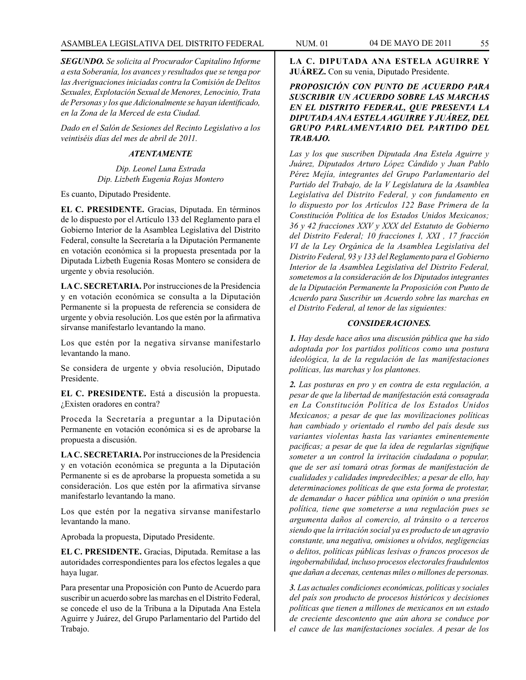*SEGUNDO. Se solicita al Procurador Capitalino Informe a esta Soberanía, los avances y resultados que se tenga por las Averiguaciones iniciadas contra la Comisión de Delitos Sexuales, Explotación Sexual de Menores, Lenocinio, Trata de Personas y los que Adicionalmente se hayan identificado, en la Zona de la Merced de esta Ciudad.*

*Dado en el Salón de Sesiones del Recinto Legislativo a los veintiséis días del mes de abril de 2011.*

#### *ATENTAMENTE*

*Dip. Leonel Luna Estrada Dip. Lizbeth Eugenia Rojas Montero*

Es cuanto, Diputado Presidente.

**EL C. PRESIDENTE.** Gracias, Diputada. En términos de lo dispuesto por el Artículo 133 del Reglamento para el Gobierno Interior de la Asamblea Legislativa del Distrito Federal, consulte la Secretaría a la Diputación Permanente en votación económica si la propuesta presentada por la Diputada Lizbeth Eugenia Rosas Montero se considera de urgente y obvia resolución.

**LA C. SECRETARIA.** Por instrucciones de la Presidencia y en votación económica se consulta a la Diputación Permanente si la propuesta de referencia se considera de urgente y obvia resolución. Los que estén por la afirmativa sírvanse manifestarlo levantando la mano.

Los que estén por la negativa sírvanse manifestarlo levantando la mano.

Se considera de urgente y obvia resolución, Diputado Presidente.

**EL C. PRESIDENTE.** Está a discusión la propuesta. ¿Existen oradores en contra?

Proceda la Secretaría a preguntar a la Diputación Permanente en votación económica si es de aprobarse la propuesta a discusión.

**LA C. SECRETARIA.** Por instrucciones de la Presidencia y en votación económica se pregunta a la Diputación Permanente si es de aprobarse la propuesta sometida a su consideración. Los que estén por la afirmativa sírvanse manifestarlo levantando la mano.

Los que estén por la negativa sírvanse manifestarlo levantando la mano.

Aprobada la propuesta, Diputado Presidente.

**EL C. PRESIDENTE.** Gracias, Diputada. Remítase a las autoridades correspondientes para los efectos legales a que haya lugar.

Para presentar una Proposición con Punto de Acuerdo para suscribir un acuerdo sobre las marchas en el Distrito Federal, se concede el uso de la Tribuna a la Diputada Ana Estela Aguirre y Juárez, del Grupo Parlamentario del Partido del Trabajo.

**LA C. DIPUTADA ANA ESTELA AGUIRRE Y JUÁREZ.** Con su venia, Diputado Presidente.

*PROPOSICIÓN CON PUNTO DE ACUERDO PARA SUSCRIBIR UN ACUERDO SOBRE LAS MARCHAS EN EL DISTRITO FEDERAL, QUE PRESENTA LA DIPUTADA ANA ESTELA AGUIRRE Y JUÁREZ, DEL GRUPO PARLAMENTARIO DEL PARTIDO DEL TRABAJO.* 

*Las y los que suscriben Diputada Ana Estela Aguirre y Juárez, Diputados Arturo López Cándido y Juan Pablo Pérez Mejía, integrantes del Grupo Parlamentario del Partido del Trabajo, de la V Legislatura de la Asamblea Legislativa del Distrito Federal, y con fundamento en lo dispuesto por los Artículos 122 Base Primera de la Constitución Política de los Estados Unidos Mexicanos; 36 y 42 fracciones XXV y XXX del Estatuto de Gobierno del Distrito Federal; 10 fracciones I, XXI , 17 fracción VI de la Ley Orgánica de la Asamblea Legislativa del Distrito Federal, 93 y 133 del Reglamento para el Gobierno Interior de la Asamblea Legislativa del Distrito Federal, sometemos a la consideración de los Diputados integrantes de la Diputación Permanente la Proposición con Punto de Acuerdo para Suscribir un Acuerdo sobre las marchas en el Distrito Federal, al tenor de las siguientes:*

### *CONSIDERACIONES.*

*1. Hay desde hace años una discusión pública que ha sido adoptada por los partidos políticos como una postura ideológica, la de la regulación de las manifestaciones políticas, las marchas y los plantones.*

*2. Las posturas en pro y en contra de esta regulación, a pesar de que la libertad de manifestación está consagrada en La Constitución Política de los Estados Unidos Mexicanos; a pesar de que las movilizaciones políticas han cambiado y orientado el rumbo del país desde sus variantes violentas hasta las variantes eminentemente pacificas; a pesar de que la idea de regularlas signifique someter a un control la irritación ciudadana o popular, que de ser así tomará otras formas de manifestación de cualidades y calidades impredecibles; a pesar de ello, hay determinaciones políticas de que esta forma de protestar, de demandar o hacer pública una opinión o una presión política, tiene que someterse a una regulación pues se argumenta daños al comercio, al tránsito o a terceros siendo que la irritación social ya es producto de un agravio constante, una negativa, omisiones u olvidos, negligencias o delitos, políticas públicas lesivas o francos procesos de ingobernabilidad, incluso procesos electorales fraudulentos que dañan a decenas, centenas miles o millones de personas.*

*3. Las actuales condiciones económicas, políticas y sociales del país son producto de procesos históricos y decisiones políticas que tienen a millones de mexicanos en un estado de creciente descontento que aún ahora se conduce por el cauce de las manifestaciones sociales. A pesar de los*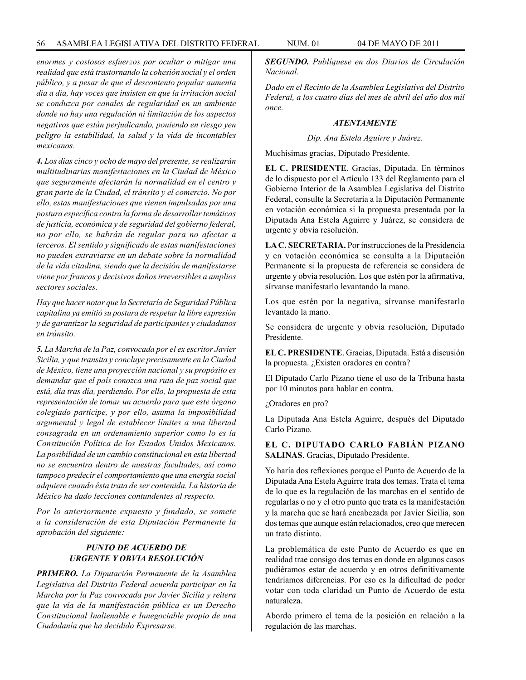*enormes y costosos esfuerzos por ocultar o mitigar una realidad que está trastornando la cohesión social y el orden público, y a pesar de que el descontento popular aumenta día a día, hay voces que insisten en que la irritación social se conduzca por canales de regularidad en un ambiente donde no hay una regulación ni limitación de los aspectos negativos que están perjudicando, poniendo en riesgo yen peligro la estabilidad, la salud y la vida de incontables mexicanos.*

*4. Los días cinco y ocho de mayo del presente, se realizarán multitudinarias manifestaciones en la Ciudad de México que seguramente afectarán la normalidad en el centro y gran parte de la Ciudad, el tránsito y el comercio. No por ello, estas manifestaciones que vienen impulsadas por una postura específica contra la forma de desarrollar temáticas de justicia, económica y de seguridad del gobierno federal, no por ello, se habrán de regular para no afectar a terceros. El sentido y significado de estas manifestaciones no pueden extraviarse en un debate sobre la normalidad de la vida citadina, siendo que la decisión de manifestarse viene por francos y decisivos daños irreversibles a amplios sectores sociales.*

*Hay que hacer notar que la Secretaría de Seguridad Pública capitalina ya emitió su postura de respetar la libre expresión y de garantizar la seguridad de participantes y ciudadanos en tránsito.*

*5. La Marcha de la Paz, convocada por el ex escritor Javier Sicilia, y que transita y concluye precisamente en la Ciudad de México, tiene una proyección nacional y su propósito es demandar que el país conozca una ruta de paz social que está, día tras día, perdiendo. Por ello, la propuesta de esta representación de tomar un acuerdo para que este órgano colegiado participe, y por ello, asuma la imposibilidad argumental y legal de establecer límites a una libertad consagrada en un ordenamiento superior como lo es la Constitución Política de los Estados Unidos Mexicanos. La posibilidad de un cambio constitucional en esta libertad no se encuentra dentro de nuestras facultades, así como tampoco predecir el comportamiento que una energía social adquiere cuando ésta trata de ser contenida. La historia de México ha dado lecciones contundentes al respecto.*

*Por lo anteriormente expuesto y fundado, se somete a la consideración de esta Diputación Permanente la aprobación del siguiente:*

## *PUNTO DE ACUERDO DE URGENTE Y OBVIA RESOLUCIÓN*

*PRIMERO. La Diputación Permanente de la Asamblea Legislativa del Distrito Federal acuerda participar en la Marcha por la Paz convocada por Javier Sicilia y reitera que la vía de la manifestación pública es un Derecho Constitucional Inalienable e Innegociable propio de una Ciudadanía que ha decidido Expresarse.*

*SEGUNDO. Publíquese en dos Diarios de Circulación Nacional.*

*Dado en el Recinto de la Asamblea Legislativa del Distrito Federal, a los cuatro días del mes de abril del año dos mil once.*

### *ATENTAMENTE*

*Dip. Ana Estela Aguirre y Juárez.*

Muchísimas gracias, Diputado Presidente.

**EL C. PRESIDENTE**. Gracias, Diputada. En términos de lo dispuesto por el Artículo 133 del Reglamento para el Gobierno Interior de la Asamblea Legislativa del Distrito Federal, consulte la Secretaría a la Diputación Permanente en votación económica si la propuesta presentada por la Diputada Ana Estela Aguirre y Juárez, se considera de urgente y obvia resolución.

**LA C. SECRETARIA.** Por instrucciones de la Presidencia y en votación económica se consulta a la Diputación Permanente si la propuesta de referencia se considera de urgente y obvia resolución. Los que estén por la afirmativa, sírvanse manifestarlo levantando la mano.

Los que estén por la negativa, sírvanse manifestarlo levantado la mano.

Se considera de urgente y obvia resolución, Diputado Presidente.

**EL C. PRESIDENTE**. Gracias, Diputada. Está a discusión la propuesta. ¿Existen oradores en contra?

El Diputado Carlo Pizano tiene el uso de la Tribuna hasta por 10 minutos para hablar en contra.

¿Oradores en pro?

La Diputada Ana Estela Aguirre, después del Diputado Carlo Pizano.

**EL C. DIPUTADO CARLO FABIÁN PIZANO SALINAS**. Gracias, Diputado Presidente.

Yo haría dos reflexiones porque el Punto de Acuerdo de la Diputada Ana Estela Aguirre trata dos temas. Trata el tema de lo que es la regulación de las marchas en el sentido de regularlas o no y el otro punto que trata es la manifestación y la marcha que se hará encabezada por Javier Sicilia, son dos temas que aunque están relacionados, creo que merecen un trato distinto.

La problemática de este Punto de Acuerdo es que en realidad trae consigo dos temas en donde en algunos casos pudiéramos estar de acuerdo y en otros definitivamente tendríamos diferencias. Por eso es la dificultad de poder votar con toda claridad un Punto de Acuerdo de esta naturaleza.

Abordo primero el tema de la posición en relación a la regulación de las marchas.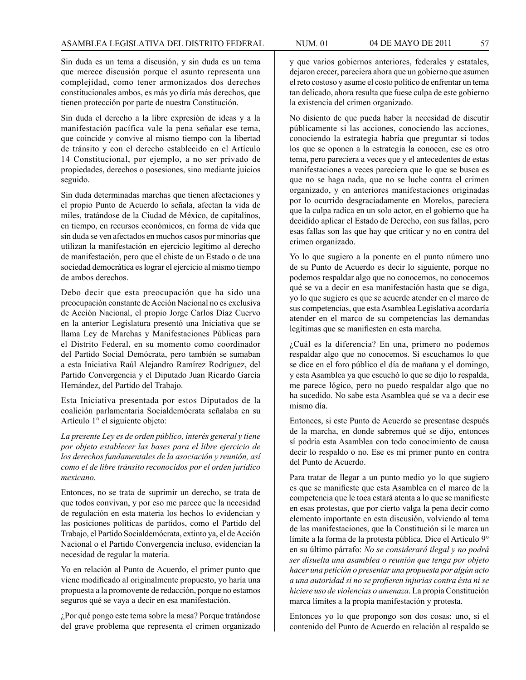Sin duda es un tema a discusión, y sin duda es un tema que merece discusión porque el asunto representa una complejidad, como tener armonizados dos derechos constitucionales ambos, es más yo diría más derechos, que tienen protección por parte de nuestra Constitución.

Sin duda el derecho a la libre expresión de ideas y a la manifestación pacífica vale la pena señalar ese tema, que coincide y convive al mismo tiempo con la libertad de tránsito y con el derecho establecido en el Artículo 14 Constitucional, por ejemplo, a no ser privado de propiedades, derechos o posesiones, sino mediante juicios seguido.

Sin duda determinadas marchas que tienen afectaciones y el propio Punto de Acuerdo lo señala, afectan la vida de miles, tratándose de la Ciudad de México, de capitalinos, en tiempo, en recursos económicos, en forma de vida que sin duda se ven afectados en muchos casos por minorías que utilizan la manifestación en ejercicio legítimo al derecho de manifestación, pero que el chiste de un Estado o de una sociedad democrática es lograr el ejercicio al mismo tiempo de ambos derechos.

Debo decir que esta preocupación que ha sido una preocupación constante de Acción Nacional no es exclusiva de Acción Nacional, el propio Jorge Carlos Díaz Cuervo en la anterior Legislatura presentó una Iniciativa que se llama Ley de Marchas y Manifestaciones Públicas para el Distrito Federal, en su momento como coordinador del Partido Social Demócrata, pero también se sumaban a esta Iniciativa Raúl Alejandro Ramírez Rodríguez, del Partido Convergencia y el Diputado Juan Ricardo García Hernández, del Partido del Trabajo.

Esta Iniciativa presentada por estos Diputados de la coalición parlamentaria Socialdemócrata señalaba en su Artículo 1° el siguiente objeto:

*La presente Ley es de orden público, interés general y tiene por objeto establecer las bases para el libre ejercicio de los derechos fundamentales de la asociación y reunión, así como el de libre tránsito reconocidos por el orden jurídico mexicano.*

Entonces, no se trata de suprimir un derecho, se trata de que todos convivan, y por eso me parece que la necesidad de regulación en esta materia los hechos lo evidencian y las posiciones políticas de partidos, como el Partido del Trabajo, el Partido Socialdemócrata, extinto ya, el de Acción Nacional o el Partido Convergencia incluso, evidencian la necesidad de regular la materia.

Yo en relación al Punto de Acuerdo, el primer punto que viene modificado al originalmente propuesto, yo haría una propuesta a la promovente de redacción, porque no estamos seguros qué se vaya a decir en esa manifestación.

¿Por qué pongo este tema sobre la mesa? Porque tratándose del grave problema que representa el crimen organizado y que varios gobiernos anteriores, federales y estatales, dejaron crecer, pareciera ahora que un gobierno que asumen el reto costoso y asume el costo político de enfrentar un tema tan delicado, ahora resulta que fuese culpa de este gobierno la existencia del crimen organizado.

No disiento de que pueda haber la necesidad de discutir públicamente si las acciones, conociendo las acciones, conociendo la estrategia habría que preguntar si todos los que se oponen a la estrategia la conocen, ese es otro tema, pero pareciera a veces que y el antecedentes de estas manifestaciones a veces pareciera que lo que se busca es que no se haga nada, que no se luche contra el crimen organizado, y en anteriores manifestaciones originadas por lo ocurrido desgraciadamente en Morelos, pareciera que la culpa radica en un solo actor, en el gobierno que ha decidido aplicar el Estado de Derecho, con sus fallas, pero esas fallas son las que hay que criticar y no en contra del crimen organizado.

Yo lo que sugiero a la ponente en el punto número uno de su Punto de Acuerdo es decir lo siguiente, porque no podemos respaldar algo que no conocemos, no conocemos qué se va a decir en esa manifestación hasta que se diga, yo lo que sugiero es que se acuerde atender en el marco de sus competencias, que esta Asamblea Legislativa acordaría atender en el marco de su competencias las demandas legítimas que se manifiesten en esta marcha.

¿Cuál es la diferencia? En una, primero no podemos respaldar algo que no conocemos. Si escuchamos lo que se dice en el foro público el día de mañana y el domingo, y esta Asamblea ya que escuchó lo que se dijo lo respalda, me parece lógico, pero no puedo respaldar algo que no ha sucedido. No sabe esta Asamblea qué se va a decir ese mismo día.

Entonces, si este Punto de Acuerdo se presentase después de la marcha, en donde sabremos qué se dijo, entonces sí podría esta Asamblea con todo conocimiento de causa decir lo respaldo o no. Ese es mi primer punto en contra del Punto de Acuerdo.

Para tratar de llegar a un punto medio yo lo que sugiero es que se manifieste que esta Asamblea en el marco de la competencia que le toca estará atenta a lo que se manifieste en esas protestas, que por cierto valga la pena decir como elemento importante en esta discusión, volviendo al tema de las manifestaciones, que la Constitución sí le marca un límite a la forma de la protesta pública. Dice el Artículo 9° en su último párrafo: *No se considerará ilegal y no podrá ser disuelta una asamblea o reunión que tenga por objeto hacer una petición o presentar una propuesta por algún acto a una autoridad si no se profieren injurias contra ésta ni se hiciere uso de violencias o amenaza*. La propia Constitución marca límites a la propia manifestación y protesta.

Entonces yo lo que propongo son dos cosas: uno, si el contenido del Punto de Acuerdo en relación al respaldo se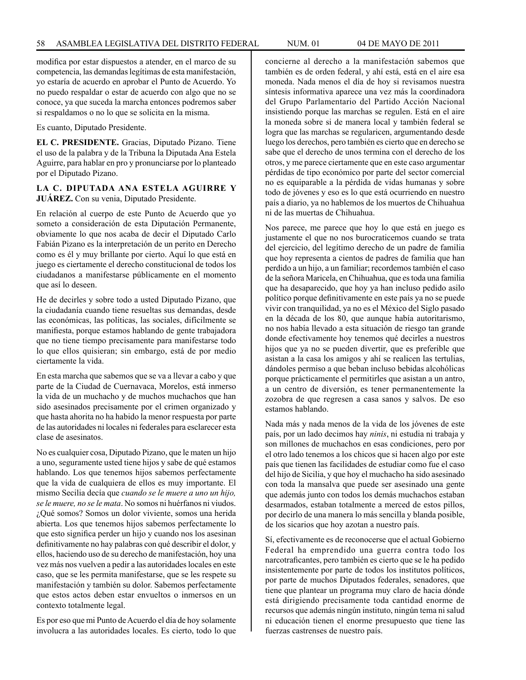modifica por estar dispuestos a atender, en el marco de su competencia, las demandas legítimas de esta manifestación, yo estaría de acuerdo en aprobar el Punto de Acuerdo. Yo no puedo respaldar o estar de acuerdo con algo que no se conoce, ya que suceda la marcha entonces podremos saber si respaldamos o no lo que se solicita en la misma.

Es cuanto, Diputado Presidente.

**EL C. PRESIDENTE.** Gracias, Diputado Pizano. Tiene el uso de la palabra y de la Tribuna la Diputada Ana Estela Aguirre, para hablar en pro y pronunciarse por lo planteado por el Diputado Pizano.

### **LA C. DIPUTADA ANA ESTELA AGUIRRE Y JUÁREZ.** Con su venia, Diputado Presidente.

En relación al cuerpo de este Punto de Acuerdo que yo someto a consideración de esta Diputación Permanente, obviamente lo que nos acaba de decir el Diputado Carlo Fabián Pizano es la interpretación de un perito en Derecho como es él y muy brillante por cierto. Aquí lo que está en juego es ciertamente el derecho constitucional de todos los ciudadanos a manifestarse públicamente en el momento que así lo deseen.

He de decirles y sobre todo a usted Diputado Pizano, que la ciudadanía cuando tiene resueltas sus demandas, desde las económicas, las políticas, las sociales, difícilmente se manifiesta, porque estamos hablando de gente trabajadora que no tiene tiempo precisamente para manifestarse todo lo que ellos quisieran; sin embargo, está de por medio ciertamente la vida.

En esta marcha que sabemos que se va a llevar a cabo y que parte de la Ciudad de Cuernavaca, Morelos, está inmerso la vida de un muchacho y de muchos muchachos que han sido asesinados precisamente por el crimen organizado y que hasta ahorita no ha habido la menor respuesta por parte de las autoridades ni locales ni federales para esclarecer esta clase de asesinatos.

No es cualquier cosa, Diputado Pizano, que le maten un hijo a uno, seguramente usted tiene hijos y sabe de qué estamos hablando. Los que tenemos hijos sabemos perfectamente que la vida de cualquiera de ellos es muy importante. El mismo Secilia decía que *cuando se le muere a uno un hijo, se le muere, no se le mata*. No somos ni huérfanos ni viudos. ¿Qué somos? Somos un dolor viviente, somos una herida abierta. Los que tenemos hijos sabemos perfectamente lo que esto significa perder un hijo y cuando nos los asesinan definitivamente no hay palabras con qué describir el dolor, y ellos, haciendo uso de su derecho de manifestación, hoy una vez más nos vuelven a pedir a las autoridades locales en este caso, que se les permita manifestarse, que se les respete su manifestación y también su dolor. Sabemos perfectamente que estos actos deben estar envueltos o inmersos en un contexto totalmente legal.

Es por eso que mi Punto de Acuerdo el día de hoy solamente involucra a las autoridades locales. Es cierto, todo lo que concierne al derecho a la manifestación sabemos que también es de orden federal, y ahí está, está en el aire esa moneda. Nada menos el día de hoy si revisamos nuestra síntesis informativa aparece una vez más la coordinadora del Grupo Parlamentario del Partido Acción Nacional insistiendo porque las marchas se regulen. Está en el aire la moneda sobre si de manera local y también federal se logra que las marchas se regularicen, argumentando desde luego los derechos, pero también es cierto que en derecho se sabe que el derecho de unos termina con el derecho de los otros, y me parece ciertamente que en este caso argumentar pérdidas de tipo económico por parte del sector comercial no es equiparable a la pérdida de vidas humanas y sobre todo de jóvenes y eso es lo que está ocurriendo en nuestro país a diario, ya no hablemos de los muertos de Chihuahua ni de las muertas de Chihuahua.

Nos parece, me parece que hoy lo que está en juego es justamente el que no nos burocraticemos cuando se trata del ejercicio, del legítimo derecho de un padre de familia que hoy representa a cientos de padres de familia que han perdido a un hijo, a un familiar; recordemos también el caso de la señora Maricela, en Chihuahua, que es toda una familia que ha desaparecido, que hoy ya han incluso pedido asilo político porque definitivamente en este país ya no se puede vivir con tranquilidad, ya no es el México del Siglo pasado en la década de los 80, que aunque había autoritarismo, no nos había llevado a esta situación de riesgo tan grande donde efectivamente hoy tenemos qué decirles a nuestros hijos que ya no se pueden divertir, que es preferible que asistan a la casa los amigos y ahí se realicen las tertulias, dándoles permiso a que beban incluso bebidas alcohólicas porque prácticamente el permitirles que asistan a un antro, a un centro de diversión, es tener permanentemente la zozobra de que regresen a casa sanos y salvos. De eso estamos hablando.

Nada más y nada menos de la vida de los jóvenes de este país, por un lado decimos hay *ninis*, ni estudia ni trabaja y son millones de muchachos en esas condiciones, pero por el otro lado tenemos a los chicos que si hacen algo por este país que tienen las facilidades de estudiar como fue el caso del hijo de Sicilia, y que hoy el muchacho ha sido asesinado con toda la mansalva que puede ser asesinado una gente que además junto con todos los demás muchachos estaban desarmados, estaban totalmente a merced de estos pillos, por decirlo de una manera lo más sencilla y blanda posible, de los sicarios que hoy azotan a nuestro país.

Sí, efectivamente es de reconocerse que el actual Gobierno Federal ha emprendido una guerra contra todo los narcotraficantes, pero también es cierto que se le ha pedido insistentemente por parte de todos los institutos políticos, por parte de muchos Diputados federales, senadores, que tiene que plantear un programa muy claro de hacia dónde está dirigiendo precisamente toda cantidad enorme de recursos que además ningún instituto, ningún tema ni salud ni educación tienen el enorme presupuesto que tiene las fuerzas castrenses de nuestro país.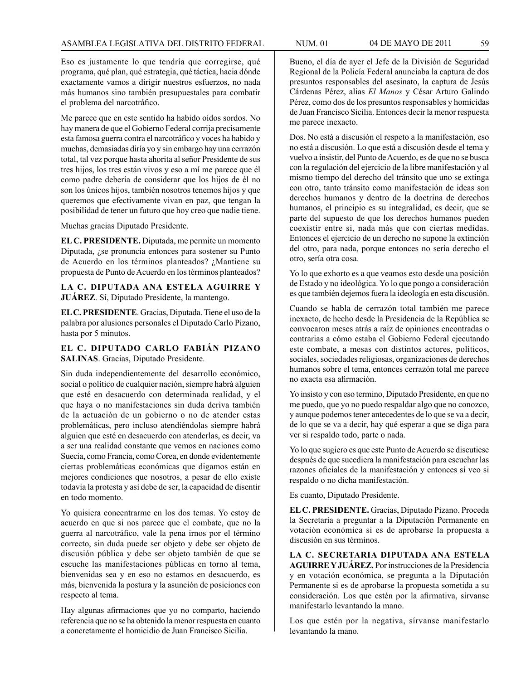Eso es justamente lo que tendría que corregirse, qué programa, qué plan, qué estrategia, qué táctica, hacia dónde exactamente vamos a dirigir nuestros esfuerzos, no nada más humanos sino también presupuestales para combatir el problema del narcotráfico.

Me parece que en este sentido ha habido oídos sordos. No hay manera de que el Gobierno Federal corrija precisamente esta famosa guerra contra el narcotráfico y voces ha habido y muchas, demasiadas diría yo y sin embargo hay una cerrazón total, tal vez porque hasta ahorita al señor Presidente de sus tres hijos, los tres están vivos y eso a mí me parece que él como padre debería de considerar que los hijos de él no son los únicos hijos, también nosotros tenemos hijos y que queremos que efectivamente vivan en paz, que tengan la posibilidad de tener un futuro que hoy creo que nadie tiene.

Muchas gracias Diputado Presidente.

**EL C. PRESIDENTE.** Diputada, me permite un momento Diputada, ¿se pronuncia entonces para sostener su Punto de Acuerdo en los términos planteados? ¿Mantiene su propuesta de Punto de Acuerdo en los términos planteados?

**LA C. DIPUTADA ANA ESTELA AGUIRRE Y JUÁREZ**. Sí, Diputado Presidente, la mantengo.

**EL C. PRESIDENTE**. Gracias, Diputada. Tiene el uso de la palabra por alusiones personales el Diputado Carlo Pizano, hasta por 5 minutos.

### **EL C. DIPUTADO CARLO FABIÁN PIZANO SALINAS**. Gracias, Diputado Presidente.

Sin duda independientemente del desarrollo económico, social o político de cualquier nación, siempre habrá alguien que esté en desacuerdo con determinada realidad, y el que haya o no manifestaciones sin duda deriva también de la actuación de un gobierno o no de atender estas problemáticas, pero incluso atendiéndolas siempre habrá alguien que esté en desacuerdo con atenderlas, es decir, va a ser una realidad constante que vemos en naciones como Suecia, como Francia, como Corea, en donde evidentemente ciertas problemáticas económicas que digamos están en mejores condiciones que nosotros, a pesar de ello existe todavía la protesta y así debe de ser, la capacidad de disentir en todo momento.

Yo quisiera concentrarme en los dos temas. Yo estoy de acuerdo en que si nos parece que el combate, que no la guerra al narcotráfico, vale la pena irnos por el término correcto, sin duda puede ser objeto y debe ser objeto de discusión pública y debe ser objeto también de que se escuche las manifestaciones públicas en torno al tema, bienvenidas sea y en eso no estamos en desacuerdo, es más, bienvenida la postura y la asunción de posiciones con respecto al tema.

Hay algunas afirmaciones que yo no comparto, haciendo referencia que no se ha obtenido la menor respuesta en cuanto a concretamente el homicidio de Juan Francisco Sicilia.

Bueno, el día de ayer el Jefe de la División de Seguridad Regional de la Policía Federal anunciaba la captura de dos presuntos responsables del asesinato, la captura de Jesús Cárdenas Pérez, alias *El Manos* y César Arturo Galindo Pérez, como dos de los presuntos responsables y homicidas de Juan Francisco Sicilia. Entonces decir la menor respuesta me parece inexacto.

Dos. No está a discusión el respeto a la manifestación, eso no está a discusión. Lo que está a discusión desde el tema y vuelvo a insistir, del Punto de Acuerdo, es de que no se busca con la regulación del ejercicio de la libre manifestación y al mismo tiempo del derecho del tránsito que uno se extinga con otro, tanto tránsito como manifestación de ideas son derechos humanos y dentro de la doctrina de derechos humanos, el principio es su integralidad, es decir, que se parte del supuesto de que los derechos humanos pueden coexistir entre si, nada más que con ciertas medidas. Entonces el ejercicio de un derecho no supone la extinción del otro, para nada, porque entonces no sería derecho el otro, sería otra cosa.

Yo lo que exhorto es a que veamos esto desde una posición de Estado y no ideológica. Yo lo que pongo a consideración es que también dejemos fuera la ideología en esta discusión.

Cuando se habla de cerrazón total también me parece inexacto, de hecho desde la Presidencia de la República se convocaron meses atrás a raíz de opiniones encontradas o contrarias a cómo estaba el Gobierno Federal ejecutando este combate, a mesas con distintos actores, políticos, sociales, sociedades religiosas, organizaciones de derechos humanos sobre el tema, entonces cerrazón total me parece no exacta esa afirmación.

Yo insisto y con eso termino, Diputado Presidente, en que no me puedo, que yo no puedo respaldar algo que no conozco, y aunque podemos tener antecedentes de lo que se va a decir, de lo que se va a decir, hay qué esperar a que se diga para ver si respaldo todo, parte o nada.

Yo lo que sugiero es que este Punto de Acuerdo se discutiese después de que sucediera la manifestación para escuchar las razones oficiales de la manifestación y entonces sí veo si respaldo o no dicha manifestación.

Es cuanto, Diputado Presidente.

**EL C. PRESIDENTE.** Gracias, Diputado Pizano. Proceda la Secretaría a preguntar a la Diputación Permanente en votación económica si es de aprobarse la propuesta a discusión en sus términos.

**LA C. SECRETARIA DIPUTADA ANA ESTELA AGUIRRE Y JUÁREZ.** Por instrucciones de la Presidencia y en votación económica, se pregunta a la Diputación Permanente si es de aprobarse la propuesta sometida a su consideración. Los que estén por la afirmativa, sírvanse manifestarlo levantando la mano.

Los que estén por la negativa, sírvanse manifestarlo levantando la mano.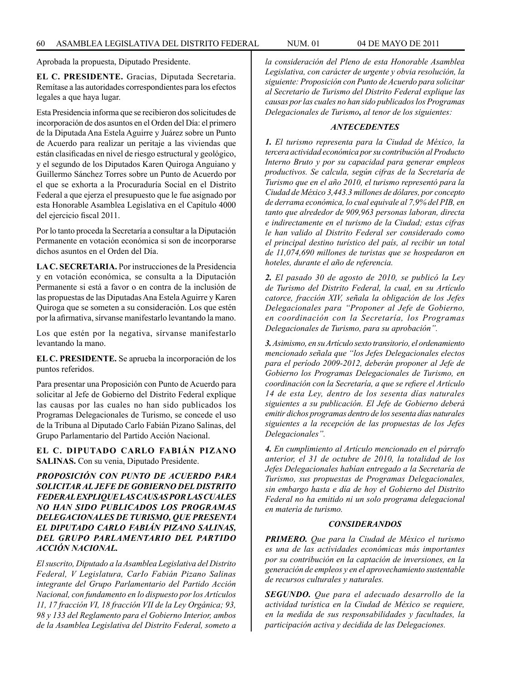Aprobada la propuesta, Diputado Presidente.

**EL C. PRESIDENTE.** Gracias, Diputada Secretaria. Remítase a las autoridades correspondientes para los efectos legales a que haya lugar.

Esta Presidencia informa que se recibieron dos solicitudes de incorporación de dos asuntos en el Orden del Día: el primero de la Diputada Ana Estela Aguirre y Juárez sobre un Punto de Acuerdo para realizar un peritaje a las viviendas que están clasificadas en nivel de riesgo estructural y geológico, y el segundo de los Diputados Karen Quiroga Anguiano y Guillermo Sánchez Torres sobre un Punto de Acuerdo por el que se exhorta a la Procuraduría Social en el Distrito Federal a que ejerza el presupuesto que le fue asignado por esta Honorable Asamblea Legislativa en el Capítulo 4000 del ejercicio fiscal 2011.

Por lo tanto proceda la Secretaría a consultar a la Diputación Permanente en votación económica si son de incorporarse dichos asuntos en el Orden del Día.

**LA C. SECRETARIA.** Por instrucciones de la Presidencia y en votación económica, se consulta a la Diputación Permanente si está a favor o en contra de la inclusión de las propuestas de las Diputadas Ana Estela Aguirre y Karen Quiroga que se someten a su consideración. Los que estén por la afirmativa, sírvanse manifestarlo levantando la mano.

Los que estén por la negativa, sírvanse manifestarlo levantando la mano.

**EL C. PRESIDENTE.** Se aprueba la incorporación de los puntos referidos.

Para presentar una Proposición con Punto de Acuerdo para solicitar al Jefe de Gobierno del Distrito Federal explique las causas por las cuales no han sido publicados los Programas Delegacionales de Turismo, se concede el uso de la Tribuna al Diputado Carlo Fabián Pizano Salinas, del Grupo Parlamentario del Partido Acción Nacional.

**EL C. DIPUTADO CARLO FABIÁN PIZANO SALINAS.** Con su venia, Diputado Presidente.

*PROPOSICIÓN CON PUNTO DE ACUERDO PARA SOLICITAR AL JEFE DE GOBIERNO DEL DISTRITO FEDERAL EXPLIQUE LAS CAUSAS POR LAS CUALES NO HAN SIDO PUBLICADOS LOS PROGRAMAS DELEGACIONALES DE TURISMO, QUE PRESENTA EL DIPUTADO CARLO FABIÁN PIZANO SALINAS, DEL GRUPO PARLAMENTARIO DEL PARTIDO ACCIÓN NACIONAL.*

*El suscrito, Diputado a la Asamblea Legislativa del Distrito Federal, V Legislatura, CarIo Fabián Pizano Salinas integrante del Grupo Parlamentario del Partido Acción Nacional, con fundamento en lo dispuesto por los Artículos 11, 17 fracción VI, 18 fracción VII de la Ley Orgánica; 93, 98 y 133 del Reglamento para el Gobierno Interior, ambos de la Asamblea Legislativa del Distrito Federal, someto a*  *la consideración del Pleno de esta Honorable Asamblea Legislativa, con carácter de urgente y obvia resolución, la siguiente: Proposición con Punto de Acuerdo para solicitar al Secretario de Turismo del Distrito Federal explique las causas por las cuales no han sido publicados los Programas Delegacionales de Turismo, al tenor de los siguientes:*

### *ANTECEDENTES*

*1. El turismo representa para la Ciudad de México, la tercera actividad económica por su contribución al Producto Interno Bruto y por su capacidad para generar empleos productivos. Se calcula, según cifras de la Secretaría de Turismo que en el año 2010, el turismo representó para la Ciudad de México 3,443.3 millones de dólares, por concepto de derrama económica, lo cual equivale al 7,9% del PIB, en tanto que alrededor de 909,963 personas laboran, directa e indirectamente en el turismo de la Ciudad; estas cifras le han valido al Distrito Federal ser considerado como el principal destino turístico del país, al recibir un total de 11,074,690 millones de turistas que se hospedaron en hoteles, durante el año de referencia.*

*2. El pasado 30 de agosto de 2010, se publicó la Ley de Turismo del Distrito Federal, la cual, en su Artículo catorce, fracción XIV, señala la obligación de los Jefes Delegacionales para "Proponer al Jefe de Gobierno, en coordinación con la Secretaría, los Programas Delegacionales de Turismo, para su aprobación".*

*3. Asimismo, en su Artículo sexto transitorio, el ordenamiento mencionado señala que "los Jefes Delegacionales electos para el período 2009-2012, deberán proponer al Jefe de Gobierno los Programas Delegacionales de Turismo, en coordinación con la Secretaría, a que se refiere el Artículo 14 de esta Ley, dentro de los sesenta días naturales siguientes a su publicación. El Jefe de Gobierno deberá emitir dichos programas dentro de los sesenta días naturales siguientes a la recepción de las propuestas de los Jefes Delegacionales".*

*4. En cumplimiento al Artículo mencionado en el párrafo anterior, el 31 de octubre de 2010, la totalidad de los Jefes Delegacionales habían entregado a la Secretaría de Turismo, sus propuestas de Programas Delegacionales, sin embargo hasta e día de hoy el Gobierno del Distrito Federal no ha emitido ni un solo programa delegacional en materia de turismo.*

### *CONSIDERANDOS*

*PRIMERO. Que para la Ciudad de México el turismo es una de las actividades económicas más importantes por su contribución en la captación de inversiones, en la generación de empleos y en el aprovechamiento sustentable de recursos culturales y naturales.*

*SEGUNDO. Que para el adecuado desarrollo de la actividad turística en la Ciudad de México se requiere, en la medida de sus responsabilidades y facultades, la participación activa y decidida de las Delegaciones.*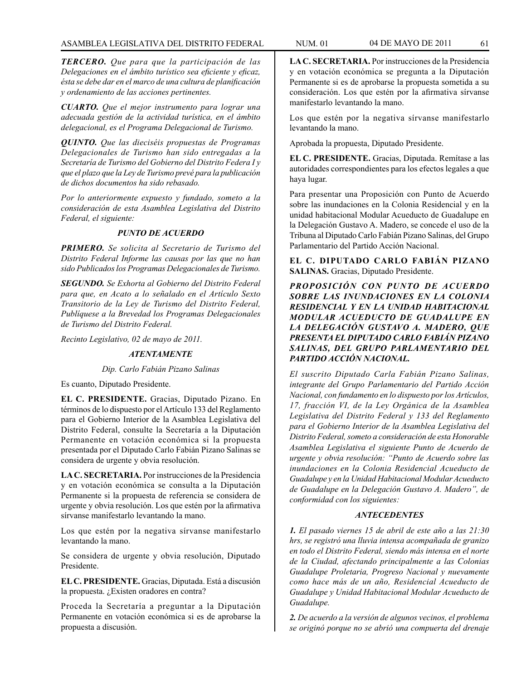*TERCERO. Que para que la participación de las Delegaciones en el ámbito turístico sea eficiente y eficaz, ésta se debe dar en el marco de una cultura de planificación y ordenamiento de las acciones pertinentes.*

*CUARTO. Que el mejor instrumento para lograr una adecuada gestión de la actividad turística, en el ámbito delegacional, es el Programa Delegacional de Turismo.*

*QUINTO. Que las dieciséis propuestas de Programas Delegacionales de Turismo han sido entregadas a la Secretaría de Turismo del Gobierno del Distrito Federa I y que el plazo que la Ley de Turismo prevé para la publicación de dichos documentos ha sido rebasado.*

*Por lo anteriormente expuesto y fundado, someto a la consideración de esta Asamblea Legislativa del Distrito Federal, el siguiente:*

### *PUNTO DE ACUERDO*

*PRIMERO. Se solicita al Secretario de Turismo del Distrito Federal Informe las causas por las que no han sido Publicados los Programas Delegacionales de Turismo.*

*SEGUNDO. Se Exhorta al Gobierno del Distrito Federal para que, en Acato a lo señalado en el Artículo Sexto Transitorio de la Ley de Turismo del Distrito Federal, Publíquese a la Brevedad los Programas Delegacionales de Turismo del Distrito Federal.*

*Recinto Legislativo, 02 de mayo de 2011.*

#### *ATENTAMENTE*

#### *Dip. Carlo Fabián Pizano Salinas*

Es cuanto, Diputado Presidente.

**EL C. PRESIDENTE.** Gracias, Diputado Pizano. En términos de lo dispuesto por el Artículo 133 del Reglamento para el Gobierno Interior de la Asamblea Legislativa del Distrito Federal, consulte la Secretaría a la Diputación Permanente en votación económica si la propuesta presentada por el Diputado Carlo Fabián Pizano Salinas se considera de urgente y obvia resolución.

**LA C. SECRETARIA.** Por instrucciones de la Presidencia y en votación económica se consulta a la Diputación Permanente si la propuesta de referencia se considera de urgente y obvia resolución. Los que estén por la afirmativa sírvanse manifestarlo levantando la mano.

Los que estén por la negativa sírvanse manifestarlo levantando la mano.

Se considera de urgente y obvia resolución, Diputado Presidente.

**EL C. PRESIDENTE.** Gracias, Diputada. Está a discusión la propuesta. ¿Existen oradores en contra?

Proceda la Secretaría a preguntar a la Diputación Permanente en votación económica si es de aprobarse la propuesta a discusión.

**LA C. SECRETARIA.** Por instrucciones de la Presidencia y en votación económica se pregunta a la Diputación Permanente si es de aprobarse la propuesta sometida a su consideración. Los que estén por la afirmativa sírvanse manifestarlo levantando la mano.

Los que estén por la negativa sírvanse manifestarlo levantando la mano.

Aprobada la propuesta, Diputado Presidente.

**EL C. PRESIDENTE.** Gracias, Diputada. Remítase a las autoridades correspondientes para los efectos legales a que haya lugar.

Para presentar una Proposición con Punto de Acuerdo sobre las inundaciones en la Colonia Residencial y en la unidad habitacional Modular Acueducto de Guadalupe en la Delegación Gustavo A. Madero, se concede el uso de la Tribuna al Diputado Carlo Fabián Pizano Salinas, del Grupo Parlamentario del Partido Acción Nacional.

**EL C. DIPUTADO CARLO FABIÁN PIZANO SALINAS.** Gracias, Diputado Presidente.

*PROPOSICIÓN CON PUNTO DE ACUERDO SOBRE LAS INUNDACIONES EN LA COLONIA RESIDENCIAL Y EN LA UNIDAD HABITACIONAL MODULAR ACUEDUCTO DE GUADALUPE EN LA DELEGACIÓN GUSTAVO A. MADERO, QUE PRESENTA EL DIPUTADO CARLO FABIÁN PIZANO SALINAS, DEL GRUPO PARLAMENTARIO DEL PARTIDO ACCIÓN NACIONAL.*

*El suscrito Diputado Carla Fabián Pizano Salinas, integrante del Grupo Parlamentario del Partido Acción Nacional, con fundamento en lo dispuesto por los Artículos, 17, fracción VI, de la Ley Orgánica de la Asamblea Legislativa del Distrito Federal y 133 del Reglamento para el Gobierno Interior de la Asamblea Legislativa del Distrito Federal, someto a consideración de esta Honorable Asamblea Legislativa el siguiente Punto de Acuerdo de urgente y obvia resolución: "Punto de Acuerdo sobre las inundaciones en la Colonia Residencial Acueducto de Guadalupe y en la Unidad Habitacional Modular Acueducto de Guadalupe en la Delegación Gustavo A. Madero", de conformidad con los siguientes:*

## *ANTECEDENTES*

*1. El pasado viernes 15 de abril de este año a las 21:30 hrs, se registró una lluvia intensa acompañada de granizo en todo el Distrito Federal, siendo más intensa en el norte de la Ciudad, afectando principalmente a las Colonias Guadalupe Proletaria, Progreso Nacional y nuevamente como hace más de un año, Residencial Acueducto de Guadalupe y Unidad Habitacional Modular Acueducto de Guadalupe.*

*2. De acuerdo a la versión de algunos vecinos, el problema se originó porque no se abrió una compuerta del drenaje*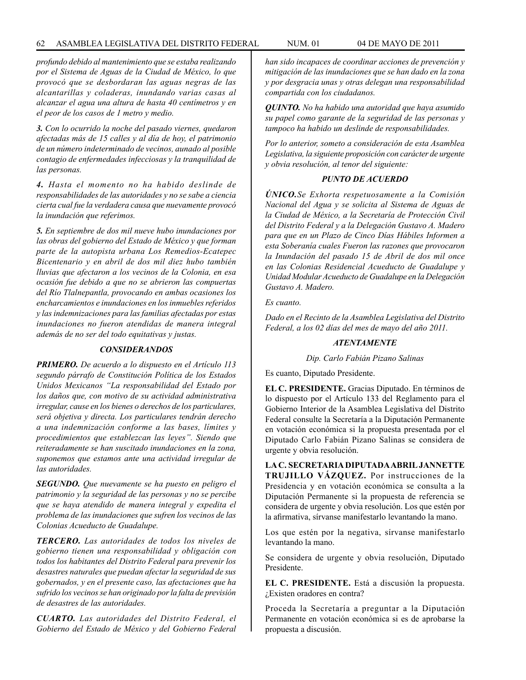#### 62 ASAMBLEA LEGISLATIVA DEL DISTRITO FEDERAL NUM. 01 04 de MAYO de 2011

*profundo debido al mantenimiento que se estaba realizando por el Sistema de Aguas de la Ciudad de México, lo que provocó que se desbordaran las aguas negras de las alcantarillas y coladeras, inundando varias casas al alcanzar el agua una altura de hasta 40 centímetros y en el peor de los casos de 1 metro y medio.*

*3. Con lo ocurrido la noche del pasado viernes, quedaron afectadas más de 15 calles y al día de hoy, el patrimonio de un número indeterminado de vecinos, aunado al posible contagio de enfermedades infecciosas y la tranquilidad de las personas.*

*4. Hasta el momento no ha habido deslinde de responsabilidades de las autoridades y no se sabe a ciencia cierta cual fue la verdadera causa que nuevamente provocó la inundación que referimos.*

*5. En septiembre de dos mil nueve hubo inundaciones por las obras del gobierno del Estado de México y que forman parte de la autopista urbana Los Remedios-Ecatepec Bicentenario y en abril de dos mil diez hubo también lluvias que afectaron a los vecinos de la Colonia, en esa ocasión fue debido a que no se abrieron las compuertas del Río Tlalnepantla, provocando en ambas ocasiones los encharcamientos e inundaciones en los inmuebles referidos y las indemnizaciones para las familias afectadas por estas inundaciones no fueron atendidas de manera integral además de no ser del todo equitativas y justas.*

### *CONSIDERANDOS*

*PRIMERO. De acuerdo a lo dispuesto en el Artículo 113 segundo párrafo de Constitución Política de los Estados Unidos Mexicanos "La responsabilidad del Estado por los daños que, con motivo de su actividad administrativa irregular, cause en los bienes o derechos de los particulares, será objetiva y directa. Los particulares tendrán derecho a una indemnización conforme a las bases, límites y procedimientos que establezcan las leyes". Siendo que reiteradamente se han suscitado inundaciones en la zona, suponemos que estamos ante una actividad irregular de las autoridades.*

*SEGUNDO. Que nuevamente se ha puesto en peligro el patrimonio y la seguridad de las personas y no se percibe que se haya atendido de manera integral y expedita el problema de las inundaciones que sufren los vecinos de las Colonias Acueducto de Guadalupe.*

*TERCERO. Las autoridades de todos los niveles de gobierno tienen una responsabilidad y obligación con todos los habitantes del Distrito Federal para prevenir los desastres naturales que puedan afectar la seguridad de sus gobernados, y en el presente caso, las afectaciones que ha sufrido los vecinos se han originado por la falta de previsión de desastres de las autoridades.*

*CUARTO. Las autoridades del Distrito Federal, el Gobierno del Estado de México y del Gobierno Federal*  *han sido incapaces de coordinar acciones de prevención y mitigación de las inundaciones que se han dado en la zona y por desgracia unas y otras delegan una responsabilidad compartida con los ciudadanos.*

*QUINTO. No ha habido una autoridad que haya asumido su papel como garante de la seguridad de las personas y tampoco ha habido un deslinde de responsabilidades.*

*Por lo anterior, someto a consideración de esta Asamblea Legislativa, la siguiente proposición con carácter de urgente y obvia resolución, al tenor del siguiente:*

# *PUNTO DE ACUERDO*

*ÚNICO.Se Exhorta respetuosamente a la Comisión Nacional del Agua y se solicita al Sistema de Aguas de la Ciudad de México, a la Secretaría de Protección Civil del Distrito Federal y a la Delegación Gustavo A. Madero para que en un Plazo de Cinco Días Hábiles Informen a esta Soberanía cuales Fueron las razones que provocaron la Inundación del pasado 15 de Abril de dos mil once en las Colonias Residencial Acueducto de Guadalupe y Unidad Modular Acueducto de Guadalupe en la Delegación Gustavo A. Madero.*

*Es cuanto.*

*Dado en el Recinto de la Asamblea Legislativa del Distrito Federal, a los 02 días del mes de mayo del año 2011.*

## *ATENTAMENTE*

*Dip. Carlo Fabián Pizano Salinas*

Es cuanto, Diputado Presidente.

**EL C. PRESIDENTE.** Gracias Diputado. En términos de lo dispuesto por el Artículo 133 del Reglamento para el Gobierno Interior de la Asamblea Legislativa del Distrito Federal consulte la Secretaría a la Diputación Permanente en votación económica si la propuesta presentada por el Diputado Carlo Fabián Pizano Salinas se considera de urgente y obvia resolución.

**LA C. SECRETARIA DIPUTADA ABRIL JANNETTE TRUJILLO VÁZQUEZ.** Por instrucciones de la Presidencia y en votación económica se consulta a la Diputación Permanente si la propuesta de referencia se considera de urgente y obvia resolución. Los que estén por la afirmativa, sírvanse manifestarlo levantando la mano.

Los que estén por la negativa, sírvanse manifestarlo levantando la mano.

Se considera de urgente y obvia resolución, Diputado Presidente.

**EL C. PRESIDENTE.** Está a discusión la propuesta. ¿Existen oradores en contra?

Proceda la Secretaría a preguntar a la Diputación Permanente en votación económica si es de aprobarse la propuesta a discusión.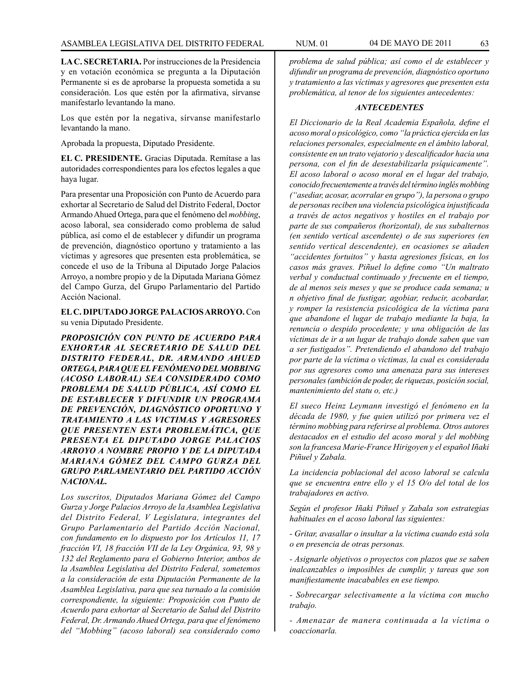**LA C. SECRETARIA.** Por instrucciones de la Presidencia y en votación económica se pregunta a la Diputación Permanente si es de aprobarse la propuesta sometida a su consideración. Los que estén por la afirmativa, sírvanse manifestarlo levantando la mano.

Los que estén por la negativa, sírvanse manifestarlo levantando la mano.

Aprobada la propuesta, Diputado Presidente.

**EL C. PRESIDENTE.** Gracias Diputada. Remítase a las autoridades correspondientes para los efectos legales a que haya lugar.

Para presentar una Proposición con Punto de Acuerdo para exhortar al Secretario de Salud del Distrito Federal, Doctor Armando Ahued Ortega, para que el fenómeno del *mobbing*, acoso laboral, sea considerado como problema de salud pública, así como el de establecer y difundir un programa de prevención, diagnóstico oportuno y tratamiento a las víctimas y agresores que presenten esta problemática, se concede el uso de la Tribuna al Diputado Jorge Palacios Arroyo, a nombre propio y de la Diputada Mariana Gómez del Campo Gurza, del Grupo Parlamentario del Partido Acción Nacional.

**EL C. DIPUTADO JORGE PALACIOS ARROYO.** Con su venia Diputado Presidente.

*PROPOSICIÓN CON PUNTO DE ACUERDO PARA EXHORTAR AL SECRETARIO DE SALUD DEL DISTRITO FEDERAL, DR. ARMANDO AHUED ORTEGA, PARA QUE EL FENÓMENO DEL MOBBING (ACOSO LABORAL) SEA CONSIDERADO COMO PROBLEMA DE SALUD PÚBLICA, ASÍ COMO EL DE ESTABLECER Y DIFUNDIR UN PROGRAMA DE PREVENCIÓN, DIAGNÓSTICO OPORTUNO Y TRATAMIENTO A LAS VICTIMAS Y AGRESORES QUE PRESENTEN ESTA PROBLEMÁTICA, QUE PRESENTA EL DIPUTADO JORGE PALACIOS ARROYO A NOMBRE PROPIO Y DE LA DIPUTADA MARIANA GÓMEZ DEL CAMPO GURZA DEL GRUPO PARLAMENTARIO DEL PARTIDO ACCIÓN NACIONAL.*

*Los suscritos, Diputados Mariana Gómez del Campo Gurza y Jorge Palacios Arroyo de la Asamblea Legislativa del Distrito Federal, V Legislatura, integrantes del Grupo Parlamentario del Partido Acción Nacional, con fundamento en lo dispuesto por los Artículos 11, 17 fracción VI, 18 fracción VII de la Ley Orgánica, 93, 98 y 132 del Reglamento para el Gobierno Interior, ambos de la Asamblea Legislativa del Distrito Federal, sometemos a la consideración de esta Diputación Permanente de la Asamblea Legislativa, para que sea turnado a la comisión correspondiente, la siguiente: Proposición con Punto de Acuerdo para exhortar al Secretario de Salud del Distrito Federal, Dr. Armando Ahued Ortega, para que el fenómeno del "Mobbing" (acoso laboral) sea considerado como* 

*problema de salud pública; así como el de establecer y difundir un programa de prevención, diagnóstico oportuno y tratamiento a las víctimas y agresores que presenten esta problemática, al tenor de los siguientes antecedentes:*

### *ANTECEDENTES*

*El Diccionario de la Real Academia Española, define el acoso moral o psicológico, como "la práctica ejercida en las relaciones personales, especialmente en el ámbito laboral, consistente en un trato vejatorio y descalificador hacia una persona, con el fin de desestabilizarla psíquicamente". El acoso laboral o acoso moral en el lugar del trabajo, conocido frecuentemente a través del término inglés mobbing ("asediar, acosar, acorralar en grupo"), la persona o grupo de personas reciben una violencia psicológica injustificada a través de actos negativos y hostiles en el trabajo por parte de sus compañeros (horizontal), de sus subalternos (en sentido vertical ascendente) o de sus superiores (en sentido vertical descendente), en ocasiones se añaden "accidentes fortuitos" y hasta agresiones físicas, en los casos más graves. Piñuel lo define como "Un maltrato verbal y conductual continuado y frecuente en el tiempo, de al menos seis meses y que se produce cada semana; u n objetivo final de fustigar, agobiar, reducir, acobardar, y romper la resistencia psicológica de la víctima para que abandone el lugar de trabajo mediante la baja, la renuncia o despido procedente; y una obligación de las víctimas de ir a un lugar de trabajo donde saben que van a ser fustigados". Pretendiendo el abandono del trabajo por parte de la víctima o víctimas, la cual es considerada por sus agresores como una amenaza para sus intereses personales (ambición de poder, de riquezas, posición social, mantenimiento del statu o, etc.)*

*El sueco Heinz Leymann investigó el fenómeno en la década de 1980, y fue quien utilizó por primera vez el término mobbing para referirse al problema. Otros autores destacados en el estudio del acoso moral y del mobbing son la francesa Marie-France Hirigoyen y el español Iñaki Piñuel y Zabala.* 

*La incidencia poblacional del acoso laboral se calcula que se encuentra entre ello y el 15 O/o del total de los trabajadores en activo.* 

*Según el profesor Iñaki Piñuel y Zabala son estrategias habituales en el acoso laboral las siguientes:*

*- Gritar, avasallar o insultar a la víctima cuando está sola o en presencia de otras personas.*

*- Asignarle objetivos o proyectos con plazos que se saben inalcanzables o imposibles de cumplir, y tareas que son manifiestamente inacabables en ese tiempo.*

*- Sobrecargar selectivamente a la víctima con mucho trabajo.*

*- Amenazar de manera continuada a la víctima o coaccionarla.*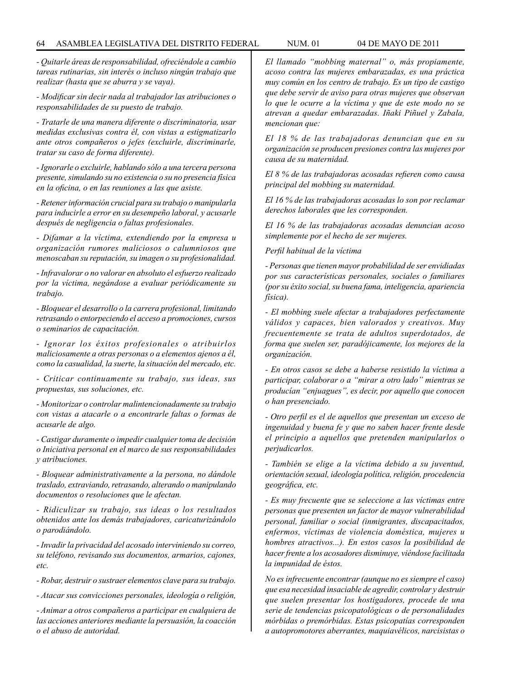#### 64 ASAMBLEA LEGISLATIVA DEL DISTRITO FEDERAL NUM. 01 04 de MAYO de 2011

*- Quitarle áreas de responsabilidad, ofreciéndole a cambio tareas rutinarias, sin interés o incluso ningún trabajo que realizar (hasta que se aburra y se vaya).*

*- Modificar sin decir nada al trabajador las atribuciones o responsabilidades de su puesto de trabajo.*

*- Tratarle de una manera diferente o discriminatoria, usar medidas exclusivas contra él, con vistas a estigmatizarlo ante otros compañeros o jefes (excluirle, discriminarle, tratar su caso de forma diferente).*

*- Ignorarle o excluirle, hablando sólo a una tercera persona presente, simulando su no existencia o su no presencia física en la oficina, o en las reuniones a las que asiste.*

*- Retener información crucial para su trabajo o manipularla para inducirle a error en su desempeño laboral, y acusarle después de negligencia o faltas profesionales.*

*- Difamar a la víctima, extendiendo por la empresa u organización rumores maliciosos o calumniosos que menoscaban su reputación, su imagen o su profesionalidad.*

*- Infravalorar o no valorar en absoluto el esfuerzo realizado por la víctima, negándose a evaluar periódicamente su trabajo.*

*- Bloquear el desarrollo o la carrera profesional, limitando retrasando o entorpeciendo el acceso a promociones, cursos o seminarios de capacitación.*

*- Ignorar los éxitos profesionales o atribuirlos maliciosamente a otras personas o a elementos ajenos a él, como la casualidad, la suerte, la situación del mercado, etc.*

*- Criticar continuamente su trabajo, sus ideas, sus propuestas, sus soluciones, etc.*

*- Monitorizar o controlar malintencionadamente su trabajo con vistas a atacarle o a encontrarle faltas o formas de acusarle de algo.*

*- Castigar duramente o impedir cualquier toma de decisión o Iniciativa personal en el marco de sus responsabilidades y atribuciones.*

*- Bloquear administrativamente a la persona, no dándole traslado, extraviando, retrasando, alterando o manipulando documentos o resoluciones que le afectan.*

*- Ridiculizar su trabajo, sus ideas o los resultados obtenidos ante los demás trabajadores, caricaturizándolo o parodiándolo.*

*- Invadir la privacidad del acosado interviniendo su correo, su teléfono, revisando sus documentos, armarios, cajones, etc.*

*- Robar, destruir o sustraer elementos clave para su trabajo.*

*- Atacar sus convicciones personales, ideología o religión,*

*- Animar a otros compañeros a participar en cualquiera de las acciones anteriores mediante la persuasión, la coacción o el abuso de autoridad.*

*El llamado "mobbing maternal" o, más propiamente, acoso contra las mujeres embarazadas, es una práctica muy común en los centro de trabajo. Es un tipo de castigo que debe servir de aviso para otras mujeres que observan lo que le ocurre a la víctima y que de este modo no se atrevan a quedar embarazadas. Iñaki Piñuel y Zabala, mencionan que:*

*El 18 % de las trabajadoras denuncian que en su organización se producen presiones contra las mujeres por causa de su maternidad.*

*El 8 % de las trabajadoras acosadas refieren como causa principal del mobbing su maternidad.*

*El 16 % de las trabajadoras acosadas lo son por reclamar derechos laborales que les corresponden.*

*El 16 % de las trabajadoras acosadas denuncian acoso simplemente por el hecho de ser mujeres.*

*Perfil habitual de la víctima*

*- Personas que tienen mayor probabilidad de ser envidiadas por sus características personales, sociales o familiares (por su éxito social, su buena fama, inteligencia, apariencia física).*

*- El mobbing suele afectar a trabajadores perfectamente válidos y capaces, bien valorados y creativos. Muy frecuentemente se trata de adultos superdotados, de forma que suelen ser, paradójicamente, los mejores de la organización.*

*- En otros casos se debe a haberse resistido la víctima a participar, colaborar o a "mirar a otro lado" mientras se producían "enjuagues", es decir, por aquello que conocen o han presenciado.*

*- Otro perfil es el de aquellos que presentan un exceso de ingenuidad y buena fe y que no saben hacer frente desde el principio a aquellos que pretenden manipularlos o perjudicarlos.*

*- También se elige a la víctima debido a su juventud, orientación sexual, ideología política, religión, procedencia geográfica, etc.*

*- Es muy frecuente que se seleccione a las víctimas entre personas que presenten un factor de mayor vulnerabilidad personal, familiar o social (inmigrantes, discapacitados, enfermos, víctimas de violencia doméstica, mujeres u hombres atractivos...). En estos casos la posibilidad de hacer frente a los acosadores disminuye, viéndose facilitada la impunidad de éstos.*

*No es infrecuente encontrar (aunque no es siempre el caso) que esa necesidad insaciable de agredir, controlar y destruir que suelen presentar los hostigadores, procede de una serie de tendencias psicopatológicas o de personalidades mórbidas o premórbidas. Estas psicopatías corresponden a autopromotores aberrantes, maquiavélicos, narcisistas o*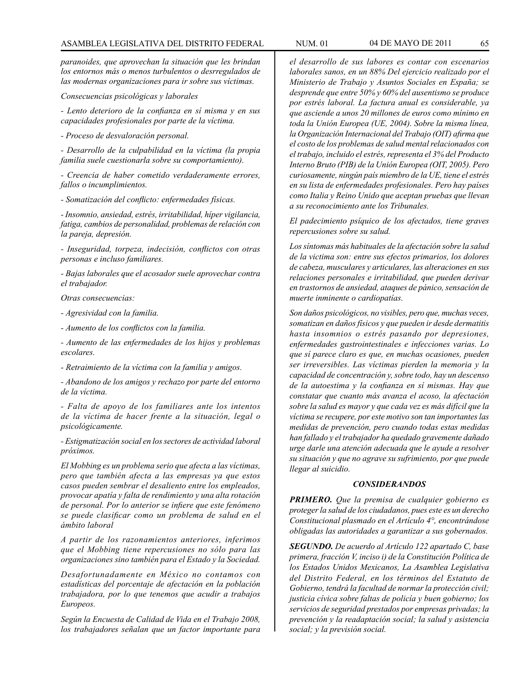*paranoides, que aprovechan la situación que les brindan los entornos más o menos turbulentos o desrregulados de las modernas organizaciones para ir sobre sus víctimas.*

*Consecuencias psicológicas y laborales*

*- Lento deterioro de la confianza en sí misma y en sus capacidades profesionales por parte de la víctima.*

*- Proceso de desvaloración personal.*

*- Desarrollo de la culpabilidad en la víctima (la propia familia suele cuestionarla sobre su comportamiento).*

*- Creencia de haber cometido verdaderamente errores, fallos o incumplimientos.*

*- Somatización del conflicto: enfermedades físicas.*

*- Insomnio, ansiedad, estrés, irritabilidad, híper vigilancia, fatiga, cambios de personalidad, problemas de relación con la pareja, depresión.*

*- Inseguridad, torpeza, indecisión, conflictos con otras personas e incluso familiares.*

*- Bajas laborales que el acosador suele aprovechar contra el trabajador.*

*Otras consecuencias:*

*- Agresividad con la familia.*

*- Aumento de los conflictos con la familia.*

*- Aumento de las enfermedades de los hijos y problemas escolares.*

*- Retraimiento de la víctima con la familia y amigos.*

*- Abandono de los amigos y rechazo por parte del entorno de la víctima.*

*- Falta de apoyo de los familiares ante los intentos de la víctima de hacer frente a la situación, legal o psicológicamente.*

*- Estigmatización social en los sectores de actividad laboral próximos.*

*El Mobbing es un problema serio que afecta a las víctimas, pero que también afecta a las empresas ya que estos casos pueden sembrar el desaliento entre los empleados, provocar apatía y falta de rendimiento y una alta rotación de personal. Por lo anterior se infiere que este fenómeno se puede clasificar como un problema de salud en el ámbito laboral*

*A partir de los razonamientos anteriores, inferimos que el Mobbing tiene repercusiones no sólo para las organizaciones sino también para el Estado y la Sociedad.*

*Desafortunadamente en México no contamos con estadísticas del porcentaje de afectación en la población trabajadora, por lo que tenemos que acudir a trabajos Europeos.*

*Según la Encuesta de Calidad de Vida en el Trabajo 2008, los trabajadores señalan que un factor importante para*  *el desarrollo de sus labores es contar con escenarios laborales sanos, en un 88% Del ejercicio realizado por el Ministerio de Trabajo y Asuntos Sociales en España; se desprende que entre 50% y 60% del ausentismo se produce por estrés laboral. La factura anual es considerable, ya que asciende a unos 20 millones de euros como mínimo en toda la Unión Europea (UE, 2004). Sobre la misma línea, la Organización Internacional del Trabajo (OIT) afirma que el costo de los problemas de salud mental relacionados con el trabajo, incluido el estrés, representa el 3% del Producto Interno Bruto (PIB) de la Unión Europea (OIT, 2005). Pero curiosamente, ningún país miembro de la UE, tiene el estrés en su lista de enfermedades profesionales. Pero hay países como Italia y Reino Unido que aceptan pruebas que llevan a su reconocimiento ante los Tribunales.*

*El padecimiento psíquico de los afectados, tiene graves repercusiones sobre su salud.*

*Los síntomas más habituales de la afectación sobre la salud de la victima son: entre sus efectos primarios, los dolores de cabeza, musculares y articulares, las alteraciones en sus relaciones personales e irritabilidad, que pueden derivar en trastornos de ansiedad, ataques de pánico, sensación de muerte inminente o cardiopatías.* 

*Son daños psicológicos, no visibles, pero que, muchas veces, somatizan en daños físicos y que pueden ir desde dermatitis hasta insomnios o estrés pasando por depresiones, enfermedades gastrointestinales e infecciones varias. Lo que sí parece claro es que, en muchas ocasiones, pueden ser irreversibles. Las víctimas pierden la memoria y la capacidad de concentración y, sobre todo, hay un descenso de la autoestima y la confianza en sí mismas. Hay que constatar que cuanto más avanza el acoso, la afectación sobre la salud es mayor y que cada vez es más difícil que la víctima se recupere, por este motivo son tan importantes las medidas de prevención, pero cuando todas estas medidas han fallado y el trabajador ha quedado gravemente dañado urge darle una atención adecuada que le ayude a resolver su situación y que no agrave su sufrimiento, por que puede llegar al suicidio.*

#### *CONSIDERANDOS*

*PRIMERO. Que la premisa de cualquier gobierno es proteger la salud de los ciudadanos, pues este es un derecho Constitucional plasmado en el Artículo 4°, encontrándose obligadas las autoridades a garantizar a sus gobernados.*

*SEGUNDO. De acuerdo al Artículo 122 apartado C, base primera, fracción V, inciso i) de la Constitución Política de los Estados Unidos Mexicanos, La Asamblea Legislativa del Distrito Federal, en los términos del Estatuto de Gobierno, tendrá la facultad de normar la protección civil; justicia cívica sobre faltas de policía y buen gobierno; los servicios de seguridad prestados por empresas privadas; la prevención y la readaptación social; la salud y asistencia social; y la previsión social.*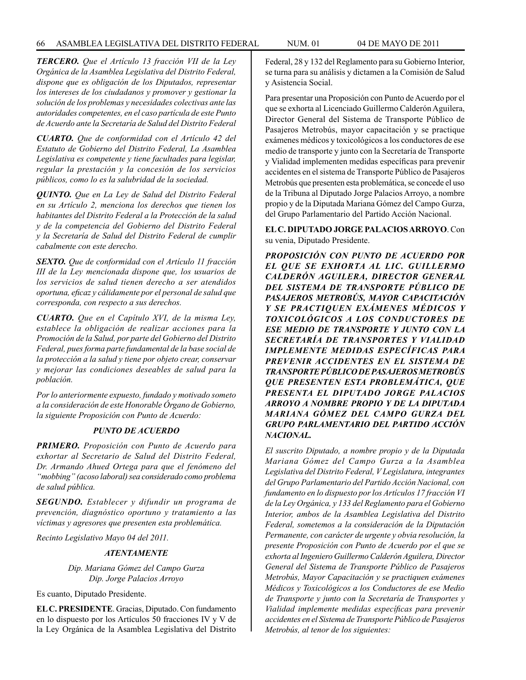*TERCERO. Que el Artículo 13 fracción VII de la Ley Orgánica de la Asamblea Legislativa del Distrito Federal, dispone que es obligación de los Diputados, representar los intereses de los ciudadanos y promover y gestionar la solución de los problemas y necesidades colectivas ante las autoridades competentes, en el caso partícula de este Punto* 

*CUARTO. Que de conformidad con el Artículo 42 del Estatuto de Gobierno del Distrito Federal, La Asamblea Legislativa es competente y tiene facultades para legislar, regular la prestación y la concesión de los servicios públicos, como lo es la salubridad de la sociedad.*

*de Acuerdo ante la Secretaría de Salud del Distrito Federal*

*QUINTO. Que en La Ley de Salud del Distrito Federal en su Artículo 2, menciona los derechos que tienen los habitantes del Distrito Federal a la Protección de la salud y de la competencia del Gobierno del Distrito Federal y la Secretaría de Salud del Distrito Federal de cumplir cabalmente con este derecho.*

*SEXTO. Que de conformidad con el Artículo 11 fracción III de la Ley mencionada dispone que, los usuarios de los servicios de salud tienen derecho a ser atendidos oportuna, eficaz y cálidamente por el personal de salud que corresponda, con respecto a sus derechos.*

*CUARTO. Que en el Capítulo XVI, de la misma Ley, establece la obligación de realizar acciones para la Promoción de la Salud, por parte del Gobierno del Distrito Federal, pues forma parte fundamental de la base social de la protección a la salud y tiene por objeto crear, conservar y mejorar las condiciones deseables de salud para la población.*

*Por lo anteriormente expuesto, fundado y motivado someto a la consideración de este Honorable Órgano de Gobierno, la siguiente Proposición con Punto de Acuerdo:*

#### *PUNTO DE ACUERDO*

*PRIMERO. Proposición con Punto de Acuerdo para exhortar al Secretario de Salud del Distrito Federal, Dr. Armando Ahued Ortega para que el fenómeno del "mobbing" (acoso laboral) sea considerado como problema de salud pública.*

*SEGUNDO. Establecer y difundir un programa de prevención, diagnóstico oportuno y tratamiento a las víctimas y agresores que presenten esta problemática.*

*Recinto Legislativo Mayo 04 del 2011.*

#### *ATENTAMENTE*

*Dip. Mariana Gómez del Campo Gurza Dip. Jorge Palacios Arroyo*

Es cuanto, Diputado Presidente.

**EL C. PRESIDENTE**. Gracias, Diputado. Con fundamento en lo dispuesto por los Artículos 50 fracciones IV y V de la Ley Orgánica de la Asamblea Legislativa del Distrito Federal, 28 y 132 del Reglamento para su Gobierno Interior, se turna para su análisis y dictamen a la Comisión de Salud y Asistencia Social.

Para presentar una Proposición con Punto de Acuerdo por el que se exhorta al Licenciado Guillermo Calderón Aguilera, Director General del Sistema de Transporte Público de Pasajeros Metrobús, mayor capacitación y se practique exámenes médicos y toxicológicos a los conductores de ese medio de transporte y junto con la Secretaría de Transporte y Vialidad implementen medidas específicas para prevenir accidentes en el sistema de Transporte Público de Pasajeros Metrobús que presenten esta problemática, se concede el uso de la Tribuna al Diputado Jorge Palacios Arroyo, a nombre propio y de la Diputada Mariana Gómez del Campo Gurza, del Grupo Parlamentario del Partido Acción Nacional.

## **EL C. DIPUTADO JORGE PALACIOS ARROYO**. Con su venia, Diputado Presidente.

*PROPOSICIÓN CON PUNTO DE ACUERDO POR EL QUE SE EXHORTA AL LIC. GUILLERMO CALDERÓN AGUILERA, DIRECTOR GENERAL DEL SISTEMA DE TRANSPORTE PÚBLICO DE PASAJEROS METROBÚS, MAYOR CAPACITACIÓN Y SE PRACTIQUEN EXÁMENES MÉDICOS Y TOXICOLÓGICOS A LOS CONDUCTORES DE ESE MEDIO DE TRANSPORTE Y JUNTO CON LA SECRETARÍA DE TRANSPORTES Y VIALIDAD IMPLEMENTE MEDIDAS ESPECÍFICAS PARA PREVENIR ACCIDENTES EN EL SISTEMA DE TRANSPORTE PÚBLICO DE PASAJEROS METROBÚS QUE PRESENTEN ESTA PROBLEMÁTICA, QUE PRESENTA EL DIPUTADO JORGE PALACIOS ARROYO A NOMBRE PROPIO Y DE LA DIPUTADA MARIANA GÓMEZ DEL CAMPO GURZA DEL GRUPO PARLAMENTARIO DEL PARTIDO ACCIÓN NACIONAL.*

*El suscrito Diputado, a nombre propio y de la Diputada Mariana Gómez del Campo Gurza a la Asamblea Legislativa del Distrito Federal, V Legislatura, integrantes del Grupo Parlamentario del Partido Acción Nacional, con fundamento en lo dispuesto por los Artículos 17 fracción VI de la Ley Orgánica, y 133 del Reglamento para el Gobierno Interior, ambos de la Asamblea Legislativa del Distrito Federal, sometemos a la consideración de la Diputación Permanente, con carácter de urgente y obvia resolución, la presente Proposición con Punto de Acuerdo por el que se exhorta al Ingeniero Guillermo Calderón Aguilera, Director General del Sistema de Transporte Público de Pasajeros Metrobús, Mayor Capacitación y se practiquen exámenes Médicos y Toxicológicos a los Conductores de ese Medio de Transporte y junto con la Secretaría de Transportes y Vialidad implemente medidas específicas para prevenir accidentes en el Sistema de Transporte Público de Pasajeros Metrobús, al tenor de los siguientes:*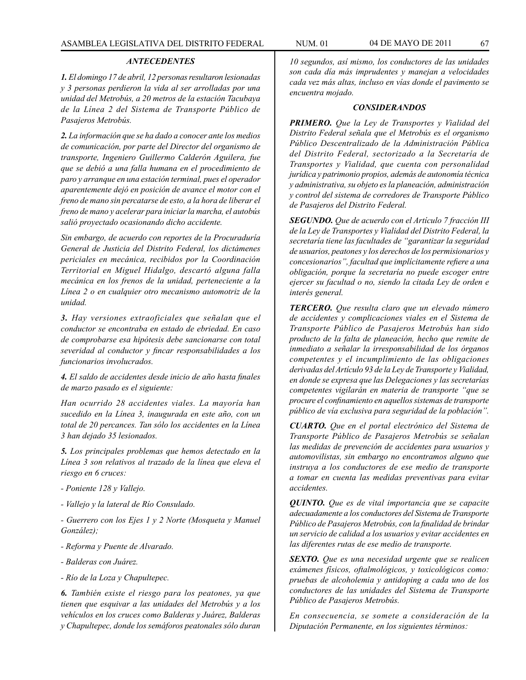#### *ANTECEDENTES*

*1. El domingo 17 de abril, 12 personas resultaron lesionadas y 3 personas perdieron la vida al ser arrolladas por una unidad del Metrobús, a 20 metros de la estación Tacubaya de la Línea 2 del Sistema de Transporte Público de Pasajeros Metrobús.*

*2. La información que se ha dado a conocer ante los medios de comunicación, por parte del Director del organismo de transporte, Ingeniero Guillermo Calderón Aguilera, fue que se debió a una falla humana en el procedimiento de paro y arranque en una estación terminal, pues el operador aparentemente dejó en posición de avance el motor con el freno de mano sin percatarse de esto, a la hora de liberar el freno de mano y acelerar para iniciar la marcha, el autobús salió proyectado ocasionando dicho accidente.*

*Sin embargo, de acuerdo con reportes de la Procuraduría General de Justicia del Distrito Federal, los dictámenes periciales en mecánica, recibidos por la Coordinación Territorial en Miguel Hidalgo, descartó alguna falla mecánica en los frenos de la unidad, perteneciente a la Línea 2 o en cualquier otro mecanismo automotriz de la unidad.*

*3. Hay versiones extraoficiales que señalan que el conductor se encontraba en estado de ebriedad. En caso de comprobarse esa hipótesis debe sancionarse con total severidad al conductor y fincar responsabilidades a los funcionarios involucrados.*

*4. El saldo de accidentes desde inicio de año hasta finales de marzo pasado es el siguiente:*

*Han ocurrido 28 accidentes viales. La mayoría han sucedido en la Línea 3, inaugurada en este año, con un total de 20 percances. Tan sólo los accidentes en la Línea 3 han dejado 35 lesionados.*

*5. Los principales problemas que hemos detectado en la Línea 3 son relativos al trazado de la línea que eleva el riesgo en 6 cruces:*

- *Poniente 128 y Vallejo.*
- *Vallejo y la lateral de Río Consulado.*

*- Guerrero con los Ejes 1 y 2 Norte (Mosqueta y Manuel González);*

- *Reforma y Puente de Alvarado.*
- *Balderas con Juárez.*
- *Río de la Loza y Chapultepec.*

*6. También existe el riesgo para los peatones, ya que tienen que esquivar a las unidades del Metrobús y a los vehículos en los cruces como Balderas y Juárez, Balderas y Chapultepec, donde los semáforos peatonales sólo duran* 

*10 segundos, así mismo, los conductores de las unidades son cada día más imprudentes y manejan a velocidades cada vez más altas, incluso en vías donde el pavimento se encuentra mojado.*

#### *CONSIDERANDOS*

*PRIMERO. Que la Ley de Transportes y Vialidad del Distrito Federal señala que el Metrobús es el organismo Público Descentralizado de la Administración Pública del Distrito Federal, sectorizado a la Secretaría de Transportes y Vialidad, que cuenta con personalidad jurídica y patrimonio propios, además de autonomía técnica y administrativa, su objeto es la planeación, administración y control del sistema de corredores de Transporte Público de Pasajeros del Distrito Federal.*

*SEGUNDO. Que de acuerdo con el Artículo 7 fracción III de la Ley de Transportes y Vialidad del Distrito Federal, la secretaría tiene las facultades de "garantizar la seguridad de usuarios, peatones y los derechos de los permisionarios y concesionarios", facultad que implícitamente refiere a una obligación, porque la secretaría no puede escoger entre ejercer su facultad o no, siendo la citada Ley de orden e interés general.*

*TERCERO. Que resulta claro que un elevado número de accidentes y complicaciones viales en el Sistema de Transporte Público de Pasajeros Metrobús han sido producto de la falta de planeación, hecho que remite de inmediato a señalar la irresponsabilidad de los órganos competentes y el incumplimiento de las obligaciones derivadas del Artículo 93 de la Ley de Transporte y Vialidad, en donde se expresa que las Delegaciones y las secretarías competentes vigilarán en materia de transporte "que se procure el confinamiento en aquellos sistemas de transporte público de vía exclusiva para seguridad de la población".*

*CUARTO. Que en el portal electrónico del Sistema de Transporte Público de Pasajeros Metrobús se señalan las medidas de prevención de accidentes para usuarios y automovilistas, sin embargo no encontramos alguno que instruya a los conductores de ese medio de transporte a tomar en cuenta las medidas preventivas para evitar accidentes.*

*QUINTO. Que es de vital importancia que se capacite adecuadamente a los conductores del Sistema de Transporte Público de Pasajeros Metrobús, con la finalidad de brindar un servicio de calidad a los usuarios y evitar accidentes en las diferentes rutas de ese medio de transporte.*

*SEXTO. Que es una necesidad urgente que se realicen exámenes físicos, oftalmológicos, y toxicológicos como: pruebas de alcoholemia y antidoping a cada uno de los conductores de las unidades del Sistema de Transporte Público de Pasajeros Metrobús.*

*En consecuencia, se somete a consideración de la Diputación Permanente, en los siguientes términos:*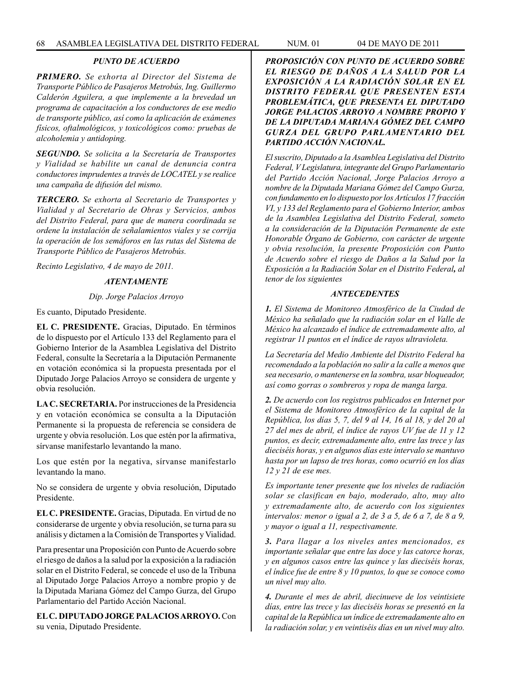## *PUNTO DE ACUERDO*

*PRIMERO. Se exhorta al Director del Sistema de Transporte Público de Pasajeros Metrobús, Ing. Guillermo Calderón Aguilera, a que implemente a la brevedad un programa de capacitación a los conductores de ese medio de transporte público, así como la aplicación de exámenes físicos, oftalmológicos, y toxicológicos como: pruebas de alcoholemia y antidoping.*

*SEGUNDO. Se solicita a la Secretaría de Transportes y Vialidad se habilite un canal de denuncia contra conductores imprudentes a través de LOCATEL y se realice una campaña de difusión del mismo.* 

*TERCERO. Se exhorta al Secretario de Transportes y Vialidad y al Secretario de Obras y Servicios, ambos del Distrito Federal, para que de manera coordinada se ordene la instalación de señalamientos viales y se corrija la operación de los semáforos en las rutas del Sistema de Transporte Público de Pasajeros Metrobús.* 

*Recinto Legislativo, 4 de mayo de 2011.*

## *ATENTAMENTE*

## *Dip. Jorge Palacios Arroyo*

Es cuanto, Diputado Presidente.

**EL C. PRESIDENTE.** Gracias, Diputado. En términos de lo dispuesto por el Artículo 133 del Reglamento para el Gobierno Interior de la Asamblea Legislativa del Distrito Federal, consulte la Secretaría a la Diputación Permanente en votación económica si la propuesta presentada por el Diputado Jorge Palacios Arroyo se considera de urgente y obvia resolución.

**LA C. SECRETARIA.** Por instrucciones de la Presidencia y en votación económica se consulta a la Diputación Permanente si la propuesta de referencia se considera de urgente y obvia resolución. Los que estén por la afirmativa, sírvanse manifestarlo levantando la mano.

Los que estén por la negativa, sírvanse manifestarlo levantando la mano.

No se considera de urgente y obvia resolución, Diputado Presidente.

**EL C. PRESIDENTE.** Gracias, Diputada. En virtud de no considerarse de urgente y obvia resolución, se turna para su análisis y dictamen a la Comisión de Transportes y Vialidad.

Para presentar una Proposición con Punto de Acuerdo sobre el riesgo de daños a la salud por la exposición a la radiación solar en el Distrito Federal, se concede el uso de la Tribuna al Diputado Jorge Palacios Arroyo a nombre propio y de la Diputada Mariana Gómez del Campo Gurza, del Grupo Parlamentario del Partido Acción Nacional.

**EL C. DIPUTADO JORGE PALACIOS ARROYO.** Con su venia, Diputado Presidente.

*PROPOSICIÓN CON PUNTO DE ACUERDO SOBRE EL RIESGO DE DAÑOS A LA SALUD POR LA EXPOSICIÓN A LA RADIACIÓN SOLAR EN EL DISTRITO FEDERAL QUE PRESENTEN ESTA PROBLEMÁTICA, QUE PRESENTA EL DIPUTADO JORGE PALACIOS ARROYO A NOMBRE PROPIO Y DE LA DIPUTADA MARIANA GÓMEZ DEL CAMPO GURZA DEL GRUPO PARLAMENTARIO DEL PARTIDO ACCIÓN NACIONAL.*

*El suscrito, Diputado a la Asamblea Legislativa del Distrito Federal, V Legislatura, integrante del Grupo Parlamentario del Partido Acción Nacional, Jorge Palacios Arroyo a nombre de la Diputada Mariana Gómez del Campo Gurza, con fundamento en lo dispuesto por los Artículos 17 fracción VI, y 133 del Reglamento para el Gobierno Interior, ambos de la Asamblea Legislativa del Distrito Federal, someto a la consideración de la Diputación Permanente de este Honorable Órgano de Gobierno, con carácter de urgente y obvia resolución, la presente Proposición con Punto de Acuerdo sobre el riesgo de Daños a la Salud por la Exposición a la Radiación Solar en el Distrito Federal, al tenor de los siguientes*

### *ANTECEDENTES*

*1. El Sistema de Monitoreo Atmosférico de la Ciudad de México ha señalado que la radiación solar en el Valle de México ha alcanzado el índice de extremadamente alto, al registrar 11 puntos en el índice de rayos ultravioleta.*

*La Secretaría del Medio Ambiente del Distrito Federal ha recomendado a la población no salir a la calle a menos que sea necesario, o mantenerse en la sombra, usar bloqueador, así como gorras o sombreros y ropa de manga larga.*

*2. De acuerdo con los registros publicados en Internet por el Sistema de Monitoreo Atmosférico de la capital de la República, los días 5, 7, del 9 al 14, 16 al 18, y del 20 al 27 del mes de abril, el índice de rayos UV fue de 11 y 12 puntos, es decir, extremadamente alto, entre las trece y las dieciséis horas, y en algunos días este intervalo se mantuvo hasta por un lapso de tres horas, como ocurrió en los días 12 y 21 de ese mes.*

*Es importante tener presente que los niveles de radiación solar se clasifican en bajo, moderado, alto, muy alto y extremadamente alto, de acuerdo con los siguientes intervalos: menor o igual a 2, de 3 a 5, de 6 a 7, de 8 a 9, y mayor o igual a 11, respectivamente.*

*3. Para llagar a los niveles antes mencionados, es importante señalar que entre las doce y las catorce horas, y en algunos casos entre las quince y las dieciséis horas, el índice fue de entre 8 y 10 puntos, lo que se conoce como un nivel muy alto.*

*4. Durante el mes de abril, diecinueve de los veintisiete días, entre las trece y las dieciséis horas se presentó en la capital de la República un índice de extremadamente alto en la radiación solar, y en veintiséis días en un nivel muy alto.*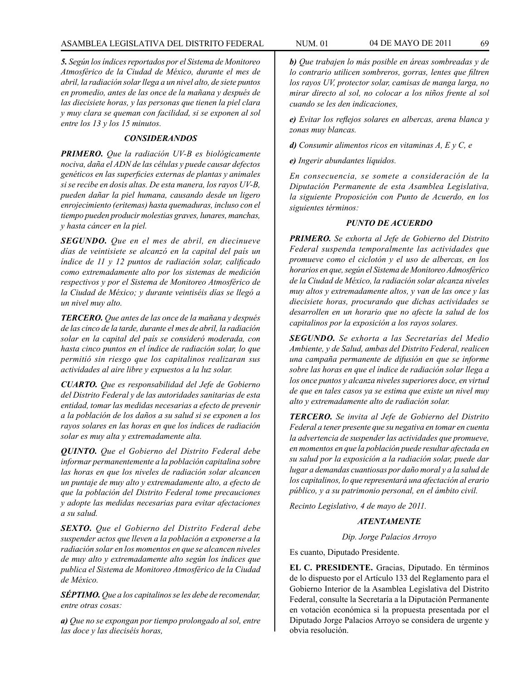## ASAMBLEA LEGISLATIVA DEL DISTRITO FEDERAL NUM. 01 04 DE MAYO DE 2011 69

*5. Según los índices reportados por el Sistema de Monitoreo Atmosférico de la Ciudad de México, durante el mes de abril, la radiación solar llega a un nivel alto, de siete puntos en promedio, antes de las once de la mañana y después de las diecisiete horas, y las personas que tienen la piel clara y muy clara se queman con facilidad, si se exponen al sol entre los 13 y los 15 minutos.*

## *CONSIDERANDOS*

*PRIMERO. Que la radiación UV-B es biológicamente nociva, daña el ADN de las células y puede causar defectos genéticos en las superficies externas de plantas y animales si se recibe en dosis altas. De esta manera, los rayos UV-B, pueden dañar la piel humana, causando desde un ligero enrojecimiento (eritemas) hasta quemaduras, incluso con el tiempo pueden producir molestias graves, lunares, manchas, y hasta cáncer en la piel.*

*SEGUNDO. Que en el mes de abril, en diecinueve días de veintisiete se alcanzó en la capital del país un índice de 11 y 12 puntos de radiación solar, calificado como extremadamente alto por los sistemas de medición respectivos y por el Sistema de Monitoreo Atmosférico de la Ciudad de México; y durante veintiséis días se llegó a un nivel muy alto.*

*TERCERO. Que antes de las once de la mañana y después de las cinco de la tarde, durante el mes de abril, la radiación solar en la capital del país se consideró moderada, con hasta cinco puntos en el índice de radiación solar, lo que permitió sin riesgo que los capitalinos realizaran sus actividades al aire libre y expuestos a la luz solar.*

*CUARTO. Que es responsabilidad del Jefe de Gobierno del Distrito Federal y de las autoridades sanitarias de esta entidad, tomar las medidas necesarias a efecto de prevenir a la población de los daños a su salud si se exponen a los rayos solares en las horas en que los índices de radiación solar es muy alta y extremadamente alta.*

*QUINTO. Que el Gobierno del Distrito Federal debe informar permanentemente a la población capitalina sobre las horas en que los niveles de radiación solar alcancen un puntaje de muy alto y extremadamente alto, a efecto de que la población del Distrito Federal tome precauciones y adopte las medidas necesarias para evitar afectaciones a su salud.*

*SEXTO. Que el Gobierno del Distrito Federal debe suspender actos que lleven a la población a exponerse a la radiación solar en los momentos en que se alcancen niveles de muy alto y extremadamente alto según los índices que publica el Sistema de Monitoreo Atmosférico de la Ciudad de México.*

*SÉPTIMO. Que a los capitalinos se les debe de recomendar, entre otras cosas:*

*a) Que no se expongan por tiempo prolongado al sol, entre las doce y las dieciséis horas,*

*b) Que trabajen lo más posible en áreas sombreadas y de lo contrario utilicen sombreros, gorras, lentes que filtren los rayos UV, protector solar, camisas de manga larga, no mirar directo al sol, no colocar a los niños frente al sol cuando se les den indicaciones,*

*e) Evitar los reflejos solares en albercas, arena blanca y zonas muy blancas.*

*d) Consumir alimentos ricos en vitaminas A, E y C, e*

*e) Ingerir abundantes líquidos.*

*En consecuencia, se somete a consideración de la Diputación Permanente de esta Asamblea Legislativa, la siguiente Proposición con Punto de Acuerdo, en los siguientes términos:*

## *PUNTO DE ACUERDO*

*PRIMERO. Se exhorta al Jefe de Gobierno del Distrito Federal suspenda temporalmente las actividades que promueve como el ciclotón y el uso de albercas, en los horarios en que, según el Sistema de Monitoreo Admosférico de la Ciudad de México, la radiación solar alcanza niveles muy altos y extremadamente altos, y van de las once y las diecisiete horas, procurando que dichas actividades se desarrollen en un horario que no afecte la salud de los capitalinos por la exposición a los rayos solares.*

*SEGUNDO. Se exhorta a las Secretarías del Medio Ambiente, y de Salud, ambas del Distrito Federal, realicen una campaña permanente de difusión en que se informe sobre las horas en que el índice de radiación solar llega a los once puntos y alcanza niveles superiores doce, en virtud de que en tales casos ya se estima que existe un nivel muy alto y extremadamente alto de radiación solar.*

*TERCERO. Se invita al Jefe de Gobierno del Distrito Federal a tener presente que su negativa en tomar en cuenta la advertencia de suspender las actividades que promueve, en momentos en que la población puede resultar afectada en su salud por la exposición a la radiación solar, puede dar lugar a demandas cuantiosas por daño moral y a la salud de los capitalinos, lo que representará una afectación al erario público, y a su patrimonio personal, en el ámbito civil.*

*Recinto Legislativo, 4 de mayo de 2011.*

## *ATENTAMENTE*

*Dip. Jorge Palacios Arroyo*

Es cuanto, Diputado Presidente.

**EL C. PRESIDENTE.** Gracias, Diputado. En términos de lo dispuesto por el Artículo 133 del Reglamento para el Gobierno Interior de la Asamblea Legislativa del Distrito Federal, consulte la Secretaría a la Diputación Permanente en votación económica si la propuesta presentada por el Diputado Jorge Palacios Arroyo se considera de urgente y obvia resolución.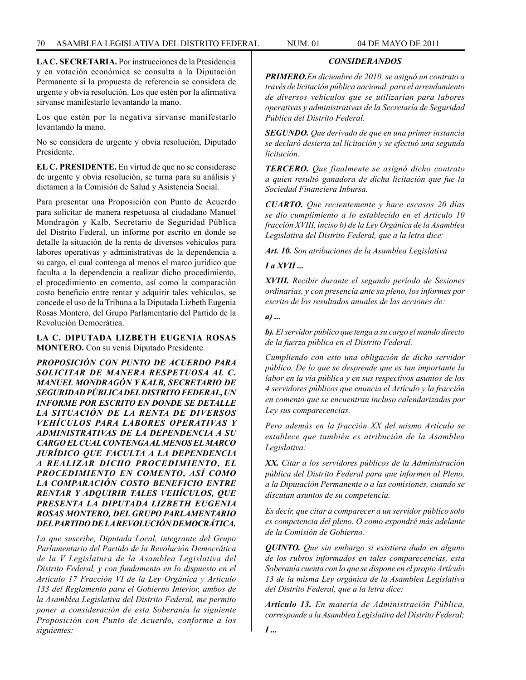**LA C. SECRETARIA.** Por instrucciones de la Presidencia y en votación económica se consulta a la Diputación Permanente si la propuesta de referencia se considera de urgente y obvia resolución. Los que estén por la afirmativa sírvanse manifestarlo levantando la mano.

Los que estén por la negativa sírvanse manifestarlo levantando la mano.

No se considera de urgente y obvia resolución, Diputado Presidente.

**EL C. PRESIDENTE.** En virtud de que no se considerase de urgente y obvia resolución, se turna para su análisis y dictamen a la Comisión de Salud y Asistencia Social.

Para presentar una Proposición con Punto de Acuerdo para solicitar de manera respetuosa al ciudadano Manuel Mondragón y Kalb, Secretario de Seguridad Pública del Distrito Federal, un informe por escrito en donde se detalle la situación de la renta de diversos vehículos para labores operativas y administrativas de la dependencia a su cargo, el cual contenga al menos el marco jurídico que faculta a la dependencia a realizar dicho procedimiento, el procedimiento en comento, así como la comparación costo beneficio entre rentar y adquirir tales vehículos, se concede el uso de la Tribuna a la Diputada Lizbeth Eugenia Rosas Montero, del Grupo Parlamentario del Partido de la Revolución Democrática.

### **LA C. DIPUTADA LIZBETH EUGENIA ROSAS MONTERO.** Con su venia Diputado Presidente.

*PROPOSICIÓN CON PUNTO DE ACUERDO PARA SOLICITAR DE MANERA RESPETUOSA AL C. MANUEL MONDRAGÓN Y KALB, SECRETARIO DE SEGURIDAD PÚBLICA DEL DISTRITO FEDERAL, UN INFORME POR ESCRITO EN DONDE SE DETALLE LA SITUACIÓN DE LA RENTA DE DIVERSOS VEHÍCULOS PARA LABORES OPERATIVAS Y ADMINISTRATIVAS DE LA DEPENDENCIA A SU CARGO EL CUAL CONTENGA AL MENOS EL MARCO JURÍDICO QUE FACULTA A LA DEPENDENCIA A REALIZAR DICHO PROCEDIMIENTO, EL PROCEDIMIENTO EN COMENTO, ASÍ COMO LA COMPARACIÓN COSTO BENEFICIO ENTRE RENTAR Y ADQUIRIR TALES VEHÍCULOS, QUE PRESENTA LA DIPUTADA LIZBETH EUGENIA ROSAS MONTERO, DEL GRUPO PARLAMENTARIO DEL PARTIDO DE LA REVOLUCIÓN DEMOCRÁTICA.*

*La que suscribe, Diputada Local, integrante del Grupo Parlamentario del Partido de la Revolución Democrática de la V Legislatura de la Asamblea Legislativa del Distrito Federal, y con fundamento en lo dispuesto en el Artículo 17 Fracción VI de la Ley Orgánica y Artículo 133 del Reglamento para el Gobierno Interior, ambos de la Asamblea Legislativa del Distrito Federal, me permito poner a consideración de esta Soberanía la siguiente Proposición con Punto de Acuerdo, conforme a los siguientes:*

*PRIMERO.En diciembre de 2010, se asignó un contrato a través de licitación pública nacional, para el arrendamiento de diversos vehículos que se utilizarían para labores operativas y administrativas de la Secretaría de Seguridad Pública del Distrito Federal.*

*CONSIDERANDOS*

*SEGUNDO. Que derivado de que en una primer instancia se declaró desierta tal licitación y se efectuó una segunda licitación.*

*TERCERO. Que finalmente se asignó dicho contrato a quien resultó ganadora de dicha licitación que fue la Sociedad Financiera Inbursa.*

*CUARTO. Que recientemente y hace escasos 20 días se dio cumplimiento a lo establecido en el Artículo 10 fracción XVIII, inciso b) de la Ley Orgánica de la Asamblea Legislativa del Distrito Federal, que a la letra dice:*

*Art. 10. Son atribuciones de la Asamblea Legislativa*

*I a XVII ...*

*XVIII. Recibir durante el segundo período de Sesiones ordinarias, y con presencia ante su pleno, los informes por escrito de los resultados anuales de las acciones de:*

*a) ...*

*b). El servidor público que tenga a su cargo el mando directo de la fuerza pública en el Distrito Federal.*

*Cumpliendo con esto una obligación de dicho servidor público. De lo que se desprende que es tan importante la labor en la vía pública y en sus respectivos asuntos de los 4 servidores públicos que enuncia el Artículo y la fracción en comento que se encuentran incluso calendarizadas por Ley sus comparecencias.*

*Pero además en la fracción XX del mismo Artículo se establece que también es atribución de la Asamblea Legislativa:*

*XX. Citar a los servidores públicos de la Administración pública del Distrito Federal para que informen al Pleno, a la Diputación Permanente o a las comisiones, cuando se discutan asuntos de su competencia.*

*Es decir, que citar a comparecer a un servidor público solo es competencia del pleno. O como expondré más adelante de la Comisión de Gobierno.*

*QUINTO. Que sin embargo si existiera duda en alguno de los rubros informados en tales comparecencias, esta Soberanía cuenta con lo que se dispone en el propio Artículo 13 de la misma Ley orgánica de la Asamblea Legislativa del Distrito Federal, que a la letra dice:*

*Artículo 13. En materia de Administración Pública, corresponde a la Asamblea Legislativa del Distrito Federal;*

*I ...*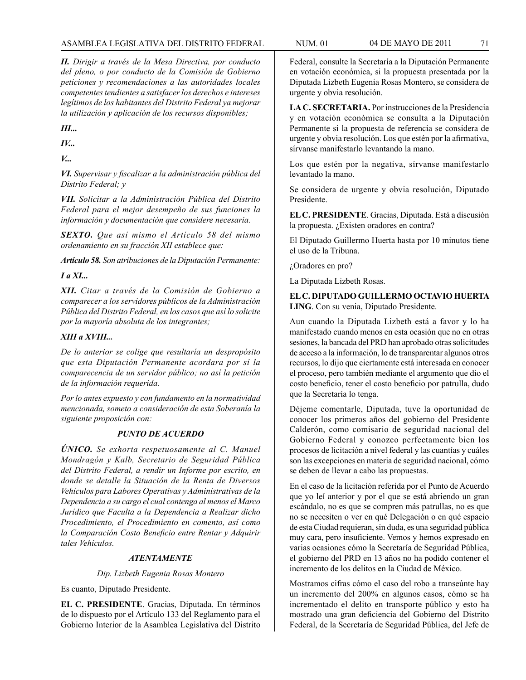*II. Dirigir a través de la Mesa Directiva, por conducto del pleno, o por conducto de la Comisión de Gobierno peticiones y recomendaciones a las autoridades locales competentes tendientes a satisfacer los derechos e intereses legítimos de los habitantes del Distrito Federal ya mejorar la utilización y aplicación de los recursos disponibles;*

*III...*

*IV...*

*V...*

*VI. Supervisar y fiscalizar a la administración pública del Distrito Federal; y*

*VII. Solicitar a la Administración Pública del Distrito Federal para el mejor desempeño de sus funciones la información y documentación que considere necesaria.*

*SEXTO. Que así mismo el Artículo 58 del mismo ordenamiento en su fracción XII establece que:*

*Artículo 58. Son atribuciones de la Diputación Permanente:*

*I a XI...*

*XII. Citar a través de la Comisión de Gobierno a comparecer a los servidores públicos de la Administración Pública del Distrito Federal, en los casos que así lo solicite por la mayoría absoluta de los integrantes;*

# *XIII a XVIII...*

*De lo anterior se colige que resultaría un despropósito que esta Diputación Permanente acordara por sí la comparecencia de un servidor público; no así la petición de la información requerida.*

*Por lo antes expuesto y con fundamento en la normatividad mencionada, someto a consideración de esta Soberanía la siguiente proposición con:*

# *PUNTO DE ACUERDO*

*ÚNICO. Se exhorta respetuosamente al C. Manuel Mondragón y Kalb, Secretario de Seguridad Pública del Distrito Federal, a rendir un Informe por escrito, en donde se detalle la Situación de la Renta de Diversos Vehículos para Labores Operativas y Administrativas de la Dependencia a su cargo el cual contenga al menos el Marco Jurídico que Faculta a la Dependencia a Realizar dicho Procedimiento, el Procedimiento en comento, así como la Comparación Costo Beneficio entre Rentar y Adquirir tales Vehículos.*

# *ATENTAMENTE*

*Dip. Lizbeth Eugenia Rosas Montero*

Es cuanto, Diputado Presidente.

**EL C. PRESIDENTE**. Gracias, Diputada. En términos de lo dispuesto por el Artículo 133 del Reglamento para el Gobierno Interior de la Asamblea Legislativa del Distrito

Federal, consulte la Secretaría a la Diputación Permanente en votación económica, si la propuesta presentada por la Diputada Lizbeth Eugenia Rosas Montero, se considera de urgente y obvia resolución.

**LA C. SECRETARIA.** Por instrucciones de la Presidencia y en votación económica se consulta a la Diputación Permanente si la propuesta de referencia se considera de urgente y obvia resolución. Los que estén por la afirmativa, sírvanse manifestarlo levantando la mano.

Los que estén por la negativa, sírvanse manifestarlo levantado la mano.

Se considera de urgente y obvia resolución, Diputado Presidente.

**EL C. PRESIDENTE**. Gracias, Diputada. Está a discusión la propuesta. ¿Existen oradores en contra?

El Diputado Guillermo Huerta hasta por 10 minutos tiene el uso de la Tribuna.

¿Oradores en pro?

La Diputada Lizbeth Rosas.

**EL C. DIPUTADO GUILLERMO OCTAVIO HUERTA LING**. Con su venia, Diputado Presidente.

Aun cuando la Diputada Lizbeth está a favor y lo ha manifestado cuando menos en esta ocasión que no en otras sesiones, la bancada del PRD han aprobado otras solicitudes de acceso a la información, lo de transparentar algunos otros recursos, lo dijo que ciertamente está interesada en conocer el proceso, pero también mediante el argumento que dio el costo beneficio, tener el costo beneficio por patrulla, dudo que la Secretaría lo tenga.

Déjeme comentarle, Diputada, tuve la oportunidad de conocer los primeros años del gobierno del Presidente Calderón, como comisario de seguridad nacional del Gobierno Federal y conozco perfectamente bien los procesos de licitación a nivel federal y las cuantías y cuáles son las excepciones en materia de seguridad nacional, cómo se deben de llevar a cabo las propuestas.

En el caso de la licitación referida por el Punto de Acuerdo que yo leí anterior y por el que se está abriendo un gran escándalo, no es que se compren más patrullas, no es que no se necesiten o ver en qué Delegación o en qué espacio de esta Ciudad requieran, sin duda, es una seguridad pública muy cara, pero insuficiente. Vemos y hemos expresado en varias ocasiones cómo la Secretaría de Seguridad Pública, el gobierno del PRD en 13 años no ha podido contener el incremento de los delitos en la Ciudad de México.

Mostramos cifras cómo el caso del robo a transeúnte hay un incremento del 200% en algunos casos, cómo se ha incrementado el delito en transporte público y esto ha mostrado una gran deficiencia del Gobierno del Distrito Federal, de la Secretaría de Seguridad Pública, del Jefe de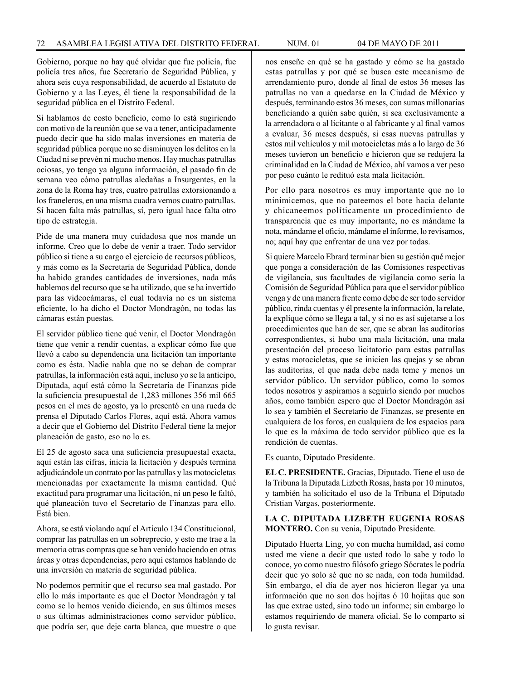Gobierno, porque no hay qué olvidar que fue policía, fue policía tres años, fue Secretario de Seguridad Pública, y ahora seis cuya responsabilidad, de acuerdo al Estatuto de Gobierno y a las Leyes, él tiene la responsabilidad de la seguridad pública en el Distrito Federal.

Si hablamos de costo beneficio, como lo está sugiriendo con motivo de la reunión que se va a tener, anticipadamente puedo decir que ha sido malas inversiones en materia de seguridad pública porque no se disminuyen los delitos en la Ciudad ni se prevén ni mucho menos. Hay muchas patrullas ociosas, yo tengo ya alguna información, el pasado fin de semana veo cómo patrullas aledañas a Insurgentes, en la zona de la Roma hay tres, cuatro patrullas extorsionando a los franeleros, en una misma cuadra vemos cuatro patrullas. Sí hacen falta más patrullas, sí, pero igual hace falta otro tipo de estrategia.

Pide de una manera muy cuidadosa que nos mande un informe. Creo que lo debe de venir a traer. Todo servidor público si tiene a su cargo el ejercicio de recursos públicos, y más como es la Secretaría de Seguridad Pública, donde ha habido grandes cantidades de inversiones, nada más hablemos del recurso que se ha utilizado, que se ha invertido para las videocámaras, el cual todavía no es un sistema eficiente, lo ha dicho el Doctor Mondragón, no todas las cámaras están puestas.

El servidor público tiene qué venir, el Doctor Mondragón tiene que venir a rendir cuentas, a explicar cómo fue que llevó a cabo su dependencia una licitación tan importante como es ésta. Nadie nabla que no se deban de comprar patrullas, la información está aquí, incluso yo se la anticipo, Diputada, aquí está cómo la Secretaría de Finanzas pide la suficiencia presupuestal de 1,283 millones 356 mil 665 pesos en el mes de agosto, ya lo presentó en una rueda de prensa el Diputado Carlos Flores, aquí está. Ahora vamos a decir que el Gobierno del Distrito Federal tiene la mejor planeación de gasto, eso no lo es.

El 25 de agosto saca una suficiencia presupuestal exacta, aquí están las cifras, inicia la licitación y después termina adjudicándole un contrato por las patrullas y las motocicletas mencionadas por exactamente la misma cantidad. Qué exactitud para programar una licitación, ni un peso le faltó, qué planeación tuvo el Secretario de Finanzas para ello. Está bien.

Ahora, se está violando aquí el Artículo 134 Constitucional, comprar las patrullas en un sobreprecio, y esto me trae a la memoria otras compras que se han venido haciendo en otras áreas y otras dependencias, pero aquí estamos hablando de una inversión en materia de seguridad pública.

No podemos permitir que el recurso sea mal gastado. Por ello lo más importante es que el Doctor Mondragón y tal como se lo hemos venido diciendo, en sus últimos meses o sus últimas administraciones como servidor público, que podría ser, que deje carta blanca, que muestre o que

nos enseñe en qué se ha gastado y cómo se ha gastado estas patrullas y por qué se busca este mecanismo de arrendamiento puro, donde al final de estos 36 meses las patrullas no van a quedarse en la Ciudad de México y después, terminando estos 36 meses, con sumas millonarias beneficiando a quién sabe quién, si sea exclusivamente a la arrendadora o al licitante o al fabricante y al final vamos a evaluar, 36 meses después, si esas nuevas patrullas y estos mil vehículos y mil motocicletas más a lo largo de 36 meses tuvieron un beneficio e hicieron que se redujera la criminalidad en la Ciudad de México, ahí vamos a ver peso por peso cuánto le redituó esta mala licitación.

Por ello para nosotros es muy importante que no lo minimicemos, que no pateemos el bote hacia delante y chicaneemos políticamente un procedimiento de transparencia que es muy importante, no es mándame la nota, mándame el oficio, mándame el informe, lo revisamos, no; aquí hay que enfrentar de una vez por todas.

Si quiere Marcelo Ebrard terminar bien su gestión qué mejor que ponga a consideración de las Comisiones respectivas de vigilancia, sus facultades de vigilancia como sería la Comisión de Seguridad Pública para que el servidor público venga y de una manera frente como debe de ser todo servidor público, rinda cuentas y él presente la información, la relate, la explique cómo se llega a tal, y si no es así sujetarse a los procedimientos que han de ser, que se abran las auditorías correspondientes, si hubo una mala licitación, una mala presentación del proceso licitatorio para estas patrullas y estas motocicletas, que se inicien las quejas y se abran las auditorías, el que nada debe nada teme y menos un servidor público. Un servidor público, como lo somos todos nosotros y aspiramos a seguirlo siendo por muchos años, como también espero que el Doctor Mondragón así lo sea y también el Secretario de Finanzas, se presente en cualquiera de los foros, en cualquiera de los espacios para lo que es la máxima de todo servidor público que es la rendición de cuentas.

Es cuanto, Diputado Presidente.

**EL C. PRESIDENTE.** Gracias, Diputado. Tiene el uso de la Tribuna la Diputada Lizbeth Rosas, hasta por 10 minutos, y también ha solicitado el uso de la Tribuna el Diputado Cristian Vargas, posteriormente.

## **LA C. DIPUTADA LIZBETH EUGENIA ROSAS MONTERO.** Con su venia, Diputado Presidente.

Diputado Huerta Ling, yo con mucha humildad, así como usted me viene a decir que usted todo lo sabe y todo lo conoce, yo como nuestro filósofo griego Sócrates le podría decir que yo solo sé que no se nada, con toda humildad. Sin embargo, el día de ayer nos hicieron llegar ya una información que no son dos hojitas ó 10 hojitas que son las que extrae usted, sino todo un informe; sin embargo lo estamos requiriendo de manera oficial. Se lo comparto si lo gusta revisar.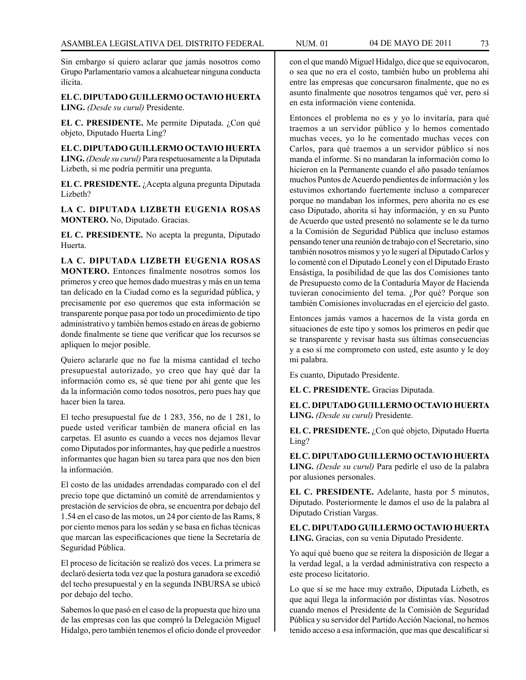Sin embargo sí quiero aclarar que jamás nosotros como Grupo Parlamentario vamos a alcahuetear ninguna conducta ilícita.

**EL C. DIPUTADO GUILLERMO OCTAVIO HUERTA LING.** *(Desde su curul)* Presidente.

**EL C. PRESIDENTE.** Me permite Diputada. ¿Con qué objeto, Diputado Huerta Ling?

**EL C. DIPUTADO GUILLERMO OCTAVIO HUERTA LING.** *(Desde su curul)* Para respetuosamente a la Diputada Lizbeth, si me podría permitir una pregunta.

**EL C. PRESIDENTE.** ¿Acepta alguna pregunta Diputada Lizbeth?

**LA C. DIPUTADA LIZBETH EUGENIA ROSAS MONTERO.** No, Diputado. Gracias.

**EL C. PRESIDENTE.** No acepta la pregunta, Diputado Huerta.

**LA C. DIPUTADA LIZBETH EUGENIA ROSAS MONTERO.** Entonces finalmente nosotros somos los primeros y creo que hemos dado muestras y más en un tema tan delicado en la Ciudad como es la seguridad pública, y precisamente por eso queremos que esta información se transparente porque pasa por todo un procedimiento de tipo administrativo y también hemos estado en áreas de gobierno donde finalmente se tiene que verificar que los recursos se apliquen lo mejor posible.

Quiero aclararle que no fue la misma cantidad el techo presupuestal autorizado, yo creo que hay qué dar la información como es, sé que tiene por ahí gente que les da la información como todos nosotros, pero pues hay que hacer bien la tarea.

El techo presupuestal fue de 1 283, 356, no de 1 281, lo puede usted verificar también de manera oficial en las carpetas. El asunto es cuando a veces nos dejamos llevar como Diputados por informantes, hay que pedirle a nuestros informantes que hagan bien su tarea para que nos den bien la información.

El costo de las unidades arrendadas comparado con el del precio tope que dictaminó un comité de arrendamientos y prestación de servicios de obra, se encuentra por debajo del 1.54 en el caso de las motos, un 24 por ciento de las Rams, 8 por ciento menos para los sedán y se basa en fichas técnicas que marcan las especificaciones que tiene la Secretaría de Seguridad Pública.

El proceso de licitación se realizó dos veces. La primera se declaró desierta toda vez que la postura ganadora se excedió del techo presupuestal y en la segunda INBURSA se ubicó por debajo del techo.

Sabemos lo que pasó en el caso de la propuesta que hizo una de las empresas con las que compró la Delegación Miguel Hidalgo, pero también tenemos el oficio donde el proveedor con el que mandó Miguel Hidalgo, dice que se equivocaron, o sea que no era el costo, también hubo un problema ahí entre las empresas que concursaron finalmente, que no es asunto finalmente que nosotros tengamos qué ver, pero sí en esta información viene contenida.

Entonces el problema no es y yo lo invitaría, para qué traemos a un servidor público y lo hemos comentado muchas veces, yo lo he comentado muchas veces con Carlos, para qué traemos a un servidor público si nos manda el informe. Si no mandaran la información como lo hicieron en la Permanente cuando el año pasado teníamos muchos Puntos de Acuerdo pendientes de información y los estuvimos exhortando fuertemente incluso a comparecer porque no mandaban los informes, pero ahorita no es ese caso Diputado, ahorita sí hay información, y en su Punto de Acuerdo que usted presentó no solamente se le da turno a la Comisión de Seguridad Pública que incluso estamos pensando tener una reunión de trabajo con el Secretario, sino también nosotros mismos y yo le sugerí al Diputado Carlos y lo comenté con el Diputado Leonel y con el Diputado Erasto Ensástiga, la posibilidad de que las dos Comisiones tanto de Presupuesto como de la Contaduría Mayor de Hacienda tuvieran conocimiento del tema. ¿Por qué? Porque son también Comisiones involucradas en el ejercicio del gasto.

Entonces jamás vamos a hacernos de la vista gorda en situaciones de este tipo y somos los primeros en pedir que se transparente y revisar hasta sus últimas consecuencias y a eso sí me comprometo con usted, este asunto y le doy mi palabra.

Es cuanto, Diputado Presidente.

**EL C. PRESIDENTE.** Gracias Diputada.

**EL C. DIPUTADO GUILLERMO OCTAVIO HUERTA LING.** *(Desde su curul)* Presidente.

**EL C. PRESIDENTE.** ¿Con qué objeto, Diputado Huerta Ling?

**EL C. DIPUTADO GUILLERMO OCTAVIO HUERTA LING.** *(Desde su curul)* Para pedirle el uso de la palabra por alusiones personales.

**EL C. PRESIDENTE.** Adelante, hasta por 5 minutos, Diputado. Posteriormente le damos el uso de la palabra al Diputado Cristian Vargas.

**EL C. DIPUTADO GUILLERMO OCTAVIO HUERTA LING.** Gracias, con su venia Diputado Presidente.

Yo aquí qué bueno que se reitera la disposición de llegar a la verdad legal, a la verdad administrativa con respecto a este proceso licitatorio.

Lo que sí se me hace muy extraño, Diputada Lizbeth, es que aquí llega la información por distintas vías. Nosotros cuando menos el Presidente de la Comisión de Seguridad Pública y su servidor del Partido Acción Nacional, no hemos tenido acceso a esa información, que mas que descalificar si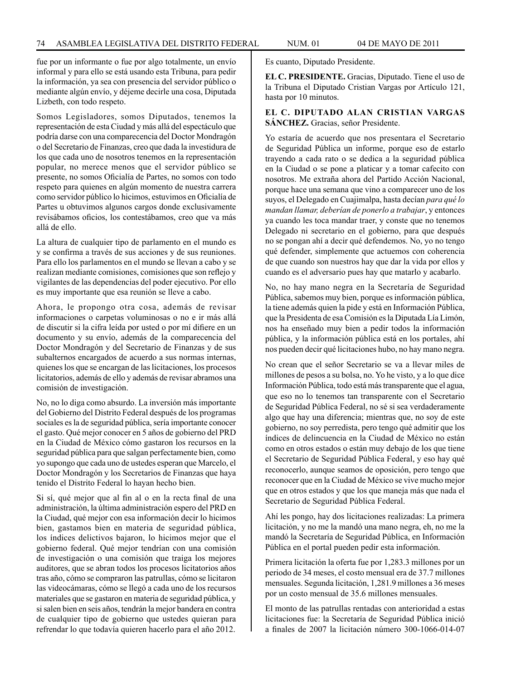fue por un informante o fue por algo totalmente, un envío informal y para ello se está usando esta Tribuna, para pedir la información, ya sea con presencia del servidor público o mediante algún envío, y déjeme decirle una cosa, Diputada Lizbeth, con todo respeto.

Somos Legisladores, somos Diputados, tenemos la representación de esta Ciudad y más allá del espectáculo que podría darse con una comparecencia del Doctor Mondragón o del Secretario de Finanzas, creo que dada la investidura de los que cada uno de nosotros tenemos en la representación popular, no merece menos que el servidor público se presente, no somos Oficialía de Partes, no somos con todo respeto para quienes en algún momento de nuestra carrera como servidor público lo hicimos, estuvimos en Oficialía de Partes u obtuvimos algunos cargos donde exclusivamente revisábamos oficios, los contestábamos, creo que va más allá de ello.

La altura de cualquier tipo de parlamento en el mundo es y se confirma a través de sus acciones y de sus reuniones. Para ello los parlamentos en el mundo se llevan a cabo y se realizan mediante comisiones, comisiones que son reflejo y vigilantes de las dependencias del poder ejecutivo. Por ello es muy importante que esa reunión se lleve a cabo.

Ahora, le propongo otra cosa, además de revisar informaciones o carpetas voluminosas o no e ir más allá de discutir si la cifra leída por usted o por mí difiere en un documento y su envío, además de la comparecencia del Doctor Mondragón y del Secretario de Finanzas y de sus subalternos encargados de acuerdo a sus normas internas, quienes los que se encargan de las licitaciones, los procesos licitatorios, además de ello y además de revisar abramos una comisión de investigación.

No, no lo diga como absurdo. La inversión más importante del Gobierno del Distrito Federal después de los programas sociales es la de seguridad pública, sería importante conocer el gasto. Qué mejor conocer en 5 años de gobierno del PRD en la Ciudad de México cómo gastaron los recursos en la seguridad pública para que salgan perfectamente bien, como yo supongo que cada uno de ustedes esperan que Marcelo, el Doctor Mondragón y los Secretarios de Finanzas que haya tenido el Distrito Federal lo hayan hecho bien.

Si sí, qué mejor que al fin al o en la recta final de una administración, la última administración espero del PRD en la Ciudad, qué mejor con esa información decir lo hicimos bien, gastamos bien en materia de seguridad pública, los índices delictivos bajaron, lo hicimos mejor que el gobierno federal. Qué mejor tendrían con una comisión de investigación o una comisión que traiga los mejores auditores, que se abran todos los procesos licitatorios años tras año, cómo se compraron las patrullas, cómo se licitaron las videocámaras, cómo se llegó a cada uno de los recursos materiales que se gastaron en materia de seguridad pública, y si salen bien en seis años, tendrán la mejor bandera en contra de cualquier tipo de gobierno que ustedes quieran para refrendar lo que todavía quieren hacerlo para el año 2012.

Es cuanto, Diputado Presidente.

**EL C. PRESIDENTE.** Gracias, Diputado. Tiene el uso de la Tribuna el Diputado Cristian Vargas por Artículo 121, hasta por 10 minutos.

### **EL C. DIPUTADO ALAN CRISTIAN VARGAS SÁNCHEZ.** Gracias, señor Presidente.

Yo estaría de acuerdo que nos presentara el Secretario de Seguridad Pública un informe, porque eso de estarlo trayendo a cada rato o se dedica a la seguridad pública en la Ciudad o se pone a platicar y a tomar cafecito con nosotros. Me extraña ahora del Partido Acción Nacional, porque hace una semana que vino a comparecer uno de los suyos, el Delegado en Cuajimalpa, hasta decían *para qué lo mandan llamar, deberían de ponerlo a trabajar*, y entonces ya cuando les toca mandar traer, y conste que no tenemos Delegado ni secretario en el gobierno, para que después no se pongan ahí a decir qué defendemos. No, yo no tengo qué defender, simplemente que actuemos con coherencia de que cuando son nuestros hay que dar la vida por ellos y cuando es el adversario pues hay que matarlo y acabarlo.

No, no hay mano negra en la Secretaría de Seguridad Pública, sabemos muy bien, porque es información pública, la tiene además quien la pide y está en Información Pública, que la Presidenta de esa Comisión es la Diputada Lía Limón, nos ha enseñado muy bien a pedir todos la información pública, y la información pública está en los portales, ahí nos pueden decir qué licitaciones hubo, no hay mano negra.

No crean que el señor Secretario se va a llevar miles de millones de pesos a su bolsa, no. Yo he visto, y a lo que dice Información Pública, todo está más transparente que el agua, que eso no lo tenemos tan transparente con el Secretario de Seguridad Pública Federal, no sé si sea verdaderamente algo que hay una diferencia; mientras que, no soy de este gobierno, no soy perredista, pero tengo qué admitir que los índices de delincuencia en la Ciudad de México no están como en otros estados o están muy debajo de los que tiene el Secretario de Seguridad Pública Federal, y eso hay qué reconocerlo, aunque seamos de oposición, pero tengo que reconocer que en la Ciudad de México se vive mucho mejor que en otros estados y que los que maneja más que nada el Secretario de Seguridad Pública Federal.

Ahí les pongo, hay dos licitaciones realizadas: La primera licitación, y no me la mandó una mano negra, eh, no me la mandó la Secretaría de Seguridad Pública, en Información Pública en el portal pueden pedir esta información.

Primera licitación la oferta fue por 1,283.3 millones por un periodo de 34 meses, el costo mensual era de 37.7 millones mensuales. Segunda licitación, 1,281.9 millones a 36 meses por un costo mensual de 35.6 millones mensuales.

El monto de las patrullas rentadas con anterioridad a estas licitaciones fue: la Secretaría de Seguridad Pública inició a finales de 2007 la licitación número 300-1066-014-07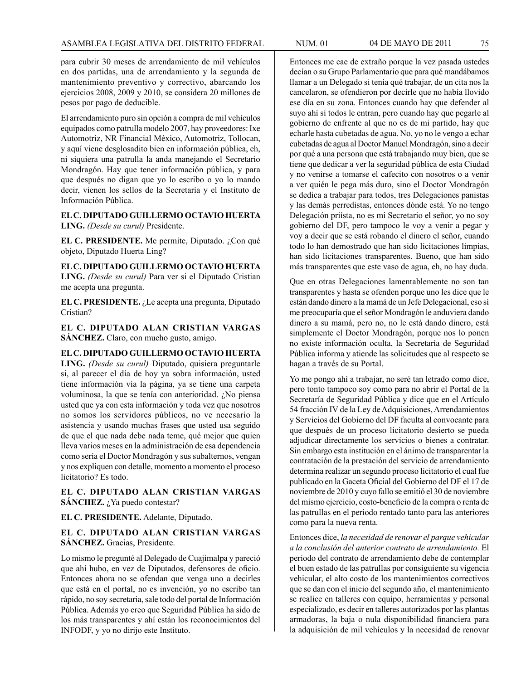para cubrir 30 meses de arrendamiento de mil vehículos en dos partidas, una de arrendamiento y la segunda de mantenimiento preventivo y correctivo, abarcando los ejercicios 2008, 2009 y 2010, se considera 20 millones de pesos por pago de deducible.

El arrendamiento puro sin opción a compra de mil vehículos equipados como patrulla modelo 2007, hay proveedores: Ixe Automotriz, NR Financial México, Automotriz, Tollocan, y aquí viene desglosadito bien en información pública, eh, ni siquiera una patrulla la anda manejando el Secretario Mondragón. Hay que tener información pública, y para que después no digan que yo lo escribo o yo lo mando decir, vienen los sellos de la Secretaría y el Instituto de Información Pública.

**EL C. DIPUTADO GUILLERMO OCTAVIO HUERTA LING.** *(Desde su curul)* Presidente.

**EL C. PRESIDENTE.** Me permite, Diputado. ¿Con qué objeto, Diputado Huerta Ling?

**EL C. DIPUTADO GUILLERMO OCTAVIO HUERTA LING.** *(Desde su curul)* Para ver si el Diputado Cristian me acepta una pregunta.

**EL C. PRESIDENTE.** ¿Le acepta una pregunta, Diputado Cristian?

**EL C. DIPUTADO ALAN CRISTIAN VARGAS SÁNCHEZ.** Claro, con mucho gusto, amigo.

**EL C. DIPUTADO GUILLERMO OCTAVIO HUERTA LING.** *(Desde su curul)* Diputado, quisiera preguntarle si, al parecer el día de hoy ya sobra información, usted tiene información vía la página, ya se tiene una carpeta voluminosa, la que se tenía con anterioridad. ¿No piensa usted que ya con esta información y toda vez que nosotros no somos los servidores públicos, no ve necesario la asistencia y usando muchas frases que usted usa seguido de que el que nada debe nada teme, qué mejor que quien lleva varios meses en la administración de esa dependencia como sería el Doctor Mondragón y sus subalternos, vengan y nos expliquen con detalle, momento a momento el proceso licitatorio? Es todo.

**EL C. DIPUTADO ALAN CRISTIAN VARGAS SÁNCHEZ.** *i*, Ya puedo contestar?

**EL C. PRESIDENTE.** Adelante, Diputado.

## **EL C. DIPUTADO ALAN CRISTIAN VARGAS SÁNCHEZ.** Gracias, Presidente.

Lo mismo le pregunté al Delegado de Cuajimalpa y pareció que ahí hubo, en vez de Diputados, defensores de oficio. Entonces ahora no se ofendan que venga uno a decirles que está en el portal, no es invención, yo no escribo tan rápido, no soy secretaria, sale todo del portal de Información Pública. Además yo creo que Seguridad Pública ha sido de los más transparentes y ahí están los reconocimientos del INFODF, y yo no dirijo este Instituto.

Entonces me cae de extraño porque la vez pasada ustedes decían o su Grupo Parlamentario que para qué mandábamos llamar a un Delegado si tenía qué trabajar, de un cita nos la cancelaron, se ofendieron por decirle que no había llovido ese día en su zona. Entonces cuando hay que defender al suyo ahí sí todos le entran, pero cuando hay que pegarle al gobierno de enfrente al que no es de mi partido, hay que echarle hasta cubetadas de agua. No, yo no le vengo a echar cubetadas de agua al Doctor Manuel Mondragón, sino a decir por qué a una persona que está trabajando muy bien, que se tiene que dedicar a ver la seguridad pública de esta Ciudad y no venirse a tomarse el cafecito con nosotros o a venir a ver quién le pega más duro, sino el Doctor Mondragón se dedica a trabajar para todos, tres Delegaciones panistas y las demás perredistas, entonces dónde está. Yo no tengo Delegación priísta, no es mi Secretario el señor, yo no soy gobierno del DF, pero tampoco le voy a venir a pegar y voy a decir que se está robando el dinero el señor, cuando todo lo han demostrado que han sido licitaciones limpias, han sido licitaciones transparentes. Bueno, que han sido más transparentes que este vaso de agua, eh, no hay duda.

Que en otras Delegaciones lamentablemente no son tan transparentes y hasta se ofenden porque uno les dice que le están dando dinero a la mamá de un Jefe Delegacional, eso sí me preocuparía que el señor Mondragón le anduviera dando dinero a su mamá, pero no, no le está dando dinero, está simplemente el Doctor Mondragón, porque nos lo ponen no existe información oculta, la Secretaría de Seguridad Pública informa y atiende las solicitudes que al respecto se hagan a través de su Portal.

Yo me pongo ahí a trabajar, no seré tan letrado como dice, pero tonto tampoco soy como para no abrir el Portal de la Secretaría de Seguridad Pública y dice que en el Artículo 54 fracción IV de la Ley de Adquisiciones, Arrendamientos y Servicios del Gobierno del DF faculta al convocante para que después de un proceso licitatorio desierto se pueda adjudicar directamente los servicios o bienes a contratar. Sin embargo esta institución en el ánimo de transparentar la contratación de la prestación del servicio de arrendamiento determina realizar un segundo proceso licitatorio el cual fue publicado en la Gaceta Oficial del Gobierno del DF el 17 de noviembre de 2010 y cuyo fallo se emitió el 30 de noviembre del mismo ejercicio, costo-beneficio de la compra o renta de las patrullas en el periodo rentado tanto para las anteriores como para la nueva renta.

Entonces dice, *la necesidad de renovar el parque vehicular a la conclusión del anterior contrato de arrendamiento.* El periodo del contrato de arrendamiento debe de contemplar el buen estado de las patrullas por consiguiente su vigencia vehicular, el alto costo de los mantenimientos correctivos que se dan con el inicio del segundo año, el mantenimiento se realice en talleres con equipo, herramientas y personal especializado, es decir en talleres autorizados por las plantas armadoras, la baja o nula disponibilidad financiera para la adquisición de mil vehículos y la necesidad de renovar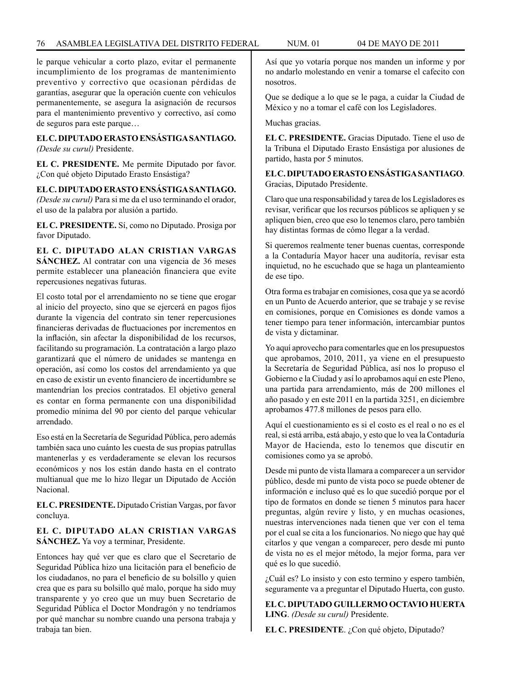le parque vehicular a corto plazo, evitar el permanente incumplimiento de los programas de mantenimiento preventivo y correctivo que ocasionan pérdidas de garantías, asegurar que la operación cuente con vehículos permanentemente, se asegura la asignación de recursos para el mantenimiento preventivo y correctivo, así como de seguros para este parque…

#### **EL C. DIPUTADO ERASTO ENSÁSTIGA SANTIAGO.** *(Desde su curul)* Presidente.

**EL C. PRESIDENTE.** Me permite Diputado por favor. ¿Con qué objeto Diputado Erasto Ensástiga?

**EL C. DIPUTADO ERASTO ENSÁSTIGA SANTIAGO.** *(Desde su curul)* Para si me da el uso terminando el orador, el uso de la palabra por alusión a partido.

**EL C. PRESIDENTE.** Sí, como no Diputado. Prosiga por favor Diputado.

**EL C. DIPUTADO ALAN CRISTIAN VARGAS SÁNCHEZ.** Al contratar con una vigencia de 36 meses permite establecer una planeación financiera que evite repercusiones negativas futuras.

El costo total por el arrendamiento no se tiene que erogar al inicio del proyecto, sino que se ejercerá en pagos fijos durante la vigencia del contrato sin tener repercusiones financieras derivadas de fluctuaciones por incrementos en la inflación, sin afectar la disponibilidad de los recursos, facilitando su programación. La contratación a largo plazo garantizará que el número de unidades se mantenga en operación, así como los costos del arrendamiento ya que en caso de existir un evento financiero de incertidumbre se mantendrían los precios contratados. El objetivo general es contar en forma permanente con una disponibilidad promedio mínima del 90 por ciento del parque vehicular arrendado.

Eso está en la Secretaría de Seguridad Pública, pero además también saca uno cuánto les cuesta de sus propias patrullas mantenerlas y es verdaderamente se elevan los recursos económicos y nos los están dando hasta en el contrato multianual que me lo hizo llegar un Diputado de Acción Nacional.

**EL C. PRESIDENTE.** Diputado Cristian Vargas, por favor concluya.

# **EL C. DIPUTADO ALAN CRISTIAN VARGAS SÁNCHEZ.** Ya voy a terminar, Presidente.

Entonces hay qué ver que es claro que el Secretario de Seguridad Pública hizo una licitación para el beneficio de los ciudadanos, no para el beneficio de su bolsillo y quien crea que es para su bolsillo qué malo, porque ha sido muy transparente y yo creo que un muy buen Secretario de Seguridad Pública el Doctor Mondragón y no tendríamos por qué manchar su nombre cuando una persona trabaja y trabaja tan bien.

Así que yo votaría porque nos manden un informe y por no andarlo molestando en venir a tomarse el cafecito con nosotros.

Que se dedique a lo que se le paga, a cuidar la Ciudad de México y no a tomar el café con los Legisladores.

Muchas gracias.

**EL C. PRESIDENTE.** Gracias Diputado. Tiene el uso de la Tribuna el Diputado Erasto Ensástiga por alusiones de partido, hasta por 5 minutos.

**EL C. DIPUTADO ERASTO ENSÁSTIGA SANTIAGO**. Gracias, Diputado Presidente.

Claro que una responsabilidad y tarea de los Legisladores es revisar, verificar que los recursos públicos se apliquen y se apliquen bien, creo que eso lo tenemos claro, pero también hay distintas formas de cómo llegar a la verdad.

Si queremos realmente tener buenas cuentas, corresponde a la Contaduría Mayor hacer una auditoría, revisar esta inquietud, no he escuchado que se haga un planteamiento de ese tipo.

Otra forma es trabajar en comisiones, cosa que ya se acordó en un Punto de Acuerdo anterior, que se trabaje y se revise en comisiones, porque en Comisiones es donde vamos a tener tiempo para tener información, intercambiar puntos de vista y dictaminar.

Yo aquí aprovecho para comentarles que en los presupuestos que aprobamos, 2010, 2011, ya viene en el presupuesto la Secretaría de Seguridad Pública, así nos lo propuso el Gobierno e la Ciudad y así lo aprobamos aquí en este Pleno, una partida para arrendamiento, más de 200 millones el año pasado y en este 2011 en la partida 3251, en diciembre aprobamos 477.8 millones de pesos para ello.

Aquí el cuestionamiento es si el costo es el real o no es el real, si está arriba, está abajo, y esto que lo vea la Contaduría Mayor de Hacienda, esto lo tenemos que discutir en comisiones como ya se aprobó.

Desde mi punto de vista llamara a comparecer a un servidor público, desde mi punto de vista poco se puede obtener de información e incluso qué es lo que sucedió porque por el tipo de formatos en donde se tienen 5 minutos para hacer preguntas, algún revire y listo, y en muchas ocasiones, nuestras intervenciones nada tienen que ver con el tema por el cual se cita a los funcionarios. No niego que hay qué citarlos y que vengan a comparecer, pero desde mi punto de vista no es el mejor método, la mejor forma, para ver qué es lo que sucedió.

¿Cuál es? Lo insisto y con esto termino y espero también, seguramente va a preguntar el Diputado Huerta, con gusto.

**EL C. DIPUTADO GUILLERMO OCTAVIO HUERTA LING**. *(Desde su curul)* Presidente.

EL C. PRESIDENTE. ¿Con qué objeto, Diputado?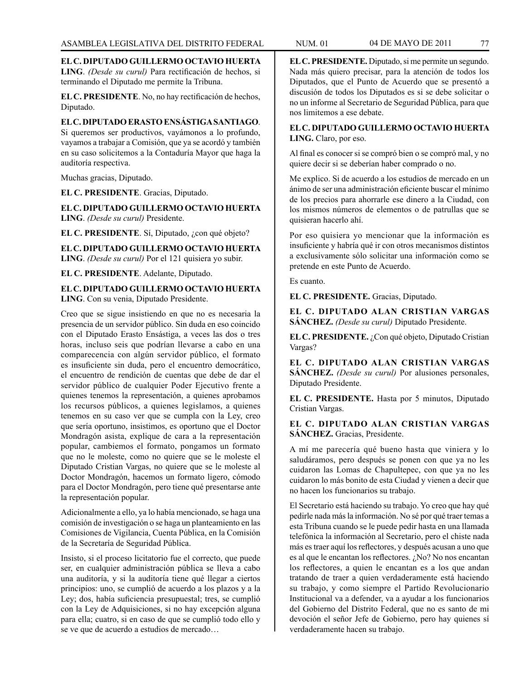**EL C. DIPUTADO GUILLERMO OCTAVIO HUERTA LING**. *(Desde su curul)* Para rectificación de hechos, si terminando el Diputado me permite la Tribuna.

**EL C. PRESIDENTE**. No, no hay rectificación de hechos, Diputado.

#### **EL C. DIPUTADO ERASTO ENSÁSTIGA SANTIAGO**.

Si queremos ser productivos, vayámonos a lo profundo, vayamos a trabajar a Comisión, que ya se acordó y también en su caso solicitemos a la Contaduría Mayor que haga la auditoría respectiva.

Muchas gracias, Diputado.

**EL C. PRESIDENTE**. Gracias, Diputado.

**EL C. DIPUTADO GUILLERMO OCTAVIO HUERTA LING**. *(Desde su curul)* Presidente.

**EL C. PRESIDENTE**. Sí, Diputado, ¿con qué objeto?

**EL C. DIPUTADO GUILLERMO OCTAVIO HUERTA LING**. *(Desde su curul)* Por el 121 quisiera yo subir.

**EL C. PRESIDENTE**. Adelante, Diputado.

### **EL C. DIPUTADO GUILLERMO OCTAVIO HUERTA LING**. Con su venia, Diputado Presidente.

Creo que se sigue insistiendo en que no es necesaria la presencia de un servidor público. Sin duda en eso coincido con el Diputado Erasto Ensástiga, a veces las dos o tres horas, incluso seis que podrían llevarse a cabo en una comparecencia con algún servidor público, el formato es insuficiente sin duda, pero el encuentro democrático, el encuentro de rendición de cuentas que debe de dar el servidor público de cualquier Poder Ejecutivo frente a quienes tenemos la representación, a quienes aprobamos los recursos públicos, a quienes legislamos, a quienes tenemos en su caso ver que se cumpla con la Ley, creo que sería oportuno, insistimos, es oportuno que el Doctor Mondragón asista, explique de cara a la representación popular, cambiemos el formato, pongamos un formato que no le moleste, como no quiere que se le moleste el Diputado Cristian Vargas, no quiere que se le moleste al Doctor Mondragón, hacemos un formato ligero, cómodo para el Doctor Mondragón, pero tiene qué presentarse ante la representación popular.

Adicionalmente a ello, ya lo había mencionado, se haga una comisión de investigación o se haga un planteamiento en las Comisiones de Vigilancia, Cuenta Pública, en la Comisión de la Secretaría de Seguridad Pública.

Insisto, si el proceso licitatorio fue el correcto, que puede ser, en cualquier administración pública se lleva a cabo una auditoría, y si la auditoría tiene qué llegar a ciertos principios: uno, se cumplió de acuerdo a los plazos y a la Ley; dos, había suficiencia presupuestal; tres, se cumplió con la Ley de Adquisiciones, si no hay excepción alguna para ella; cuatro, si en caso de que se cumplió todo ello y se ve que de acuerdo a estudios de mercado…

**EL C. PRESIDENTE.** Diputado, si me permite un segundo. Nada más quiero precisar, para la atención de todos los Diputados, que el Punto de Acuerdo que se presentó a discusión de todos los Diputados es si se debe solicitar o no un informe al Secretario de Seguridad Pública, para que nos limitemos a ese debate.

## **EL C. DIPUTADO GUILLERMO OCTAVIO HUERTA LING.** Claro, por eso.

Al final es conocer si se compró bien o se compró mal, y no quiere decir si se deberían haber comprado o no.

Me explico. Si de acuerdo a los estudios de mercado en un ánimo de ser una administración eficiente buscar el mínimo de los precios para ahorrarle ese dinero a la Ciudad, con los mismos números de elementos o de patrullas que se quisieran hacerlo ahí.

Por eso quisiera yo mencionar que la información es insuficiente y habría qué ir con otros mecanismos distintos a exclusivamente sólo solicitar una información como se pretende en este Punto de Acuerdo.

Es cuanto.

**EL C. PRESIDENTE.** Gracias, Diputado.

**EL C. DIPUTADO ALAN CRISTIAN VARGAS SÁNCHEZ.** *(Desde su curul)* Diputado Presidente.

**EL C. PRESIDENTE.** ¿Con qué objeto, Diputado Cristian Vargas?

**EL C. DIPUTADO ALAN CRISTIAN VARGAS SÁNCHEZ.** *(Desde su curul)* Por alusiones personales, Diputado Presidente.

**EL C. PRESIDENTE.** Hasta por 5 minutos, Diputado Cristian Vargas.

**EL C. DIPUTADO ALAN CRISTIAN VARGAS SÁNCHEZ.** Gracias, Presidente.

A mí me parecería qué bueno hasta que viniera y lo saludáramos, pero después se ponen con que ya no les cuidaron las Lomas de Chapultepec, con que ya no les cuidaron lo más bonito de esta Ciudad y vienen a decir que no hacen los funcionarios su trabajo.

El Secretario está haciendo su trabajo. Yo creo que hay qué pedirle nada más la información. No sé por qué traer temas a esta Tribuna cuando se le puede pedir hasta en una llamada telefónica la información al Secretario, pero el chiste nada más es traer aquí los reflectores, y después acusan a uno que es al que le encantan los reflectores.  $i$ No? No nos encantan los reflectores, a quien le encantan es a los que andan tratando de traer a quien verdaderamente está haciendo su trabajo, y como siempre el Partido Revolucionario Institucional va a defender, va a ayudar a los funcionarios del Gobierno del Distrito Federal, que no es santo de mi devoción el señor Jefe de Gobierno, pero hay quienes sí verdaderamente hacen su trabajo.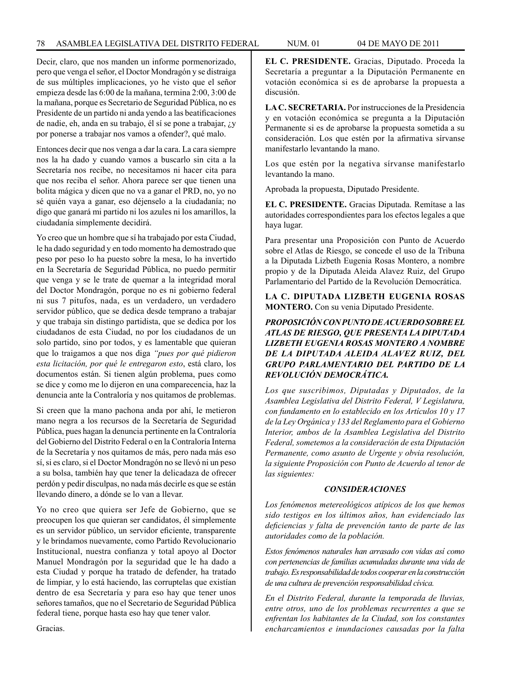Decir, claro, que nos manden un informe pormenorizado, pero que venga el señor, el Doctor Mondragón y se distraiga de sus múltiples implicaciones, yo he visto que el señor empieza desde las 6:00 de la mañana, termina 2:00, 3:00 de la mañana, porque es Secretario de Seguridad Pública, no es Presidente de un partido ni anda yendo a las beatificaciones de nadie, eh, anda en su trabajo, él sí se pone a trabajar, ¿y por ponerse a trabajar nos vamos a ofender?, qué malo.

Entonces decir que nos venga a dar la cara. La cara siempre nos la ha dado y cuando vamos a buscarlo sin cita a la Secretaría nos recibe, no necesitamos ni hacer cita para que nos reciba el señor. Ahora parece ser que tienen una bolita mágica y dicen que no va a ganar el PRD, no, yo no sé quién vaya a ganar, eso déjenselo a la ciudadanía; no digo que ganará mi partido ni los azules ni los amarillos, la ciudadanía simplemente decidirá.

Yo creo que un hombre que sí ha trabajado por esta Ciudad, le ha dado seguridad y en todo momento ha demostrado que peso por peso lo ha puesto sobre la mesa, lo ha invertido en la Secretaría de Seguridad Pública, no puedo permitir que venga y se le trate de quemar a la integridad moral del Doctor Mondragón, porque no es ni gobierno federal ni sus 7 pitufos, nada, es un verdadero, un verdadero servidor público, que se dedica desde temprano a trabajar y que trabaja sin distingo partidista, que se dedica por los ciudadanos de esta Ciudad, no por los ciudadanos de un solo partido, sino por todos, y es lamentable que quieran que lo traigamos a que nos diga *"pues por qué pidieron esta licitación, por qué le entregaron esto*, está claro, los documentos están. Si tienen algún problema, pues como se dice y como me lo dijeron en una comparecencia, haz la denuncia ante la Contraloría y nos quitamos de problemas.

Si creen que la mano pachona anda por ahí, le metieron mano negra a los recursos de la Secretaría de Seguridad Pública, pues hagan la denuncia pertinente en la Contraloría del Gobierno del Distrito Federal o en la Contraloría Interna de la Secretaría y nos quitamos de más, pero nada más eso sí, si es claro, si el Doctor Mondragón no se llevó ni un peso a su bolsa, también hay que tener la delicadaza de ofrecer perdón y pedir disculpas, no nada más decirle es que se están llevando dinero, a dónde se lo van a llevar.

Yo no creo que quiera ser Jefe de Gobierno, que se preocupen los que quieran ser candidatos, él simplemente es un servidor público, un servidor eficiente, transparente y le brindamos nuevamente, como Partido Revolucionario Institucional, nuestra confianza y total apoyo al Doctor Manuel Mondragón por la seguridad que le ha dado a esta Ciudad y porque ha tratado de defender, ha tratado de limpiar, y lo está haciendo, las corruptelas que existían dentro de esa Secretaría y para eso hay que tener unos señores tamaños, que no el Secretario de Seguridad Pública federal tiene, porque hasta eso hay que tener valor.

**EL C. PRESIDENTE.** Gracias, Diputado. Proceda la Secretaría a preguntar a la Diputación Permanente en votación económica si es de aprobarse la propuesta a discusión.

**LA C. SECRETARIA.** Por instrucciones de la Presidencia y en votación económica se pregunta a la Diputación Permanente si es de aprobarse la propuesta sometida a su consideración. Los que estén por la afirmativa sírvanse manifestarlo levantando la mano.

Los que estén por la negativa sírvanse manifestarlo levantando la mano.

Aprobada la propuesta, Diputado Presidente.

**EL C. PRESIDENTE.** Gracias Diputada. Remítase a las autoridades correspondientes para los efectos legales a que haya lugar.

Para presentar una Proposición con Punto de Acuerdo sobre el Atlas de Riesgo, se concede el uso de la Tribuna a la Diputada Lizbeth Eugenia Rosas Montero, a nombre propio y de la Diputada Aleida Alavez Ruiz, del Grupo Parlamentario del Partido de la Revolución Democrática.

## **LA C. DIPUTADA LIZBETH EUGENIA ROSAS MONTERO.** Con su venia Diputado Presidente.

# *PROPOSICIÓN CON PUNTO DE ACUERDO SOBRE EL ATLAS DE RIESGO, QUE PRESENTA LA DIPUTADA LIZBETH EUGENIA ROSAS MONTERO A NOMBRE DE LA DIPUTADA ALEIDA ALAVEZ RUIZ, DEL GRUPO PARLAMENTARIO DEL PARTIDO DE LA REVOLUCIÓN DEMOCRÁTICA.*

*Los que suscribimos, Diputadas y Diputados, de la Asamblea Legislativa del Distrito Federal, V Legislatura, con fundamento en lo establecido en los Artículos 10 y 17 de la Ley Orgánica y 133 del Reglamento para el Gobierno Interior, ambos de la Asamblea Legislativa del Distrito Federal, sometemos a la consideración de esta Diputación Permanente, como asunto de Urgente y obvia resolución, la siguiente Proposición con Punto de Acuerdo al tenor de las siguientes:*

## *CONSIDERACIONES*

*Los fenómenos metereológicos atípicos de los que hemos sido testigos en los últimos años, han evidenciado las deficiencias y falta de prevención tanto de parte de las autoridades como de la población.*

*Estos fenómenos naturales han arrasado con vidas así como con pertenencias de familias acumuladas durante una vida de trabajo. Es responsabilidad de todos cooperar en la construcción de una cultura de prevención responsabilidad cívica.*

*En el Distrito Federal, durante la temporada de lluvias, entre otros, uno de los problemas recurrentes a que se enfrentan los habitantes de la Ciudad, son los constantes encharcamientos e inundaciones causadas por la falta* 

Gracias.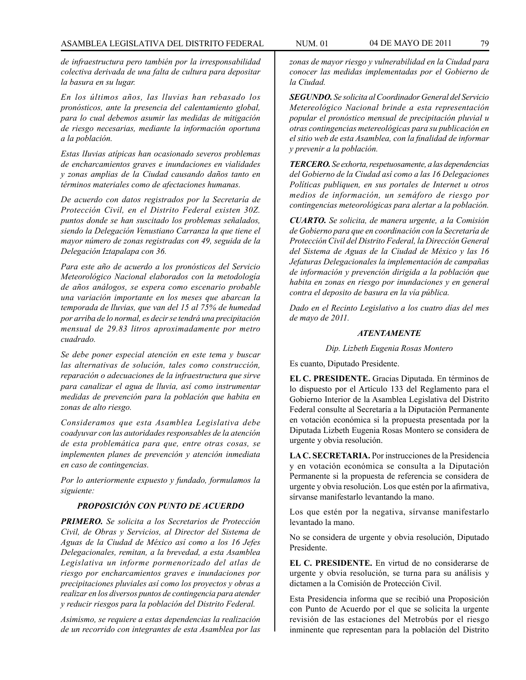*de infraestructura pero también por la irresponsabilidad colectiva derivada de una falta de cultura para depositar la basura en su lugar.*

*En los últimos años, las lluvias han rebasado los pronósticos, ante la presencia del calentamiento global, para lo cual debemos asumir las medidas de mitigación de riesgo necesarias, mediante la información oportuna a la población.*

*Estas lIuvias atípicas han ocasionado severos problemas de encharcamientos graves e inundaciones en vialidades y zonas amplias de la Ciudad causando daños tanto en términos materiales como de afectaciones humanas.*

*De acuerdo con datos registrados por la Secretaría de Protección Civil, en el Distrito Federal existen 30Z. puntos donde se han suscitado los problemas señalados, siendo la Delegación Venustiano Carranza la que tiene el mayor número de zonas registradas con 49, seguida de la Delegación Iztapalapa con 36.*

*Para este año de acuerdo a los pronósticos del Servicio Meteorológico Nacional elaborados con la metodología de años análogos, se espera como escenario probable una variación importante en los meses que abarcan la temporada de lluvias, que van del 15 al 75% de humedad por arriba de lo normal, es decir se tendrá una precipitación mensual de 29.83 litros aproximadamente por metro cuadrado.*

*Se debe poner especial atención en este tema y buscar las alternativas de solución, tales como construcción, reparación o adecuaciones de la infraestructura que sirve para canalizar el agua de lluvia, así como instrumentar medidas de prevención para la población que habita en zonas de alto riesgo.*

*Consideramos que esta Asamblea Legislativa debe coadyuvar con las autoridades responsables de la atención de esta problemática para que, entre otras cosas, se implementen planes de prevención y atención inmediata en caso de contingencias.*

*Por lo anteriormente expuesto y fundado, formulamos la siguiente:*

# *PROPOSICIÓN CON PUNTO DE ACUERDO*

*PRIMERO. Se solicita a los Secretarios de Protección Civil, de Obras y Servicios, al Director del Sistema de Aguas de la Ciudad de México así como a los 16 Jefes Delegacionales, remitan, a la brevedad, a esta Asamblea Legislativa un informe pormenorizado del atlas de riesgo por encharcamientos graves e inundaciones por precipitaciones pluviales así como los proyectos y obras a realizar en los diversos puntos de contingencia para atender y reducir riesgos para la población del Distrito Federal.*

*Asimismo, se requiere a estas dependencias la realización de un recorrido con integrantes de esta Asamblea por las*  *zonas de mayor riesgo y vulnerabilidad en la Ciudad para conocer las medidas implementadas por el Gobierno de la Ciudad.*

*SEGUNDO. Se solicita al Coordinador General del Servicio Metereológico Nacional brinde a esta representación popular el pronóstico mensual de precipitación pluvial u otras contingencias metereológicas para su publicación en el sitio web de esta Asamblea, con la finalidad de informar y prevenir a la población.*

*TERCERO. Se exhorta, respetuosamente, a las dependencias del Gobierno de la Ciudad así como a las 16 Delegaciones Políticas publiquen, en sus portales de Internet u otros medios de información, un semáforo de riesgo por contingencias meteorológicas para alertar a la población.*

*CUARTO. Se solicita, de manera urgente, a la Comisión de Gobierno para que en coordinación con la Secretaría de Protección Civil del Distrito Federal, la Dirección General del Sistema de Aguas de la Ciudad de México y las 16 Jefaturas Delegacionales la implementación de campañas de información y prevención dirigida a la población que habita en zonas en riesgo por inundaciones y en general contra el deposito de basura en la vía pública.*

*Dado en el Recinto Legislativo a los cuatro días del mes de mayo de 2011.*

#### *ATENTAMENTE*

*Dip. Lizbeth Eugenia Rosas Montero*

Es cuanto, Diputado Presidente.

**EL C. PRESIDENTE.** Gracias Diputada. En términos de lo dispuesto por el Artículo 133 del Reglamento para el Gobierno Interior de la Asamblea Legislativa del Distrito Federal consulte al Secretaría a la Diputación Permanente en votación económica si la propuesta presentada por la Diputada Lizbeth Eugenia Rosas Montero se considera de urgente y obvia resolución.

**LA C. SECRETARIA.** Por instrucciones de la Presidencia y en votación económica se consulta a la Diputación Permanente si la propuesta de referencia se considera de urgente y obvia resolución. Los que estén por la afirmativa, sírvanse manifestarlo levantando la mano.

Los que estén por la negativa, sírvanse manifestarlo levantado la mano.

No se considera de urgente y obvia resolución, Diputado Presidente.

**EL C. PRESIDENTE.** En virtud de no considerarse de urgente y obvia resolución, se turna para su análisis y dictamen a la Comisión de Protección Civil.

Esta Presidencia informa que se recibió una Proposición con Punto de Acuerdo por el que se solicita la urgente revisión de las estaciones del Metrobús por el riesgo inminente que representan para la población del Distrito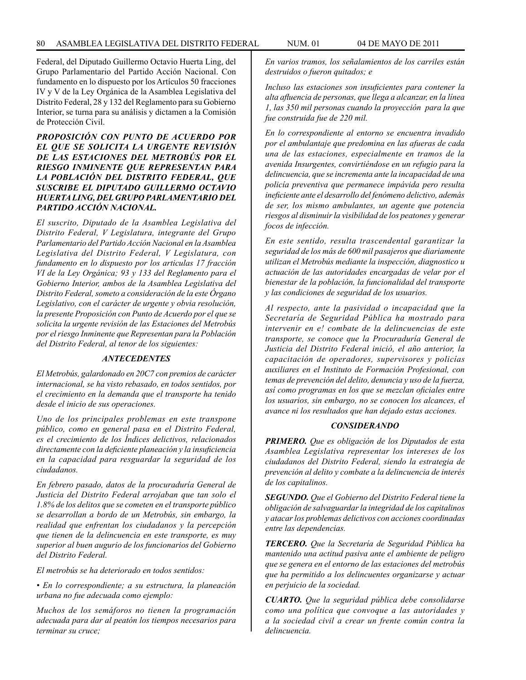Federal, del Diputado Guillermo Octavio Huerta Ling, del Grupo Parlamentario del Partido Acción Nacional. Con fundamento en lo dispuesto por los Artículos 50 fracciones IV y V de la Ley Orgánica de la Asamblea Legislativa del Distrito Federal, 28 y 132 del Reglamento para su Gobierno Interior, se turna para su análisis y dictamen a la Comisión de Protección Civil.

## *PROPOSICIÓN CON PUNTO DE ACUERDO POR EL QUE SE SOLICITA LA URGENTE REVISIÓN DE LAS ESTACIONES DEL METROBÚS POR EL RIESGO INMINENTE QUE REPRESENTAN PARA LA POBLACIÓN DEL DISTRITO FEDERAL, QUE SUSCRIBE EL DIPUTADO GUILLERMO OCTAVIO HUERTA LING, DEL GRUPO PARLAMENTARIO DEL PARTIDO ACCIÓN NACIONAL.*

*El suscrito, Diputado de la Asamblea Legislativa del Distrito Federal, V Legislatura, integrante del Grupo Parlamentario del Partido Acción Nacional en la Asamblea Legislativa del Distrito Federal, V Legislatura, con fundamento en lo dispuesto por los articulas 17 fracción VI de la Ley Orgánica; 93 y 133 del Reglamento para el Gobierno Interior, ambos de la Asamblea Legislativa del Distrito Federal, someto a consideración de la este Órgano Legislativo, con el carácter de urgente y obvia resolución, la presente Proposición con Punto de Acuerdo por el que se solicita la urgente revisión de las Estaciones del Metrobús por el riesgo Inminente que Representan para la Población del Distrito Federal, al tenor de los siguientes:*

### *ANTECEDENTES*

*El Metrobús, galardonado en 20C7 con premios de carácter internacional, se ha visto rebasado, en todos sentidos, por el crecimiento en la demanda que el transporte ha tenido desde el inicio de sus operaciones.*

*Uno de los principales problemas en este transpone público, como en general pasa en el Distrito Federal, es el crecimiento de los Índices delictivos, relacionados directamente con la deficiente planeación y la insuficiencia en la capacidad para resguardar la seguridad de los ciudadanos.*

*En febrero pasado, datos de la procuraduría General de Justicia del Distrito Federal arrojaban que tan solo el 1.8% de los delitos que se cometen en el transporte público se desarrollan a bordo de un Metrobús, sin embargo, la realidad que enfrentan los ciudadanos y la percepción que tienen de la delincuencia en este transporte, es muy superior al buen augurio de los funcionarios del Gobierno del Distrito Federal.*

*El metrobús se ha deteriorado en todos sentidos:*

*• En lo correspondiente; a su estructura, la planeación urbana no fue adecuada como ejemplo:*

*Muchos de los semáforos no tienen la programación adecuada para dar al peatón los tiempos necesarios para terminar su cruce;* 

*En varios tramos, los señalamientos de los carriles están destruidos o fueron quitados; e*

*Incluso las estaciones son insuficientes para contener la alta afluencia de personas, que llega a alcanzar, en la línea 1, las 350 mil personas cuando la proyección para la que fue construida fue de 220 mil.*

*En lo correspondiente al entorno se encuentra invadido por el ambulantaje que predomina en las afueras de cada una de las estaciones, especialmente en tramos de la avenida Insurgentes, convirtiéndose en un refugio para la delincuencia, que se incrementa ante la incapacidad de una policía preventiva que permanece impávida pero resulta ineficiente ante el desarrollo del fenómeno delictivo, además de ser, los mismo ambulantes, un agente que potencia riesgos al disminuir la visibilidad de los peatones y generar focos de infección.*

*En este sentido, resulta trascendental garantizar la seguridad de los más de 600 mil pasajeros que diariamente utilizan el Metrobús mediante la inspección, diagnostico u actuación de las autoridades encargadas de velar por el bienestar de la población, la funcionalidad del transporte y las condiciones de seguridad de los usuarios.*

*Al respecto, ante la pasividad o incapacidad que la Secretaría de Seguridad Pública ha mostrado para intervenir en e! combate de la delincuencias de este transporte, se conoce que la Procuraduría General de Justicia del Distrito Federal inició, el año anterior, la capacitación de operadores, supervisores y policías auxiliares en el Instituto de Formación Profesional, con temas de prevención del delito, denuncia y uso de la fuerza, así como programas en los que se mezclan oficiales entre los usuarios, sin embargo, no se conocen los alcances, el avance ni los resultados que han dejado estas acciones.*

#### *CONSIDERANDO*

*PRIMERO. Que es obligación de los Diputados de esta Asamblea Legislativa representar los intereses de los ciudadanos del Distrito Federal, siendo la estrategia de prevención al delito y combate a la delincuencia de interés de los capitalinos.*

*SEGUNDO. Que el Gobierno del Distrito Federal tiene la obligación de salvaguardar la integridad de los capitalinos y atacar los problemas delictivos con acciones coordinadas entre las dependencias.*

*TERCERO. Que la Secretaría de Seguridad Pública ha mantenido una actitud pasiva ante el ambiente de peligro que se genera en el entorno de las estaciones del metrobús que ha permitido a los delincuentes organizarse y actuar en perjuicio de la sociedad.*

*CUARTO. Que la seguridad pública debe consolidarse como una política que convoque a las autoridades y a la sociedad civil a crear un frente común contra la delincuencia.*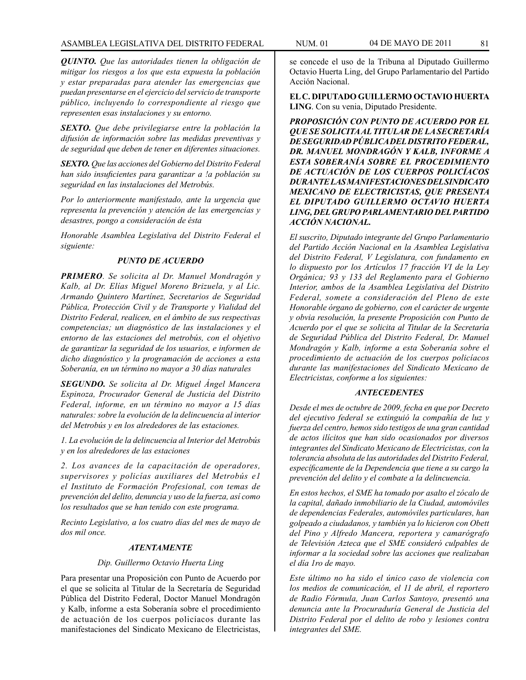*QUINTO. Que las autoridades tienen la obligación de mitigar los riesgos a los que esta expuesta la población y estar preparadas para atender las emergencias que puedan presentarse en el ejercicio del servicio de transporte público, incluyendo lo correspondiente al riesgo que representen esas instalaciones y su entorno.*

*SEXTO. Que debe privilegiarse entre la población la difusión de información sobre las medidas preventivas y de seguridad que deben de tener en diferentes situaciones.*

*SEXTO. Que las acciones del Gobierno del Distrito Federal han sido insuficientes para garantizar a !a población su seguridad en las instalaciones del Metrobús.*

*Por lo anteriormente manifestado, ante la urgencia que representa la prevención y atención de las emergencias y desastres, pongo a consideración de ésta*

*Honorable Asamblea Legislativa del Distrito Federal el siguiente:*

#### *PUNTO DE ACUERDO*

*PRIMERO. Se solicita al Dr. Manuel Mondragón y Kalb, al Dr. Elías Miguel Moreno Brizuela, y al Lic. Armando Quintero Martínez, Secretarios de Seguridad Pública, Protección Civil y de Transporte y Vialidad del Distrito Federal, realicen, en el ámbito de sus respectivas competencias; un diagnóstico de las instalaciones y el entorno de las estaciones del metrobús, con el objetivo de garantizar la seguridad de los usuarios, e informen de dicho diagnóstico y la programación de acciones a esta Soberanía, en un término no mayor a 30 días naturales*

*SEGUNDO. Se solicita al Dr. Miguel Ángel Mancera Espinoza, Procurador General de Justicia del Distrito Federal, informe, en un término no mayor a 15 días naturales: sobre la evolución de la delincuencia al interior del Metrobús y en los alrededores de las estaciones.*

*1. La evolución de la delincuencia al Interior del Metrobús y en los alrededores de las estaciones*

*2. Los avances de la capacitación de operadores, supervisores y policías auxiliares del Metrobús e1 el Instituto de Formación Profesional, con temas de prevención del delito, denuncia y uso de la fuerza, así como los resultados que se han tenido con este programa.*

*Recinto Legislativo, a los cuatro días del mes de mayo de dos mil once.*

#### *ATENTAMENTE*

### *Dip. Guillermo Octavio Huerta Ling*

Para presentar una Proposición con Punto de Acuerdo por el que se solicita al Titular de la Secretaría de Seguridad Pública del Distrito Federal, Doctor Manuel Mondragón y Kalb, informe a esta Soberanía sobre el procedimiento de actuación de los cuerpos policíacos durante las manifestaciones del Sindicato Mexicano de Electricistas,

se concede el uso de la Tribuna al Diputado Guillermo Octavio Huerta Ling, del Grupo Parlamentario del Partido Acción Nacional.

**EL C. DIPUTADO GUILLERMO OCTAVIO HUERTA LING**. Con su venia, Diputado Presidente.

*PROPOSICIÓN CON PUNTO DE ACUERDO POR EL QUE SE SOLICITA AL TITULAR DE LA SECRETARÍA DE SEGURIDAD PÚBLICA DEL DISTRITO FEDERAL, DR. MANUEL MONDRAGÓN Y KALB, INFORME A ESTA SOBERANÍA SOBRE EL PROCEDIMIENTO DE ACTUACIÓN DE LOS CUERPOS POLICÍACOS DURANTE LAS MANIFESTACIONES DEL SINDICATO MEXICANO DE ELECTRICISTAS, QUE PRESENTA EL DIPUTADO GUILLERMO OCTAVIO HUERTA LING, DEL GRUPO PARLAMENTARIO DEL PARTIDO ACCIÓN NACIONAL.*

*El suscrito, Diputado integrante del Grupo Parlamentario del Partido Acción Nacional en la Asamblea Legislativa del Distrito Federal, V Legislatura, con fundamento en lo dispuesto por los Artículos 17 fracción VI de la Ley Orgánica; 93 y 133 del Reglamento para el Gobierno Interior, ambos de la Asamblea Legislativa del Distrito Federal, somete a consideración del Pleno de este Honorable órgano de gobierno, con el carácter de urgente y obvia resolución, la presente Proposición con Punto de Acuerdo por el que se solicita al Titular de la Secretaría de Seguridad Pública del Distrito Federal, Dr. Manuel Mondragón y Kalb, informe a esta Soberanía sobre el procedimiento de actuación de los cuerpos policíacos durante las manifestaciones del Sindicato Mexicano de Electricistas, conforme a los siguientes:*

### *ANTECEDENTES*

*Desde el mes de octubre de 2009, fecha en que por Decreto del ejecutivo federal se extinguió la compañía de luz y fuerza del centro, hemos sido testigos de una gran cantidad de actos ilícitos que han sido ocasionados por diversos integrantes del Sindicato Mexicano de Electricistas, con la tolerancia absoluta de las autoridades del Distrito Federal, específicamente de la Dependencia que tiene a su cargo la prevención del delito y el combate a la delincuencia.*

*En estos hechos, el SME ha tomado por asalto el zócalo de la capital, dañado inmobiliario de la Ciudad, automóviles de dependencias Federales, automóviles particulares, han golpeado a ciudadanos, y también ya lo hicieron con Obett del Pino y Alfredo Mancera, reportera y camarógrafo de Televisión Azteca que el SME consideró culpables de informar a la sociedad sobre las acciones que realizaban el día 1ro de mayo.*

*Este último no ha sido el único caso de violencia con los medios de comunicación, el 11 de abril, el reportero de Radio Fórmula, Juan Carlos Santoyo, presentó una denuncia ante la Procuraduría General de Justicia del Distrito Federal por el delito de robo y lesiones contra integrantes del SME.*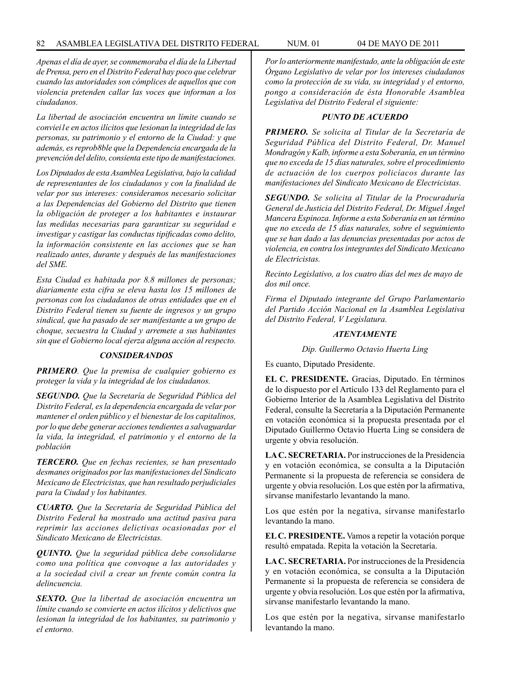*Apenas el día de ayer, se conmemoraba el día de la Libertad de Prensa, pero en el Distrito Federal hay poco que celebrar cuando las autoridades son cómplices de aquellos que con violencia pretenden callar las voces que informan a los ciudadanos.*

*La libertad de asociación encuentra un límite cuando se conviei1e en actos ilícitos que lesionan la integridad de las personas, su patrimonio y el entorno de la Ciudad: y que además, es reprob8ble que la Dependencia encargada de la prevención del delito, consienta este tipo de manifestaciones.*

*Los Diputados de esta Asamblea Legislativa, bajo la calidad de representantes de los ciudadanos y con la finalidad de velar por sus intereses: consideramos necesario solicitar a las Dependencias del Gobierno del Distrito que tienen la obligación de proteger a los habitantes e instaurar las medidas necesarias para garantizar su seguridad e investigar y castigar las conductas tipificadas como delito, la información consistente en las acciones que se han realizado antes, durante y después de las manifestaciones del SME.*

*Esta Ciudad es habitada por 8.8 millones de personas; diariamente esta cifra se eleva hasta los 15 millones de personas con los ciudadanos de otras entidades que en el Distrito Federal tienen su fuente de ingresos y un grupo sindical, que ha pasado de ser manifestante a un grupo de choque, secuestra la Ciudad y arremete a sus habitantes sin que el Gobierno local ejerza alguna acción al respecto.*

#### *CONSIDERANDOS*

*PRIMERO. Que la premisa de cualquier gobierno es proteger la vida y la integridad de los ciudadanos.*

*SEGUNDO. Que la Secretaría de Seguridad Pública del Distrito Federal, es la dependencia encargada de velar por mantener el orden público y el bienestar de los capitalinos, por lo que debe generar acciones tendientes a salvaguardar la vida, la integridad, el patrimonio y el entorno de la población*

*TERCERO. Que en fechas recientes, se han presentado desmanes originados por las manifestaciones del Sindicato Mexicano de Electricistas, que han resultado perjudiciales para la Ciudad y los habitantes.*

*CUARTO. Que la Secretaría de Seguridad Pública del Distrito Federal ha mostrado una actitud pasiva para reprimir las acciones delictivas ocasionadas por el Sindicato Mexicano de Electricistas.*

*QUINTO. Que la seguridad pública debe consolidarse como una política que convoque a las autoridades y a la sociedad civil a crear un frente común contra la delincuencia.*

*SEXTO. Que la libertad de asociación encuentra un límite cuando se convierte en actos ilícitos y delictivos que lesionan la integridad de los habitantes, su patrimonio y el entorno.*

*Por lo anteriormente manifestado, ante la obligación de este Órgano Legislativo de velar por los intereses ciudadanos como la protección de su vida, su integridad y el entorno, pongo a consideración de ésta Honorable Asamblea Legislativa del Distrito Federal el siguiente:*

#### *PUNTO DE ACUERDO*

*PRIMERO. Se solicita al Titular de la Secretaría de Seguridad Pública del Distrito Federal, Dr. Manuel Mondragón y Kalb, informe a esta Soberanía, en un término que no exceda de 15 días naturales, sobre el procedimiento de actuación de los cuerpos policíacos durante las manifestaciones del Sindicato Mexicano de Electricistas.*

*SEGUNDO. Se solicita al Titular de la Procuraduría General de Justicia del Distrito Federal, Dr. Miguel Ángel Mancera Espinoza. Informe a esta Soberanía en un término que no exceda de 15 días naturales, sobre el seguimiento que se han dado a las denuncias presentadas por actos de violencia, en contra los integrantes del Sindicato Mexicano de Electricistas.*

*Recinto Legislativo, a los cuatro días del mes de mayo de dos mil once.*

*Firma el Diputado integrante del Grupo Parlamentario del Partido Acción Nacional en la Asamblea Legislativa del Distrito Federal, V Legislatura.*

#### *ATENTAMENTE*

*Dip. Guillermo Octavio Huerta Ling*

Es cuanto, Diputado Presidente.

**EL C. PRESIDENTE.** Gracias, Diputado. En términos de lo dispuesto por el Artículo 133 del Reglamento para el Gobierno Interior de la Asamblea Legislativa del Distrito Federal, consulte la Secretaría a la Diputación Permanente en votación económica si la propuesta presentada por el Diputado Guillermo Octavio Huerta Ling se considera de urgente y obvia resolución.

**LA C. SECRETARIA.** Por instrucciones de la Presidencia y en votación económica, se consulta a la Diputación Permanente si la propuesta de referencia se considera de urgente y obvia resolución. Los que estén por la afirmativa, sírvanse manifestarlo levantando la mano.

Los que estén por la negativa, sírvanse manifestarlo levantando la mano.

**EL C. PRESIDENTE.** Vamos a repetir la votación porque resultó empatada. Repita la votación la Secretaría.

**LA C. SECRETARIA.** Por instrucciones de la Presidencia y en votación económica, se consulta a la Diputación Permanente si la propuesta de referencia se considera de urgente y obvia resolución. Los que estén por la afirmativa, sírvanse manifestarlo levantando la mano.

Los que estén por la negativa, sírvanse manifestarlo levantando la mano.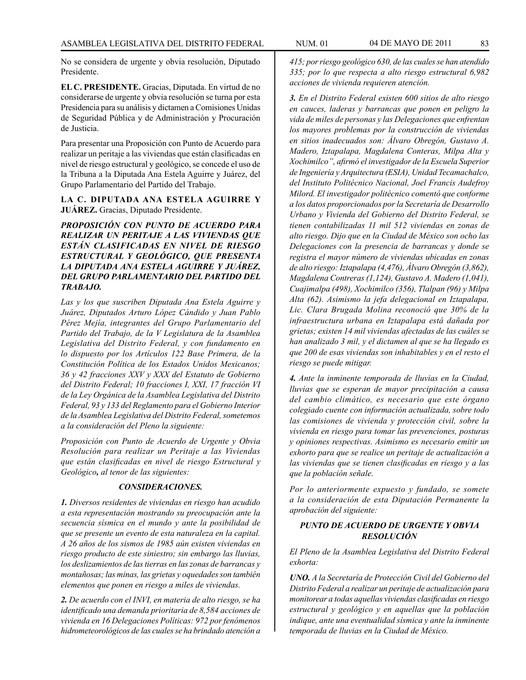No se considera de urgente y obvia resolución, Diputado Presidente.

**EL C. PRESIDENTE.** Gracias, Diputada. En virtud de no considerarse de urgente y obvia resolución se turna por esta Presidencia para su análisis y dictamen a Comisiones Unidas de Seguridad Pública y de Administración y Procuración de Justicia.

Para presentar una Proposición con Punto de Acuerdo para realizar un peritaje a las viviendas que están clasificadas en nivel de riesgo estructural y geológico, se concede el uso de la Tribuna a la Diputada Ana Estela Aguirre y Juárez, del Grupo Parlamentario del Partido del Trabajo.

## **LA C. DIPUTADA ANA ESTELA AGUIRRE Y JUÁREZ.** Gracias, Diputado Presidente.

*PROPOSICIÓN CON PUNTO DE ACUERDO PARA REALIZAR UN PERITAJE A LAS VIVIENDAS QUE ESTÁN CLASIFICADAS EN NIVEL DE RIESGO ESTRUCTURAL Y GEOLÓGICO, QUE PRESENTA LA DIPUTADA ANA ESTELA AGUIRRE Y JUÁREZ, DEL GRUPO PARLAMENTARIO DEL PARTIDO DEL TRABAJO.* 

*Las y los que suscriben Diputada Ana Estela Aguirre y Juárez, Diputados Arturo López Cándido y Juan Pablo Pérez Mejía, integrantes del Grupo Parlamentario del Partido del Trabajo, de la V Legislatura de la Asamblea Legislativa del Distrito Federal, y con fundamento en lo dispuesto por los Artículos 122 Base Primera, de la Constitución Política de los Estados Unidos Mexicanos; 36 y 42 fracciones XXV y XXX del Estatuto de Gobierno del Distrito Federal; 10 fracciones I, XXI, 17 fracción VI de la Ley Orgánica de la Asamblea Legislativa del Distrito Federal, 93 y 133 del Reglamento para el Gobierno Interior de la Asamblea Legislativa del Distrito Federal,sometemos a la consideración del Pleno la siguiente:*

*Proposición con Punto de Acuerdo de Urgente y Obvia Resolución para realizar un Peritaje a las Viviendas que están clasificadas en nivel de riesgo Estructural y Geológico, al tenor de las siguientes:*

#### *CONSIDERACIONES.*

*1. Diversos residentes de viviendas en riesgo han acudido a esta representación mostrando su preocupación ante la secuencia sísmica en el mundo y ante la posibilidad de que se presente un evento de esta naturaleza en la capital. A 26 años de los sismos de 1985 aún existen viviendas en riesgo producto de este siniestro; sin embargo las lluvias, los deslizamientos de las tierras en las zonas de barrancas y montañosas; las minas, las grietas y oquedades son también elementos que ponen en riesgo a miles de viviendas.*

*2. De acuerdo con el INVI, en materia de alto riesgo, se ha identificado una demanda prioritaria de 8,584 acciones de vivienda en 16 Delegaciones Políticas: 972 por fenómenos hidrometeorológicos de las cuales se ha brindado atención a* 

*415; por riesgo geológico 630, de las cuales se han atendido 335; por lo que respecta a alto riesgo estructural 6,982 acciones de vivienda requieren atención.*

*3. En el Distrito Federal existen 600 sitios de alto riesgo en cauces, laderas y barrancas que ponen en peligro la vida de miles de personas y las Delegaciones que enfrentan los mayores problemas por la construcción de viviendas en sitios inadecuados son: Álvaro Obregón, Gustavo A. Madero, Iztapalapa, Magdalena Conteras, Milpa Alta y Xochimilco", afirmó el investigador de la Escuela Superior de Ingeniería y Arquitectura (ESIA), Unidad Tecamachalco, del Instituto Politécnico Nacional, Joel Francis Audefroy Milord. El investigador politécnico comentó que conforme a los datos proporcionados por la Secretaría de Desarrollo Urbano y Vivienda del Gobierno del Distrito Federal, se tienen contabilizadas 11 mil 512 viviendas en zonas de alto riesgo. Dijo que en la Ciudad de México son ocho las Delegaciones con la presencia de barrancas y donde se registra el mayor número de viviendas ubicadas en zonas de alto riesgo: Iztapalapa (4,476), Álvaro Obregón (3,862), Magdalena Contreras (1,124), Gustavo A. Madero (1,041), Cuajimalpa (498), Xochimilco (356), Tlalpan (96) y Milpa Alta (62). Asimismo la jefa delegacional en Iztapalapa, Lic. Clara Brugada Molina reconoció que 30% de la infraestructura urbana en Iztapalapa está dañada por grietas; existen 14 mil viviendas afectadas de las cuáles se han analizado 3 mil, y el dictamen al que se ha llegado es que 200 de esas viviendas son inhabitables y en el resto el riesgo se puede mitigar.*

*4. Ante la inminente temporada de lluvias en la Ciudad, lluvias que se esperan de mayor precipitación a causa del cambio climático, es necesario que este órgano colegiado cuente con información actualizada, sobre todo las comisiones de vivienda y protección civil, sobre la vivienda en riesgo para tomar las prevenciones, posturas y opiniones respectivas. Asimismo es necesario emitir un exhorto para que se realice un peritaje de actualización a las viviendas que se tienen clasificadas en riesgo y a las que la población señale.*

*Por lo anteriormente expuesto y fundado, se somete a la consideración de esta Diputación Permanente la aprobación del siguiente:*

## *PUNTO DE ACUERDO DE URGENTE Y OBVIA RESOLUCIÓN*

*El Pleno de la Asamblea Legislativa del Distrito Federal exhorta:*

*UNO. A la Secretaría de Protección Civil del Gobierno del Distrito Federal a realizar un peritaje de actualización para monitorear a todas aquellas viviendas clasificadas en riesgo estructural y geológico y en aquellas que la población indique, ante una eventualidad sísmica y ante la inminente temporada de lluvias en la Ciudad de México.*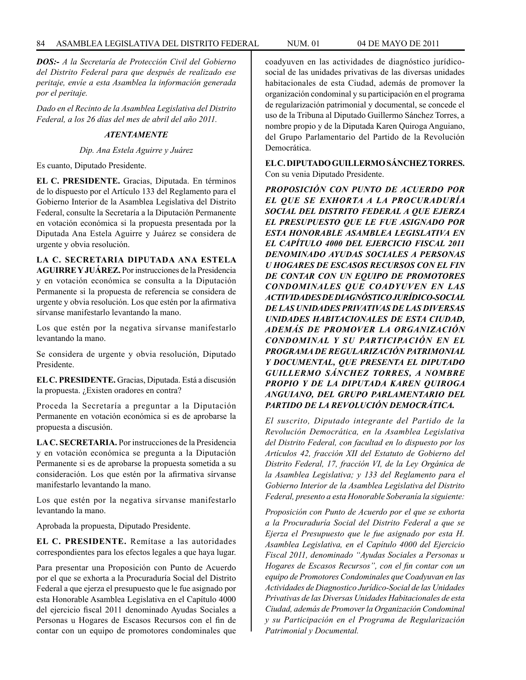*DOS:- A la Secretaría de Protección Civil del Gobierno del Distrito Federal para que después de realizado ese peritaje, envíe a esta Asamblea la información generada por el peritaje.*

*Dado en el Recinto de la Asamblea Legislativa del Distrito Federal, a los 26 días del mes de abril del año 2011.*

### *ATENTAMENTE*

*Dip. Ana Estela Aguirre y Juárez*

Es cuanto, Diputado Presidente.

**EL C. PRESIDENTE.** Gracias, Diputada. En términos de lo dispuesto por el Artículo 133 del Reglamento para el Gobierno Interior de la Asamblea Legislativa del Distrito Federal, consulte la Secretaría a la Diputación Permanente en votación económica si la propuesta presentada por la Diputada Ana Estela Aguirre y Juárez se considera de urgente y obvia resolución.

**LA C. SECRETARIA DIPUTADA ANA ESTELA AGUIRRE Y JUÁREZ.** Por instrucciones de la Presidencia y en votación económica se consulta a la Diputación Permanente si la propuesta de referencia se considera de urgente y obvia resolución. Los que estén por la afirmativa sírvanse manifestarlo levantando la mano.

Los que estén por la negativa sírvanse manifestarlo levantando la mano.

Se considera de urgente y obvia resolución, Diputado Presidente.

**EL C. PRESIDENTE.** Gracias, Diputada. Está a discusión la propuesta. ¿Existen oradores en contra?

Proceda la Secretaría a preguntar a la Diputación Permanente en votación económica si es de aprobarse la propuesta a discusión.

**LA C. SECRETARIA.** Por instrucciones de la Presidencia y en votación económica se pregunta a la Diputación Permanente si es de aprobarse la propuesta sometida a su consideración. Los que estén por la afirmativa sírvanse manifestarlo levantando la mano.

Los que estén por la negativa sírvanse manifestarlo levantando la mano.

Aprobada la propuesta, Diputado Presidente.

**EL C. PRESIDENTE.** Remítase a las autoridades correspondientes para los efectos legales a que haya lugar.

Para presentar una Proposición con Punto de Acuerdo por el que se exhorta a la Procuraduría Social del Distrito Federal a que ejerza el presupuesto que le fue asignado por esta Honorable Asamblea Legislativa en el Capítulo 4000 del ejercicio fiscal 2011 denominado Ayudas Sociales a Personas u Hogares de Escasos Recursos con el fin de contar con un equipo de promotores condominales que coadyuven en las actividades de diagnóstico jurídicosocial de las unidades privativas de las diversas unidades habitacionales de esta Ciudad, además de promover la organización condominal y su participación en el programa de regularización patrimonial y documental, se concede el uso de la Tribuna al Diputado Guillermo Sánchez Torres, a nombre propio y de la Diputada Karen Quiroga Anguiano, del Grupo Parlamentario del Partido de la Revolución Democrática.

**EL C. DIPUTADO GUILLERMO SÁNCHEZ TORRES.** Con su venia Diputado Presidente.

*PROPOSICIÓN CON PUNTO DE ACUERDO POR EL QUE SE EXHORTA A LA PROCURADURÍA SOCIAL DEL DISTRITO FEDERAL A QUE EJERZA EL PRESUPUESTO QUE LE FUE ASIGNADO POR ESTA HONORABLE ASAMBLEA LEGISLATIVA EN EL CAPÍTULO 4000 DEL EJERCICIO FISCAL 2011 DENOMINADO AYUDAS SOCIALES A PERSONAS U HOGARES DE ESCASOS RECURSOS CON EL FIN DE CONTAR CON UN EQUIPO DE PROMOTORES CONDOMINALES QUE COADYUVEN EN LAS ACTIVIDADES DE DIAGNÓSTICO JURÍDICO-SOCIAL DE LAS UNIDADES PRIVATIVAS DE LAS DIVERSAS UNIDADES HABITACIONALES DE ESTA CIUDAD, ADEMÁS DE PROMOVER LA ORGANIZACIÓN CONDOMINAL Y SU PARTICIPACIÓN EN EL PROGRAMA DE REGULARIZACIÓN PATRIMONIAL Y DOCUMENTAL, QUE PRESENTA EL DIPUTADO GUILLERMO SÁNCHEZ TORRES, A NOMBRE PROPIO Y DE LA DIPUTADA KAREN QUIROGA ANGUIANO, DEL GRUPO PARLAMENTARIO DEL PARTIDO DE LA REVOLUCIÓN DEMOCRÁTICA.*

*El suscrito, Diputado integrante del Partido de la Revolución Democrática, en la Asamblea Legislativa del Distrito Federal, con facultad en lo dispuesto por los Artículos 42, fracción XII del Estatuto de Gobierno del Distrito Federal, 17, fracción VI, de la Ley Orgánica de la Asamblea Legislativa; y 133 del Reglamento para el Gobierno Interior de la Asamblea Legislativa del Distrito Federal, presento a esta Honorable Soberanía la siguiente:*

*Proposición con Punto de Acuerdo por el que se exhorta a la Procuraduría Social del Distrito Federal a que se Ejerza el Presupuesto que le fue asignado por esta H. Asamblea Legislativa, en el Capítulo 4000 del Ejercicio Fiscal 2011, denominado "Ayudas Sociales a Personas u Hogares de Escasos Recursos", con el fin contar con un equipo de Promotores Condominales que Coadyuvan en las Actividades de Diagnostico Jurídico-Social de las Unidades Privativas de las Diversas Unidades Habitacionales de esta Ciudad, además de Promover la Organización Condominal y su Participación en el Programa de Regularización Patrimonial y Documental.*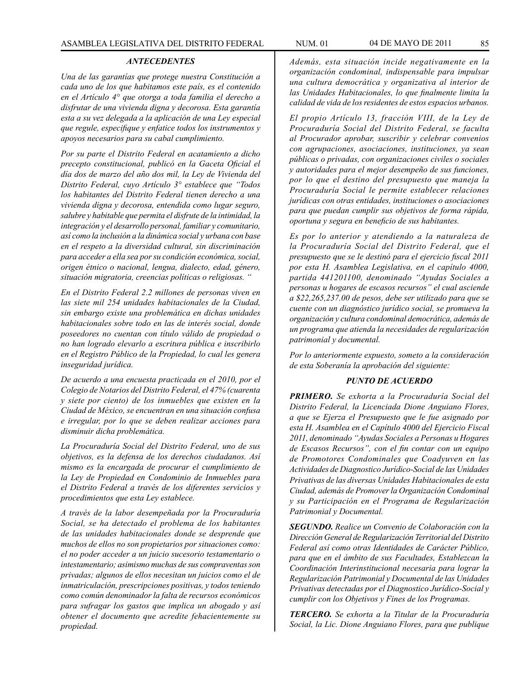#### *ANTECEDENTES*

*Una de las garantías que protege nuestra Constitución a cada uno de los que habitamos este país, es el contenido en el Artículo 4° que otorga a toda familia el derecho a disfrutar de una vivienda digna y decorosa. Esta garantía esta a su vez delegada a la aplicación de una Ley especial que regule, especifique y enfatice todos los instrumentos y apoyos necesarios para su cabal cumplimiento.*

*Por su parte el Distrito Federal en acatamiento a dicho precepto constitucional, publicó en la Gaceta Oficial el día dos de marzo del año dos mil, la Ley de Vivienda del Distrito Federal, cuyo Artículo 3° establece que "Todos los habitantes del Distrito Federal tienen derecho a una vivienda digna y decorosa, entendida como lugar seguro, salubre y habitable que permita el disfrute de la intimidad, la integración y el desarrollo personal, familiar y comunitario, así como la inclusión a la dinámica social y urbana con base en el respeto a la diversidad cultural, sin discriminación para acceder a ella sea por su condición económica, social, origen étnico o nacional, lengua, dialecto, edad, género, situación migratoria, creencias políticas o religiosas. "*

*En el Distrito Federal 2.2 millones de personas viven en las siete mil 254 unidades habitacionales de la Ciudad, sin embargo existe una problemática en dichas unidades habitacionales sobre todo en las de interés social, donde poseedores no cuentan con título válido de propiedad o no han logrado elevarlo a escritura pública e inscribirlo en el Registro Público de la Propiedad, lo cual les genera inseguridad jurídica.*

*De acuerdo a una encuesta practicada en el 2010, por el Colegio de Notarios del Distrito Federal, el 47% (cuarenta y siete por ciento) de los inmuebles que existen en la Ciudad de México, se encuentran en una situación confusa e irregular, por lo que se deben realizar acciones para disminuir dicha problemática.*

*La Procuraduría Social del Distrito Federal, uno de sus objetivos, es la defensa de los derechos ciudadanos. Así mismo es la encargada de procurar el cumplimiento de la Ley de Propiedad en Condominio de Inmuebles para el Distrito Federal a través de los diferentes servicios y procedimientos que esta Ley establece.*

*A través de la labor desempeñada por la Procuraduría Social, se ha detectado el problema de los habitantes de las unidades habitacionales donde se desprende que muchos de ellos no son propietarios por situaciones como: el no poder acceder a un juicio sucesorio testamentario o intestamentario; asimismo muchas de sus compraventas son privadas; algunos de ellos necesitan un juicios como el de inmatriculación, prescripciones positivas, y todos teniendo como común denominador la falta de recursos económicos para sufragar los gastos que implica un abogado y así obtener el documento que acredite fehacientemente su propiedad.*

*Además, esta situación incide negativamente en la organización condominal, indispensable para impulsar una cultura democrática y organizativa al interior de las Unidades Habitacionales, lo que finalmente limita la calidad de vida de los residentes de estos espacios urbanos.*

*El propio Artículo 13, fracción VIII, de la Ley de Procuraduría Social del Distrito Federal, se faculta al Procurador aprobar, suscribir y celebrar convenios con agrupaciones, asociaciones, instituciones, ya sean públicas o privadas, con organizaciones civiles o sociales y autoridades para el mejor desempeño de sus funciones, por lo que el destino del presupuesto que maneja la Procuraduría Social le permite establecer relaciones jurídicas con otras entidades, instituciones o asociaciones para que puedan cumplir sus objetivos de forma rápida, oportuna y segura en beneficio de sus habitantes.*

*Es por lo anterior y atendiendo a la naturaleza de la Procuraduría Social del Distrito Federal, que el presupuesto que se le destinó para el ejercicio fiscal 2011 por esta H. Asamblea Legislativa, en el capítulo 4000, partida 441201100, denominado "Ayudas Sociales a personas u hogares de escasos recursos" el cual asciende a \$22,265,237.00 de pesos, debe ser utilizado para que se cuente con un diagnóstico jurídico social, se promueva la organización y cultura condominal democrática, además de un programa que atienda la necesidades de regularización patrimonial y documental.*

*Por lo anteriormente expuesto, someto a la consideración de esta Soberanía la aprobación del siguiente:*

#### *PUNTO DE ACUERDO*

*PRIMERO. Se exhorta a la Procuraduría Social del Distrito Federal, la Licenciada Dione Anguiano Flores, a que se Ejerza el Presupuesto que le fue asignado por esta H. Asamblea en el Capítulo 4000 del Ejercicio Fiscal 2011, denominado "Ayudas Sociales a Personas u Hogares de Escasos Recursos", con el fin contar con un equipo de Promotores Condominales que Coadyuven en las Actividades de Diagnostico Jurídico-Social de las Unidades Privativas de las diversas Unidades Habitacionales de esta Ciudad, además de Promover la Organización Condominal y su Participación en el Programa de Regularización Patrimonial y Documental.*

*SEGUNDO. Realice un Convenio de Colaboración con la Dirección General de Regularización Territorial del Distrito Federal así como otras Identidades de Carácter Público, para que en el ámbito de sus Facultades, Establezcan la Coordinación Interinstitucional necesaria para lograr la Regularización Patrimonial y Documental de las Unidades Privativas detectadas por el Diagnostico Jurídico-Social y cumplir con los Objetivos y Fines de los Programas.*

*TERCERO. Se exhorta a la Titular de la Procuraduría Social, la Lic. Dione Anguiano Flores, para que publique*